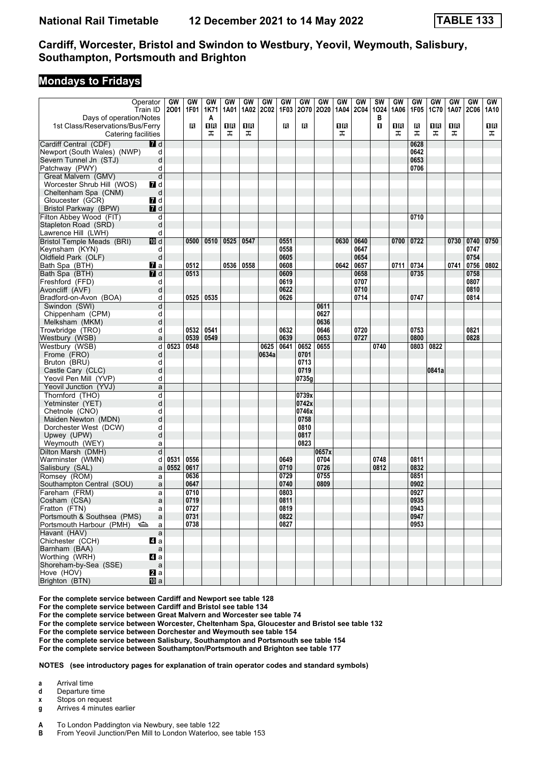#### **Mondays to Fridays**

| Operator<br>Days of operation/Notes                     | Train ID                  | GW<br>2001 | GW<br>1F01 | <b>GW</b><br>1K71<br>A | GW<br>1A01 | GW<br>1A02 | GW<br><b>2C02</b> | GW<br>1F03 | GW<br>2070   | GW<br>2020 | GW<br>1A04 | <b>GW</b><br><b>2C04</b> | $\overline{\text{sw}}$<br>1024<br>в | <b>GW</b><br>1A06 | <b>GW</b><br>1F05 | <b>GW</b><br><b>1C70</b> | GW<br>1A07 | <b>GW</b><br><b>2C06</b> | GW<br>1A10 |
|---------------------------------------------------------|---------------------------|------------|------------|------------------------|------------|------------|-------------------|------------|--------------|------------|------------|--------------------------|-------------------------------------|-------------------|-------------------|--------------------------|------------|--------------------------|------------|
| 1st Class/Reservations/Bus/Ferry<br>Catering facilities |                           |            | в          | 1R<br>ᠼ                | ΠR<br>ᠼ    | 1R<br>ᠼ    |                   | в          | в            |            | 1 R<br>ᠼ   |                          | п                                   | 1R<br>ᠼ           | R<br>ᠼ            | 1R<br>ᠼ                  | 1 R<br>ᠼ   |                          | 1 R<br>ᠼ   |
| Cardiff Central (CDF)                                   | <b>7</b> d                |            |            |                        |            |            |                   |            |              |            |            |                          |                                     |                   | 0628              |                          |            |                          |            |
| Newport (South Wales) (NWP)                             | d                         |            |            |                        |            |            |                   |            |              |            |            |                          |                                     |                   | 0642              |                          |            |                          |            |
| Severn Tunnel Jn (STJ)                                  | d                         |            |            |                        |            |            |                   |            |              |            |            |                          |                                     |                   | 0653              |                          |            |                          |            |
|                                                         |                           |            |            |                        |            |            |                   |            |              |            |            |                          |                                     |                   | 0706              |                          |            |                          |            |
| Patchway (PWY)                                          | d                         |            |            |                        |            |            |                   |            |              |            |            |                          |                                     |                   |                   |                          |            |                          |            |
| Great Malvern (GMV)                                     | d                         |            |            |                        |            |            |                   |            |              |            |            |                          |                                     |                   |                   |                          |            |                          |            |
| Worcester Shrub Hill (WOS)                              | 7d                        |            |            |                        |            |            |                   |            |              |            |            |                          |                                     |                   |                   |                          |            |                          |            |
| Cheltenham Spa (CNM)                                    | d                         |            |            |                        |            |            |                   |            |              |            |            |                          |                                     |                   |                   |                          |            |                          |            |
| Gloucester (GCR)                                        | 7d                        |            |            |                        |            |            |                   |            |              |            |            |                          |                                     |                   |                   |                          |            |                          |            |
| Bristol Parkway (BPW)                                   | $I$ d                     |            |            |                        |            |            |                   |            |              |            |            |                          |                                     |                   |                   |                          |            |                          |            |
| Filton Abbey Wood (FIT)                                 | d                         |            |            |                        |            |            |                   |            |              |            |            |                          |                                     |                   | 0710              |                          |            |                          |            |
| Stapleton Road (SRD)                                    | d                         |            |            |                        |            |            |                   |            |              |            |            |                          |                                     |                   |                   |                          |            |                          |            |
| Lawrence Hill (LWH)                                     | d                         |            |            |                        |            |            |                   |            |              |            |            |                          |                                     |                   |                   |                          |            |                          |            |
| <b>Bristol Temple Meads (BRI)</b>                       | III d                     |            | 0500       | 0510                   | 0525       | 0547       |                   | 0551       |              |            | 0630       | 0640                     |                                     | 0700              | 0722              |                          | 0730       | 0740                     | 0750       |
| Keynsham (KYN)                                          | d                         |            |            |                        |            |            |                   | 0558       |              |            |            | 0647                     |                                     |                   |                   |                          |            | 0747                     |            |
| Oldfield Park (OLF)                                     | d                         |            |            |                        |            |            |                   | 0605       |              |            |            | 0654                     |                                     |                   |                   |                          |            | 0754                     |            |
| Bath Spa (BTH)                                          | $\mathbf{z}$ a            |            | 0512       |                        | 0536       | 0558       |                   | 0608       |              |            | 0642       | 0657                     |                                     | 0711              | 0734              |                          | 0741       | 0756                     | 0802       |
| Bath Spa (BTH)                                          | $\overline{\mathbf{Z}}$ d |            | 0513       |                        |            |            |                   | 0609       |              |            |            | 0658                     |                                     |                   | 0735              |                          |            | 0758                     |            |
| Freshford (FFD)                                         | d                         |            |            |                        |            |            |                   | 0619       |              |            |            | 0707                     |                                     |                   |                   |                          |            | 0807                     |            |
| Avoncliff (AVF)                                         | d                         |            |            |                        |            |            |                   | 0622       |              |            |            | 0710                     |                                     |                   |                   |                          |            | 0810                     |            |
| Bradford-on-Avon (BOA)                                  | d                         |            | 0525       | 0535                   |            |            |                   | 0626       |              |            |            | 0714                     |                                     |                   | 0747              |                          |            | 0814                     |            |
| Swindon (SWI)                                           | d                         |            |            |                        |            |            |                   |            |              | 0611       |            |                          |                                     |                   |                   |                          |            |                          |            |
| Chippenham (CPM)                                        | d                         |            |            |                        |            |            |                   |            |              | 0627       |            |                          |                                     |                   |                   |                          |            |                          |            |
| Melksham (MKM)                                          | d                         |            |            |                        |            |            |                   |            |              | 0636       |            |                          |                                     |                   |                   |                          |            |                          |            |
| Trowbridge (TRO)                                        | d                         |            | 0532       | 0541                   |            |            |                   | 0632       |              | 0646       |            | 0720                     |                                     |                   | 0753              |                          |            | 0821                     |            |
| Westbury (WSB)                                          | a                         |            | 0539       | 0549                   |            |            |                   | 0639       |              | 0653       |            | 0727                     |                                     |                   | 0800              |                          |            | 0828                     |            |
| Westbury (WSB)                                          | d                         | 0523       | 0548       |                        |            |            | 0625              | 0641       | 0652         | 0655       |            |                          | 0740                                |                   | 0803              | 0822                     |            |                          |            |
| Frome (FRO)                                             | d                         |            |            |                        |            |            | 0634a             |            | 0701         |            |            |                          |                                     |                   |                   |                          |            |                          |            |
| Bruton (BRU)                                            | d                         |            |            |                        |            |            |                   |            | 0713         |            |            |                          |                                     |                   |                   |                          |            |                          |            |
| Castle Cary (CLC)                                       | d                         |            |            |                        |            |            |                   |            | 0719         |            |            |                          |                                     |                   |                   | 0841a                    |            |                          |            |
| Yeovil Pen Mill (YVP)                                   | d                         |            |            |                        |            |            |                   |            | 0735g        |            |            |                          |                                     |                   |                   |                          |            |                          |            |
| Yeovil Junction (YVJ)                                   | a                         |            |            |                        |            |            |                   |            |              |            |            |                          |                                     |                   |                   |                          |            |                          |            |
| Thornford (THO)                                         | d                         |            |            |                        |            |            |                   |            | 0739x        |            |            |                          |                                     |                   |                   |                          |            |                          |            |
|                                                         | d                         |            |            |                        |            |            |                   |            | 0742x        |            |            |                          |                                     |                   |                   |                          |            |                          |            |
| Yetminster (YET)                                        |                           |            |            |                        |            |            |                   |            | 0746x        |            |            |                          |                                     |                   |                   |                          |            |                          |            |
| Chetnole (CNO)                                          | d                         |            |            |                        |            |            |                   |            | 0758         |            |            |                          |                                     |                   |                   |                          |            |                          |            |
| Maiden Newton (MDN)                                     | d                         |            |            |                        |            |            |                   |            |              |            |            |                          |                                     |                   |                   |                          |            |                          |            |
| Dorchester West (DCW)                                   | d                         |            |            |                        |            |            |                   |            | 0810<br>0817 |            |            |                          |                                     |                   |                   |                          |            |                          |            |
| Upwey (UPW)                                             | d                         |            |            |                        |            |            |                   |            |              |            |            |                          |                                     |                   |                   |                          |            |                          |            |
| Weymouth (WEY)                                          | a                         |            |            |                        |            |            |                   |            | 0823         |            |            |                          |                                     |                   |                   |                          |            |                          |            |
| Dilton Marsh (DMH)                                      | d                         |            |            |                        |            |            |                   |            |              | 0657x      |            |                          |                                     |                   |                   |                          |            |                          |            |
| Warminster (WMN)                                        | d                         | 0531       | 0556       |                        |            |            |                   | 0649       |              | 0704       |            |                          | 0748                                |                   | 0811              |                          |            |                          |            |
| Salisbury (SAL)                                         | a                         | 0552       | 0617       |                        |            |            |                   | 0710       |              | 0726       |            |                          | 0812                                |                   | 0832              |                          |            |                          |            |
| Romsey (ROM)                                            | a                         |            | 0636       |                        |            |            |                   | 0729       |              | 0755       |            |                          |                                     |                   | 0851              |                          |            |                          |            |
| Southampton Central (SOU)                               | a                         |            | 0647       |                        |            |            |                   | 0740       |              | 0809       |            |                          |                                     |                   | 0902              |                          |            |                          |            |
| Fareham (FRM)                                           | a                         |            | 0710       |                        |            |            |                   | 0803       |              |            |            |                          |                                     |                   | 0927              |                          |            |                          |            |
| Cosham (CSA)                                            | a                         |            | 0719       |                        |            |            |                   | 0811       |              |            |            |                          |                                     |                   | 0935              |                          |            |                          |            |
| Fratton (FTN)                                           | a                         |            | 0727       |                        |            |            |                   | 0819       |              |            |            |                          |                                     |                   | 0943              |                          |            |                          |            |
| Portsmouth & Southsea (PMS)                             | a                         |            | 0731       |                        |            |            |                   | 0822       |              |            |            |                          |                                     |                   | 0947              |                          |            |                          |            |
| Portsmouth Harbour (PMH)                                | a                         |            | 0738       |                        |            |            |                   | 0827       |              |            |            |                          |                                     |                   | 0953              |                          |            |                          |            |
| Havant (HAV)                                            | a                         |            |            |                        |            |            |                   |            |              |            |            |                          |                                     |                   |                   |                          |            |                          |            |
| Chichester (CCH)                                        | ZI a                      |            |            |                        |            |            |                   |            |              |            |            |                          |                                     |                   |                   |                          |            |                          |            |
| Barnham (BAA)                                           | a                         |            |            |                        |            |            |                   |            |              |            |            |                          |                                     |                   |                   |                          |            |                          |            |
| Worthing (WRH)                                          | 4a                        |            |            |                        |            |            |                   |            |              |            |            |                          |                                     |                   |                   |                          |            |                          |            |
| Shoreham-by-Sea (SSE)                                   | a                         |            |            |                        |            |            |                   |            |              |            |            |                          |                                     |                   |                   |                          |            |                          |            |
| Hove (HOV)                                              | 2∎a<br>100a               |            |            |                        |            |            |                   |            |              |            |            |                          |                                     |                   |                   |                          |            |                          |            |
| Brighton (BTN)                                          |                           |            |            |                        |            |            |                   |            |              |            |            |                          |                                     |                   |                   |                          |            |                          |            |

**For the complete service between Cardiff and Newport see table 12**

**For the complete service between Cardiff and Bristol see table 14**

**For the complete service between Great Malvern and Worcester see table 4**

**For the complete service between Worcester, Cheltenham Spa, Gloucester and Bristol see table 12**

For the complete service between Dorchester and Weymouth see table 154

For the complete service between Salisbury, Southampton and Portsmouth see table 154

**For the complete service between Southampton/Portsmouth and Brighton see table 1**

**NOTES (see introductory pages for explanation of train operator codes and standard symbols)**

- **a** Arrival time
- 
- **d** Departure time<br>**x** Stops on reque **Stops on request**
- **g** Arrives 4 minutes earlier
- **A** To London Paddington via Newbury, see table 122<br>**B** Erom Yeovil Junction/Pen Mill to London Waterloo
- From Yeovil Junction/Pen Mill to London Waterloo, see table 153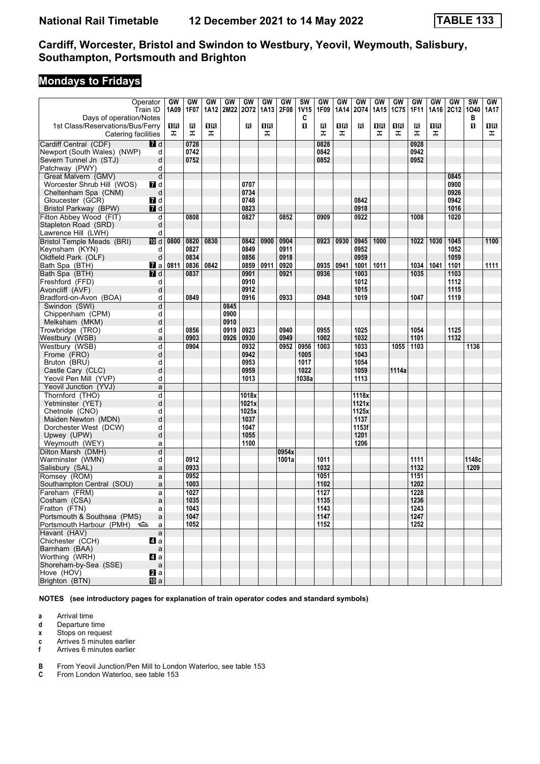# **Mondays to Fridays**

| Operator<br>Days of operation/Notes                     | Train ID     | GW<br>1A09 | GW<br>1F07 | GW      | GW   | GW<br>1A12 2M22 2O72 | GW<br>1A13 | GW<br>2F08 | SW<br><b>1V15</b><br>C | GW<br>1F09 | GW<br>1A14 | GW<br>2074 | GW<br>1A15 | <b>GW</b><br><b>1C75</b> | GW<br>1F11 | GW       | GW<br>1A16   2C12   1O40 | $\overline{\text{SW}}$<br>в | GW<br>1A17 |
|---------------------------------------------------------|--------------|------------|------------|---------|------|----------------------|------------|------------|------------------------|------------|------------|------------|------------|--------------------------|------------|----------|--------------------------|-----------------------------|------------|
| 1st Class/Reservations/Bus/Ferry<br>Catering facilities |              | 1R<br>ᠼ    | в<br>ᠼ     | 16<br>ᠼ |      | в                    | 1R<br>ᠼ    |            | 0                      | в<br>ᠼ     | 1 R<br>ᠼ   | в          | 1 R<br>ᠼ   | 1R<br>ᠼ                  | в<br>ᠼ     | 0 B<br>ᠼ |                          | O.                          | 1 R<br>ᠼ   |
| Cardiff Central (CDF)                                   | 7d           |            | 0728       |         |      |                      |            |            |                        | 0828       |            |            |            |                          | 0928       |          |                          |                             |            |
| Newport (South Wales) (NWP)                             | d            |            | 0742       |         |      |                      |            |            |                        | 0842       |            |            |            |                          | 0942       |          |                          |                             |            |
| Severn Tunnel Jn (STJ)                                  | d            |            | 0752       |         |      |                      |            |            |                        | 0852       |            |            |            |                          | 0952       |          |                          |                             |            |
| Patchway (PWY)                                          | d            |            |            |         |      |                      |            |            |                        |            |            |            |            |                          |            |          |                          |                             |            |
| Great Malvern (GMV)                                     | d            |            |            |         |      |                      |            |            |                        |            |            |            |            |                          |            |          | 0845                     |                             |            |
|                                                         |              |            |            |         |      | 0707                 |            |            |                        |            |            |            |            |                          |            |          | 0900                     |                             |            |
| Worcester Shrub Hill (WOS)                              | 7d           |            |            |         |      |                      |            |            |                        |            |            |            |            |                          |            |          |                          |                             |            |
| Cheltenham Spa (CNM)                                    | d            |            |            |         |      | 0734                 |            |            |                        |            |            |            |            |                          |            |          | 0926                     |                             |            |
| Gloucester (GCR)                                        | 7d           |            |            |         |      | 0748                 |            |            |                        |            |            | 0842       |            |                          |            |          | 0942                     |                             |            |
| Bristol Parkway (BPW)                                   | $I$ d        |            |            |         |      | 0823                 |            |            |                        |            |            | 0918       |            |                          |            |          | 1016                     |                             |            |
| Filton Abbey Wood (FIT)                                 | d            |            | 0808       |         |      | 0827                 |            | 0852       |                        | 0909       |            | 0922       |            |                          | 1008       |          | 1020                     |                             |            |
| Stapleton Road (SRD)                                    | d            |            |            |         |      |                      |            |            |                        |            |            |            |            |                          |            |          |                          |                             |            |
| Lawrence Hill (LWH)                                     | d            |            |            |         |      |                      |            |            |                        |            |            |            |            |                          |            |          |                          |                             |            |
| <b>Bristol Temple Meads (BRI)</b>                       | 10 d         | 0800       | 0820       | 0830    |      | 0842                 | 0900       | 0904       |                        | 0923       | 0930       | 0945       | 1000       |                          | 1022       | 1030     | 1045                     |                             | 1100       |
| Keynsham (KYN)                                          | d            |            | 0827       |         |      | 0849                 |            | 0911       |                        |            |            | 0952       |            |                          |            |          | 1052                     |                             |            |
| Oldfield Park (OLF)                                     | d            |            | 0834       |         |      | 0856                 |            | 0918       |                        |            |            | 0959       |            |                          |            |          | 1059                     |                             |            |
| Bath Spa (BTH)                                          | <b>7</b> al  | 0811       | 0836       | 0842    |      | 0859                 | 0911       | 0920       |                        | 0935       | 0941       | 1001       | 1011       |                          | 1034       | 1041     | 1101                     |                             | 1111       |
| Bath Spa (BTH)                                          | <b>7</b> d   |            | 0837       |         |      | 0901                 |            | 0921       |                        | 0936       |            | 1003       |            |                          | 1035       |          | 1103                     |                             |            |
| Freshford (FFD)                                         | d            |            |            |         |      | 0910                 |            |            |                        |            |            | 1012       |            |                          |            |          | 1112                     |                             |            |
|                                                         | d            |            |            |         |      | 0912                 |            |            |                        |            |            | 1015       |            |                          |            |          | 1115                     |                             |            |
| Avoncliff (AVF)                                         |              |            |            |         |      |                      |            |            |                        |            |            |            |            |                          |            |          |                          |                             |            |
| Bradford-on-Avon (BOA)                                  | d            |            | 0849       |         |      | 0916                 |            | 0933       |                        | 0948       |            | 1019       |            |                          | 1047       |          | 1119                     |                             |            |
| Swindon (SWI)                                           | d            |            |            |         | 0845 |                      |            |            |                        |            |            |            |            |                          |            |          |                          |                             |            |
| Chippenham (CPM)                                        | d            |            |            |         | 0900 |                      |            |            |                        |            |            |            |            |                          |            |          |                          |                             |            |
| Melksham (MKM)                                          | d            |            |            |         | 0910 |                      |            |            |                        |            |            |            |            |                          |            |          |                          |                             |            |
| Trowbridge (TRO)                                        | d            |            | 0856       |         | 0919 | 0923                 |            | 0940       |                        | 0955       |            | 1025       |            |                          | 1054       |          | 1125                     |                             |            |
| Westbury (WSB)                                          | a            |            | 0903       |         | 0926 | 0930                 |            | 0949       |                        | 1002       |            | 1032       |            |                          | 1101       |          | 1132                     |                             |            |
| Westbury (WSB)                                          | d            |            | 0904       |         |      | 0932                 |            | 0952       | 0956                   | 1003       |            | 1033       |            | 1055                     | 1103       |          |                          | 1136                        |            |
| Frome (FRO)                                             | d            |            |            |         |      | 0942                 |            |            | 1005                   |            |            | 1043       |            |                          |            |          |                          |                             |            |
| Bruton (BRU)                                            | d            |            |            |         |      | 0953                 |            |            | 1017                   |            |            | 1054       |            |                          |            |          |                          |                             |            |
| Castle Cary (CLC)                                       | d            |            |            |         |      | 0959                 |            |            | 1022                   |            |            | 1059       |            | 1114a                    |            |          |                          |                             |            |
| Yeovil Pen Mill (YVP)                                   | d            |            |            |         |      | 1013                 |            |            | 1038a                  |            |            | 1113       |            |                          |            |          |                          |                             |            |
| Yeovil Junction (YVJ)                                   | a            |            |            |         |      |                      |            |            |                        |            |            |            |            |                          |            |          |                          |                             |            |
| Thornford (THO)                                         | d            |            |            |         |      | 1018x                |            |            |                        |            |            | 1118x      |            |                          |            |          |                          |                             |            |
| Yetminster (YET)                                        | d            |            |            |         |      | 1021x                |            |            |                        |            |            | 1121x      |            |                          |            |          |                          |                             |            |
| Chetnole (CNO)                                          | d            |            |            |         |      | 1025x                |            |            |                        |            |            | 1125x      |            |                          |            |          |                          |                             |            |
| Maiden Newton (MDN)                                     | d            |            |            |         |      | 1037                 |            |            |                        |            |            | 1137       |            |                          |            |          |                          |                             |            |
| Dorchester West (DCW)                                   | d            |            |            |         |      | 1047                 |            |            |                        |            |            | 1153f      |            |                          |            |          |                          |                             |            |
| Upwey (UPW)                                             | d            |            |            |         |      | 1055                 |            |            |                        |            |            | 1201       |            |                          |            |          |                          |                             |            |
| Weymouth (WEY)                                          |              |            |            |         |      | 1100                 |            |            |                        |            |            | 1206       |            |                          |            |          |                          |                             |            |
|                                                         | a            |            |            |         |      |                      |            |            |                        |            |            |            |            |                          |            |          |                          |                             |            |
| Dilton Marsh (DMH)                                      | d            |            |            |         |      |                      |            | 0954x      |                        |            |            |            |            |                          |            |          |                          |                             |            |
| Warminster (WMN)                                        | d            |            | 0912       |         |      |                      |            | 1001a      |                        | 1011       |            |            |            |                          | 1111       |          |                          | 1148c                       |            |
| Salisbury (SAL)                                         | a            |            | 0933       |         |      |                      |            |            |                        | 1032       |            |            |            |                          | 1132       |          |                          | 1209                        |            |
| Romsey (ROM)                                            | a            |            | 0952       |         |      |                      |            |            |                        | 1051       |            |            |            |                          | 1151       |          |                          |                             |            |
| Southampton Central (SOU)                               | a            |            | 1003       |         |      |                      |            |            |                        | 1102       |            |            |            |                          | 1202       |          |                          |                             |            |
| Fareham (FRM)                                           | a            |            | 1027       |         |      |                      |            |            |                        | 1127       |            |            |            |                          | 1228       |          |                          |                             |            |
| Cosham (CSA)                                            | a            |            | 1035       |         |      |                      |            |            |                        | 1135       |            |            |            |                          | 1236       |          |                          |                             |            |
| Fratton (FTN)                                           | a            |            | 1043       |         |      |                      |            |            |                        | 1143       |            |            |            |                          | 1243       |          |                          |                             |            |
| Portsmouth & Southsea (PMS)                             | a            |            | 1047       |         |      |                      |            |            |                        | 1147       |            |            |            |                          | 1247       |          |                          |                             |            |
| Portsmouth Harbour (PMH)                                | a            |            | 1052       |         |      |                      |            |            |                        | 1152       |            |            |            |                          | 1252       |          |                          |                             |            |
| Havant (HAV)                                            | $\mathsf{a}$ |            |            |         |      |                      |            |            |                        |            |            |            |            |                          |            |          |                          |                             |            |
| Chichester (CCH)                                        | 41 a         |            |            |         |      |                      |            |            |                        |            |            |            |            |                          |            |          |                          |                             |            |
| Barnham (BAA)                                           | $\mathsf{a}$ |            |            |         |      |                      |            |            |                        |            |            |            |            |                          |            |          |                          |                             |            |
| Worthing (WRH)                                          | 41 a         |            |            |         |      |                      |            |            |                        |            |            |            |            |                          |            |          |                          |                             |            |
| Shoreham-by-Sea (SSE)                                   | $\mathsf{a}$ |            |            |         |      |                      |            |            |                        |            |            |            |            |                          |            |          |                          |                             |            |
| Hove (HOV)                                              | a            |            |            |         |      |                      |            |            |                        |            |            |            |            |                          |            |          |                          |                             |            |
| Brighton (BTN)                                          | <b>ID</b> a  |            |            |         |      |                      |            |            |                        |            |            |            |            |                          |            |          |                          |                             |            |
|                                                         |              |            |            |         |      |                      |            |            |                        |            |            |            |            |                          |            |          |                          |                             |            |

**NOTES (see introductory pages for explanation of train operator codes and standard symbols)**

**a** Arrival time<br>**d** Departure t

**d** Departure time

**x** Stops on request<br>**c** Arrives 5 minutes

**c** Arrives 5 minutes earlier<br>**f** Arrives 6 minutes earlier

**f** Arrives 6 minutes earlier

**B** From Yeovil Junction/Pen Mill to London Waterloo, see table 153<br>**C** From London Waterloo, see table 153

From London Waterloo, see table 153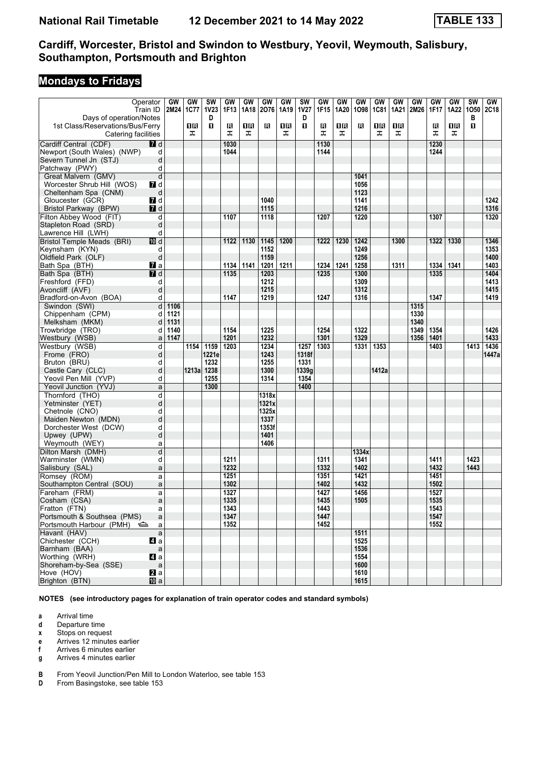# **Mondays to Fridays**

| Days of operation/Notes                                 | Operator<br>Train ID | GW<br>2M24 | GW<br>1C77 | <b>SW</b><br><b>1V23</b><br>D | GW<br>1F13 | GW<br>1A18 | GW<br>2076 | <b>GW</b><br>1A19 | <b>SW</b><br><b>1V27</b><br>D | GW<br>1F15 | GW<br>1A20 | GW<br>1098 | GW<br><b>1C81</b> | GW<br>1A21 | GW<br>2M26 | <b>GW</b><br>1F17 | GW<br>1A22 | <b>SW</b><br>1050<br>в | GW<br><b>2C18</b> |
|---------------------------------------------------------|----------------------|------------|------------|-------------------------------|------------|------------|------------|-------------------|-------------------------------|------------|------------|------------|-------------------|------------|------------|-------------------|------------|------------------------|-------------------|
| 1st Class/Reservations/Bus/Ferry<br>Catering facilities |                      |            | 16<br>ᠼ    | П                             | в<br>ᠼ     | 0 R<br>ᠼ   | в          | 1 R<br>ᠼ          | п                             | в<br>ᠼ     | OΒ<br>ᠼ    | в          | 1 R<br>ᠼ          | 1R<br>ᠼ    |            | в<br>ᅚ            | 0 B<br>ᠼ   | п                      |                   |
| Cardiff Central (CDF)                                   | <b>7</b> d           |            |            |                               | 1030       |            |            |                   |                               | 1130       |            |            |                   |            |            | 1230              |            |                        |                   |
| Newport (South Wales) (NWP)                             | d                    |            |            |                               | 1044       |            |            |                   |                               | 1144       |            |            |                   |            |            | 1244              |            |                        |                   |
| Severn Tunnel Jn (STJ)                                  | d                    |            |            |                               |            |            |            |                   |                               |            |            |            |                   |            |            |                   |            |                        |                   |
| Patchway (PWY)                                          | d                    |            |            |                               |            |            |            |                   |                               |            |            |            |                   |            |            |                   |            |                        |                   |
| Great Malvern (GMV)                                     | d                    |            |            |                               |            |            |            |                   |                               |            |            | 1041       |                   |            |            |                   |            |                        |                   |
| Worcester Shrub Hill (WOS)                              | 7 d                  |            |            |                               |            |            |            |                   |                               |            |            | 1056       |                   |            |            |                   |            |                        |                   |
| Cheltenham Spa (CNM)                                    | d                    |            |            |                               |            |            |            |                   |                               |            |            | 1123       |                   |            |            |                   |            |                        |                   |
|                                                         | 7d                   |            |            |                               |            |            | 1040       |                   |                               |            |            |            |                   |            |            |                   |            |                        | 1242              |
| Gloucester (GCR)                                        |                      |            |            |                               |            |            |            |                   |                               |            |            | 1141       |                   |            |            |                   |            |                        |                   |
| Bristol Parkway (BPW)                                   | <b>7</b> d           |            |            |                               |            |            | 1115       |                   |                               |            |            | 1216       |                   |            |            |                   |            |                        | 1316              |
| Filton Abbey Wood (FIT)                                 | d                    |            |            |                               | 1107       |            | 1118       |                   |                               | 1207       |            | 1220       |                   |            |            | 1307              |            |                        | 1320              |
| Stapleton Road (SRD)                                    | d                    |            |            |                               |            |            |            |                   |                               |            |            |            |                   |            |            |                   |            |                        |                   |
| Lawrence Hill (LWH)                                     | d                    |            |            |                               |            |            |            |                   |                               |            |            |            |                   |            |            |                   |            |                        |                   |
| <b>Bristol Temple Meads (BRI)</b>                       | III d                |            |            |                               | 1122       | 1130       | 1145       | 1200              |                               | 1222       | 1230       | 1242       |                   | 1300       |            | 1322              | 1330       |                        | 1346              |
| Keynsham (KYN)                                          | d                    |            |            |                               |            |            | 1152       |                   |                               |            |            | 1249       |                   |            |            |                   |            |                        | 1353              |
| Oldfield Park (OLF)                                     | d                    |            |            |                               |            |            | 1159       |                   |                               |            |            | 1256       |                   |            |            |                   |            |                        | 1400              |
| Bath Spa (BTH)                                          | $\mathbf{z}$ a       |            |            |                               | 1134       | 1141       | 1201       | 1211              |                               | 1234       | 1241       | 1258       |                   | 1311       |            | 1334              | 1341       |                        | 1403              |
| Bath Spa (BTH)                                          | <b>7</b> d           |            |            |                               | 1135       |            | 1203       |                   |                               | 1235       |            | 1300       |                   |            |            | 1335              |            |                        | 1404              |
| Freshford (FFD)                                         | d                    |            |            |                               |            |            | 1212       |                   |                               |            |            | 1309       |                   |            |            |                   |            |                        | 1413              |
| Avoncliff (AVF)                                         | d                    |            |            |                               |            |            | 1215       |                   |                               |            |            | 1312       |                   |            |            |                   |            |                        | 1415              |
| Bradford-on-Avon (BOA)                                  | d                    |            |            |                               | 1147       |            | 1219       |                   |                               | 1247       |            | 1316       |                   |            |            | 1347              |            |                        | 1419              |
| Swindon (SWI)                                           | d                    | 1106       |            |                               |            |            |            |                   |                               |            |            |            |                   |            | 1315       |                   |            |                        |                   |
| Chippenham (CPM)                                        | d                    | 1121       |            |                               |            |            |            |                   |                               |            |            |            |                   |            | 1330       |                   |            |                        |                   |
| Melksham (MKM)                                          | d                    | 1131       |            |                               |            |            |            |                   |                               |            |            |            |                   |            | 1340       |                   |            |                        |                   |
| Trowbridge (TRO)                                        | d                    | 1140       |            |                               | 1154       |            | 1225       |                   |                               | 1254       |            | 1322       |                   |            | 1349       | 1354              |            |                        | 1426              |
| Westbury (WSB)                                          | a                    | 1147       |            |                               | 1201       |            | 1232       |                   |                               | 1301       |            | 1329       |                   |            | 1356       | 1401              |            |                        | 1433              |
| Westbury (WSB)                                          | d                    |            | 1154       | 1159                          | 1203       |            | 1234       |                   | 1257                          | 1303       |            | 1331       | 1353              |            |            | 1403              |            | 1413                   | 1436              |
|                                                         | d                    |            |            | 1221e                         |            |            | 1243       |                   |                               |            |            |            |                   |            |            |                   |            |                        | 1447a             |
| Frome (FRO)                                             |                      |            |            | 1232                          |            |            | 1255       |                   | 1318f<br>1331                 |            |            |            |                   |            |            |                   |            |                        |                   |
| Bruton (BRU)                                            | d                    |            |            |                               |            |            |            |                   |                               |            |            |            |                   |            |            |                   |            |                        |                   |
| Castle Cary (CLC)                                       | d                    |            | 1213al     | 1238                          |            |            | 1300       |                   | 1339g                         |            |            |            | 1412a             |            |            |                   |            |                        |                   |
| Yeovil Pen Mill (YVP)                                   | d                    |            |            | 1255                          |            |            | 1314       |                   | 1354                          |            |            |            |                   |            |            |                   |            |                        |                   |
| Yeovil Junction (YVJ)                                   | a                    |            |            | 1300                          |            |            |            |                   | 1400                          |            |            |            |                   |            |            |                   |            |                        |                   |
| Thornford (THO)                                         | d                    |            |            |                               |            |            | 1318x      |                   |                               |            |            |            |                   |            |            |                   |            |                        |                   |
| Yetminster (YET)                                        | d                    |            |            |                               |            |            | 1321x      |                   |                               |            |            |            |                   |            |            |                   |            |                        |                   |
| Chetnole (CNO)                                          | d                    |            |            |                               |            |            | 1325x      |                   |                               |            |            |            |                   |            |            |                   |            |                        |                   |
| Maiden Newton (MDN)                                     | d                    |            |            |                               |            |            | 1337       |                   |                               |            |            |            |                   |            |            |                   |            |                        |                   |
| Dorchester West (DCW)                                   | d                    |            |            |                               |            |            | 1353f      |                   |                               |            |            |            |                   |            |            |                   |            |                        |                   |
| Upwey (UPW)                                             | d                    |            |            |                               |            |            | 1401       |                   |                               |            |            |            |                   |            |            |                   |            |                        |                   |
| Weymouth (WEY)                                          | a                    |            |            |                               |            |            | 1406       |                   |                               |            |            |            |                   |            |            |                   |            |                        |                   |
| Dilton Marsh (DMH)                                      | d                    |            |            |                               |            |            |            |                   |                               |            |            | 1334x      |                   |            |            |                   |            |                        |                   |
| Warminster (WMN)                                        | d                    |            |            |                               | 1211       |            |            |                   |                               | 1311       |            | 1341       |                   |            |            | 1411              |            | 1423                   |                   |
| Salisbury (SAL)                                         | a                    |            |            |                               | 1232       |            |            |                   |                               | 1332       |            | 1402       |                   |            |            | 1432              |            | 1443                   |                   |
| Romsey (ROM)                                            | a                    |            |            |                               | 1251       |            |            |                   |                               | 1351       |            | 1421       |                   |            |            | 1451              |            |                        |                   |
| Southampton Central (SOU)                               | a                    |            |            |                               | 1302       |            |            |                   |                               | 1402       |            | 1432       |                   |            |            | 1502              |            |                        |                   |
| Fareham (FRM)                                           | a                    |            |            |                               | 1327       |            |            |                   |                               | 1427       |            | 1456       |                   |            |            | 1527              |            |                        |                   |
| Cosham (CSA)                                            | a                    |            |            |                               | 1335       |            |            |                   |                               | 1435       |            | 1505       |                   |            |            | 1535              |            |                        |                   |
| Fratton (FTN)                                           | a                    |            |            |                               | 1343       |            |            |                   |                               | 1443       |            |            |                   |            |            | 1543              |            |                        |                   |
| Portsmouth & Southsea (PMS)                             | a                    |            |            |                               | 1347       |            |            |                   |                               | 1447       |            |            |                   |            |            | 1547              |            |                        |                   |
| Portsmouth Harbour (PMH)                                | a                    |            |            |                               | 1352       |            |            |                   |                               | 1452       |            |            |                   |            |            | 1552              |            |                        |                   |
| Havant (HAV)                                            |                      |            |            |                               |            |            |            |                   |                               |            |            | 1511       |                   |            |            |                   |            |                        |                   |
|                                                         | $\mathsf{a}$         |            |            |                               |            |            |            |                   |                               |            |            |            |                   |            |            |                   |            |                        |                   |
| Chichester (CCH)                                        | 41 a                 |            |            |                               |            |            |            |                   |                               |            |            | 1525       |                   |            |            |                   |            |                        |                   |
| Barnham (BAA)                                           | $\mathsf{a}$         |            |            |                               |            |            |            |                   |                               |            |            | 1536       |                   |            |            |                   |            |                        |                   |
| Worthing (WRH)                                          | 41 a                 |            |            |                               |            |            |            |                   |                               |            |            | 1554       |                   |            |            |                   |            |                        |                   |
| Shoreham-by-Sea (SSE)                                   | $\mathsf{a}$         |            |            |                               |            |            |            |                   |                               |            |            | 1600       |                   |            |            |                   |            |                        |                   |
| Hove (HOV)                                              | a                    |            |            |                               |            |            |            |                   |                               |            |            | 1610       |                   |            |            |                   |            |                        |                   |
| Brighton (BTN)                                          | <b>ID</b> a          |            |            |                               |            |            |            |                   |                               |            |            | 1615       |                   |            |            |                   |            |                        |                   |

**NOTES (see introductory pages for explanation of train operator codes and standard symbols)**

**a** Arrival time<br>**d** Departure t

**d** Departure time

**x** Stops on request<br>**e** Arrives 12 minute

**e** Arrives 12 minutes earlier<br>**f** Arrives 6 minutes earlier

**f** Arrives 6 minutes earlier

**g** Arrives 4 minutes earlier

**B** From Yeovil Junction/Pen Mill to London Waterloo, see table 153<br>**D** From Basingstoke, see table 153

From Basingstoke, see table 153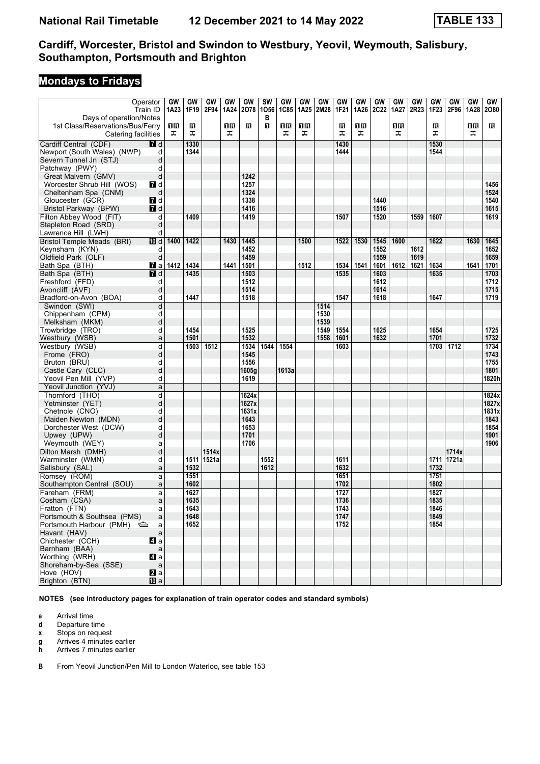# **Mondays to Fridays**

| Operator<br>Days of operation/Notes                     | Train ID     | GW<br>1A23 | GW<br>1F19 | GW<br>2F94 | GW<br>1A24 | GW<br>2078 | <b>SW</b><br>1056<br>в | GW<br><b>1C85</b> | GW<br>1A25 | GW<br>2M28 | GW<br>1F21 | GW<br>1A26 | GW<br><b>2C22</b> | <b>GW</b><br>1A27 | GW<br>2R23 | GW<br>1F23 | GW<br>2F96 | GW<br>1A28 | GW<br>2080 |
|---------------------------------------------------------|--------------|------------|------------|------------|------------|------------|------------------------|-------------------|------------|------------|------------|------------|-------------------|-------------------|------------|------------|------------|------------|------------|
| 1st Class/Reservations/Bus/Ferry<br>Catering facilities |              | 1R<br>ᠼ    | в<br>ᠼ     |            | 16<br>ᠼ    | в          | п                      | 16<br>ᠼ           | 1 R<br>ᠼ   |            | B<br>ᠼ     | 1 R<br>ᠼ   |                   | 16<br>ᠼ           |            | в<br>ᠼ     |            | 0B<br>ᠼ    | R          |
| Cardiff Central (CDF)                                   | 7d           |            | 1330       |            |            |            |                        |                   |            |            | 1430       |            |                   |                   |            | 1530       |            |            |            |
| Newport (South Wales) (NWP)                             | d            |            | 1344       |            |            |            |                        |                   |            |            | 1444       |            |                   |                   |            | 1544       |            |            |            |
| Severn Tunnel Jn (STJ)                                  | d            |            |            |            |            |            |                        |                   |            |            |            |            |                   |                   |            |            |            |            |            |
| Patchway (PWY)                                          | d            |            |            |            |            |            |                        |                   |            |            |            |            |                   |                   |            |            |            |            |            |
| Great Malvern (GMV)                                     | d            |            |            |            |            | 1242       |                        |                   |            |            |            |            |                   |                   |            |            |            |            |            |
| Worcester Shrub Hill (WOS)                              | 7d           |            |            |            |            | 1257       |                        |                   |            |            |            |            |                   |                   |            |            |            |            | 1456       |
| Cheltenham Spa (CNM)                                    | d            |            |            |            |            | 1324       |                        |                   |            |            |            |            |                   |                   |            |            |            |            | 1524       |
| Gloucester (GCR)                                        | 7d           |            |            |            |            | 1338       |                        |                   |            |            |            |            | 1440              |                   |            |            |            |            | 1540       |
| Bristol Parkway (BPW)                                   | <b>7</b> d   |            |            |            |            | 1416       |                        |                   |            |            |            |            | 1516              |                   |            |            |            |            | 1615       |
| Filton Abbey Wood (FIT)                                 | d            |            | 1409       |            |            | 1419       |                        |                   |            |            | 1507       |            | 1520              |                   | 1559       | 1607       |            |            | 1619       |
| Stapleton Road (SRD)                                    | d            |            |            |            |            |            |                        |                   |            |            |            |            |                   |                   |            |            |            |            |            |
| Lawrence Hill (LWH)                                     | d            |            |            |            |            |            |                        |                   |            |            |            |            |                   |                   |            |            |            |            |            |
|                                                         |              |            | 1422       |            |            |            |                        |                   |            |            |            |            |                   |                   |            |            |            |            |            |
| <b>Bristol Temple Meads (BRI)</b>                       | 10 d         | 1400       |            |            | 1430       | 1445       |                        |                   | 1500       |            | 1522       | 1530       | 1545              | 1600              |            | 1622       |            | 1630       | 1645       |
| Keynsham (KYN)                                          | d            |            |            |            |            | 1452       |                        |                   |            |            |            |            | 1552              |                   | 1612       |            |            |            | 1652       |
| Oldfield Park (OLF)                                     | d            |            |            |            |            | 1459       |                        |                   |            |            |            |            | 1559              |                   | 1619       |            |            |            | 1659       |
| Bath Spa (BTH)                                          | <b>7</b> al  | 1412       | 1434       |            | 1441       | 1501       |                        |                   | 1512       |            | 1534       | 1541       | 1601              | 1612              | 1621       | 1634       |            | 1641       | 1701       |
| Bath Spa (BTH)                                          | <b>7</b> d   |            | 1435       |            |            | 1503       |                        |                   |            |            | 1535       |            | 1603              |                   |            | 1635       |            |            | 1703       |
| Freshford (FFD)                                         | d            |            |            |            |            | 1512       |                        |                   |            |            |            |            | 1612              |                   |            |            |            |            | 1712       |
| Avoncliff (AVF)                                         | d            |            |            |            |            | 1514       |                        |                   |            |            |            |            | 1614              |                   |            |            |            |            | 1715       |
| Bradford-on-Avon (BOA)                                  | d            |            | 1447       |            |            | 1518       |                        |                   |            |            | 1547       |            | 1618              |                   |            | 1647       |            |            | 1719       |
| Swindon (SWI)                                           | d            |            |            |            |            |            |                        |                   |            | 1514       |            |            |                   |                   |            |            |            |            |            |
| Chippenham (CPM)                                        | d            |            |            |            |            |            |                        |                   |            | 1530       |            |            |                   |                   |            |            |            |            |            |
| Melksham (MKM)                                          | d            |            |            |            |            |            |                        |                   |            | 1539       |            |            |                   |                   |            |            |            |            |            |
| Trowbridge (TRO)                                        | d            |            | 1454       |            |            | 1525       |                        |                   |            | 1549       | 1554       |            | 1625              |                   |            | 1654       |            |            | 1725       |
| Westbury (WSB)                                          | a            |            | 1501       |            |            | 1532       |                        |                   |            | 1558       | 1601       |            | 1632              |                   |            | 1701       |            |            | 1732       |
| Westbury (WSB)                                          | d            |            | 1503       | 1512       |            | 1534       | 1544                   | 1554              |            |            | 1603       |            |                   |                   |            | 1703       | 1712       |            | 1734       |
| Frome (FRO)                                             | d            |            |            |            |            | 1545       |                        |                   |            |            |            |            |                   |                   |            |            |            |            | 1743       |
| Bruton (BRU)                                            | d            |            |            |            |            | 1556       |                        |                   |            |            |            |            |                   |                   |            |            |            |            | 1755       |
| Castle Cary (CLC)                                       | d            |            |            |            |            | 1605g      |                        | 1613a             |            |            |            |            |                   |                   |            |            |            |            | 1801       |
| Yeovil Pen Mill (YVP)                                   | d            |            |            |            |            | 1619       |                        |                   |            |            |            |            |                   |                   |            |            |            |            | 1820h      |
| Yeovil Junction (YVJ)                                   | a            |            |            |            |            |            |                        |                   |            |            |            |            |                   |                   |            |            |            |            |            |
| Thornford (THO)                                         | d            |            |            |            |            | 1624x      |                        |                   |            |            |            |            |                   |                   |            |            |            |            | 1824x      |
| Yetminster (YET)                                        | d            |            |            |            |            | 1627x      |                        |                   |            |            |            |            |                   |                   |            |            |            |            | 1827x      |
| Chetnole (CNO)                                          | d            |            |            |            |            | 1631x      |                        |                   |            |            |            |            |                   |                   |            |            |            |            | 1831x      |
| Maiden Newton (MDN)                                     | d            |            |            |            |            | 1643       |                        |                   |            |            |            |            |                   |                   |            |            |            |            | 1843       |
| Dorchester West (DCW)                                   | d            |            |            |            |            | 1653       |                        |                   |            |            |            |            |                   |                   |            |            |            |            | 1854       |
| Upwey (UPW)                                             | d            |            |            |            |            | 1701       |                        |                   |            |            |            |            |                   |                   |            |            |            |            | 1901       |
| Weymouth (WEY)                                          | a            |            |            |            |            | 1706       |                        |                   |            |            |            |            |                   |                   |            |            |            |            | 1906       |
| Dilton Marsh (DMH)                                      | d            |            |            | 1514x      |            |            |                        |                   |            |            |            |            |                   |                   |            |            | 1714x      |            |            |
| Warminster (WMN)                                        | d            |            | 1511       | 1521a      |            |            | 1552                   |                   |            |            | 1611       |            |                   |                   |            | 1711       | 1721a      |            |            |
| Salisbury (SAL)                                         | a            |            | 1532       |            |            |            | 1612                   |                   |            |            | 1632       |            |                   |                   |            | 1732       |            |            |            |
| Romsey (ROM)                                            | a            |            | 1551       |            |            |            |                        |                   |            |            | 1651       |            |                   |                   |            | 1751       |            |            |            |
| Southampton Central (SOU)                               | a            |            | 1602       |            |            |            |                        |                   |            |            | 1702       |            |                   |                   |            | 1802       |            |            |            |
| Fareham (FRM)                                           | a            |            | 1627       |            |            |            |                        |                   |            |            | 1727       |            |                   |                   |            | 1827       |            |            |            |
| Cosham (CSA)                                            | a            |            | 1635       |            |            |            |                        |                   |            |            | 1736       |            |                   |                   |            | 1835       |            |            |            |
| Fratton (FTN)                                           | a            |            | 1643       |            |            |            |                        |                   |            |            | 1743       |            |                   |                   |            | 1846       |            |            |            |
| Portsmouth & Southsea (PMS)                             | a            |            | 1648       |            |            |            |                        |                   |            |            | 1747       |            |                   |                   |            | 1849       |            |            |            |
| Portsmouth Harbour (PMH)                                | a            |            | 1652       |            |            |            |                        |                   |            |            | 1752       |            |                   |                   |            | 1854       |            |            |            |
| Havant (HAV)                                            | $\mathsf{a}$ |            |            |            |            |            |                        |                   |            |            |            |            |                   |                   |            |            |            |            |            |
| Chichester (CCH)                                        | 41 a         |            |            |            |            |            |                        |                   |            |            |            |            |                   |                   |            |            |            |            |            |
| Barnham (BAA)                                           | $\mathsf{a}$ |            |            |            |            |            |                        |                   |            |            |            |            |                   |                   |            |            |            |            |            |
| Worthing (WRH)                                          | 41 a         |            |            |            |            |            |                        |                   |            |            |            |            |                   |                   |            |            |            |            |            |
| Shoreham-by-Sea (SSE)                                   | $\mathsf{a}$ |            |            |            |            |            |                        |                   |            |            |            |            |                   |                   |            |            |            |            |            |
| Hove (HOV)                                              | 2a           |            |            |            |            |            |                        |                   |            |            |            |            |                   |                   |            |            |            |            |            |
| Brighton (BTN)                                          | <b>ID</b> a  |            |            |            |            |            |                        |                   |            |            |            |            |                   |                   |            |            |            |            |            |

**NOTES (see introductory pages for explanation of train operator codes and standard symbols)**

**a** Arrival time<br>**d** Departure t

**d** Departure time

**x** Stops on request<br>**g** Arrives 4 minutes

**g** Arrives 4 minutes earlier<br>**h** Arrives 7 minutes earlier

**K** Arrives 7 minutes earlier

**B** From Yeovil Junction/Pen Mill to London Waterloo, see table 153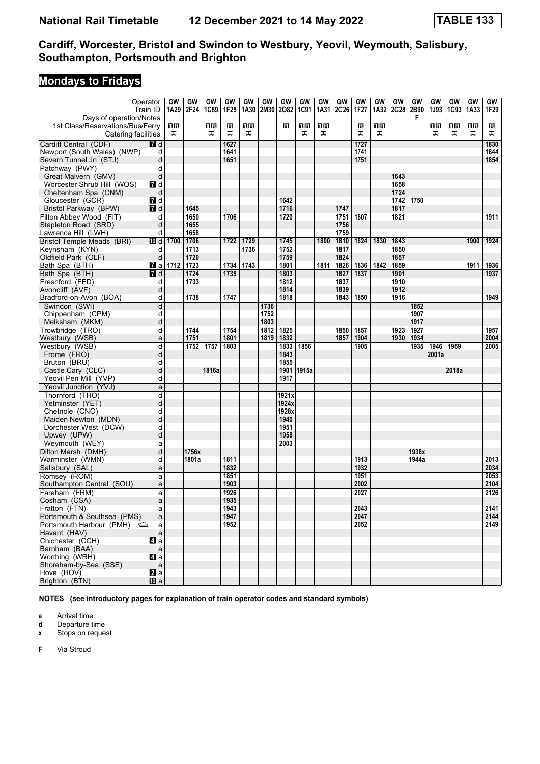# **Mondays to Fridays**

| Operator                                                    | Train ID       | GW<br>1A29            | GW<br>2F24 | GW<br>1C89 | GW<br>1F <sub>25</sub> | GW<br>1A30 | GW<br>2M30 | GW<br>2082 | GW<br><b>1C91</b> | GW<br>1A31 | GW<br><b>2C26</b> | GW<br>1F27 | GW<br>1A32 | GW<br><b>2C28</b> | GW<br>2B90 | GW<br>1J93 | GW<br>1C93 | GW<br>1A33 | GW<br>1F29 |
|-------------------------------------------------------------|----------------|-----------------------|------------|------------|------------------------|------------|------------|------------|-------------------|------------|-------------------|------------|------------|-------------------|------------|------------|------------|------------|------------|
| Days of operation/Notes<br>1st Class/Reservations/Bus/Ferry |                | 1R                    |            | 0 B        | в                      | 0 B        |            | R          | 1R                | 1 R        |                   | в          | 1 R        |                   | F          | 0 R        | 1R         | 1R         | в          |
| Catering facilities                                         |                | ᠼ                     |            | ᠼ          | ᠼ                      | ᠼ          |            |            | ᠼ                 | ᠼ          |                   | ᠼ          | ᠼ          |                   |            | ᠼ          | ᠼ          | ᠼ          | ᠼ          |
| Cardiff Central (CDF)                                       | $I$ d          |                       |            |            | 1627                   |            |            |            |                   |            |                   | 1727       |            |                   |            |            |            |            | 1830       |
| Newport (South Wales) (NWP)                                 | d              |                       |            |            | 1641                   |            |            |            |                   |            |                   | 1741       |            |                   |            |            |            |            | 1844       |
| Severn Tunnel Jn (STJ)                                      | d              |                       |            |            | 1651                   |            |            |            |                   |            |                   | 1751       |            |                   |            |            |            |            | 1854       |
| Patchway (PWY)                                              | d              |                       |            |            |                        |            |            |            |                   |            |                   |            |            |                   |            |            |            |            |            |
| Great Malvern (GMV)                                         | d              |                       |            |            |                        |            |            |            |                   |            |                   |            |            | 1643              |            |            |            |            |            |
| Worcester Shrub Hill (WOS)                                  | 7d             |                       |            |            |                        |            |            |            |                   |            |                   |            |            | 1658              |            |            |            |            |            |
|                                                             | d              |                       |            |            |                        |            |            |            |                   |            |                   |            |            | 1724              |            |            |            |            |            |
| Cheltenham Spa (CNM)                                        |                |                       |            |            |                        |            |            |            |                   |            |                   |            |            |                   |            |            |            |            |            |
| Gloucester (GCR)                                            | 7d             |                       |            |            |                        |            |            | 1642       |                   |            |                   |            |            | 1742              | 1750       |            |            |            |            |
| Bristol Parkway (BPW)                                       | <b>7</b> d     |                       | 1645       |            |                        |            |            | 1716       |                   |            | 1747              |            |            | 1817              |            |            |            |            |            |
| Filton Abbey Wood (FIT)                                     | d              |                       | 1650       |            | 1706                   |            |            | 1720       |                   |            | 1751              | 1807       |            | 1821              |            |            |            |            | 1911       |
| Stapleton Road (SRD)                                        | d              |                       | 1655       |            |                        |            |            |            |                   |            | 1756              |            |            |                   |            |            |            |            |            |
| Lawrence Hill (LWH)                                         | d              |                       | 1658       |            |                        |            |            |            |                   |            | 1759              |            |            |                   |            |            |            |            |            |
| <b>Bristol Temple Meads (BRI)</b>                           | 10 d           | 1700                  | 1706       |            | 1722                   | 1729       |            | 1745       |                   | 1800       | 1810              | 1824       | 1830       | 1843              |            |            |            | 1900       | 1924       |
| Keynsham (KYN)                                              | d              |                       | 1713       |            |                        | 1736       |            | 1752       |                   |            | 1817              |            |            | 1850              |            |            |            |            |            |
| Oldfield Park (OLF)                                         | d              |                       | 1720       |            |                        |            |            | 1759       |                   |            | 1824              |            |            | 1857              |            |            |            |            |            |
| Bath Spa (BTH)                                              |                | $\blacksquare$ a 1712 | 1723       |            | 1734                   | 1743       |            | 1801       |                   | 1811       | 1826              | 1836       | 1842       | 1859              |            |            |            | 1911       | 1936       |
| Bath Spa (BTH)                                              | <b>7</b> d     |                       | 1724       |            | 1735                   |            |            | 1803       |                   |            | 1827              | 1837       |            | 1901              |            |            |            |            | 1937       |
| Freshford (FFD)                                             | d              |                       | 1733       |            |                        |            |            | 1812       |                   |            | 1837              |            |            | 1910              |            |            |            |            |            |
| Avoncliff (AVF)                                             | d              |                       |            |            |                        |            |            | 1814       |                   |            | 1839              |            |            | 1912              |            |            |            |            |            |
| Bradford-on-Avon (BOA)                                      | d              |                       | 1738       |            | 1747                   |            |            | 1818       |                   |            | 1843              | 1850       |            | 1916              |            |            |            |            | 1949       |
| Swindon (SWI)                                               | d              |                       |            |            |                        |            | 1736       |            |                   |            |                   |            |            |                   | 1852       |            |            |            |            |
| Chippenham (CPM)                                            | d              |                       |            |            |                        |            | 1752       |            |                   |            |                   |            |            |                   | 1907       |            |            |            |            |
| Melksham (MKM)                                              | d              |                       |            |            |                        |            | 1803       |            |                   |            |                   |            |            |                   | 1917       |            |            |            |            |
|                                                             |                |                       | 1744       |            | 1754                   |            |            | 1825       |                   |            | 1850              | 1857       |            | 1923              | 1927       |            |            |            | 1957       |
| Trowbridge (TRO)                                            | d              |                       |            |            |                        |            | 1812       |            |                   |            |                   |            |            |                   |            |            |            |            |            |
| Westbury (WSB)                                              | a              |                       | 1751       |            | 1801                   |            | 1819       | 1832       |                   |            | 1857              | 1904       |            | 1930              | 1934       |            |            |            | 2004       |
| Westbury (WSB)                                              | d              |                       | 1752       | 1757       | 1803                   |            |            | 1833       | 1856              |            |                   | 1905       |            |                   | 1935       | 1946       | 1959       |            | 2005       |
| Frome (FRO)                                                 | d              |                       |            |            |                        |            |            | 1843       |                   |            |                   |            |            |                   |            | 2001a      |            |            |            |
| Bruton (BRU)                                                | d              |                       |            |            |                        |            |            | 1855       |                   |            |                   |            |            |                   |            |            |            |            |            |
| Castle Cary (CLC)                                           | d              |                       |            | 1816a      |                        |            |            | 1901       | 1915a             |            |                   |            |            |                   |            |            | 2018a      |            |            |
| Yeovil Pen Mill (YVP)                                       | d              |                       |            |            |                        |            |            | 1917       |                   |            |                   |            |            |                   |            |            |            |            |            |
| Yeovil Junction (YVJ)                                       | a              |                       |            |            |                        |            |            |            |                   |            |                   |            |            |                   |            |            |            |            |            |
| Thornford (THO)                                             | d              |                       |            |            |                        |            |            | 1921x      |                   |            |                   |            |            |                   |            |            |            |            |            |
| Yetminster (YET)                                            | d              |                       |            |            |                        |            |            | 1924x      |                   |            |                   |            |            |                   |            |            |            |            |            |
| Chetnole (CNO)                                              | d              |                       |            |            |                        |            |            | 1928x      |                   |            |                   |            |            |                   |            |            |            |            |            |
| Maiden Newton (MDN)                                         | d              |                       |            |            |                        |            |            | 1940       |                   |            |                   |            |            |                   |            |            |            |            |            |
| Dorchester West (DCW)                                       | d              |                       |            |            |                        |            |            | 1951       |                   |            |                   |            |            |                   |            |            |            |            |            |
| Upwey (UPW)                                                 | d              |                       |            |            |                        |            |            | 1958       |                   |            |                   |            |            |                   |            |            |            |            |            |
| Weymouth (WEY)                                              | a              |                       |            |            |                        |            |            | 2003       |                   |            |                   |            |            |                   |            |            |            |            |            |
| Dilton Marsh (DMH)                                          | d              |                       | 1756x      |            |                        |            |            |            |                   |            |                   |            |            |                   | 1938x      |            |            |            |            |
| Warminster (WMN)                                            | d              |                       | 1801a      |            | 1811                   |            |            |            |                   |            |                   | 1913       |            |                   | 1944a      |            |            |            | 2013       |
| Salisbury (SAL)                                             | a              |                       |            |            | 1832                   |            |            |            |                   |            |                   | 1932       |            |                   |            |            |            |            | 2034       |
| Romsey (ROM)                                                | a              |                       |            |            | 1851                   |            |            |            |                   |            |                   | 1951       |            |                   |            |            |            |            | 2053       |
| Southampton Central (SOU)                                   | a              |                       |            |            | 1903                   |            |            |            |                   |            |                   | 2002       |            |                   |            |            |            |            | 2104       |
| Fareham (FRM)                                               | a              |                       |            |            | 1926                   |            |            |            |                   |            |                   | 2027       |            |                   |            |            |            |            | 2126       |
| Cosham (CSA)                                                | a              |                       |            |            | 1935                   |            |            |            |                   |            |                   |            |            |                   |            |            |            |            |            |
| Fratton (FTN)                                               | a              |                       |            |            | 1943                   |            |            |            |                   |            |                   | 2043       |            |                   |            |            |            |            | 2141       |
| Portsmouth & Southsea (PMS)                                 | a              |                       |            |            | 1947                   |            |            |            |                   |            |                   | 2047       |            |                   |            |            |            |            | 2144       |
| Portsmouth Harbour (PMH)                                    | a              |                       |            |            | 1952                   |            |            |            |                   |            |                   | 2052       |            |                   |            |            |            |            | 2149       |
|                                                             |                |                       |            |            |                        |            |            |            |                   |            |                   |            |            |                   |            |            |            |            |            |
| Havant (HAV)                                                | $\mathsf{a}$   |                       |            |            |                        |            |            |            |                   |            |                   |            |            |                   |            |            |            |            |            |
| Chichester (CCH)                                            | 41 a           |                       |            |            |                        |            |            |            |                   |            |                   |            |            |                   |            |            |            |            |            |
| Barnham (BAA)                                               | $\mathsf{a}$   |                       |            |            |                        |            |            |            |                   |            |                   |            |            |                   |            |            |            |            |            |
| Worthing (WRH)                                              | 41 a           |                       |            |            |                        |            |            |            |                   |            |                   |            |            |                   |            |            |            |            |            |
| Shoreham-by-Sea (SSE)                                       | $\mathsf{a}$   |                       |            |            |                        |            |            |            |                   |            |                   |            |            |                   |            |            |            |            |            |
| Hove (HOV)                                                  | $\mathbf{z}$ a |                       |            |            |                        |            |            |            |                   |            |                   |            |            |                   |            |            |            |            |            |
| Brighton (BTN)                                              | <b>ID</b> a    |                       |            |            |                        |            |            |            |                   |            |                   |            |            |                   |            |            |            |            |            |

**NOTES (see introductory pages for explanation of train operator codes and standard symbols)**

**a** Arrival time<br>**d** Departure t

**d** Departure time

**x** Stops on request

**F** Via Stroud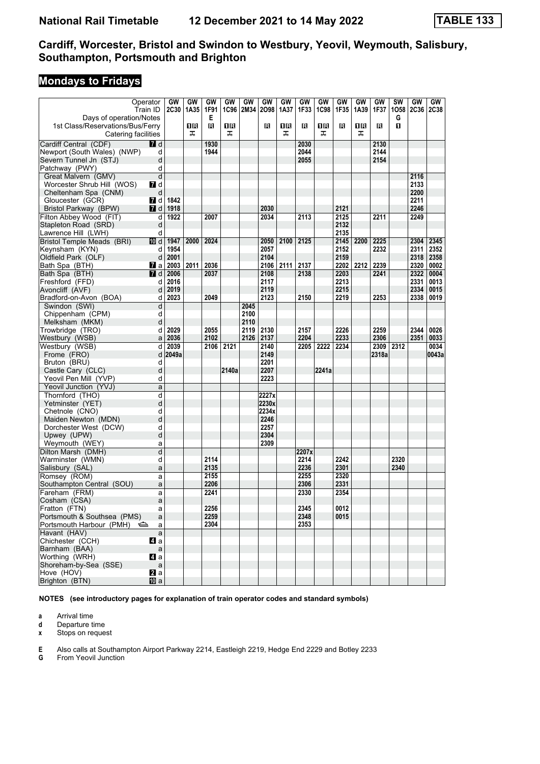# **Mondays to Fridays**

|                                                       | Operator     | GW<br><b>2C30</b> | GW<br>1A35 | GW<br>1F91   | GW<br>1C96 | GW<br>2M34 | GW<br>2098 | GW<br>1A37 | GW<br>1F33   | GW    | GW<br>1F35 | GW   | GW<br>1F37 | <b>SW</b><br>1058 | GW          | <b>GW</b><br><b>2C38</b> |
|-------------------------------------------------------|--------------|-------------------|------------|--------------|------------|------------|------------|------------|--------------|-------|------------|------|------------|-------------------|-------------|--------------------------|
| Days of operation/Notes                               | Train ID     |                   |            | Е            |            |            |            |            |              | 1C98  |            | 1A39 |            | G                 | <b>2C36</b> |                          |
| 1st Class/Reservations/Bus/Ferry                      |              |                   | 1R         | в            | 1R         |            | R          | 1 R        | в            | 16    | в          | ΠR   | R          | п                 |             |                          |
| Catering facilities                                   |              |                   | ᠼ          |              | ᠼ          |            |            | ᠼ          |              | ᠼ     |            | ᠼ    |            |                   |             |                          |
| Cardiff Central (CDF)                                 | <b>7</b> d   |                   |            | 1930         |            |            |            |            | 2030         |       |            |      | 2130       |                   |             |                          |
|                                                       | d            |                   |            | 1944         |            |            |            |            | 2044         |       |            |      | 2144       |                   |             |                          |
| Newport (South Wales) (NWP)<br>Severn Tunnel Jn (STJ) | d            |                   |            |              |            |            |            |            | 2055         |       |            |      | 2154       |                   |             |                          |
| Patchway (PWY)                                        | d            |                   |            |              |            |            |            |            |              |       |            |      |            |                   |             |                          |
| Great Malvern (GMV)                                   | d            |                   |            |              |            |            |            |            |              |       |            |      |            |                   | 2116        |                          |
| Worcester Shrub Hill (WOS)                            | 7 d          |                   |            |              |            |            |            |            |              |       |            |      |            |                   | 2133        |                          |
| Cheltenham Spa (CNM)                                  | d            |                   |            |              |            |            |            |            |              |       |            |      |            |                   | 2200        |                          |
| Gloucester (GCR)                                      | <b>7</b> d   | 1842              |            |              |            |            |            |            |              |       |            |      |            |                   | 2211        |                          |
| Bristol Parkway (BPW)                                 | <b>7</b> d   | 1918              |            |              |            |            | 2030       |            |              |       | 2121       |      |            |                   | 2246        |                          |
| Filton Abbey Wood (FIT)                               | d            | 1922              |            | 2007         |            |            | 2034       |            | 2113         |       | 2125       |      | 2211       |                   | 2249        |                          |
| Stapleton Road (SRD)                                  | d            |                   |            |              |            |            |            |            |              |       | 2132       |      |            |                   |             |                          |
| Lawrence Hill (LWH)                                   | d            |                   |            |              |            |            |            |            |              |       | 2135       |      |            |                   |             |                          |
| <b>Bristol Temple Meads (BRI)</b>                     | 10 d         | 1947              | 2000       | 2024         |            |            | 2050       | 2100       | 2125         |       | 2145       | 2200 | 2225       |                   | 2304        | 2345                     |
| Keynsham (KYN)                                        | d            | 1954              |            |              |            |            | 2057       |            |              |       | 2152       |      | 2232       |                   | 2311        | 2352                     |
| Oldfield Park (OLF)                                   | d            | 2001              |            |              |            |            | 2104       |            |              |       | 2159       |      |            |                   | 2318        | 2358                     |
| Bath Spa (BTH)                                        | <b>7</b> a   | 2003              | 2011       | 2036         |            |            |            | 2106 2111  | 2137         |       | 2202       | 2212 | 2239       |                   | 2320        | 0002                     |
| Bath Spa (BTH)                                        | <b>7</b> d   | 2006              |            | 2037         |            |            | 2108       |            | 2138         |       | 2203       |      | 2241       |                   | 2322        | 0004                     |
| Freshford (FFD)                                       | d            | 2016              |            |              |            |            | 2117       |            |              |       | 2213       |      |            |                   | 2331        | 0013                     |
| Avoncliff (AVF)                                       | d            | 2019              |            |              |            |            | 2119       |            |              |       | 2215       |      |            |                   | 2334        | 0015                     |
| Bradford-on-Avon (BOA)                                | d            | 2023              |            | 2049         |            |            | 2123       |            | 2150         |       | 2219       |      | 2253       |                   | 2338        | 0019                     |
| Swindon (SWI)                                         | d            |                   |            |              |            | 2045       |            |            |              |       |            |      |            |                   |             |                          |
| Chippenham (CPM)                                      | d            |                   |            |              |            | 2100       |            |            |              |       |            |      |            |                   |             |                          |
| Melksham (MKM)                                        | d            |                   |            |              |            | 2110       |            |            |              |       |            |      |            |                   |             |                          |
| Trowbridge (TRO)                                      | d            | 2029              |            | 2055         |            | 2119       | 2130       |            | 2157         |       | 2226       |      | 2259       |                   | 2344        | 0026                     |
| Westbury (WSB)                                        | a            | 2036              |            | 2102         |            | 2126       | 2137       |            | 2204         |       | 2233       |      | 2306       |                   | 2351        | 0033                     |
| Westbury (WSB)                                        | d            | 2039              |            | 2106         | 2121       |            | 2140       |            | 2205         | 2222  | 2234       |      | 2309       | 2312              |             | 0034                     |
| Frome (FRO)                                           | d            | 2049a             |            |              |            |            | 2149       |            |              |       |            |      | 2318a      |                   |             | 0043a                    |
| Bruton (BRU)                                          | d            |                   |            |              |            |            | 2201       |            |              |       |            |      |            |                   |             |                          |
| Castle Cary (CLC)                                     | d            |                   |            |              | 2140a      |            | 2207       |            |              | 2241a |            |      |            |                   |             |                          |
| Yeovil Pen Mill (YVP)                                 | d            |                   |            |              |            |            | 2223       |            |              |       |            |      |            |                   |             |                          |
| Yeovil Junction (YVJ)                                 | a            |                   |            |              |            |            |            |            |              |       |            |      |            |                   |             |                          |
| Thornford (THO)                                       | d            |                   |            |              |            |            | 2227x      |            |              |       |            |      |            |                   |             |                          |
| Yetminster (YET)                                      | d            |                   |            |              |            |            | 2230x      |            |              |       |            |      |            |                   |             |                          |
| Chetnole (CNO)                                        | d            |                   |            |              |            |            | 2234x      |            |              |       |            |      |            |                   |             |                          |
| Maiden Newton (MDN)                                   | d            |                   |            |              |            |            | 2246       |            |              |       |            |      |            |                   |             |                          |
| Dorchester West (DCW)                                 | d            |                   |            |              |            |            | 2257       |            |              |       |            |      |            |                   |             |                          |
| Upwey (UPW)                                           | d            |                   |            |              |            |            | 2304       |            |              |       |            |      |            |                   |             |                          |
| Weymouth (WEY)                                        | a            |                   |            |              |            |            | 2309       |            |              |       |            |      |            |                   |             |                          |
| Dilton Marsh (DMH)                                    | d            |                   |            |              |            |            |            |            | 2207x        |       |            |      |            |                   |             |                          |
| Warminster (WMN)                                      | d            |                   |            | 2114         |            |            |            |            | 2214         |       | 2242       |      |            | 2320              |             |                          |
| Salisbury (SAL)                                       | a            |                   |            | 2135         |            |            |            |            | 2236         |       | 2301       |      |            | 2340              |             |                          |
| Romsey (ROM)                                          | a            |                   |            | 2155         |            |            |            |            | 2255         |       | 2320       |      |            |                   |             |                          |
| Southampton Central (SOU)                             | a            |                   |            | 2206         |            |            |            |            | 2306         |       | 2331       |      |            |                   |             |                          |
| Fareham (FRM)                                         | a            |                   |            | 2241         |            |            |            |            | 2330         |       | 2354       |      |            |                   |             |                          |
| Cosham (CSA)                                          | a            |                   |            |              |            |            |            |            |              |       |            |      |            |                   |             |                          |
| Fratton (FTN)                                         | a            |                   |            | 2256         |            |            |            |            | 2345         |       | 0012       |      |            |                   |             |                          |
| Portsmouth & Southsea (PMS)                           | a            |                   |            | 2259<br>2304 |            |            |            |            | 2348<br>2353 |       | 0015       |      |            |                   |             |                          |
| Portsmouth Harbour (PMH) < Se                         | a            |                   |            |              |            |            |            |            |              |       |            |      |            |                   |             |                          |
| Havant (HAV)                                          | a            |                   |            |              |            |            |            |            |              |       |            |      |            |                   |             |                          |
| Chichester (CCH)<br>Barnham (BAA)                     | ZI a         |                   |            |              |            |            |            |            |              |       |            |      |            |                   |             |                          |
| Worthing (WRH)                                        | a<br>ZI a    |                   |            |              |            |            |            |            |              |       |            |      |            |                   |             |                          |
| Shoreham-by-Sea (SSE)                                 | $\mathsf{a}$ |                   |            |              |            |            |            |            |              |       |            |      |            |                   |             |                          |
| Hove (HOV)                                            | 2a           |                   |            |              |            |            |            |            |              |       |            |      |            |                   |             |                          |
| Brighton (BTN)                                        | <b>囮</b> a   |                   |            |              |            |            |            |            |              |       |            |      |            |                   |             |                          |
|                                                       |              |                   |            |              |            |            |            |            |              |       |            |      |            |                   |             |                          |

**NOTES (see introductory pages for explanation of train operator codes and standard symbols)**

**a** Arrival time<br>**d** Departure t

**d** Departure time

**x** Stops on request

**E** Also calls at Southampton Airport Parkway 2214, Eastleigh 2219, Hedge End 2229 and Botley 2233<br>**G** From Yeovil Junction

**From Yeovil Junction**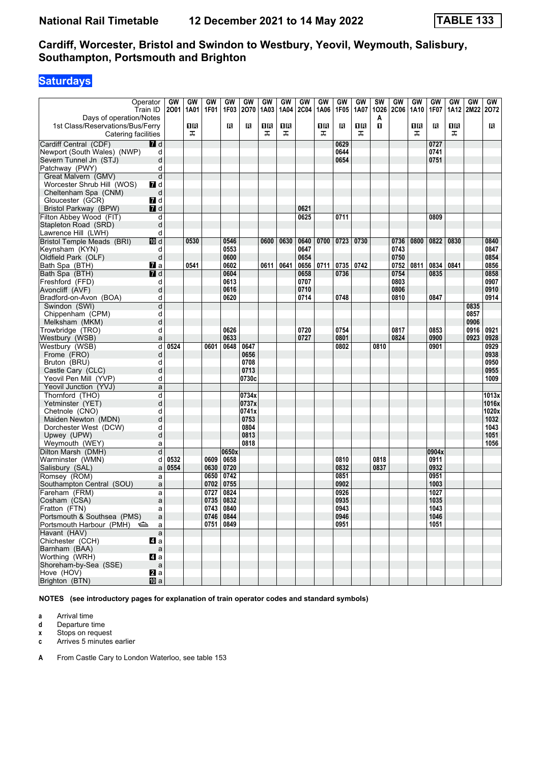# **Saturdays**

|                                                                                    | Operator<br>Train ID | GW<br>2001 | GW<br>1A01 | GW<br>1F01 | GW<br>1F03   | GW<br>2070    | GW<br>1A03 | GW<br>1A04 | GW<br><b>2C04</b> | GW<br>1A06 | GW<br>1F05 | GW<br>1A07 | SW<br>1026 | GW<br><b>2C06</b> | GW<br>1A10 | GW<br>1F07    | GW<br>1A12 | GW<br>2M22 | GW<br>2072    |
|------------------------------------------------------------------------------------|----------------------|------------|------------|------------|--------------|---------------|------------|------------|-------------------|------------|------------|------------|------------|-------------------|------------|---------------|------------|------------|---------------|
| Days of operation/Notes<br>1st Class/Reservations/Bus/Ferry<br>Catering facilities |                      |            | 1R<br>ᠼ    |            | в            | В             | ПB<br>ᠼ    | 0 B<br>ᠼ   |                   | 1R<br>ᠼ    | П          | ΠR<br>ᠼ    | A<br>п     |                   | 16<br>ᠼ    | R             | 1R<br>ᠼ    |            | В             |
| Cardiff Central (CDF)                                                              | <b>7</b> d           |            |            |            |              |               |            |            |                   |            | 0629       |            |            |                   |            | 0727          |            |            |               |
| Newport (South Wales) (NWP)                                                        | d                    |            |            |            |              |               |            |            |                   |            | 0644       |            |            |                   |            | 0741          |            |            |               |
| Severn Tunnel Jn (STJ)                                                             | d                    |            |            |            |              |               |            |            |                   |            | 0654       |            |            |                   |            | 0751          |            |            |               |
| Patchway (PWY)                                                                     | d                    |            |            |            |              |               |            |            |                   |            |            |            |            |                   |            |               |            |            |               |
| Great Malvern (GMV)                                                                | d                    |            |            |            |              |               |            |            |                   |            |            |            |            |                   |            |               |            |            |               |
| Worcester Shrub Hill (WOS)                                                         | $\blacksquare$ d     |            |            |            |              |               |            |            |                   |            |            |            |            |                   |            |               |            |            |               |
| Cheltenham Spa (CNM)                                                               | d                    |            |            |            |              |               |            |            |                   |            |            |            |            |                   |            |               |            |            |               |
| Gloucester (GCR)                                                                   | 7d                   |            |            |            |              |               |            |            |                   |            |            |            |            |                   |            |               |            |            |               |
| Bristol Parkway (BPW)                                                              | <b>7</b> d           |            |            |            |              |               |            |            | 0621              |            |            |            |            |                   |            |               |            |            |               |
| Filton Abbey Wood (FIT)                                                            | d                    |            |            |            |              |               |            |            | 0625              |            | 0711       |            |            |                   |            | 0809          |            |            |               |
| Stapleton Road (SRD)                                                               | d                    |            |            |            |              |               |            |            |                   |            |            |            |            |                   |            |               |            |            |               |
| Lawrence Hill (LWH)                                                                | d                    |            |            |            |              |               |            |            |                   |            |            |            |            |                   |            |               |            |            |               |
| <b>Bristol Temple Meads (BRI)</b>                                                  | III d                |            | 0530       |            | 0546         |               | 0600       | 0630       | 0640              | 0700       | 0723       | 0730       |            | 0736              | 0800       | 0822          | 0830       |            | 0840          |
| Keynsham (KYN)                                                                     | d                    |            |            |            | 0553         |               |            |            | 0647              |            |            |            |            | 0743              |            |               |            |            | 0847          |
| Oldfield Park (OLF)                                                                | d                    |            |            |            | 0600         |               |            |            | 0654              |            |            |            |            | 0750              |            |               |            |            | 0854          |
| Bath Spa (BTH)                                                                     | $\mathbf{z}$ a       |            | 0541       |            | 0602         |               | 0611       | 0641       | 0656              | 0711       | 0735       | 0742       |            | 0752              | 0811       | 0834          | 0841       |            | 0856          |
| Bath Spa (BTH)                                                                     | $I$ d                |            |            |            | 0604         |               |            |            | 0658              |            | 0736       |            |            | 0754              |            | 0835          |            |            | 0858          |
| Freshford (FFD)                                                                    | d                    |            |            |            | 0613         |               |            |            | 0707              |            |            |            |            | 0803              |            |               |            |            | 0907          |
| Avoncliff (AVF)                                                                    | d                    |            |            |            | 0616         |               |            |            | 0710              |            |            |            |            | 0806              |            |               |            |            | 0910          |
| Bradford-on-Avon (BOA)                                                             | d                    |            |            |            | 0620         |               |            |            | 0714              |            | 0748       |            |            | 0810              |            | 0847          |            |            | 0914          |
| Swindon (SWI)                                                                      | d                    |            |            |            |              |               |            |            |                   |            |            |            |            |                   |            |               |            | 0835       |               |
| Chippenham (CPM)                                                                   | d                    |            |            |            |              |               |            |            |                   |            |            |            |            |                   |            |               |            | 0857       |               |
| Melksham (MKM)                                                                     | d                    |            |            |            |              |               |            |            |                   |            |            |            |            |                   |            |               |            | 0906       |               |
| Trowbridge (TRO)                                                                   | d                    |            |            |            | 0626         |               |            |            | 0720              |            | 0754       |            |            | 0817              |            | 0853          |            | 0916       | 0921          |
| Westbury (WSB)                                                                     | a                    |            |            |            | 0633         |               |            |            | 0727              |            | 0801       |            |            | 0824              |            | 0900          |            | 0923       | 0928          |
| Westbury (WSB)                                                                     | d                    | 0524       |            | 0601       | 0648         | 0647          |            |            |                   |            | 0802       |            | 0810       |                   |            | 0901          |            |            | 0929          |
| Frome (FRO)                                                                        | d                    |            |            |            |              | 0656          |            |            |                   |            |            |            |            |                   |            |               |            |            | 0938          |
| Bruton (BRU)                                                                       | d                    |            |            |            |              | 0708          |            |            |                   |            |            |            |            |                   |            |               |            |            | 0950          |
| Castle Cary (CLC)                                                                  | d                    |            |            |            |              | 0713          |            |            |                   |            |            |            |            |                   |            |               |            |            | 0955          |
| Yeovil Pen Mill (YVP)                                                              | d                    |            |            |            |              | 0730c         |            |            |                   |            |            |            |            |                   |            |               |            |            | 1009          |
| Yeovil Junction (YVJ)                                                              |                      |            |            |            |              |               |            |            |                   |            |            |            |            |                   |            |               |            |            |               |
|                                                                                    | a                    |            |            |            |              |               |            |            |                   |            |            |            |            |                   |            |               |            |            |               |
| Thornford (THO)                                                                    | d                    |            |            |            |              | 0734x         |            |            |                   |            |            |            |            |                   |            |               |            |            | 1013x         |
| Yetminster (YET)                                                                   | d                    |            |            |            |              | 0737x         |            |            |                   |            |            |            |            |                   |            |               |            |            | 1016x         |
| Chetnole (CNO)                                                                     | d                    |            |            |            |              | 0741x<br>0753 |            |            |                   |            |            |            |            |                   |            |               |            |            | 1020x<br>1032 |
| Maiden Newton (MDN)                                                                | d                    |            |            |            |              |               |            |            |                   |            |            |            |            |                   |            |               |            |            |               |
| Dorchester West (DCW)                                                              | d                    |            |            |            |              | 0804<br>0813  |            |            |                   |            |            |            |            |                   |            |               |            |            | 1043<br>1051  |
| Upwey (UPW)                                                                        | d                    |            |            |            |              | 0818          |            |            |                   |            |            |            |            |                   |            |               |            |            |               |
| Weymouth (WEY)                                                                     | a                    |            |            |            |              |               |            |            |                   |            |            |            |            |                   |            |               |            |            | 1056          |
| Dilton Marsh (DMH)<br>Warminster (WMN)                                             | d                    |            |            | 0609       | 0650x        |               |            |            |                   |            | 0810       |            | 0818       |                   |            | 0904x<br>0911 |            |            |               |
|                                                                                    | d                    | 0532       |            |            | 0658         |               |            |            |                   |            | 0832       |            |            |                   |            | 0932          |            |            |               |
| Salisbury (SAL)<br>Romsey (ROM)                                                    | a                    | 0554       |            | 0630       | 0720<br>0742 |               |            |            |                   |            | 0851       |            | 0837       |                   |            | 0951          |            |            |               |
|                                                                                    | a                    |            |            | 0650       |              |               |            |            |                   |            |            |            |            |                   |            |               |            |            |               |
| Southampton Central (SOU)                                                          | a                    |            |            | 0702       | 0755         |               |            |            |                   |            | 0902       |            |            |                   |            | 1003          |            |            |               |
| Fareham (FRM)                                                                      | a                    |            |            | 0727       | 0824         |               |            |            |                   |            | 0926       |            |            |                   |            | 1027          |            |            |               |
| Cosham (CSA)                                                                       | a                    |            |            | 0735       | 0832         |               |            |            |                   |            | 0935       |            |            |                   |            | 1035          |            |            |               |
| Fratton (FTN)                                                                      | a                    |            |            |            | 0743 0840    |               |            |            |                   |            | 0943       |            |            |                   |            | 1043          |            |            |               |
| Portsmouth & Southsea (PMS)                                                        | a                    |            |            |            | 0746 0844    |               |            |            |                   |            | 0946       |            |            |                   |            | 1046          |            |            |               |
| Portsmouth Harbour (PMH)                                                           | a                    |            |            |            | 0751 0849    |               |            |            |                   |            | 0951       |            |            |                   |            | 1051          |            |            |               |
| Havant (HAV)                                                                       | $\mathsf{a}$         |            |            |            |              |               |            |            |                   |            |            |            |            |                   |            |               |            |            |               |
| Chichester (CCH)                                                                   | $\blacksquare$ a     |            |            |            |              |               |            |            |                   |            |            |            |            |                   |            |               |            |            |               |
| Barnham (BAA)                                                                      | $\mathsf a$          |            |            |            |              |               |            |            |                   |            |            |            |            |                   |            |               |            |            |               |
| Worthing (WRH)                                                                     | $\blacksquare$ a     |            |            |            |              |               |            |            |                   |            |            |            |            |                   |            |               |            |            |               |
| Shoreham-by-Sea (SSE)                                                              | $\mathsf{a}$         |            |            |            |              |               |            |            |                   |            |            |            |            |                   |            |               |            |            |               |
| Hove (HOV)                                                                         | <b>2</b> a           |            |            |            |              |               |            |            |                   |            |            |            |            |                   |            |               |            |            |               |
| Brighton (BTN)                                                                     | <b>ID</b> a          |            |            |            |              |               |            |            |                   |            |            |            |            |                   |            |               |            |            |               |

**NOTES (see introductory pages for explanation of train operator codes and standard symbols)**

**a** Arrival time<br>**d** Departure t

**d** Departure time

**x** Stops on request<br>**c** Arrives 5 minutes

**c** Arrives 5 minutes earlier

**A** From Castle Cary to London Waterloo, see table 153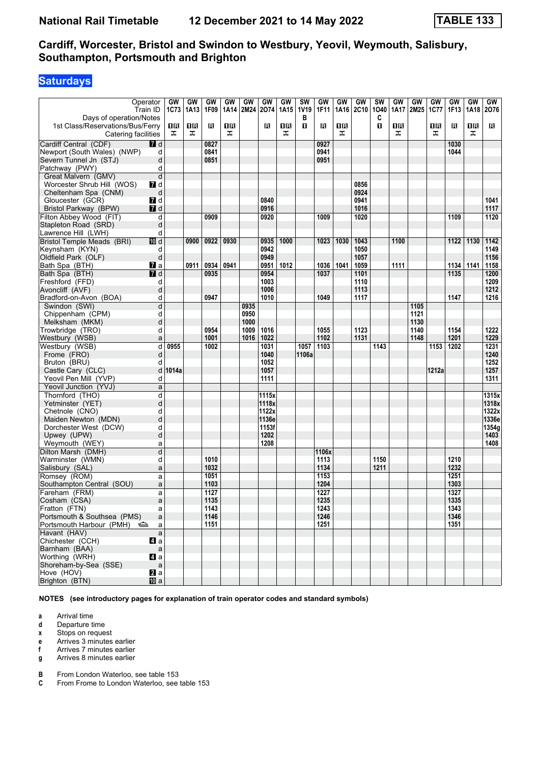# **Saturdays**

| Days of operation/Notes                                 | Operator<br>Train ID | GW<br>1C73 | <b>GW</b><br>1A13 | GW<br>1F09 | GW<br>1A14 | GW<br>2M24 | GW<br>2074   | GW<br>1A15 | <b>SW</b><br><b>1V19</b><br>в | GW<br>1F11 | GW<br>1A16 | GW<br><b>2C10</b> | <b>SW</b><br>1040<br>C | GW<br>1A17 | GW<br>2M25 | GW<br><b>1C77</b> | GW<br>1F13 | GW<br>1A18 | GW<br>2076 |
|---------------------------------------------------------|----------------------|------------|-------------------|------------|------------|------------|--------------|------------|-------------------------------|------------|------------|-------------------|------------------------|------------|------------|-------------------|------------|------------|------------|
| 1st Class/Reservations/Bus/Ferry<br>Catering facilities |                      | 1R<br>ᠼ    | 1R<br>ᠼ           | в          | ПB<br>ᠼ    |            | R            | 1R<br>ᠼ    | п                             | П          | 1 R<br>ᠼ   |                   | O                      | 1R<br>ᠼ    |            | 1 R<br>ᠼ          | R          | 0 B<br>ᠼ   | в          |
| Cardiff Central (CDF)                                   | $\blacksquare$       |            |                   | 0827       |            |            |              |            |                               | 0927       |            |                   |                        |            |            |                   | 1030       |            |            |
| Newport (South Wales) (NWP)                             | d                    |            |                   | 0841       |            |            |              |            |                               | 0941       |            |                   |                        |            |            |                   | 1044       |            |            |
| Severn Tunnel Jn (STJ)                                  | d                    |            |                   | 0851       |            |            |              |            |                               | 0951       |            |                   |                        |            |            |                   |            |            |            |
| Patchway (PWY)                                          | d                    |            |                   |            |            |            |              |            |                               |            |            |                   |                        |            |            |                   |            |            |            |
| Great Malvern (GMV)                                     | d                    |            |                   |            |            |            |              |            |                               |            |            |                   |                        |            |            |                   |            |            |            |
| Worcester Shrub Hill (WOS)                              | 7d                   |            |                   |            |            |            |              |            |                               |            |            | 0856              |                        |            |            |                   |            |            |            |
| Cheltenham Spa (CNM)                                    | d                    |            |                   |            |            |            |              |            |                               |            |            | 0924              |                        |            |            |                   |            |            |            |
| Gloucester (GCR)                                        | 7d                   |            |                   |            |            |            | 0840         |            |                               |            |            | 0941              |                        |            |            |                   |            |            | 1041       |
| Bristol Parkway (BPW)                                   | 7 d                  |            |                   |            |            |            | 0916         |            |                               |            |            | 1016              |                        |            |            |                   |            |            | 1117       |
| Filton Abbey Wood (FIT)                                 | d                    |            |                   | 0909       |            |            | 0920         |            |                               | 1009       |            | 1020              |                        |            |            |                   | 1109       |            | 1120       |
| Stapleton Road (SRD)                                    | d                    |            |                   |            |            |            |              |            |                               |            |            |                   |                        |            |            |                   |            |            |            |
| Lawrence Hill (LWH)                                     | d                    |            |                   |            |            |            |              |            |                               |            |            |                   |                        |            |            |                   |            |            |            |
| <b>Bristol Temple Meads (BRI)</b>                       | [10] d               |            | 0900              | 0922       | 0930       |            | 0935         | 1000       |                               | 1023       | 1030       | 1043              |                        | 1100       |            |                   | 1122       | 1130       | 1142       |
| Keynsham (KYN)                                          |                      |            |                   |            |            |            | 0942         |            |                               |            |            | 1050              |                        |            |            |                   |            |            | 1149       |
| Oldfield Park (OLF)                                     | d<br>d               |            |                   |            |            |            | 0949         |            |                               |            |            | 1057              |                        |            |            |                   |            |            | 1156       |
|                                                         |                      |            |                   | 0934       | 0941       |            |              | 1012       |                               |            | 1041       | 1059              |                        | 1111       |            |                   |            | 1141       | 1158       |
| Bath Spa (BTH)                                          | <b>7</b> a           |            | 0911              | 0935       |            |            | 0951<br>0954 |            |                               | 1036       |            | 1101              |                        |            |            |                   | 1134       |            | 1200       |
| Bath Spa (BTH)                                          | <b>7</b> d           |            |                   |            |            |            |              |            |                               | 1037       |            |                   |                        |            |            |                   | 1135       |            |            |
| Freshford (FFD)                                         | d                    |            |                   |            |            |            | 1003         |            |                               |            |            | 1110              |                        |            |            |                   |            |            | 1209       |
| Avoncliff (AVF)                                         | d                    |            |                   |            |            |            | 1006         |            |                               |            |            | 1113              |                        |            |            |                   |            |            | 1212       |
| Bradford-on-Avon (BOA)                                  | d                    |            |                   | 0947       |            |            | 1010         |            |                               | 1049       |            | 1117              |                        |            |            |                   | 1147       |            | 1216       |
| Swindon (SWI)                                           | d                    |            |                   |            |            | 0935       |              |            |                               |            |            |                   |                        |            | 1105       |                   |            |            |            |
| Chippenham (CPM)                                        | d                    |            |                   |            |            | 0950       |              |            |                               |            |            |                   |                        |            | 1121       |                   |            |            |            |
| Melksham (MKM)                                          | d                    |            |                   |            |            | 1000       |              |            |                               |            |            |                   |                        |            | 1130       |                   |            |            |            |
| Trowbridge (TRO)                                        | d                    |            |                   | 0954       |            | 1009       | 1016         |            |                               | 1055       |            | 1123              |                        |            | 1140       |                   | 1154       |            | 1222       |
| Westbury (WSB)                                          | a                    |            |                   | 1001       |            | 1016       | 1022         |            |                               | 1102       |            | 1131              |                        |            | 1148       |                   | 1201       |            | 1229       |
| Westbury (WSB)                                          | d                    | 0955       |                   | 1002       |            |            | 1031         |            | 1057                          | 1103       |            |                   | 1143                   |            |            | 1153              | 1202       |            | 1231       |
| Frome (FRO)                                             | d                    |            |                   |            |            |            | 1040         |            | 1106a                         |            |            |                   |                        |            |            |                   |            |            | 1240       |
| Bruton (BRU)                                            | d                    |            |                   |            |            |            | 1052         |            |                               |            |            |                   |                        |            |            |                   |            |            | 1252       |
| Castle Cary (CLC)                                       | d                    | 1014a      |                   |            |            |            | 1057         |            |                               |            |            |                   |                        |            |            | 1212a             |            |            | 1257       |
| Yeovil Pen Mill (YVP)                                   | d                    |            |                   |            |            |            | 1111         |            |                               |            |            |                   |                        |            |            |                   |            |            | 1311       |
| Yeovil Junction (YVJ)                                   | a                    |            |                   |            |            |            |              |            |                               |            |            |                   |                        |            |            |                   |            |            |            |
| Thornford (THO)                                         | d                    |            |                   |            |            |            | 1115x        |            |                               |            |            |                   |                        |            |            |                   |            |            | 1315x      |
| Yetminster (YET)                                        | d                    |            |                   |            |            |            | 1118x        |            |                               |            |            |                   |                        |            |            |                   |            |            | 1318x      |
| Chetnole (CNO)                                          | d                    |            |                   |            |            |            | 1122x        |            |                               |            |            |                   |                        |            |            |                   |            |            | 1322x      |
| Maiden Newton (MDN)                                     | d                    |            |                   |            |            |            | 1136e        |            |                               |            |            |                   |                        |            |            |                   |            |            | 1336e      |
| Dorchester West (DCW)                                   | d                    |            |                   |            |            |            | 1153f        |            |                               |            |            |                   |                        |            |            |                   |            |            | 1354g      |
| Upwey (UPW)                                             | d                    |            |                   |            |            |            | 1202         |            |                               |            |            |                   |                        |            |            |                   |            |            | 1403       |
| Weymouth (WEY)                                          | a                    |            |                   |            |            |            | 1208         |            |                               |            |            |                   |                        |            |            |                   |            |            | 1408       |
| Dilton Marsh (DMH)                                      | d                    |            |                   |            |            |            |              |            |                               | 1106x      |            |                   |                        |            |            |                   |            |            |            |
| Warminster (WMN)                                        | d                    |            |                   | 1010       |            |            |              |            |                               | 1113       |            |                   | 1150                   |            |            |                   | 1210       |            |            |
| Salisbury (SAL)                                         | a                    |            |                   | 1032       |            |            |              |            |                               | 1134       |            |                   | 1211                   |            |            |                   | 1232       |            |            |
| Romsey (ROM)                                            | a                    |            |                   | 1051       |            |            |              |            |                               | 1153       |            |                   |                        |            |            |                   | 1251       |            |            |
| Southampton Central (SOU)                               | a                    |            |                   | 1103       |            |            |              |            |                               | 1204       |            |                   |                        |            |            |                   | 1303       |            |            |
| Fareham (FRM)                                           | a                    |            |                   | 1127       |            |            |              |            |                               | 1227       |            |                   |                        |            |            |                   | 1327       |            |            |
| Cosham (CSA)                                            | a                    |            |                   | 1135       |            |            |              |            |                               | 1235       |            |                   |                        |            |            |                   | 1335       |            |            |
| Fratton (FTN)                                           | a                    |            |                   | 1143       |            |            |              |            |                               | 1243       |            |                   |                        |            |            |                   | 1343       |            |            |
| Portsmouth & Southsea (PMS)                             | a                    |            |                   | 1146       |            |            |              |            |                               | 1246       |            |                   |                        |            |            |                   | 1346       |            |            |
| Portsmouth Harbour (PMH)                                | a                    |            |                   | 1151       |            |            |              |            |                               | 1251       |            |                   |                        |            |            |                   | 1351       |            |            |
| Havant (HAV)                                            | $\mathsf{a}$         |            |                   |            |            |            |              |            |                               |            |            |                   |                        |            |            |                   |            |            |            |
| Chichester (CCH)                                        | 41 a                 |            |                   |            |            |            |              |            |                               |            |            |                   |                        |            |            |                   |            |            |            |
| Barnham (BAA)                                           | $\mathsf a$          |            |                   |            |            |            |              |            |                               |            |            |                   |                        |            |            |                   |            |            |            |
| Worthing (WRH)                                          | $\blacksquare$ a     |            |                   |            |            |            |              |            |                               |            |            |                   |                        |            |            |                   |            |            |            |
| Shoreham-by-Sea (SSE)                                   | $\mathsf a$          |            |                   |            |            |            |              |            |                               |            |            |                   |                        |            |            |                   |            |            |            |
| Hove (HOV)                                              | 2a                   |            |                   |            |            |            |              |            |                               |            |            |                   |                        |            |            |                   |            |            |            |
| Brighton (BTN)                                          | <b>ID</b> a          |            |                   |            |            |            |              |            |                               |            |            |                   |                        |            |            |                   |            |            |            |

**NOTES (see introductory pages for explanation of train operator codes and standard symbols)**

**a** Arrival time<br>**d** Departure t

**d** Departure time

**x** Stops on request<br>**e** Arrives 3 minutes

**e** Arrives 3 minutes earlier<br>**f** Arrives 7 minutes earlier

**f** Arrives 7 minutes earlier

**g** Arrives 8 minutes earlier

**B** From London Waterloo, see table 153<br>**C** From Frome to London Waterloo, see

From Frome to London Waterloo, see table 153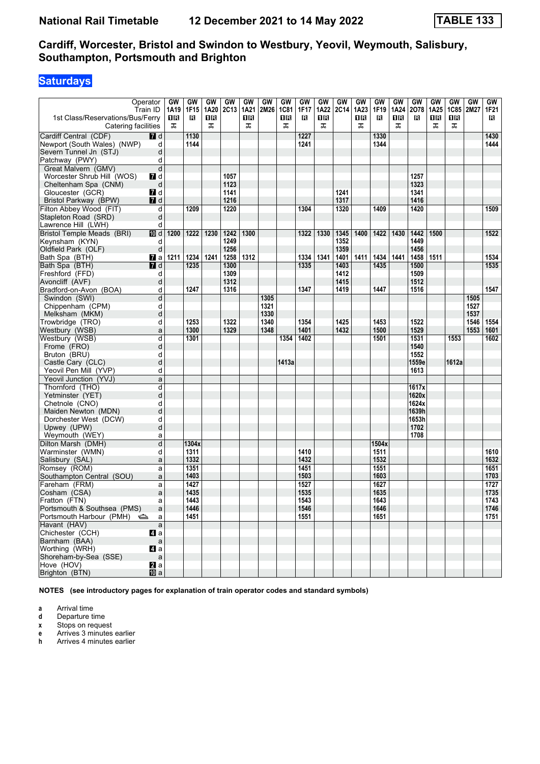# **Saturdays**

| ᠼ<br>ᠼ<br>ᠼ<br>ᠼ<br>ᠼ<br>ᠼ<br>ᠼ<br>ᠼ<br>ᠼ<br>Catering facilities<br>Cardiff Central (CDF)<br>7 d<br>1130<br>1227<br>1330<br>1430<br>Newport (South Wales) (NWP)<br>1144<br>1241<br>1344<br>1444<br>d<br>Severn Tunnel Jn (STJ)<br>d<br>Patchway (PWY)<br>d<br>d<br>Great Malvern (GMV)<br>Worcester Shrub Hill (WOS)<br>1057<br>1257<br>7 d<br>1123<br>1323<br>Cheltenham Spa (CNM)<br>d<br><b>7</b> d<br>1241<br>1341<br>Gloucester (GCR)<br>1141<br>1216<br>1317<br>Bristol Parkway (BPW)<br><b>7</b> d<br>1416<br>Filton Abbey Wood (FIT)<br>1209<br>1220<br>1304<br>1320<br>1409<br>1420<br>1509<br>d<br>Stapleton Road (SRD)<br>d<br>Lawrence Hill (LWH)<br>d<br>Bristol Temple Meads (BRI)<br>1200<br>1222<br>1230<br>1242<br>1300<br>1322<br>1330<br>1345<br>1400<br>1422<br>1430<br>1442<br>1500<br>1522<br>10 d<br>Keynsham (KYN)<br>1249<br>1352<br>1449<br>d<br>1256<br>Oldfield Park (OLF)<br>d<br>1359<br>1456<br>1312<br>1341<br>1411<br>1441<br>1511<br>1534<br>1211<br>1234<br>1241<br>1258<br>1334<br>1401<br>1434<br>1458<br>Bath Spa (BTH)<br><b>7</b> a<br>$\blacksquare$ d<br>1500<br>1535<br>Bath Spa (BTH)<br>1235<br>1300<br>1335<br>1403<br>1435<br>1309<br>1509<br>1412<br>Freshford (FFD)<br>d<br>1312<br>1415<br>1512<br>Avoncliff (AVF)<br>d<br>1247<br>1347<br>1419<br>1447<br>1516<br>1547<br>Bradford-on-Avon (BOA)<br>1316<br>d<br>Swindon (SWI)<br>d<br>1305<br>1505<br>Chippenham (CPM)<br>1321<br>1527<br>d<br>1330<br>Melksham (MKM)<br>d<br>1537<br>1253<br>1322<br>1340<br>1354<br>1425<br>1453<br>1522<br>1546<br>Trowbridge (TRO)<br>1554<br>d<br>1553<br>Westbury (WSB)<br>1300<br>1329<br>1348<br>1401<br>1432<br>1500<br>1529<br>1601<br>a<br>d<br>1301<br>1354<br>1402<br>1501<br>1531<br>1553<br>1602<br>Westbury (WSB)<br>1540<br>Frome (FRO)<br>d<br>1552<br>Bruton (BRU)<br>d<br>1559e<br>Castle Cary (CLC)<br>d<br>1413a<br>1612a<br>Yeovil Pen Mill (YVP)<br>1613<br>d<br>Yeovil Junction (YVJ)<br>a<br>Thornford (THO)<br>d<br>1617x<br>Yetminster (YET)<br>d<br>1620x<br>1624x<br>Chetnole (CNO)<br>d<br>1639h<br>Maiden Newton (MDN)<br>d<br>1653h<br>Dorchester West (DCW)<br>d<br>1702<br>Upwey (UPW)<br>d<br>1708<br>Weymouth (WEY)<br>a<br>Dilton Marsh (DMH)<br>1304x<br>d<br>1504x<br>Warminster (WMN)<br>1311<br>1410<br>1511<br>1610<br>d<br>1332<br>1432<br>1532<br>1632<br>Salisbury (SAL)<br>a<br>Romsey (ROM)<br>1351<br>1451<br>1551<br>1651<br>a<br>1503<br>1603<br>1703<br>1403<br>Southampton Central (SOU)<br>a<br>1727<br>1427<br>1527<br>1627<br>Fareham (FRM)<br>a<br>1435<br>1535<br>1635<br>1735<br>Cosham (CSA)<br>a<br>1443<br>1543<br>1643<br>1743<br>Fratton (FTN)<br>a<br>1446<br>1546<br>1646<br>1746<br>Portsmouth & Southsea (PMS)<br>a<br>1551<br>1751<br>Portsmouth Harbour (PMH)<br>1451<br>1651<br>a<br>Havant (HAV)<br>$\mathsf{a}$<br>Chichester (CCH)<br>ZI a<br>Barnham (BAA)<br>$\mathsf{a}$<br>4 a<br>Worthing (WRH)<br>Shoreham-by-Sea (SSE)<br>$\mathsf{a}$<br>a<br>Hove (HOV)<br>Brighton (BTN)<br><b>ID</b> a | 1st Class/Reservations/Bus/Ferry | Operator<br>Train ID | GW<br>1A19<br>11 R | GW<br>1F15<br>R | GW<br>1A20<br>ΠR | GW<br>2C13 | GW<br>1A21<br>0 B | GW<br>2M26 | GW<br><b>1C81</b><br>1R | GW<br>1F17<br>R | GW<br>1A22<br>ΠR | GW<br><b>2C14</b> | GW<br>1A23<br>1 R | GW<br>1F19<br>R | <b>GW</b><br>1A24<br>1R | GW<br>2078<br>в | GW<br>1A25<br>0 B | GW<br><b>1C85</b><br>0 B | GW<br>2M27 | GW<br>1F21<br>R |
|-----------------------------------------------------------------------------------------------------------------------------------------------------------------------------------------------------------------------------------------------------------------------------------------------------------------------------------------------------------------------------------------------------------------------------------------------------------------------------------------------------------------------------------------------------------------------------------------------------------------------------------------------------------------------------------------------------------------------------------------------------------------------------------------------------------------------------------------------------------------------------------------------------------------------------------------------------------------------------------------------------------------------------------------------------------------------------------------------------------------------------------------------------------------------------------------------------------------------------------------------------------------------------------------------------------------------------------------------------------------------------------------------------------------------------------------------------------------------------------------------------------------------------------------------------------------------------------------------------------------------------------------------------------------------------------------------------------------------------------------------------------------------------------------------------------------------------------------------------------------------------------------------------------------------------------------------------------------------------------------------------------------------------------------------------------------------------------------------------------------------------------------------------------------------------------------------------------------------------------------------------------------------------------------------------------------------------------------------------------------------------------------------------------------------------------------------------------------------------------------------------------------------------------------------------------------------------------------------------------------------------------------------------------------------------------------------------------------------------------------------------------------------------------------------------------------------------------------------------------------------------------------------------------------------------------------------------------------------------------------------------------------|----------------------------------|----------------------|--------------------|-----------------|------------------|------------|-------------------|------------|-------------------------|-----------------|------------------|-------------------|-------------------|-----------------|-------------------------|-----------------|-------------------|--------------------------|------------|-----------------|
|                                                                                                                                                                                                                                                                                                                                                                                                                                                                                                                                                                                                                                                                                                                                                                                                                                                                                                                                                                                                                                                                                                                                                                                                                                                                                                                                                                                                                                                                                                                                                                                                                                                                                                                                                                                                                                                                                                                                                                                                                                                                                                                                                                                                                                                                                                                                                                                                                                                                                                                                                                                                                                                                                                                                                                                                                                                                                                                                                                                                                 |                                  |                      |                    |                 |                  |            |                   |            |                         |                 |                  |                   |                   |                 |                         |                 |                   |                          |            |                 |
|                                                                                                                                                                                                                                                                                                                                                                                                                                                                                                                                                                                                                                                                                                                                                                                                                                                                                                                                                                                                                                                                                                                                                                                                                                                                                                                                                                                                                                                                                                                                                                                                                                                                                                                                                                                                                                                                                                                                                                                                                                                                                                                                                                                                                                                                                                                                                                                                                                                                                                                                                                                                                                                                                                                                                                                                                                                                                                                                                                                                                 |                                  |                      |                    |                 |                  |            |                   |            |                         |                 |                  |                   |                   |                 |                         |                 |                   |                          |            |                 |
|                                                                                                                                                                                                                                                                                                                                                                                                                                                                                                                                                                                                                                                                                                                                                                                                                                                                                                                                                                                                                                                                                                                                                                                                                                                                                                                                                                                                                                                                                                                                                                                                                                                                                                                                                                                                                                                                                                                                                                                                                                                                                                                                                                                                                                                                                                                                                                                                                                                                                                                                                                                                                                                                                                                                                                                                                                                                                                                                                                                                                 |                                  |                      |                    |                 |                  |            |                   |            |                         |                 |                  |                   |                   |                 |                         |                 |                   |                          |            |                 |
|                                                                                                                                                                                                                                                                                                                                                                                                                                                                                                                                                                                                                                                                                                                                                                                                                                                                                                                                                                                                                                                                                                                                                                                                                                                                                                                                                                                                                                                                                                                                                                                                                                                                                                                                                                                                                                                                                                                                                                                                                                                                                                                                                                                                                                                                                                                                                                                                                                                                                                                                                                                                                                                                                                                                                                                                                                                                                                                                                                                                                 |                                  |                      |                    |                 |                  |            |                   |            |                         |                 |                  |                   |                   |                 |                         |                 |                   |                          |            |                 |
|                                                                                                                                                                                                                                                                                                                                                                                                                                                                                                                                                                                                                                                                                                                                                                                                                                                                                                                                                                                                                                                                                                                                                                                                                                                                                                                                                                                                                                                                                                                                                                                                                                                                                                                                                                                                                                                                                                                                                                                                                                                                                                                                                                                                                                                                                                                                                                                                                                                                                                                                                                                                                                                                                                                                                                                                                                                                                                                                                                                                                 |                                  |                      |                    |                 |                  |            |                   |            |                         |                 |                  |                   |                   |                 |                         |                 |                   |                          |            |                 |
|                                                                                                                                                                                                                                                                                                                                                                                                                                                                                                                                                                                                                                                                                                                                                                                                                                                                                                                                                                                                                                                                                                                                                                                                                                                                                                                                                                                                                                                                                                                                                                                                                                                                                                                                                                                                                                                                                                                                                                                                                                                                                                                                                                                                                                                                                                                                                                                                                                                                                                                                                                                                                                                                                                                                                                                                                                                                                                                                                                                                                 |                                  |                      |                    |                 |                  |            |                   |            |                         |                 |                  |                   |                   |                 |                         |                 |                   |                          |            |                 |
|                                                                                                                                                                                                                                                                                                                                                                                                                                                                                                                                                                                                                                                                                                                                                                                                                                                                                                                                                                                                                                                                                                                                                                                                                                                                                                                                                                                                                                                                                                                                                                                                                                                                                                                                                                                                                                                                                                                                                                                                                                                                                                                                                                                                                                                                                                                                                                                                                                                                                                                                                                                                                                                                                                                                                                                                                                                                                                                                                                                                                 |                                  |                      |                    |                 |                  |            |                   |            |                         |                 |                  |                   |                   |                 |                         |                 |                   |                          |            |                 |
|                                                                                                                                                                                                                                                                                                                                                                                                                                                                                                                                                                                                                                                                                                                                                                                                                                                                                                                                                                                                                                                                                                                                                                                                                                                                                                                                                                                                                                                                                                                                                                                                                                                                                                                                                                                                                                                                                                                                                                                                                                                                                                                                                                                                                                                                                                                                                                                                                                                                                                                                                                                                                                                                                                                                                                                                                                                                                                                                                                                                                 |                                  |                      |                    |                 |                  |            |                   |            |                         |                 |                  |                   |                   |                 |                         |                 |                   |                          |            |                 |
|                                                                                                                                                                                                                                                                                                                                                                                                                                                                                                                                                                                                                                                                                                                                                                                                                                                                                                                                                                                                                                                                                                                                                                                                                                                                                                                                                                                                                                                                                                                                                                                                                                                                                                                                                                                                                                                                                                                                                                                                                                                                                                                                                                                                                                                                                                                                                                                                                                                                                                                                                                                                                                                                                                                                                                                                                                                                                                                                                                                                                 |                                  |                      |                    |                 |                  |            |                   |            |                         |                 |                  |                   |                   |                 |                         |                 |                   |                          |            |                 |
|                                                                                                                                                                                                                                                                                                                                                                                                                                                                                                                                                                                                                                                                                                                                                                                                                                                                                                                                                                                                                                                                                                                                                                                                                                                                                                                                                                                                                                                                                                                                                                                                                                                                                                                                                                                                                                                                                                                                                                                                                                                                                                                                                                                                                                                                                                                                                                                                                                                                                                                                                                                                                                                                                                                                                                                                                                                                                                                                                                                                                 |                                  |                      |                    |                 |                  |            |                   |            |                         |                 |                  |                   |                   |                 |                         |                 |                   |                          |            |                 |
|                                                                                                                                                                                                                                                                                                                                                                                                                                                                                                                                                                                                                                                                                                                                                                                                                                                                                                                                                                                                                                                                                                                                                                                                                                                                                                                                                                                                                                                                                                                                                                                                                                                                                                                                                                                                                                                                                                                                                                                                                                                                                                                                                                                                                                                                                                                                                                                                                                                                                                                                                                                                                                                                                                                                                                                                                                                                                                                                                                                                                 |                                  |                      |                    |                 |                  |            |                   |            |                         |                 |                  |                   |                   |                 |                         |                 |                   |                          |            |                 |
|                                                                                                                                                                                                                                                                                                                                                                                                                                                                                                                                                                                                                                                                                                                                                                                                                                                                                                                                                                                                                                                                                                                                                                                                                                                                                                                                                                                                                                                                                                                                                                                                                                                                                                                                                                                                                                                                                                                                                                                                                                                                                                                                                                                                                                                                                                                                                                                                                                                                                                                                                                                                                                                                                                                                                                                                                                                                                                                                                                                                                 |                                  |                      |                    |                 |                  |            |                   |            |                         |                 |                  |                   |                   |                 |                         |                 |                   |                          |            |                 |
|                                                                                                                                                                                                                                                                                                                                                                                                                                                                                                                                                                                                                                                                                                                                                                                                                                                                                                                                                                                                                                                                                                                                                                                                                                                                                                                                                                                                                                                                                                                                                                                                                                                                                                                                                                                                                                                                                                                                                                                                                                                                                                                                                                                                                                                                                                                                                                                                                                                                                                                                                                                                                                                                                                                                                                                                                                                                                                                                                                                                                 |                                  |                      |                    |                 |                  |            |                   |            |                         |                 |                  |                   |                   |                 |                         |                 |                   |                          |            |                 |
|                                                                                                                                                                                                                                                                                                                                                                                                                                                                                                                                                                                                                                                                                                                                                                                                                                                                                                                                                                                                                                                                                                                                                                                                                                                                                                                                                                                                                                                                                                                                                                                                                                                                                                                                                                                                                                                                                                                                                                                                                                                                                                                                                                                                                                                                                                                                                                                                                                                                                                                                                                                                                                                                                                                                                                                                                                                                                                                                                                                                                 |                                  |                      |                    |                 |                  |            |                   |            |                         |                 |                  |                   |                   |                 |                         |                 |                   |                          |            |                 |
|                                                                                                                                                                                                                                                                                                                                                                                                                                                                                                                                                                                                                                                                                                                                                                                                                                                                                                                                                                                                                                                                                                                                                                                                                                                                                                                                                                                                                                                                                                                                                                                                                                                                                                                                                                                                                                                                                                                                                                                                                                                                                                                                                                                                                                                                                                                                                                                                                                                                                                                                                                                                                                                                                                                                                                                                                                                                                                                                                                                                                 |                                  |                      |                    |                 |                  |            |                   |            |                         |                 |                  |                   |                   |                 |                         |                 |                   |                          |            |                 |
|                                                                                                                                                                                                                                                                                                                                                                                                                                                                                                                                                                                                                                                                                                                                                                                                                                                                                                                                                                                                                                                                                                                                                                                                                                                                                                                                                                                                                                                                                                                                                                                                                                                                                                                                                                                                                                                                                                                                                                                                                                                                                                                                                                                                                                                                                                                                                                                                                                                                                                                                                                                                                                                                                                                                                                                                                                                                                                                                                                                                                 |                                  |                      |                    |                 |                  |            |                   |            |                         |                 |                  |                   |                   |                 |                         |                 |                   |                          |            |                 |
|                                                                                                                                                                                                                                                                                                                                                                                                                                                                                                                                                                                                                                                                                                                                                                                                                                                                                                                                                                                                                                                                                                                                                                                                                                                                                                                                                                                                                                                                                                                                                                                                                                                                                                                                                                                                                                                                                                                                                                                                                                                                                                                                                                                                                                                                                                                                                                                                                                                                                                                                                                                                                                                                                                                                                                                                                                                                                                                                                                                                                 |                                  |                      |                    |                 |                  |            |                   |            |                         |                 |                  |                   |                   |                 |                         |                 |                   |                          |            |                 |
|                                                                                                                                                                                                                                                                                                                                                                                                                                                                                                                                                                                                                                                                                                                                                                                                                                                                                                                                                                                                                                                                                                                                                                                                                                                                                                                                                                                                                                                                                                                                                                                                                                                                                                                                                                                                                                                                                                                                                                                                                                                                                                                                                                                                                                                                                                                                                                                                                                                                                                                                                                                                                                                                                                                                                                                                                                                                                                                                                                                                                 |                                  |                      |                    |                 |                  |            |                   |            |                         |                 |                  |                   |                   |                 |                         |                 |                   |                          |            |                 |
|                                                                                                                                                                                                                                                                                                                                                                                                                                                                                                                                                                                                                                                                                                                                                                                                                                                                                                                                                                                                                                                                                                                                                                                                                                                                                                                                                                                                                                                                                                                                                                                                                                                                                                                                                                                                                                                                                                                                                                                                                                                                                                                                                                                                                                                                                                                                                                                                                                                                                                                                                                                                                                                                                                                                                                                                                                                                                                                                                                                                                 |                                  |                      |                    |                 |                  |            |                   |            |                         |                 |                  |                   |                   |                 |                         |                 |                   |                          |            |                 |
|                                                                                                                                                                                                                                                                                                                                                                                                                                                                                                                                                                                                                                                                                                                                                                                                                                                                                                                                                                                                                                                                                                                                                                                                                                                                                                                                                                                                                                                                                                                                                                                                                                                                                                                                                                                                                                                                                                                                                                                                                                                                                                                                                                                                                                                                                                                                                                                                                                                                                                                                                                                                                                                                                                                                                                                                                                                                                                                                                                                                                 |                                  |                      |                    |                 |                  |            |                   |            |                         |                 |                  |                   |                   |                 |                         |                 |                   |                          |            |                 |
|                                                                                                                                                                                                                                                                                                                                                                                                                                                                                                                                                                                                                                                                                                                                                                                                                                                                                                                                                                                                                                                                                                                                                                                                                                                                                                                                                                                                                                                                                                                                                                                                                                                                                                                                                                                                                                                                                                                                                                                                                                                                                                                                                                                                                                                                                                                                                                                                                                                                                                                                                                                                                                                                                                                                                                                                                                                                                                                                                                                                                 |                                  |                      |                    |                 |                  |            |                   |            |                         |                 |                  |                   |                   |                 |                         |                 |                   |                          |            |                 |
|                                                                                                                                                                                                                                                                                                                                                                                                                                                                                                                                                                                                                                                                                                                                                                                                                                                                                                                                                                                                                                                                                                                                                                                                                                                                                                                                                                                                                                                                                                                                                                                                                                                                                                                                                                                                                                                                                                                                                                                                                                                                                                                                                                                                                                                                                                                                                                                                                                                                                                                                                                                                                                                                                                                                                                                                                                                                                                                                                                                                                 |                                  |                      |                    |                 |                  |            |                   |            |                         |                 |                  |                   |                   |                 |                         |                 |                   |                          |            |                 |
|                                                                                                                                                                                                                                                                                                                                                                                                                                                                                                                                                                                                                                                                                                                                                                                                                                                                                                                                                                                                                                                                                                                                                                                                                                                                                                                                                                                                                                                                                                                                                                                                                                                                                                                                                                                                                                                                                                                                                                                                                                                                                                                                                                                                                                                                                                                                                                                                                                                                                                                                                                                                                                                                                                                                                                                                                                                                                                                                                                                                                 |                                  |                      |                    |                 |                  |            |                   |            |                         |                 |                  |                   |                   |                 |                         |                 |                   |                          |            |                 |
|                                                                                                                                                                                                                                                                                                                                                                                                                                                                                                                                                                                                                                                                                                                                                                                                                                                                                                                                                                                                                                                                                                                                                                                                                                                                                                                                                                                                                                                                                                                                                                                                                                                                                                                                                                                                                                                                                                                                                                                                                                                                                                                                                                                                                                                                                                                                                                                                                                                                                                                                                                                                                                                                                                                                                                                                                                                                                                                                                                                                                 |                                  |                      |                    |                 |                  |            |                   |            |                         |                 |                  |                   |                   |                 |                         |                 |                   |                          |            |                 |
|                                                                                                                                                                                                                                                                                                                                                                                                                                                                                                                                                                                                                                                                                                                                                                                                                                                                                                                                                                                                                                                                                                                                                                                                                                                                                                                                                                                                                                                                                                                                                                                                                                                                                                                                                                                                                                                                                                                                                                                                                                                                                                                                                                                                                                                                                                                                                                                                                                                                                                                                                                                                                                                                                                                                                                                                                                                                                                                                                                                                                 |                                  |                      |                    |                 |                  |            |                   |            |                         |                 |                  |                   |                   |                 |                         |                 |                   |                          |            |                 |
|                                                                                                                                                                                                                                                                                                                                                                                                                                                                                                                                                                                                                                                                                                                                                                                                                                                                                                                                                                                                                                                                                                                                                                                                                                                                                                                                                                                                                                                                                                                                                                                                                                                                                                                                                                                                                                                                                                                                                                                                                                                                                                                                                                                                                                                                                                                                                                                                                                                                                                                                                                                                                                                                                                                                                                                                                                                                                                                                                                                                                 |                                  |                      |                    |                 |                  |            |                   |            |                         |                 |                  |                   |                   |                 |                         |                 |                   |                          |            |                 |
|                                                                                                                                                                                                                                                                                                                                                                                                                                                                                                                                                                                                                                                                                                                                                                                                                                                                                                                                                                                                                                                                                                                                                                                                                                                                                                                                                                                                                                                                                                                                                                                                                                                                                                                                                                                                                                                                                                                                                                                                                                                                                                                                                                                                                                                                                                                                                                                                                                                                                                                                                                                                                                                                                                                                                                                                                                                                                                                                                                                                                 |                                  |                      |                    |                 |                  |            |                   |            |                         |                 |                  |                   |                   |                 |                         |                 |                   |                          |            |                 |
|                                                                                                                                                                                                                                                                                                                                                                                                                                                                                                                                                                                                                                                                                                                                                                                                                                                                                                                                                                                                                                                                                                                                                                                                                                                                                                                                                                                                                                                                                                                                                                                                                                                                                                                                                                                                                                                                                                                                                                                                                                                                                                                                                                                                                                                                                                                                                                                                                                                                                                                                                                                                                                                                                                                                                                                                                                                                                                                                                                                                                 |                                  |                      |                    |                 |                  |            |                   |            |                         |                 |                  |                   |                   |                 |                         |                 |                   |                          |            |                 |
|                                                                                                                                                                                                                                                                                                                                                                                                                                                                                                                                                                                                                                                                                                                                                                                                                                                                                                                                                                                                                                                                                                                                                                                                                                                                                                                                                                                                                                                                                                                                                                                                                                                                                                                                                                                                                                                                                                                                                                                                                                                                                                                                                                                                                                                                                                                                                                                                                                                                                                                                                                                                                                                                                                                                                                                                                                                                                                                                                                                                                 |                                  |                      |                    |                 |                  |            |                   |            |                         |                 |                  |                   |                   |                 |                         |                 |                   |                          |            |                 |
|                                                                                                                                                                                                                                                                                                                                                                                                                                                                                                                                                                                                                                                                                                                                                                                                                                                                                                                                                                                                                                                                                                                                                                                                                                                                                                                                                                                                                                                                                                                                                                                                                                                                                                                                                                                                                                                                                                                                                                                                                                                                                                                                                                                                                                                                                                                                                                                                                                                                                                                                                                                                                                                                                                                                                                                                                                                                                                                                                                                                                 |                                  |                      |                    |                 |                  |            |                   |            |                         |                 |                  |                   |                   |                 |                         |                 |                   |                          |            |                 |
|                                                                                                                                                                                                                                                                                                                                                                                                                                                                                                                                                                                                                                                                                                                                                                                                                                                                                                                                                                                                                                                                                                                                                                                                                                                                                                                                                                                                                                                                                                                                                                                                                                                                                                                                                                                                                                                                                                                                                                                                                                                                                                                                                                                                                                                                                                                                                                                                                                                                                                                                                                                                                                                                                                                                                                                                                                                                                                                                                                                                                 |                                  |                      |                    |                 |                  |            |                   |            |                         |                 |                  |                   |                   |                 |                         |                 |                   |                          |            |                 |
|                                                                                                                                                                                                                                                                                                                                                                                                                                                                                                                                                                                                                                                                                                                                                                                                                                                                                                                                                                                                                                                                                                                                                                                                                                                                                                                                                                                                                                                                                                                                                                                                                                                                                                                                                                                                                                                                                                                                                                                                                                                                                                                                                                                                                                                                                                                                                                                                                                                                                                                                                                                                                                                                                                                                                                                                                                                                                                                                                                                                                 |                                  |                      |                    |                 |                  |            |                   |            |                         |                 |                  |                   |                   |                 |                         |                 |                   |                          |            |                 |
|                                                                                                                                                                                                                                                                                                                                                                                                                                                                                                                                                                                                                                                                                                                                                                                                                                                                                                                                                                                                                                                                                                                                                                                                                                                                                                                                                                                                                                                                                                                                                                                                                                                                                                                                                                                                                                                                                                                                                                                                                                                                                                                                                                                                                                                                                                                                                                                                                                                                                                                                                                                                                                                                                                                                                                                                                                                                                                                                                                                                                 |                                  |                      |                    |                 |                  |            |                   |            |                         |                 |                  |                   |                   |                 |                         |                 |                   |                          |            |                 |
|                                                                                                                                                                                                                                                                                                                                                                                                                                                                                                                                                                                                                                                                                                                                                                                                                                                                                                                                                                                                                                                                                                                                                                                                                                                                                                                                                                                                                                                                                                                                                                                                                                                                                                                                                                                                                                                                                                                                                                                                                                                                                                                                                                                                                                                                                                                                                                                                                                                                                                                                                                                                                                                                                                                                                                                                                                                                                                                                                                                                                 |                                  |                      |                    |                 |                  |            |                   |            |                         |                 |                  |                   |                   |                 |                         |                 |                   |                          |            |                 |
|                                                                                                                                                                                                                                                                                                                                                                                                                                                                                                                                                                                                                                                                                                                                                                                                                                                                                                                                                                                                                                                                                                                                                                                                                                                                                                                                                                                                                                                                                                                                                                                                                                                                                                                                                                                                                                                                                                                                                                                                                                                                                                                                                                                                                                                                                                                                                                                                                                                                                                                                                                                                                                                                                                                                                                                                                                                                                                                                                                                                                 |                                  |                      |                    |                 |                  |            |                   |            |                         |                 |                  |                   |                   |                 |                         |                 |                   |                          |            |                 |
|                                                                                                                                                                                                                                                                                                                                                                                                                                                                                                                                                                                                                                                                                                                                                                                                                                                                                                                                                                                                                                                                                                                                                                                                                                                                                                                                                                                                                                                                                                                                                                                                                                                                                                                                                                                                                                                                                                                                                                                                                                                                                                                                                                                                                                                                                                                                                                                                                                                                                                                                                                                                                                                                                                                                                                                                                                                                                                                                                                                                                 |                                  |                      |                    |                 |                  |            |                   |            |                         |                 |                  |                   |                   |                 |                         |                 |                   |                          |            |                 |
|                                                                                                                                                                                                                                                                                                                                                                                                                                                                                                                                                                                                                                                                                                                                                                                                                                                                                                                                                                                                                                                                                                                                                                                                                                                                                                                                                                                                                                                                                                                                                                                                                                                                                                                                                                                                                                                                                                                                                                                                                                                                                                                                                                                                                                                                                                                                                                                                                                                                                                                                                                                                                                                                                                                                                                                                                                                                                                                                                                                                                 |                                  |                      |                    |                 |                  |            |                   |            |                         |                 |                  |                   |                   |                 |                         |                 |                   |                          |            |                 |
|                                                                                                                                                                                                                                                                                                                                                                                                                                                                                                                                                                                                                                                                                                                                                                                                                                                                                                                                                                                                                                                                                                                                                                                                                                                                                                                                                                                                                                                                                                                                                                                                                                                                                                                                                                                                                                                                                                                                                                                                                                                                                                                                                                                                                                                                                                                                                                                                                                                                                                                                                                                                                                                                                                                                                                                                                                                                                                                                                                                                                 |                                  |                      |                    |                 |                  |            |                   |            |                         |                 |                  |                   |                   |                 |                         |                 |                   |                          |            |                 |
|                                                                                                                                                                                                                                                                                                                                                                                                                                                                                                                                                                                                                                                                                                                                                                                                                                                                                                                                                                                                                                                                                                                                                                                                                                                                                                                                                                                                                                                                                                                                                                                                                                                                                                                                                                                                                                                                                                                                                                                                                                                                                                                                                                                                                                                                                                                                                                                                                                                                                                                                                                                                                                                                                                                                                                                                                                                                                                                                                                                                                 |                                  |                      |                    |                 |                  |            |                   |            |                         |                 |                  |                   |                   |                 |                         |                 |                   |                          |            |                 |
|                                                                                                                                                                                                                                                                                                                                                                                                                                                                                                                                                                                                                                                                                                                                                                                                                                                                                                                                                                                                                                                                                                                                                                                                                                                                                                                                                                                                                                                                                                                                                                                                                                                                                                                                                                                                                                                                                                                                                                                                                                                                                                                                                                                                                                                                                                                                                                                                                                                                                                                                                                                                                                                                                                                                                                                                                                                                                                                                                                                                                 |                                  |                      |                    |                 |                  |            |                   |            |                         |                 |                  |                   |                   |                 |                         |                 |                   |                          |            |                 |
|                                                                                                                                                                                                                                                                                                                                                                                                                                                                                                                                                                                                                                                                                                                                                                                                                                                                                                                                                                                                                                                                                                                                                                                                                                                                                                                                                                                                                                                                                                                                                                                                                                                                                                                                                                                                                                                                                                                                                                                                                                                                                                                                                                                                                                                                                                                                                                                                                                                                                                                                                                                                                                                                                                                                                                                                                                                                                                                                                                                                                 |                                  |                      |                    |                 |                  |            |                   |            |                         |                 |                  |                   |                   |                 |                         |                 |                   |                          |            |                 |
|                                                                                                                                                                                                                                                                                                                                                                                                                                                                                                                                                                                                                                                                                                                                                                                                                                                                                                                                                                                                                                                                                                                                                                                                                                                                                                                                                                                                                                                                                                                                                                                                                                                                                                                                                                                                                                                                                                                                                                                                                                                                                                                                                                                                                                                                                                                                                                                                                                                                                                                                                                                                                                                                                                                                                                                                                                                                                                                                                                                                                 |                                  |                      |                    |                 |                  |            |                   |            |                         |                 |                  |                   |                   |                 |                         |                 |                   |                          |            |                 |
|                                                                                                                                                                                                                                                                                                                                                                                                                                                                                                                                                                                                                                                                                                                                                                                                                                                                                                                                                                                                                                                                                                                                                                                                                                                                                                                                                                                                                                                                                                                                                                                                                                                                                                                                                                                                                                                                                                                                                                                                                                                                                                                                                                                                                                                                                                                                                                                                                                                                                                                                                                                                                                                                                                                                                                                                                                                                                                                                                                                                                 |                                  |                      |                    |                 |                  |            |                   |            |                         |                 |                  |                   |                   |                 |                         |                 |                   |                          |            |                 |
|                                                                                                                                                                                                                                                                                                                                                                                                                                                                                                                                                                                                                                                                                                                                                                                                                                                                                                                                                                                                                                                                                                                                                                                                                                                                                                                                                                                                                                                                                                                                                                                                                                                                                                                                                                                                                                                                                                                                                                                                                                                                                                                                                                                                                                                                                                                                                                                                                                                                                                                                                                                                                                                                                                                                                                                                                                                                                                                                                                                                                 |                                  |                      |                    |                 |                  |            |                   |            |                         |                 |                  |                   |                   |                 |                         |                 |                   |                          |            |                 |
|                                                                                                                                                                                                                                                                                                                                                                                                                                                                                                                                                                                                                                                                                                                                                                                                                                                                                                                                                                                                                                                                                                                                                                                                                                                                                                                                                                                                                                                                                                                                                                                                                                                                                                                                                                                                                                                                                                                                                                                                                                                                                                                                                                                                                                                                                                                                                                                                                                                                                                                                                                                                                                                                                                                                                                                                                                                                                                                                                                                                                 |                                  |                      |                    |                 |                  |            |                   |            |                         |                 |                  |                   |                   |                 |                         |                 |                   |                          |            |                 |
|                                                                                                                                                                                                                                                                                                                                                                                                                                                                                                                                                                                                                                                                                                                                                                                                                                                                                                                                                                                                                                                                                                                                                                                                                                                                                                                                                                                                                                                                                                                                                                                                                                                                                                                                                                                                                                                                                                                                                                                                                                                                                                                                                                                                                                                                                                                                                                                                                                                                                                                                                                                                                                                                                                                                                                                                                                                                                                                                                                                                                 |                                  |                      |                    |                 |                  |            |                   |            |                         |                 |                  |                   |                   |                 |                         |                 |                   |                          |            |                 |
|                                                                                                                                                                                                                                                                                                                                                                                                                                                                                                                                                                                                                                                                                                                                                                                                                                                                                                                                                                                                                                                                                                                                                                                                                                                                                                                                                                                                                                                                                                                                                                                                                                                                                                                                                                                                                                                                                                                                                                                                                                                                                                                                                                                                                                                                                                                                                                                                                                                                                                                                                                                                                                                                                                                                                                                                                                                                                                                                                                                                                 |                                  |                      |                    |                 |                  |            |                   |            |                         |                 |                  |                   |                   |                 |                         |                 |                   |                          |            |                 |
|                                                                                                                                                                                                                                                                                                                                                                                                                                                                                                                                                                                                                                                                                                                                                                                                                                                                                                                                                                                                                                                                                                                                                                                                                                                                                                                                                                                                                                                                                                                                                                                                                                                                                                                                                                                                                                                                                                                                                                                                                                                                                                                                                                                                                                                                                                                                                                                                                                                                                                                                                                                                                                                                                                                                                                                                                                                                                                                                                                                                                 |                                  |                      |                    |                 |                  |            |                   |            |                         |                 |                  |                   |                   |                 |                         |                 |                   |                          |            |                 |
|                                                                                                                                                                                                                                                                                                                                                                                                                                                                                                                                                                                                                                                                                                                                                                                                                                                                                                                                                                                                                                                                                                                                                                                                                                                                                                                                                                                                                                                                                                                                                                                                                                                                                                                                                                                                                                                                                                                                                                                                                                                                                                                                                                                                                                                                                                                                                                                                                                                                                                                                                                                                                                                                                                                                                                                                                                                                                                                                                                                                                 |                                  |                      |                    |                 |                  |            |                   |            |                         |                 |                  |                   |                   |                 |                         |                 |                   |                          |            |                 |
|                                                                                                                                                                                                                                                                                                                                                                                                                                                                                                                                                                                                                                                                                                                                                                                                                                                                                                                                                                                                                                                                                                                                                                                                                                                                                                                                                                                                                                                                                                                                                                                                                                                                                                                                                                                                                                                                                                                                                                                                                                                                                                                                                                                                                                                                                                                                                                                                                                                                                                                                                                                                                                                                                                                                                                                                                                                                                                                                                                                                                 |                                  |                      |                    |                 |                  |            |                   |            |                         |                 |                  |                   |                   |                 |                         |                 |                   |                          |            |                 |
|                                                                                                                                                                                                                                                                                                                                                                                                                                                                                                                                                                                                                                                                                                                                                                                                                                                                                                                                                                                                                                                                                                                                                                                                                                                                                                                                                                                                                                                                                                                                                                                                                                                                                                                                                                                                                                                                                                                                                                                                                                                                                                                                                                                                                                                                                                                                                                                                                                                                                                                                                                                                                                                                                                                                                                                                                                                                                                                                                                                                                 |                                  |                      |                    |                 |                  |            |                   |            |                         |                 |                  |                   |                   |                 |                         |                 |                   |                          |            |                 |
|                                                                                                                                                                                                                                                                                                                                                                                                                                                                                                                                                                                                                                                                                                                                                                                                                                                                                                                                                                                                                                                                                                                                                                                                                                                                                                                                                                                                                                                                                                                                                                                                                                                                                                                                                                                                                                                                                                                                                                                                                                                                                                                                                                                                                                                                                                                                                                                                                                                                                                                                                                                                                                                                                                                                                                                                                                                                                                                                                                                                                 |                                  |                      |                    |                 |                  |            |                   |            |                         |                 |                  |                   |                   |                 |                         |                 |                   |                          |            |                 |
|                                                                                                                                                                                                                                                                                                                                                                                                                                                                                                                                                                                                                                                                                                                                                                                                                                                                                                                                                                                                                                                                                                                                                                                                                                                                                                                                                                                                                                                                                                                                                                                                                                                                                                                                                                                                                                                                                                                                                                                                                                                                                                                                                                                                                                                                                                                                                                                                                                                                                                                                                                                                                                                                                                                                                                                                                                                                                                                                                                                                                 |                                  |                      |                    |                 |                  |            |                   |            |                         |                 |                  |                   |                   |                 |                         |                 |                   |                          |            |                 |
|                                                                                                                                                                                                                                                                                                                                                                                                                                                                                                                                                                                                                                                                                                                                                                                                                                                                                                                                                                                                                                                                                                                                                                                                                                                                                                                                                                                                                                                                                                                                                                                                                                                                                                                                                                                                                                                                                                                                                                                                                                                                                                                                                                                                                                                                                                                                                                                                                                                                                                                                                                                                                                                                                                                                                                                                                                                                                                                                                                                                                 |                                  |                      |                    |                 |                  |            |                   |            |                         |                 |                  |                   |                   |                 |                         |                 |                   |                          |            |                 |
|                                                                                                                                                                                                                                                                                                                                                                                                                                                                                                                                                                                                                                                                                                                                                                                                                                                                                                                                                                                                                                                                                                                                                                                                                                                                                                                                                                                                                                                                                                                                                                                                                                                                                                                                                                                                                                                                                                                                                                                                                                                                                                                                                                                                                                                                                                                                                                                                                                                                                                                                                                                                                                                                                                                                                                                                                                                                                                                                                                                                                 |                                  |                      |                    |                 |                  |            |                   |            |                         |                 |                  |                   |                   |                 |                         |                 |                   |                          |            |                 |
|                                                                                                                                                                                                                                                                                                                                                                                                                                                                                                                                                                                                                                                                                                                                                                                                                                                                                                                                                                                                                                                                                                                                                                                                                                                                                                                                                                                                                                                                                                                                                                                                                                                                                                                                                                                                                                                                                                                                                                                                                                                                                                                                                                                                                                                                                                                                                                                                                                                                                                                                                                                                                                                                                                                                                                                                                                                                                                                                                                                                                 |                                  |                      |                    |                 |                  |            |                   |            |                         |                 |                  |                   |                   |                 |                         |                 |                   |                          |            |                 |

**NOTES (see introductory pages for explanation of train operator codes and standard symbols)**

**a** Arrival time<br>**d** Departure t

**d** Departure time

**x** Stops on request

**e** Arrives 3 minutes earlier<br>**h** Arrives 4 minutes earlier

**K** Arrives 4 minutes earlier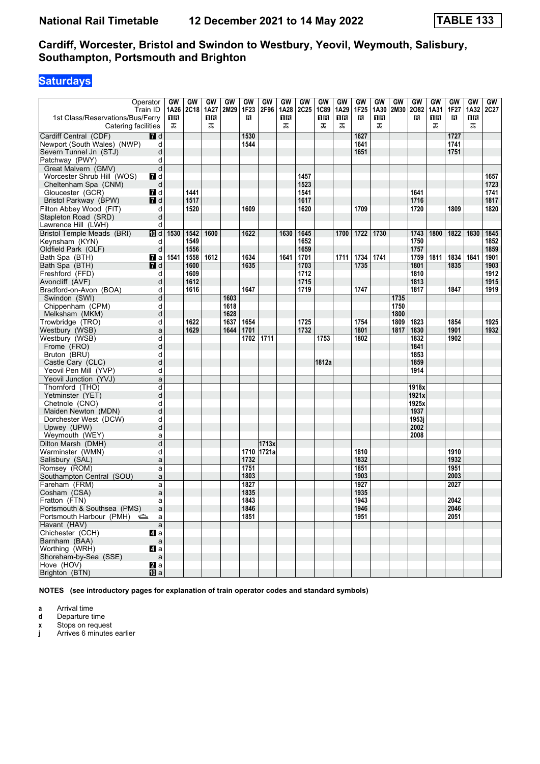# **Saturdays**

| Operator<br>1st Class/Reservations/Bus/Ferry<br>Catering facilities | Train ID       | GW<br>1A26<br>1 R<br>ᠼ | GW<br>2C18 | GW<br>1A27<br>16<br>ᠼ | GW<br>2M29 | GW<br>1F23<br>в | GW<br>2F96 | GW<br>1A28<br>ΠR<br>ᠼ | GW<br><b>2C25</b> | GW<br><b>1C89</b><br>1 R<br>ᠼ | GW<br>1A29<br>1 R<br>ᠼ | GW<br>1F25<br>B | <b>GW</b><br>1A30<br>1 R<br>ᠼ | <b>GW</b><br>2M30 | GW<br>2082<br>R | <b>GW</b><br>1A31<br>1 R<br>ᠼ | GW<br>1F27<br>в | <b>GW</b><br>1A32<br>0 B<br>ᅚ | GW<br><b>2C27</b> |
|---------------------------------------------------------------------|----------------|------------------------|------------|-----------------------|------------|-----------------|------------|-----------------------|-------------------|-------------------------------|------------------------|-----------------|-------------------------------|-------------------|-----------------|-------------------------------|-----------------|-------------------------------|-------------------|
| Cardiff Central (CDF)                                               | <b>7</b> d     |                        |            |                       |            | 1530            |            |                       |                   |                               |                        | 1627            |                               |                   |                 |                               | 1727            |                               |                   |
| Newport (South Wales) (NWP)                                         | d              |                        |            |                       |            | 1544            |            |                       |                   |                               |                        | 1641            |                               |                   |                 |                               | 1741            |                               |                   |
| Severn Tunnel Jn (STJ)                                              | d              |                        |            |                       |            |                 |            |                       |                   |                               |                        | 1651            |                               |                   |                 |                               | 1751            |                               |                   |
| Patchway (PWY)                                                      | d              |                        |            |                       |            |                 |            |                       |                   |                               |                        |                 |                               |                   |                 |                               |                 |                               |                   |
| Great Malvern (GMV)                                                 | d              |                        |            |                       |            |                 |            |                       |                   |                               |                        |                 |                               |                   |                 |                               |                 |                               |                   |
| Worcester Shrub Hill (WOS)                                          |                |                        |            |                       |            |                 |            |                       | 1457              |                               |                        |                 |                               |                   |                 |                               |                 |                               |                   |
| Cheltenham Spa (CNM)                                                | 7 d            |                        |            |                       |            |                 |            |                       | 1523              |                               |                        |                 |                               |                   |                 |                               |                 |                               | 1657<br>1723      |
|                                                                     | d<br>7 d       |                        | 1441       |                       |            |                 |            |                       | 1541              |                               |                        |                 |                               |                   | 1641            |                               |                 |                               | 1741              |
| Gloucester (GCR)<br>Bristol Parkway (BPW)                           | <b>7</b> d     |                        | 1517       |                       |            |                 |            |                       | 1617              |                               |                        |                 |                               |                   | 1716            |                               |                 |                               | 1817              |
| Filton Abbey Wood (FIT)                                             | d              |                        | 1520       |                       |            | 1609            |            |                       | 1620              |                               |                        | 1709            |                               |                   | 1720            |                               | 1809            |                               | 1820              |
| Stapleton Road (SRD)                                                | d              |                        |            |                       |            |                 |            |                       |                   |                               |                        |                 |                               |                   |                 |                               |                 |                               |                   |
|                                                                     |                |                        |            |                       |            |                 |            |                       |                   |                               |                        |                 |                               |                   |                 |                               |                 |                               |                   |
| Lawrence Hill (LWH)                                                 | d              |                        |            |                       |            |                 |            |                       |                   |                               |                        |                 |                               |                   |                 |                               |                 |                               |                   |
| Bristol Temple Meads (BRI)                                          | <b>ID</b> d    | 1530                   | 1542       | 1600                  |            | 1622            |            | 1630                  | 1645              |                               | 1700                   | 1722            | 1730                          |                   | 1743            | 1800                          | 1822            | 1830                          | 1845              |
| Keynsham (KYN)                                                      | d              |                        | 1549       |                       |            |                 |            |                       | 1652              |                               |                        |                 |                               |                   | 1750            |                               |                 |                               | 1852              |
| Oldfield Park (OLF)                                                 | d              |                        | 1556       |                       |            |                 |            |                       | 1659              |                               |                        |                 |                               |                   | 1757            |                               |                 |                               | 1859              |
| Bath Spa (BTH)                                                      | $\mathbf{z}$ a | 1541                   | 1558       | $1612$                |            | 1634            |            | 1641                  | 1701              |                               | 1711                   | 1734            | 1741                          |                   | 1759            | 1811                          | 1834            | 1841                          | 1901              |
| Bath Spa (BTH)                                                      | 7d             |                        | 1600       |                       |            | 1635            |            |                       | 1703              |                               |                        | 1735            |                               |                   | 1801            |                               | 1835            |                               | 1903              |
| Freshford (FFD)                                                     | d              |                        | 1609       |                       |            |                 |            |                       | 1712              |                               |                        |                 |                               |                   | 1810            |                               |                 |                               | 1912              |
| Avoncliff (AVF)                                                     | d              |                        | 1612       |                       |            |                 |            |                       | 1715              |                               |                        |                 |                               |                   | 1813            |                               |                 |                               | 1915              |
| Bradford-on-Avon (BOA)                                              | d              |                        | 1616       |                       |            | 1647            |            |                       | 1719              |                               |                        | 1747            |                               |                   | 1817            |                               | 1847            |                               | 1919              |
| Swindon (SWI)                                                       | d              |                        |            |                       | 1603       |                 |            |                       |                   |                               |                        |                 |                               | 1735              |                 |                               |                 |                               |                   |
| Chippenham (CPM)                                                    | d              |                        |            |                       | 1618       |                 |            |                       |                   |                               |                        |                 |                               | 1750              |                 |                               |                 |                               |                   |
| Melksham (MKM)                                                      | d              |                        |            |                       | 1628       |                 |            |                       |                   |                               |                        |                 |                               | 1800              |                 |                               |                 |                               |                   |
| Trowbridge (TRO)                                                    | d              |                        | 1622       |                       | 1637       | 1654            |            |                       | 1725              |                               |                        | 1754            |                               | 1809              | 1823            |                               | 1854            |                               | 1925              |
| Westbury (WSB)                                                      | a              |                        | 1629       |                       | 1644       | 1701            |            |                       | 1732              |                               |                        | 1801            |                               | 1817              | 1830            |                               | 1901            |                               | 1932              |
| Westbury (WSB)                                                      | d              |                        |            |                       |            | 1702            | 1711       |                       |                   | 1753                          |                        | 1802            |                               |                   | 1832            |                               | 1902            |                               |                   |
| Frome (FRO)                                                         | d              |                        |            |                       |            |                 |            |                       |                   |                               |                        |                 |                               |                   | 1841            |                               |                 |                               |                   |
| Bruton (BRU)                                                        | d              |                        |            |                       |            |                 |            |                       |                   |                               |                        |                 |                               |                   | 1853            |                               |                 |                               |                   |
| Castle Cary (CLC)                                                   | d              |                        |            |                       |            |                 |            |                       |                   | 1812a                         |                        |                 |                               |                   | 1859            |                               |                 |                               |                   |
| Yeovil Pen Mill (YVP)                                               | d              |                        |            |                       |            |                 |            |                       |                   |                               |                        |                 |                               |                   | 1914            |                               |                 |                               |                   |
| Yeovil Junction (YVJ)                                               | a              |                        |            |                       |            |                 |            |                       |                   |                               |                        |                 |                               |                   |                 |                               |                 |                               |                   |
| Thornford (THO)                                                     | d              |                        |            |                       |            |                 |            |                       |                   |                               |                        |                 |                               |                   | 1918x           |                               |                 |                               |                   |
| Yetminster (YET)                                                    | d              |                        |            |                       |            |                 |            |                       |                   |                               |                        |                 |                               |                   | 1921x           |                               |                 |                               |                   |
| Chetnole (CNO)                                                      | d              |                        |            |                       |            |                 |            |                       |                   |                               |                        |                 |                               |                   | 1925x           |                               |                 |                               |                   |
| Maiden Newton (MDN)                                                 | d              |                        |            |                       |            |                 |            |                       |                   |                               |                        |                 |                               |                   | 1937            |                               |                 |                               |                   |
| Dorchester West (DCW)                                               | d              |                        |            |                       |            |                 |            |                       |                   |                               |                        |                 |                               |                   | 1953i           |                               |                 |                               |                   |
| Upwey (UPW)                                                         | d              |                        |            |                       |            |                 |            |                       |                   |                               |                        |                 |                               |                   | 2002            |                               |                 |                               |                   |
| Weymouth (WEY)                                                      | a              |                        |            |                       |            |                 |            |                       |                   |                               |                        |                 |                               |                   | 2008            |                               |                 |                               |                   |
| Dilton Marsh (DMH)                                                  | $\overline{d}$ |                        |            |                       |            |                 | 1713x      |                       |                   |                               |                        |                 |                               |                   |                 |                               |                 |                               |                   |
| Warminster (WMN)                                                    | d              |                        |            |                       |            |                 | 1710 1721a |                       |                   |                               |                        | 1810            |                               |                   |                 |                               | 1910            |                               |                   |
| Salisbury (SAL)                                                     | a              |                        |            |                       |            | 1732            |            |                       |                   |                               |                        | 1832            |                               |                   |                 |                               | 1932            |                               |                   |
| Romsey (ROM)                                                        | a              |                        |            |                       |            | 1751            |            |                       |                   |                               |                        | 1851            |                               |                   |                 |                               | 1951            |                               |                   |
| Southampton Central (SOU)                                           | a              |                        |            |                       |            | 1803            |            |                       |                   |                               |                        | 1903            |                               |                   |                 |                               | 2003            |                               |                   |
| Fareham (FRM)                                                       | a              |                        |            |                       |            | 1827            |            |                       |                   |                               |                        | 1927            |                               |                   |                 |                               | 2027            |                               |                   |
| Cosham (CSA)                                                        | a              |                        |            |                       |            | 1835            |            |                       |                   |                               |                        | 1935            |                               |                   |                 |                               |                 |                               |                   |
| Fratton (FTN)                                                       | a              |                        |            |                       |            | 1843            |            |                       |                   |                               |                        | 1943            |                               |                   |                 |                               | 2042            |                               |                   |
| Portsmouth & Southsea (PMS)                                         | a              |                        |            |                       |            | 1846            |            |                       |                   |                               |                        | 1946            |                               |                   |                 |                               | 2046            |                               |                   |
| Portsmouth Harbour (PMH)                                            | a              |                        |            |                       |            | 1851            |            |                       |                   |                               |                        | 1951            |                               |                   |                 |                               | 2051            |                               |                   |
| Havant (HAV)                                                        | $\mathsf{a}$   |                        |            |                       |            |                 |            |                       |                   |                               |                        |                 |                               |                   |                 |                               |                 |                               |                   |
| Chichester (CCH)                                                    | ZI a           |                        |            |                       |            |                 |            |                       |                   |                               |                        |                 |                               |                   |                 |                               |                 |                               |                   |
| Barnham (BAA)                                                       | $\mathsf{a}$   |                        |            |                       |            |                 |            |                       |                   |                               |                        |                 |                               |                   |                 |                               |                 |                               |                   |
| Worthing (WRH)                                                      | 4 a            |                        |            |                       |            |                 |            |                       |                   |                               |                        |                 |                               |                   |                 |                               |                 |                               |                   |
| Shoreham-by-Sea (SSE)                                               | $\mathsf a$    |                        |            |                       |            |                 |            |                       |                   |                               |                        |                 |                               |                   |                 |                               |                 |                               |                   |
| Hove (HOV)                                                          | $\mathbf{a}$ a |                        |            |                       |            |                 |            |                       |                   |                               |                        |                 |                               |                   |                 |                               |                 |                               |                   |
| Brighton (BTN)                                                      | <b>ID</b> a    |                        |            |                       |            |                 |            |                       |                   |                               |                        |                 |                               |                   |                 |                               |                 |                               |                   |

**NOTES (see introductory pages for explanation of train operator codes and standard symbols)**

**a** Arrival time<br>**d** Departure t

**d** Departure time

**x** Stops on request

**j** Arrives 6 minutes earlier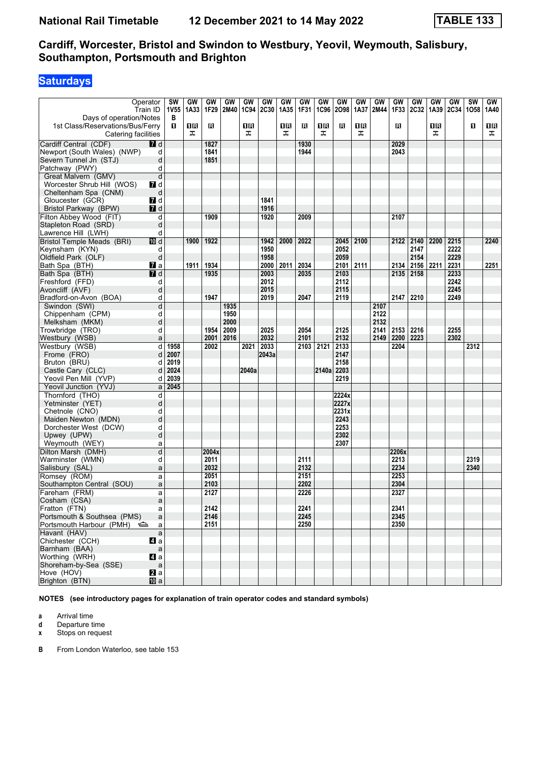# **Saturdays**

| Days of operation/Notes                                 | Operator<br>Train ID | <b>SW</b><br><b>1V55</b><br>В | GW<br>1A33 | GW<br>1F29    | GW<br>2M40 | GW<br>1C94 | GW<br>2C30 | GW<br>1A35 | GW<br>1F31 | GW<br>1C96 | GW<br>2098 | GW<br>1A37 | GW<br>2M44 | GW<br>1F33   | GW<br><b>2C32</b> | GW<br>1A39 | GW<br><b>2C34</b> | <b>SW</b><br>1058 | GW<br>1A40 |
|---------------------------------------------------------|----------------------|-------------------------------|------------|---------------|------------|------------|------------|------------|------------|------------|------------|------------|------------|--------------|-------------------|------------|-------------------|-------------------|------------|
| 1st Class/Reservations/Bus/Ferry<br>Catering facilities |                      | п                             | 16<br>ᠼ    | R             |            | 1R<br>ᠼ    |            | 1R<br>ᠼ    | R          | 1 R<br>ᠼ   | в          | 1 R<br>ᠼ   |            | П            |                   | 1 R<br>ᠼ   |                   | O                 | 1 R<br>ᠼ   |
| Cardiff Central (CDF)                                   | 7 d                  |                               |            | 1827          |            |            |            |            | 1930       |            |            |            |            | 2029         |                   |            |                   |                   |            |
| Newport (South Wales) (NWP)                             | d                    |                               |            | 1841          |            |            |            |            | 1944       |            |            |            |            | 2043         |                   |            |                   |                   |            |
| Severn Tunnel Jn (STJ)                                  | d                    |                               |            | 1851          |            |            |            |            |            |            |            |            |            |              |                   |            |                   |                   |            |
| Patchway (PWY)                                          | d                    |                               |            |               |            |            |            |            |            |            |            |            |            |              |                   |            |                   |                   |            |
| Great Malvern (GMV)                                     | d                    |                               |            |               |            |            |            |            |            |            |            |            |            |              |                   |            |                   |                   |            |
| Worcester Shrub Hill (WOS)                              | 7d                   |                               |            |               |            |            |            |            |            |            |            |            |            |              |                   |            |                   |                   |            |
| Cheltenham Spa (CNM)                                    | d                    |                               |            |               |            |            |            |            |            |            |            |            |            |              |                   |            |                   |                   |            |
| Gloucester (GCR)                                        | 7d                   |                               |            |               |            |            | 1841       |            |            |            |            |            |            |              |                   |            |                   |                   |            |
| Bristol Parkway (BPW)                                   | $I$ d                |                               |            |               |            |            | 1916       |            |            |            |            |            |            |              |                   |            |                   |                   |            |
| Filton Abbey Wood (FIT)                                 | d                    |                               |            | 1909          |            |            | 1920       |            | 2009       |            |            |            |            | 2107         |                   |            |                   |                   |            |
| Stapleton Road (SRD)                                    | d                    |                               |            |               |            |            |            |            |            |            |            |            |            |              |                   |            |                   |                   |            |
| Lawrence Hill (LWH)                                     | d                    |                               |            |               |            |            |            |            |            |            |            |            |            |              |                   |            |                   |                   |            |
| <b>Bristol Temple Meads (BRI)</b>                       | III d                |                               | 1900       | 1922          |            |            | 1942       | 2000       | 2022       |            | 2045       | 2100       |            | 2122         | 2140              | 2200       | 2215              |                   | 2240       |
| Keynsham (KYN)                                          | d                    |                               |            |               |            |            | 1950       |            |            |            | 2052       |            |            |              | 2147              |            | 2222              |                   |            |
| Oldfield Park (OLF)                                     | d                    |                               |            |               |            |            | 1958       |            |            |            | 2059       |            |            |              | 2154              |            | 2229              |                   |            |
| Bath Spa (BTH)                                          | $\mathbf{z}$ a       |                               | 1911       | 1934          |            |            | 2000       | 2011       | 2034       |            | 2101       | 2111       |            | 2134         | 2156              | 2211       | 2231              |                   | 2251       |
| Bath Spa (BTH)                                          | 7 d                  |                               |            | 1935          |            |            | 2003       |            | 2035       |            | 2103       |            |            | 2135         | 2158              |            | 2233              |                   |            |
| Freshford (FFD)                                         | d                    |                               |            |               |            |            | 2012       |            |            |            | 2112       |            |            |              |                   |            | 2242              |                   |            |
| Avoncliff (AVF)                                         | d                    |                               |            |               |            |            | 2015       |            |            |            | 2115       |            |            |              |                   |            | 2245              |                   |            |
| Bradford-on-Avon (BOA)                                  | d                    |                               |            | 1947          |            |            | 2019       |            | 2047       |            | 2119       |            |            | 2147         | 2210              |            | 2249              |                   |            |
| Swindon (SWI)                                           | d                    |                               |            |               | 1935       |            |            |            |            |            |            |            | 2107       |              |                   |            |                   |                   |            |
| Chippenham (CPM)                                        | d                    |                               |            |               | 1950       |            |            |            |            |            |            |            | 2122       |              |                   |            |                   |                   |            |
| Melksham (MKM)                                          | d                    |                               |            |               | 2000       |            |            |            |            |            |            |            | 2132       |              |                   |            |                   |                   |            |
| Trowbridge (TRO)                                        | d                    |                               |            | 1954          | 2009       |            | 2025       |            | 2054       |            | 2125       |            | 2141       | 2153         | 2216              |            | 2255              |                   |            |
| Westbury (WSB)                                          | a                    |                               |            | 2001          | 2016       |            | 2032       |            | 2101       |            | 2132       |            | 2149       | 2200         | 2223              |            | 2302              |                   |            |
| Westbury (WSB)                                          | d                    | 1958                          |            | 2002          |            | 2021       | 2033       |            | 2103       | 2121       | 2133       |            |            | 2204         |                   |            |                   | 2312              |            |
| Frome (FRO)                                             | d                    | 2007                          |            |               |            |            | 2043a      |            |            |            | 2147       |            |            |              |                   |            |                   |                   |            |
| Bruton (BRU)                                            | d                    | 2019                          |            |               |            |            |            |            |            |            | 2158       |            |            |              |                   |            |                   |                   |            |
| Castle Cary (CLC)                                       | d                    | 2024                          |            |               |            | 2040a      |            |            |            | 2140a      | 2203       |            |            |              |                   |            |                   |                   |            |
| Yeovil Pen Mill (YVP)                                   | d                    | 2039                          |            |               |            |            |            |            |            |            | 2219       |            |            |              |                   |            |                   |                   |            |
| Yeovil Junction (YVJ)                                   | a                    | 2045                          |            |               |            |            |            |            |            |            |            |            |            |              |                   |            |                   |                   |            |
| Thornford (THO)                                         | d                    |                               |            |               |            |            |            |            |            |            | 2224x      |            |            |              |                   |            |                   |                   |            |
| Yetminster (YET)                                        | d                    |                               |            |               |            |            |            |            |            |            | 2227x      |            |            |              |                   |            |                   |                   |            |
| Chetnole (CNO)                                          | d                    |                               |            |               |            |            |            |            |            |            | 2231x      |            |            |              |                   |            |                   |                   |            |
| Maiden Newton (MDN)                                     | d                    |                               |            |               |            |            |            |            |            |            | 2243       |            |            |              |                   |            |                   |                   |            |
| Dorchester West (DCW)                                   | d                    |                               |            |               |            |            |            |            |            |            | 2253       |            |            |              |                   |            |                   |                   |            |
| Upwey (UPW)                                             | d                    |                               |            |               |            |            |            |            |            |            | 2302       |            |            |              |                   |            |                   |                   |            |
| Weymouth (WEY)                                          | a                    |                               |            |               |            |            |            |            |            |            | 2307       |            |            |              |                   |            |                   |                   |            |
| Dilton Marsh (DMH)<br>Warminster (WMN)                  | d                    |                               |            | 2004x<br>2011 |            |            |            |            | 2111       |            |            |            |            | 2206x        |                   |            |                   | 2319              |            |
| Salisbury (SAL)                                         | d<br>a               |                               |            | 2032          |            |            |            |            | 2132       |            |            |            |            | 2213<br>2234 |                   |            |                   | 2340              |            |
| Romsey (ROM)                                            |                      |                               |            | 2051          |            |            |            |            | 2151       |            |            |            |            | 2253         |                   |            |                   |                   |            |
| Southampton Central (SOU)                               | a<br>a               |                               |            | 2103          |            |            |            |            | 2202       |            |            |            |            | 2304         |                   |            |                   |                   |            |
| Fareham (FRM)                                           | a                    |                               |            | 2127          |            |            |            |            | 2226       |            |            |            |            | 2327         |                   |            |                   |                   |            |
| Cosham (CSA)                                            | a                    |                               |            |               |            |            |            |            |            |            |            |            |            |              |                   |            |                   |                   |            |
| Fratton (FTN)                                           | a                    |                               |            | 2142          |            |            |            |            | 2241       |            |            |            |            | 2341         |                   |            |                   |                   |            |
| Portsmouth & Southsea (PMS)                             | a                    |                               |            | 2146          |            |            |            |            | 2245       |            |            |            |            | 2345         |                   |            |                   |                   |            |
| Portsmouth Harbour (PMH)                                | a                    |                               |            | 2151          |            |            |            |            | 2250       |            |            |            |            | 2350         |                   |            |                   |                   |            |
| Havant (HAV)                                            | $\mathsf{a}$         |                               |            |               |            |            |            |            |            |            |            |            |            |              |                   |            |                   |                   |            |
| Chichester (CCH)                                        | $\blacksquare$ a     |                               |            |               |            |            |            |            |            |            |            |            |            |              |                   |            |                   |                   |            |
| Barnham (BAA)                                           | $\mathsf a$          |                               |            |               |            |            |            |            |            |            |            |            |            |              |                   |            |                   |                   |            |
| Worthing (WRH)                                          | $\blacksquare$ a     |                               |            |               |            |            |            |            |            |            |            |            |            |              |                   |            |                   |                   |            |
| Shoreham-by-Sea (SSE)                                   | $\mathsf{a}$         |                               |            |               |            |            |            |            |            |            |            |            |            |              |                   |            |                   |                   |            |
| Hove (HOV)                                              | a                    |                               |            |               |            |            |            |            |            |            |            |            |            |              |                   |            |                   |                   |            |
| Brighton (BTN)                                          | <b>ID</b> a          |                               |            |               |            |            |            |            |            |            |            |            |            |              |                   |            |                   |                   |            |

**NOTES (see introductory pages for explanation of train operator codes and standard symbols)**

**a** Arrival time<br>**d** Departure t

**d** Departure time

**x** Stops on request

**B** From London Waterloo, see table 153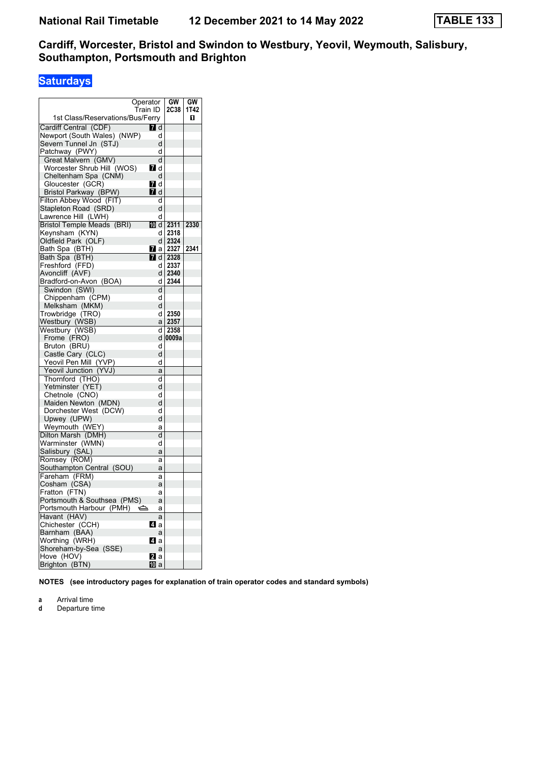# **Saturdays**

|                                                | Operator       |        | GW          | GW   |
|------------------------------------------------|----------------|--------|-------------|------|
|                                                | Train ID       |        | <b>2C38</b> | 1T42 |
| 1st Class/Reservations/Bus/Ferry               |                |        |             | П    |
| Cardiff Central (CDF)                          | <b>7</b> d     |        |             |      |
| Newport (South Wales) (NWP)                    |                | d      |             |      |
| Severn Tunnel Jn (STJ)                         |                | d      |             |      |
| Patchway (PWY)                                 |                | d      |             |      |
| Great Malvern (GMV)                            |                | d      |             |      |
| Worcester Shrub Hill (WOS)                     | <b>7</b> d     |        |             |      |
| Cheltenham Spa (CNM)                           |                | d      |             |      |
| Gloucester (GCR)                               | 7 d            |        |             |      |
| Bristol Parkway (BPW)                          | <b>7</b> d     |        |             |      |
| Filton Abbey Wood (FIT)                        |                | d      |             |      |
| Stapleton Road (SRD)                           |                | d      |             |      |
| Lawrence Hill (LWH)                            |                | d      |             |      |
| Bristol Temple Meads (BRI)                     | 而 d            |        | 2311        | 2330 |
| Keynsham (KYN)                                 |                | d      | 2318        |      |
| Oldfield Park (OLF)                            |                | d      | 2324        |      |
| Bath Spa (BTH)                                 | $\mathbf{z}$ a |        | 2327        | 2341 |
| Bath Spa (BTH)                                 | 7 d            |        | 2328        |      |
| Freshford (FFD)                                |                | d      | 2337        |      |
| Avoncliff (AVF)                                |                | d      | 2340        |      |
| Bradford-on-Avon (BOA)                         |                | d      | 2344        |      |
| Swindon (SWI)                                  |                | d      |             |      |
| Chippenham (CPM)                               |                | d      |             |      |
| Melksham (MKM)                                 |                | d      |             |      |
| Trowbridge (TRO)                               |                | d      | 2350        |      |
| Westbury (WSB)                                 |                | a      | 2357        |      |
| Westbury (WSB)                                 |                | d      | 2358        |      |
| Frome (FRO)                                    |                | d      | 0009a       |      |
| Bruton (BRU)                                   |                | d      |             |      |
| Castle Cary (CLC)                              |                | d      |             |      |
|                                                |                | d      |             |      |
| Yeovil Pen Mill (YVP)<br>Yeovil Junction (YVJ) |                | a      |             |      |
| Thornford (THO)                                |                | d      |             |      |
| Yetminster (YET)                               |                | d      |             |      |
|                                                |                | d      |             |      |
| Chetnole (CNO)<br>Maiden Newton (MDN)          |                | d      |             |      |
| Dorchester West (DCW)                          |                | d      |             |      |
| Upwey (UPW)                                    |                | d      |             |      |
| Weymouth (WEY)                                 |                |        |             |      |
|                                                |                | a<br>d |             |      |
| Dilton Marsh (DMH)                             |                | d      |             |      |
| Warminster (WMN)                               |                |        |             |      |
| Salisbury (SAL)                                |                | a      |             |      |
| Romsey (ROM)                                   |                | a      |             |      |
| Southampton Central (SOU)                      |                | a      |             |      |
| Fareham (FRM)                                  |                | a      |             |      |
| Cosham (CSA)                                   |                | a      |             |      |
| Fratton (FTN)                                  |                | а      |             |      |
| Portsmouth & Southsea (PMS)                    |                | a      |             |      |
| Portsmouth Harbour (PMH)                       | ⇔              | a      |             |      |
| Havant (HAV)                                   |                | a      |             |      |
| Chichester (CCH)                               | ZI a           |        |             |      |
| Barnham (BAA)                                  |                | a      |             |      |
| Worthing (WRH)                                 | <b>Zl</b> a    |        |             |      |
| Shoreham-by-Sea (SSE)                          |                | a      |             |      |
| Hove (HOV)                                     | <b>12</b> a    |        |             |      |
| Brighton (BTN)                                 | 10 a           |        |             |      |

**NOTES (see introductory pages for explanation of train operator codes and standard symbols)**

- **a** Arrival time
- **d** Departure time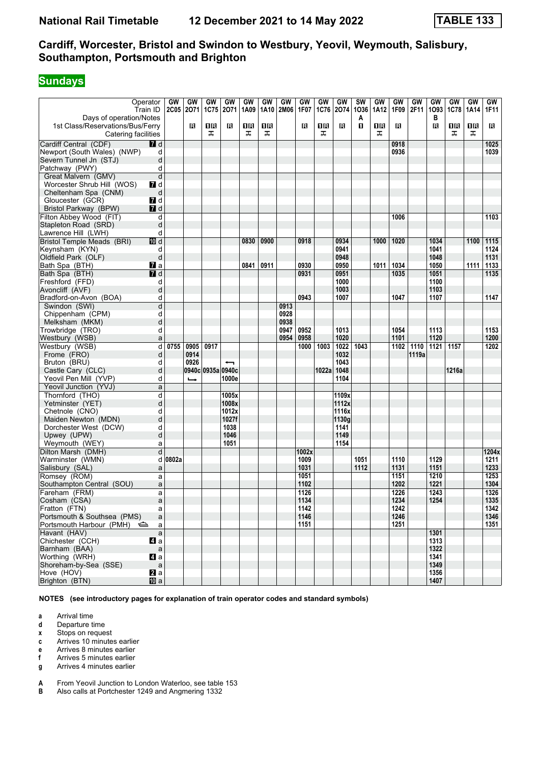# **Sundays**

| Operator<br>Days of operation/Notes                     | Train ID           | GW<br><b>2C05</b> | GW<br>2071    | GW<br><b>1C75</b> | GW<br>2071               | GW<br>1A09 | GW<br>1A10 | GW<br><b>2M06</b> | GW<br>1F07 | GW<br>1C76 | GW<br>2074 | SW<br>1036<br>A | GW<br>1A12 | <b>GW</b><br>1F09 | GW<br>2F11 | GW<br>1093<br>в | GW<br><b>1C78</b> | GW<br>1A14 | <b>GW</b><br>1F11 |
|---------------------------------------------------------|--------------------|-------------------|---------------|-------------------|--------------------------|------------|------------|-------------------|------------|------------|------------|-----------------|------------|-------------------|------------|-----------------|-------------------|------------|-------------------|
| 1st Class/Reservations/Bus/Ferry<br>Catering facilities |                    |                   | в             | 1R<br>ᠼ           | в                        | ПB<br>ᠼ    | 16<br>ᠼ    |                   | R          | 1 R<br>ᠼ   | в          | п               | 1 R<br>ᠼ   | в                 |            | в               | ΠR<br>ᠼ           | 1R<br>ᠼ    | R                 |
| Cardiff Central (CDF)                                   | 7 d                |                   |               |                   |                          |            |            |                   |            |            |            |                 |            | 0918              |            |                 |                   |            | 1025              |
| Newport (South Wales) (NWP)                             | d                  |                   |               |                   |                          |            |            |                   |            |            |            |                 |            | 0936              |            |                 |                   |            | 1039              |
| Severn Tunnel Jn (STJ)                                  | d                  |                   |               |                   |                          |            |            |                   |            |            |            |                 |            |                   |            |                 |                   |            |                   |
| Patchway (PWY)                                          | d                  |                   |               |                   |                          |            |            |                   |            |            |            |                 |            |                   |            |                 |                   |            |                   |
| Great Malvern (GMV)                                     | d                  |                   |               |                   |                          |            |            |                   |            |            |            |                 |            |                   |            |                 |                   |            |                   |
| Worcester Shrub Hill (WOS)                              | 7d                 |                   |               |                   |                          |            |            |                   |            |            |            |                 |            |                   |            |                 |                   |            |                   |
| Cheltenham Spa (CNM)                                    | d                  |                   |               |                   |                          |            |            |                   |            |            |            |                 |            |                   |            |                 |                   |            |                   |
| Gloucester (GCR)                                        | 7d                 |                   |               |                   |                          |            |            |                   |            |            |            |                 |            |                   |            |                 |                   |            |                   |
| Bristol Parkway (BPW)                                   | 7 d                |                   |               |                   |                          |            |            |                   |            |            |            |                 |            |                   |            |                 |                   |            |                   |
| Filton Abbey Wood (FIT)                                 | d                  |                   |               |                   |                          |            |            |                   |            |            |            |                 |            | 1006              |            |                 |                   |            | 1103              |
| Stapleton Road (SRD)                                    | d                  |                   |               |                   |                          |            |            |                   |            |            |            |                 |            |                   |            |                 |                   |            |                   |
| Lawrence Hill (LWH)                                     | d                  |                   |               |                   |                          |            |            |                   |            |            |            |                 |            |                   |            |                 |                   |            |                   |
| <b>Bristol Temple Meads (BRI)</b>                       | III d              |                   |               |                   |                          | 0830       | 0900       |                   | 0918       |            | 0934       |                 | 1000       | 1020              |            | 1034            |                   | 1100       | 1115              |
| Keynsham (KYN)                                          | d                  |                   |               |                   |                          |            |            |                   |            |            | 0941       |                 |            |                   |            | 1041            |                   |            | 1124              |
| Oldfield Park (OLF)                                     | d                  |                   |               |                   |                          |            |            |                   |            |            | 0948       |                 |            |                   |            | 1048            |                   |            | 1131              |
| Bath Spa (BTH)                                          | $\mathbf{z}$ a     |                   |               |                   |                          | 0841       | 0911       |                   | 0930       |            | 0950       |                 | 1011       | 1034              |            | 1050            |                   | 1111       | 1133              |
| Bath Spa (BTH)                                          | 7 d                |                   |               |                   |                          |            |            |                   | 0931       |            | 0951       |                 |            | 1035              |            | 1051            |                   |            | 1135              |
| Freshford (FFD)                                         | d                  |                   |               |                   |                          |            |            |                   |            |            | 1000       |                 |            |                   |            | 1100            |                   |            |                   |
| Avoncliff (AVF)                                         | d                  |                   |               |                   |                          |            |            |                   |            |            | 1003       |                 |            |                   |            | 1103            |                   |            |                   |
| Bradford-on-Avon (BOA)                                  | d                  |                   |               |                   |                          |            |            |                   | 0943       |            | 1007       |                 |            | 1047              |            | 1107            |                   |            | 1147              |
| Swindon (SWI)                                           | d                  |                   |               |                   |                          |            |            | 0913              |            |            |            |                 |            |                   |            |                 |                   |            |                   |
| Chippenham (CPM)                                        | d                  |                   |               |                   |                          |            |            | 0928              |            |            |            |                 |            |                   |            |                 |                   |            |                   |
| Melksham (MKM)                                          | d                  |                   |               |                   |                          |            |            | 0938              |            |            |            |                 |            |                   |            |                 |                   |            |                   |
| Trowbridge (TRO)                                        | d                  |                   |               |                   |                          |            |            | 0947              | 0952       |            | 1013       |                 |            | 1054              |            | 1113            |                   |            | 1153              |
| Westbury (WSB)                                          | a                  |                   |               |                   |                          |            |            | 0954              | 0958       |            | 1020       |                 |            | 1101              |            | 1120            |                   |            | 1200              |
| Westbury (WSB)                                          | d                  | 0755              | 0905          | 0917              |                          |            |            |                   | 1000       | 1003       | 1022       | 1043            |            | 1102              | 1110       | 1121            | 1157              |            | 1202              |
| Frome (FRO)                                             | d                  |                   | 0914          |                   |                          |            |            |                   |            |            | 1032       |                 |            |                   | 1119a      |                 |                   |            |                   |
| Bruton (BRU)                                            | d                  |                   | 0926          |                   | $\overline{\phantom{0}}$ |            |            |                   |            |            | 1043       |                 |            |                   |            |                 |                   |            |                   |
| Castle Cary (CLC)                                       | d                  |                   |               | 0940c 0935a 0940c |                          |            |            |                   |            | 1022a      | 1048       |                 |            |                   |            |                 | 1216a             |            |                   |
| Yeovil Pen Mill (YVP)                                   | d                  |                   | $\rightarrow$ |                   | 1000e                    |            |            |                   |            |            | 1104       |                 |            |                   |            |                 |                   |            |                   |
| Yeovil Junction (YVJ)                                   | a                  |                   |               |                   |                          |            |            |                   |            |            |            |                 |            |                   |            |                 |                   |            |                   |
| Thornford (THO)                                         | d                  |                   |               |                   | 1005x                    |            |            |                   |            |            | 1109x      |                 |            |                   |            |                 |                   |            |                   |
| Yetminster (YET)                                        | d                  |                   |               |                   | 1008x                    |            |            |                   |            |            | 1112x      |                 |            |                   |            |                 |                   |            |                   |
|                                                         | d                  |                   |               |                   | 1012x                    |            |            |                   |            |            | 1116x      |                 |            |                   |            |                 |                   |            |                   |
| Chetnole (CNO)                                          | d                  |                   |               |                   | 1027f                    |            |            |                   |            |            | 1130g      |                 |            |                   |            |                 |                   |            |                   |
| Maiden Newton (MDN)<br>Dorchester West (DCW)            | d                  |                   |               |                   | 1038                     |            |            |                   |            |            | 1141       |                 |            |                   |            |                 |                   |            |                   |
| Upwey (UPW)                                             | d                  |                   |               |                   | 1046                     |            |            |                   |            |            | 1149       |                 |            |                   |            |                 |                   |            |                   |
| Weymouth (WEY)                                          | a                  |                   |               |                   | 1051                     |            |            |                   |            |            | 1154       |                 |            |                   |            |                 |                   |            |                   |
| Dilton Marsh (DMH)                                      | d                  |                   |               |                   |                          |            |            |                   | 1002x      |            |            |                 |            |                   |            |                 |                   |            | 1204x             |
| Warminster (WMN)                                        | d                  | 0802a             |               |                   |                          |            |            |                   | 1009       |            |            | 1051            |            | 1110              |            | 1129            |                   |            | 1211              |
| Salisbury (SAL)                                         | a                  |                   |               |                   |                          |            |            |                   | 1031       |            |            | 1112            |            | 1131              |            | 1151            |                   |            | 1233              |
| Romsey (ROM)                                            |                    |                   |               |                   |                          |            |            |                   | 1051       |            |            |                 |            | 1151              |            | 1210            |                   |            | 1253              |
| Southampton Central (SOU)                               | a<br>a             |                   |               |                   |                          |            |            |                   | 1102       |            |            |                 |            | 1202              |            | 1221            |                   |            | 1304              |
| Fareham (FRM)                                           |                    |                   |               |                   |                          |            |            |                   | 1126       |            |            |                 |            | 1226              |            | 1243            |                   |            | 1326              |
|                                                         | a<br>a             |                   |               |                   |                          |            |            |                   | 1134       |            |            |                 |            | 1234              |            | 1254            |                   |            | 1335              |
| Cosham (CSA)<br>Fratton (FTN)                           |                    |                   |               |                   |                          |            |            |                   | 1142       |            |            |                 |            | 1242              |            |                 |                   |            | 1342              |
| Portsmouth & Southsea (PMS)                             | a<br>a             |                   |               |                   |                          |            |            |                   | 1146       |            |            |                 |            | 1246              |            |                 |                   |            | 1346              |
| Portsmouth Harbour (PMH)                                |                    |                   |               |                   |                          |            |            |                   | 1151       |            |            |                 |            | 1251              |            |                 |                   |            | 1351              |
|                                                         | a                  |                   |               |                   |                          |            |            |                   |            |            |            |                 |            |                   |            |                 |                   |            |                   |
| Havant (HAV)                                            | $\mathsf{a}$<br>4a |                   |               |                   |                          |            |            |                   |            |            |            |                 |            |                   |            | 1301<br>1313    |                   |            |                   |
| Chichester (CCH)                                        |                    |                   |               |                   |                          |            |            |                   |            |            |            |                 |            |                   |            | 1322            |                   |            |                   |
| Barnham (BAA)<br>Worthing (WRH)                         | $\mathsf{a}$<br>4a |                   |               |                   |                          |            |            |                   |            |            |            |                 |            |                   |            | 1341            |                   |            |                   |
| Shoreham-by-Sea (SSE)                                   | $\mathsf{a}$       |                   |               |                   |                          |            |            |                   |            |            |            |                 |            |                   |            | 1349            |                   |            |                   |
| Hove (HOV)                                              | $\mathbf{z}$ a     |                   |               |                   |                          |            |            |                   |            |            |            |                 |            |                   |            | 1356            |                   |            |                   |
| Brighton (BTN)                                          | <b>ID</b> a        |                   |               |                   |                          |            |            |                   |            |            |            |                 |            |                   |            | 1407            |                   |            |                   |
|                                                         |                    |                   |               |                   |                          |            |            |                   |            |            |            |                 |            |                   |            |                 |                   |            |                   |

**NOTES (see introductory pages for explanation of train operator codes and standard symbols)**

**a** Arrival time<br>**d** Departure t

- **d** Departure time
- **x** Stops on request<br>**c** Arrives 10 minute
- **Arrives 10 minutes earlier**
- **e** Arrives 8 minutes earlier<br>**f** Arrives 5 minutes earlier
- **f** Arrives 5 minutes earlier
- **g** Arrives 4 minutes earlier
- **A** From Yeovil Junction to London Waterloo, see table 153<br>**B** Also calls at Portchester 1249 and Angmering 1332
- Also calls at Portchester 1249 and Angmering 1332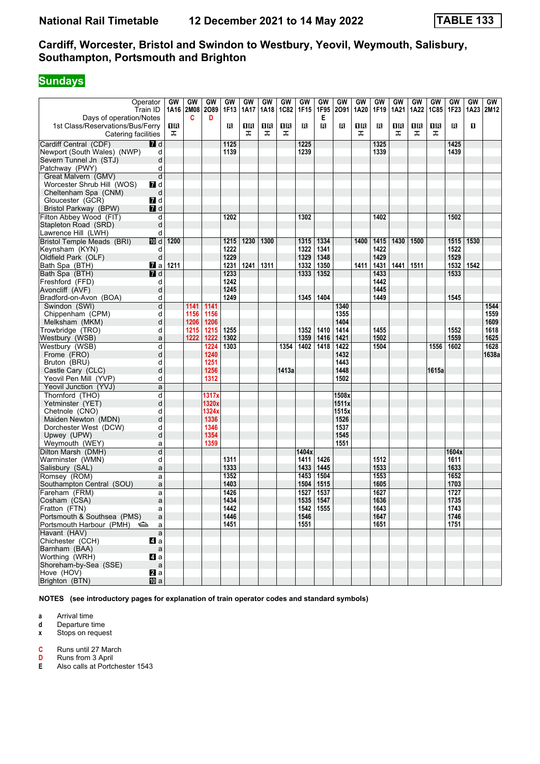# **Sundays**

|                                                             | Operator<br>Train ID | GW   | GW<br>1A16 2M08 | GW<br>2089 | GW<br>1F13 | GW<br>1A17 | GW<br>1A18 | GW<br><b>1C82</b> | GW<br>1F15 | GW<br>1F95 | GW<br>2091 | GW<br>1A20 | GW<br>1F19 | GW<br>1A21 | GW<br>1A22 | GW<br><b>1C85</b> | GW<br>1F23 | GW<br>1A23 | GW<br>2M12 |
|-------------------------------------------------------------|----------------------|------|-----------------|------------|------------|------------|------------|-------------------|------------|------------|------------|------------|------------|------------|------------|-------------------|------------|------------|------------|
| Days of operation/Notes<br>1st Class/Reservations/Bus/Ferry |                      | 1R   | C               | D          | в          | 1R         | 1 R        | OB                | в          | Е<br>в     | В          | 16         | в          | 1R         | 1R         | 1 R               | в          | П          |            |
| Catering facilities                                         |                      | ᠼ    |                 |            |            | ᠼ          | ᠼ          | ᠼ                 |            |            |            | ᠼ          |            | ᠼ          | ᠼ          | ᠼ                 |            |            |            |
| Cardiff Central (CDF)                                       | <b>7</b> d           |      |                 |            | 1125       |            |            |                   | 1225       |            |            |            | 1325       |            |            |                   | 1425       |            |            |
| Newport (South Wales) (NWP)                                 | d                    |      |                 |            | 1139       |            |            |                   | 1239       |            |            |            | 1339       |            |            |                   | 1439       |            |            |
| Severn Tunnel Jn (STJ)                                      | d                    |      |                 |            |            |            |            |                   |            |            |            |            |            |            |            |                   |            |            |            |
| Patchway (PWY)                                              | d                    |      |                 |            |            |            |            |                   |            |            |            |            |            |            |            |                   |            |            |            |
| Great Malvern (GMV)                                         | d                    |      |                 |            |            |            |            |                   |            |            |            |            |            |            |            |                   |            |            |            |
| Worcester Shrub Hill (WOS)                                  | $\blacksquare$ d     |      |                 |            |            |            |            |                   |            |            |            |            |            |            |            |                   |            |            |            |
| Cheltenham Spa (CNM)                                        | d                    |      |                 |            |            |            |            |                   |            |            |            |            |            |            |            |                   |            |            |            |
| Gloucester (GCR)                                            | 7 d                  |      |                 |            |            |            |            |                   |            |            |            |            |            |            |            |                   |            |            |            |
| Bristol Parkway (BPW)                                       | 7 d                  |      |                 |            |            |            |            |                   |            |            |            |            |            |            |            |                   |            |            |            |
| Filton Abbey Wood (FIT)                                     | d                    |      |                 |            | 1202       |            |            |                   | 1302       |            |            |            | 1402       |            |            |                   | 1502       |            |            |
| Stapleton Road (SRD)                                        | d                    |      |                 |            |            |            |            |                   |            |            |            |            |            |            |            |                   |            |            |            |
| Lawrence Hill (LWH)                                         | d                    |      |                 |            |            |            |            |                   |            |            |            |            |            |            |            |                   |            |            |            |
| Bristol Temple Meads (BRI)                                  | 10 d                 | 1200 |                 |            | 1215       | 1230       | 1300       |                   | 1315       | 1334       |            | 1400       | 1415       | 1430       | 1500       |                   | 1515       | 1530       |            |
| Keynsham (KYN)                                              | d                    |      |                 |            | 1222       |            |            |                   | 1322       | 1341       |            |            | 1422       |            |            |                   | 1522       |            |            |
| Oldfield Park (OLF)                                         | d                    |      |                 |            | 1229       |            |            |                   | 1329       | 1348       |            |            | 1429       |            |            |                   | 1529       |            |            |
| Bath Spa (BTH)                                              | <b>M</b> a           | 1211 |                 |            | 1231       | 1241       | 1311       |                   | 1332       | 1350       |            | 1411       | 1431       | 1441       | 1511       |                   | 1532       | 1542       |            |
| Bath Spa (BTH)                                              | $I$ d                |      |                 |            | 1233       |            |            |                   | 1333       | 1352       |            |            | 1433       |            |            |                   | 1533       |            |            |
| Freshford (FFD)                                             | d                    |      |                 |            | 1242       |            |            |                   |            |            |            |            | 1442       |            |            |                   |            |            |            |
| Avoncliff (AVF)                                             | d                    |      |                 |            | 1245       |            |            |                   |            |            |            |            | 1445       |            |            |                   |            |            |            |
| Bradford-on-Avon (BOA)                                      | d                    |      |                 |            | 1249       |            |            |                   | 1345       | 1404       |            |            | 1449       |            |            |                   | 1545       |            |            |
| Swindon (SWI)                                               | d                    |      | 1141            | 1141       |            |            |            |                   |            |            | 1340       |            |            |            |            |                   |            |            | 1544       |
| Chippenham (CPM)                                            | d                    |      | 1156            | 1156       |            |            |            |                   |            |            | 1355       |            |            |            |            |                   |            |            | 1559       |
| Melksham (MKM)                                              | d                    |      | 1206            | 1206       |            |            |            |                   |            |            | 1404       |            |            |            |            |                   |            |            | 1609       |
| Trowbridge (TRO)                                            | d                    |      | 1215            | 1215       | 1255       |            |            |                   | 1352       | 1410       | 1414       |            | 1455       |            |            |                   | 1552       |            | 1618       |
| Westbury (WSB)                                              | a                    |      | 1222            | 1222       | 1302       |            |            |                   | 1359       | 1416       | 1421       |            | 1502       |            |            |                   | 1559       |            | 1625       |
| Westbury (WSB)                                              | d                    |      |                 | 1224       | 1303       |            |            | 1354              | 1402       | 1418       | 1422       |            | 1504       |            |            | 1556              | 1602       |            | 1628       |
| Frome (FRO)                                                 | d                    |      |                 | 1240       |            |            |            |                   |            |            | 1432       |            |            |            |            |                   |            |            | 1638a      |
| Bruton (BRU)                                                | d                    |      |                 | 1251       |            |            |            |                   |            |            | 1443       |            |            |            |            |                   |            |            |            |
| Castle Cary (CLC)                                           | d                    |      |                 | 1256       |            |            |            | 1413a             |            |            | 1448       |            |            |            |            | 1615a             |            |            |            |
| Yeovil Pen Mill (YVP)                                       | d                    |      |                 | 1312       |            |            |            |                   |            |            | 1502       |            |            |            |            |                   |            |            |            |
| Yeovil Junction (YVJ)                                       | a                    |      |                 |            |            |            |            |                   |            |            |            |            |            |            |            |                   |            |            |            |
| Thornford (THO)                                             | d                    |      |                 | 1317x      |            |            |            |                   |            |            | 1508x      |            |            |            |            |                   |            |            |            |
| Yetminster (YET)                                            | d                    |      |                 | 1320x      |            |            |            |                   |            |            | 1511x      |            |            |            |            |                   |            |            |            |
| Chetnole (CNO)                                              | d                    |      |                 | 1324x      |            |            |            |                   |            |            | 1515x      |            |            |            |            |                   |            |            |            |
| Maiden Newton (MDN)                                         | d                    |      |                 | 1336       |            |            |            |                   |            |            | 1526       |            |            |            |            |                   |            |            |            |
| Dorchester West (DCW)                                       | d                    |      |                 | 1346       |            |            |            |                   |            |            | 1537       |            |            |            |            |                   |            |            |            |
| Upwey (UPW)                                                 | d                    |      |                 | 1354       |            |            |            |                   |            |            | 1545       |            |            |            |            |                   |            |            |            |
| Weymouth (WEY)                                              | a                    |      |                 | 1359       |            |            |            |                   |            |            | 1551       |            |            |            |            |                   |            |            |            |
| Dilton Marsh (DMH)                                          | d                    |      |                 |            |            |            |            |                   | 1404x      |            |            |            |            |            |            |                   | 1604x      |            |            |
| Warminster (WMN)                                            | d                    |      |                 |            | 1311       |            |            |                   | 1411       | 1426       |            |            | 1512       |            |            |                   | 1611       |            |            |
| Salisbury (SAL)                                             | a                    |      |                 |            | 1333       |            |            |                   | 1433       | 1445       |            |            | 1533       |            |            |                   | 1633       |            |            |
| Romsey (ROM)                                                | a                    |      |                 |            | 1352       |            |            |                   | 1453       | 1504       |            |            | 1553       |            |            |                   | 1652       |            |            |
| Southampton Central (SOU)                                   | a                    |      |                 |            | 1403       |            |            |                   | 1504       | 1515       |            |            | 1605       |            |            |                   | 1703       |            |            |
| Fareham (FRM)                                               | a                    |      |                 |            | 1426       |            |            |                   | 1527       | 1537       |            |            | 1627       |            |            |                   | 1727       |            |            |
| Cosham (CSA)                                                | a                    |      |                 |            | 1434       |            |            |                   | 1535       | 1547       |            |            | 1636       |            |            |                   | 1735       |            |            |
| Fratton (FTN)                                               | a                    |      |                 |            | 1442       |            |            |                   | 1542 1555  |            |            |            | 1643       |            |            |                   | 1743       |            |            |
| Portsmouth & Southsea (PMS)                                 | a                    |      |                 |            | 1446       |            |            |                   | 1546       |            |            |            | 1647       |            |            |                   | 1746       |            |            |
| Portsmouth Harbour (PMH)                                    | a                    |      |                 |            | 1451       |            |            |                   | 1551       |            |            |            | 1651       |            |            |                   | 1751       |            |            |
| Havant (HAV)                                                | $\mathsf{a}$         |      |                 |            |            |            |            |                   |            |            |            |            |            |            |            |                   |            |            |            |
| Chichester (CCH)                                            | 41 a                 |      |                 |            |            |            |            |                   |            |            |            |            |            |            |            |                   |            |            |            |
| Barnham (BAA)                                               | $\mathsf a$          |      |                 |            |            |            |            |                   |            |            |            |            |            |            |            |                   |            |            |            |
| Worthing (WRH)                                              | 4a                   |      |                 |            |            |            |            |                   |            |            |            |            |            |            |            |                   |            |            |            |
| Shoreham-by-Sea (SSE)                                       | $\mathsf{a}$         |      |                 |            |            |            |            |                   |            |            |            |            |            |            |            |                   |            |            |            |
| Hove (HOV)                                                  | 2a                   |      |                 |            |            |            |            |                   |            |            |            |            |            |            |            |                   |            |            |            |
| Brighton (BTN)                                              | <b>四</b> a           |      |                 |            |            |            |            |                   |            |            |            |            |            |            |            |                   |            |            |            |

**NOTES (see introductory pages for explanation of train operator codes and standard symbols)**

**a** Arrival time<br>**d** Departure t

**d** Departure time

**x** Stops on request

**C** Runs until 27 March<br>**D** Runs from 3 April

**D** Runs from 3 April<br>**E** Also calls at Portc

**(** Also calls at Portchester 1543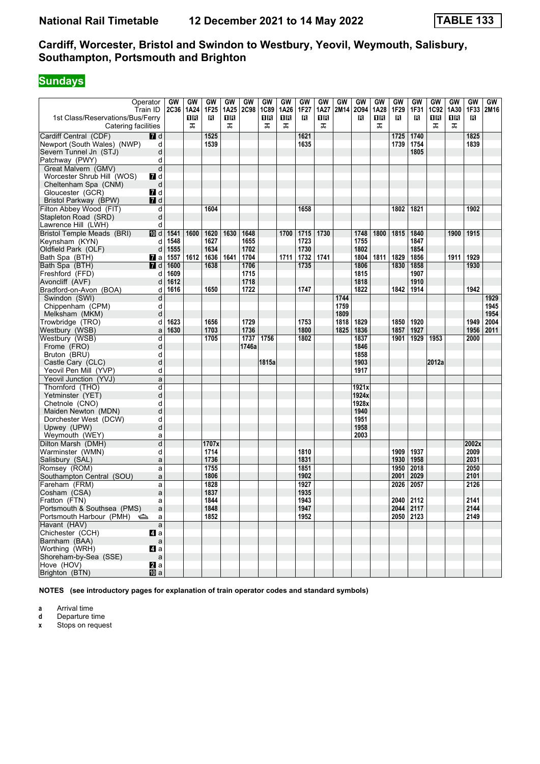# **Sundays**

| Operator<br>1st Class/Reservations/Bus/Ferry | Train ID       | GW<br>2C36 | GW<br>1A24<br>16 | GW<br>1F <sub>25</sub><br>R | GW<br>1A25<br>1R | GW<br>2C98 | GW<br>1C89<br>1R | GW<br>1A26<br>16 | GW<br>1F <sub>27</sub><br>в | GW<br>1A27<br>1 R | GW<br>2M14 | GW<br>2094<br>R | GW<br>1A28<br>1 R | GW<br>1F <sub>29</sub><br>в | GW<br>1F31<br>в | GW<br>1C92<br>1 R | GW<br>1A30<br>1 R | GW<br>1F33<br>в | GW<br>2M16 |
|----------------------------------------------|----------------|------------|------------------|-----------------------------|------------------|------------|------------------|------------------|-----------------------------|-------------------|------------|-----------------|-------------------|-----------------------------|-----------------|-------------------|-------------------|-----------------|------------|
| Catering facilities                          |                |            | ᠼ                |                             | ᠼ                |            | ᠼ                | ᠼ                |                             | ᠼ                 |            |                 | ᠼ                 |                             |                 | ᠼ                 | ᠼ                 |                 |            |
| Cardiff Central (CDF)                        | <b>7</b> d     |            |                  | 1525                        |                  |            |                  |                  | 1621                        |                   |            |                 |                   | 1725                        | 1740            |                   |                   | 1825            |            |
| Newport (South Wales) (NWP)                  | d              |            |                  | 1539                        |                  |            |                  |                  | 1635                        |                   |            |                 |                   | 1739                        | 1754            |                   |                   | 1839            |            |
| Severn Tunnel Jn (STJ)                       | d              |            |                  |                             |                  |            |                  |                  |                             |                   |            |                 |                   |                             | 1805            |                   |                   |                 |            |
| Patchway (PWY)                               | d              |            |                  |                             |                  |            |                  |                  |                             |                   |            |                 |                   |                             |                 |                   |                   |                 |            |
| Great Malvern (GMV)                          | d              |            |                  |                             |                  |            |                  |                  |                             |                   |            |                 |                   |                             |                 |                   |                   |                 |            |
| Worcester Shrub Hill (WOS)                   | 7 d            |            |                  |                             |                  |            |                  |                  |                             |                   |            |                 |                   |                             |                 |                   |                   |                 |            |
| Cheltenham Spa (CNM)                         | d              |            |                  |                             |                  |            |                  |                  |                             |                   |            |                 |                   |                             |                 |                   |                   |                 |            |
| Gloucester (GCR)                             | 7 d            |            |                  |                             |                  |            |                  |                  |                             |                   |            |                 |                   |                             |                 |                   |                   |                 |            |
| Bristol Parkway (BPW)                        | <b>7</b> d     |            |                  |                             |                  |            |                  |                  |                             |                   |            |                 |                   |                             |                 |                   |                   |                 |            |
| Filton Abbey Wood (FIT)                      | d              |            |                  | 1604                        |                  |            |                  |                  | 1658                        |                   |            |                 |                   | 1802                        | 1821            |                   |                   | 1902            |            |
| Stapleton Road (SRD)                         | d              |            |                  |                             |                  |            |                  |                  |                             |                   |            |                 |                   |                             |                 |                   |                   |                 |            |
| Lawrence Hill (LWH)                          | d              |            |                  |                             |                  |            |                  |                  |                             |                   |            |                 |                   |                             |                 |                   |                   |                 |            |
| Bristol Temple Meads (BRI)                   | 回d             | 1541       | 1600             | 1620                        | 1630             | 1648       |                  | 1700             | 1715                        | 1730              |            | 1748            | 1800              | 1815                        | 1840            |                   | 1900              | 1915            |            |
| Keynsham (KYN)                               | d              | 1548       |                  | 1627                        |                  | 1655       |                  |                  | 1723                        |                   |            | 1755            |                   |                             | 1847            |                   |                   |                 |            |
| Oldfield Park (OLF)                          | d              | 1555       |                  | 1634                        |                  | 1702       |                  |                  | 1730                        |                   |            | 1802            |                   |                             | 1854            |                   |                   |                 |            |
| Bath Spa (BTH)                               | <b>7</b> a     | 1557       | 1612             | 1636                        | 1641             | 1704       |                  | 1711             | 1732                        | 1741              |            | 1804            | 1811              | 1829                        | 1856            |                   | 1911              | 1929            |            |
| Bath Spa (BTH)                               | <b>7</b> d     | 1600       |                  | 1638                        |                  | 1706       |                  |                  | 1735                        |                   |            | 1806            |                   | 1830                        | 1858            |                   |                   | 1930            |            |
| Freshford (FFD)                              | d              | 1609       |                  |                             |                  | 1715       |                  |                  |                             |                   |            | 1815            |                   |                             | 1907            |                   |                   |                 |            |
| Avoncliff (AVF)                              | d              | 1612       |                  |                             |                  | 1718       |                  |                  |                             |                   |            | 1818            |                   |                             | 1910            |                   |                   |                 |            |
| Bradford-on-Avon (BOA)                       | d              | 1616       |                  | 1650                        |                  | 1722       |                  |                  | 1747                        |                   |            | 1822            |                   | 1842                        | 1914            |                   |                   | 1942            |            |
| Swindon (SWI)                                | d              |            |                  |                             |                  |            |                  |                  |                             |                   | 1744       |                 |                   |                             |                 |                   |                   |                 | 1929       |
| Chippenham (CPM)                             | d              |            |                  |                             |                  |            |                  |                  |                             |                   | 1759       |                 |                   |                             |                 |                   |                   |                 | 1945       |
| Melksham (MKM)                               | d              |            |                  |                             |                  |            |                  |                  |                             |                   | 1809       |                 |                   |                             |                 |                   |                   |                 | 1954       |
| Trowbridge (TRO)                             | d              | 1623       |                  | 1656                        |                  | 1729       |                  |                  | 1753                        |                   | 1818       | 1829            |                   | 1850                        | 1920            |                   |                   | 1949            | 2004       |
| Westbury (WSB)                               | a              | 1630       |                  | 1703                        |                  | 1736       |                  |                  | 1800                        |                   | 1825       | 1836            |                   | 1857                        | 1927            |                   |                   | 1956            | 2011       |
| Westbury (WSB)                               | d              |            |                  | 1705                        |                  | 1737       | 1756             |                  | 1802                        |                   |            | 1837            |                   | 1901                        | 1929            | 1953              |                   | 2000            |            |
| Frome (FRO)                                  | d              |            |                  |                             |                  | 1746a      |                  |                  |                             |                   |            | 1846            |                   |                             |                 |                   |                   |                 |            |
| Bruton (BRU)                                 | d<br>d         |            |                  |                             |                  |            | 1815a            |                  |                             |                   |            | 1858<br>1903    |                   |                             |                 | 2012a             |                   |                 |            |
| Castle Cary (CLC)<br>Yeovil Pen Mill (YVP)   | d              |            |                  |                             |                  |            |                  |                  |                             |                   |            | 1917            |                   |                             |                 |                   |                   |                 |            |
| Yeovil Junction (YVJ)                        | a              |            |                  |                             |                  |            |                  |                  |                             |                   |            |                 |                   |                             |                 |                   |                   |                 |            |
| Thornford (THO)                              | d              |            |                  |                             |                  |            |                  |                  |                             |                   |            | 1921x           |                   |                             |                 |                   |                   |                 |            |
| Yetminster (YET)                             | d              |            |                  |                             |                  |            |                  |                  |                             |                   |            | 1924x           |                   |                             |                 |                   |                   |                 |            |
| Chetnole (CNO)                               | d              |            |                  |                             |                  |            |                  |                  |                             |                   |            | 1928x           |                   |                             |                 |                   |                   |                 |            |
| Maiden Newton (MDN)                          | d              |            |                  |                             |                  |            |                  |                  |                             |                   |            | 1940            |                   |                             |                 |                   |                   |                 |            |
| Dorchester West (DCW)                        | d              |            |                  |                             |                  |            |                  |                  |                             |                   |            | 1951            |                   |                             |                 |                   |                   |                 |            |
| Upwey (UPW)                                  | d              |            |                  |                             |                  |            |                  |                  |                             |                   |            | 1958            |                   |                             |                 |                   |                   |                 |            |
| Weymouth (WEY)                               | a              |            |                  |                             |                  |            |                  |                  |                             |                   |            | 2003            |                   |                             |                 |                   |                   |                 |            |
| Dilton Marsh (DMH)                           | d              |            |                  | 1707x                       |                  |            |                  |                  |                             |                   |            |                 |                   |                             |                 |                   |                   | 2002x           |            |
| Warminster (WMN)                             | d              |            |                  | 1714                        |                  |            |                  |                  | 1810                        |                   |            |                 |                   | 1909                        | 1937            |                   |                   | 2009            |            |
| Salisbury (SAL)                              | a              |            |                  | 1736                        |                  |            |                  |                  | 1831                        |                   |            |                 |                   | 1930                        | 1958            |                   |                   | 2031            |            |
| Romsey (ROM)                                 | a              |            |                  | 1755                        |                  |            |                  |                  | 1851                        |                   |            |                 |                   | 1950                        | 2018            |                   |                   | 2050            |            |
| Southampton Central (SOU)                    | a              |            |                  | 1806                        |                  |            |                  |                  | 1902                        |                   |            |                 |                   | 2001                        | 2029            |                   |                   | 2101            |            |
| Fareham (FRM)                                | a              |            |                  | 1828                        |                  |            |                  |                  | 1927                        |                   |            |                 |                   | 2026                        | 2057            |                   |                   | 2126            |            |
| Cosham (CSA)                                 | a              |            |                  | 1837                        |                  |            |                  |                  | 1935                        |                   |            |                 |                   |                             |                 |                   |                   |                 |            |
| Fratton (FTN)                                | a              |            |                  | 1844                        |                  |            |                  |                  | 1943                        |                   |            |                 |                   | 2040                        | 2112            |                   |                   | 2141            |            |
| Portsmouth & Southsea (PMS)                  | a              |            |                  | 1848                        |                  |            |                  |                  | 1947                        |                   |            |                 |                   |                             | 2044 2117       |                   |                   | 2144            |            |
| Portsmouth Harbour (PMH) <>>>a               |                |            |                  | 1852                        |                  |            |                  |                  | 1952                        |                   |            |                 |                   |                             | 2050 2123       |                   |                   | 2149            |            |
| Havant (HAV)                                 | $\mathsf{a}$   |            |                  |                             |                  |            |                  |                  |                             |                   |            |                 |                   |                             |                 |                   |                   |                 |            |
| Chichester (CCH)                             | 4a             |            |                  |                             |                  |            |                  |                  |                             |                   |            |                 |                   |                             |                 |                   |                   |                 |            |
| Barnham (BAA)                                | a              |            |                  |                             |                  |            |                  |                  |                             |                   |            |                 |                   |                             |                 |                   |                   |                 |            |
| Worthing (WRH)                               | 4 a            |            |                  |                             |                  |            |                  |                  |                             |                   |            |                 |                   |                             |                 |                   |                   |                 |            |
| Shoreham-by-Sea (SSE)                        | $\mathsf{a}$   |            |                  |                             |                  |            |                  |                  |                             |                   |            |                 |                   |                             |                 |                   |                   |                 |            |
| Hove (HOV)                                   | $\mathbf{z}$ a |            |                  |                             |                  |            |                  |                  |                             |                   |            |                 |                   |                             |                 |                   |                   |                 |            |
| Brighton (BTN)                               | <b>ID</b> a    |            |                  |                             |                  |            |                  |                  |                             |                   |            |                 |                   |                             |                 |                   |                   |                 |            |

**NOTES (see introductory pages for explanation of train operator codes and standard symbols)**

**a** Arrival time<br>**d** Departure t

**d** Departure time

**x** Stops on request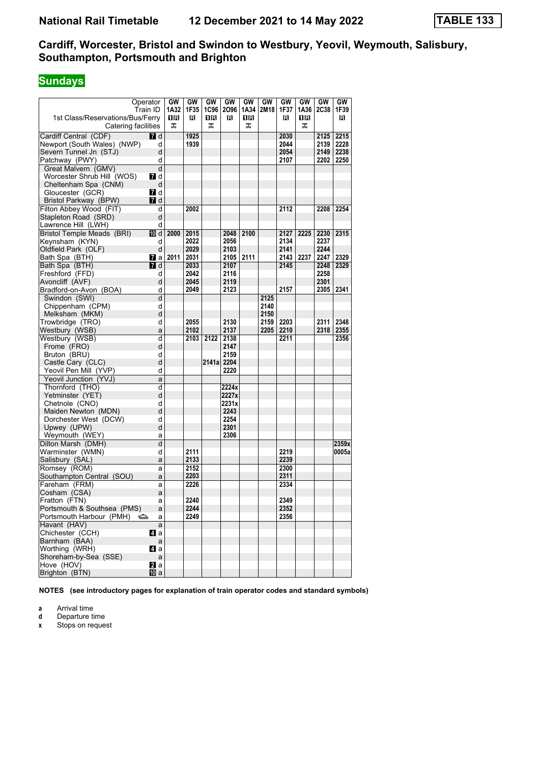# **Sundays**

| 1st Class/Reservations/Bus/Ferry<br>Catering facilities | Operator<br>Train ID | GW<br>1A32<br>16<br>ᠼ | GW<br>1F35<br>в | GW<br>1 R<br>ᠼ | GW<br>1C96 2O96<br>в | GW<br>1A34<br>16<br>ᠼ | GW<br>2M18 | GW<br>1F37<br>в | GW<br>1A36<br>16<br>ᠼ | GW<br><b>2C38</b> | GW<br>1F39<br>в |
|---------------------------------------------------------|----------------------|-----------------------|-----------------|----------------|----------------------|-----------------------|------------|-----------------|-----------------------|-------------------|-----------------|
| Cardiff Central (CDF)                                   | <b>7</b> d           |                       | 1925            |                |                      |                       |            | 2030            |                       | 2125              | 2215            |
| Newport (South Wales) (NWP)                             | d                    |                       | 1939            |                |                      |                       |            | 2044            |                       | 2139              | 2228            |
| Severn Tunnel Jn (STJ)                                  | d                    |                       |                 |                |                      |                       |            | 2054            |                       | 2149              | 2238            |
| Patchway (PWY)                                          | d                    |                       |                 |                |                      |                       |            | 2107            |                       | 2202              | 2250            |
| Great Malvern (GMV)                                     | d                    |                       |                 |                |                      |                       |            |                 |                       |                   |                 |
| Worcester Shrub Hill (WOS)                              | <b>7</b> d           |                       |                 |                |                      |                       |            |                 |                       |                   |                 |
| Cheltenham Spa (CNM)                                    | d                    |                       |                 |                |                      |                       |            |                 |                       |                   |                 |
| Gloucester (GCR)                                        | 7 d                  |                       |                 |                |                      |                       |            |                 |                       |                   |                 |
| Bristol Parkway (BPW)                                   | 7 d                  |                       |                 |                |                      |                       |            |                 |                       |                   |                 |
| Filton Abbey Wood (FIT)                                 | d                    |                       | 2002            |                |                      |                       |            | 2112            |                       | 2208              | 2254            |
| Stapleton Road (SRD)                                    | d                    |                       |                 |                |                      |                       |            |                 |                       |                   |                 |
| Lawrence Hill (LWH)                                     | d                    |                       |                 |                |                      |                       |            |                 |                       |                   |                 |
| <b>Bristol Temple Meads (BRI)</b>                       | 10 d                 | 2000                  | 2015            |                | 2048                 | 2100                  |            | 2127            | 2225                  | 2230              | 2315            |
| Keynsham (KYN)                                          | d                    |                       | 2022            |                | 2056                 |                       |            | 2134            |                       | 2237              |                 |
| Oldfield Park (OLF)                                     | d                    |                       | 2029            |                | 2103                 |                       |            | 2141            |                       | 2244              |                 |
| Bath Spa (BTH)                                          | Maa                  | 2011                  | 2031            |                | 2105                 | 2111                  |            | 2143            | 2237                  | 2247              | 2329            |
| Bath Spa (BTH)                                          | <b>7</b> d           |                       | 2033            |                | 2107                 |                       |            | 2145            |                       | 2248              | 2329            |
| Freshford (FFD)                                         | d                    |                       | 2042            |                | 2116                 |                       |            |                 |                       | 2258              |                 |
| Avoncliff (AVF)<br>Bradford-on-Avon (BOA)               | d<br>d               |                       | 2045<br>2049    |                | 2119<br>2123         |                       |            | 2157            |                       | 2301<br>2305      | 2341            |
| Swindon (SWI)                                           | d                    |                       |                 |                |                      |                       | 2125       |                 |                       |                   |                 |
| Chippenham (CPM)                                        | d                    |                       |                 |                |                      |                       | 2140       |                 |                       |                   |                 |
| Melksham (MKM)                                          | d                    |                       |                 |                |                      |                       | 2150       |                 |                       |                   |                 |
| Trowbridge (TRO)                                        | d                    |                       | 2055            |                | 2130                 |                       | 2159       | 2203            |                       | 2311              | 2348            |
| Westbury (WSB)                                          | a                    |                       | 2102            |                | 2137                 |                       | 2205       | 2210            |                       | 2318              | 2355            |
| Westbury (WSB)                                          | d                    |                       | 2103            | 2122           | 2138                 |                       |            | 2211            |                       |                   | 2356            |
| Frome (FRO)                                             | d                    |                       |                 |                | 2147                 |                       |            |                 |                       |                   |                 |
| Bruton (BRU)                                            | d                    |                       |                 |                | 2159                 |                       |            |                 |                       |                   |                 |
| Castle Cary (CLC)                                       | d                    |                       |                 | 2141a 2204     |                      |                       |            |                 |                       |                   |                 |
| Yeovil Pen Mill (YVP)                                   | d                    |                       |                 |                | 2220                 |                       |            |                 |                       |                   |                 |
| Yeovil Junction (YVJ)                                   | a                    |                       |                 |                |                      |                       |            |                 |                       |                   |                 |
| Thornford (THO)                                         | d                    |                       |                 |                | 2224x                |                       |            |                 |                       |                   |                 |
| Yetminster (YET)                                        | d                    |                       |                 |                | 2227x                |                       |            |                 |                       |                   |                 |
| Chetnole (CNO)                                          | d                    |                       |                 |                | 2231x                |                       |            |                 |                       |                   |                 |
| Maiden Newton (MDN)                                     | d                    |                       |                 |                | 2243                 |                       |            |                 |                       |                   |                 |
| Dorchester West (DCW)                                   | d                    |                       |                 |                | 2254                 |                       |            |                 |                       |                   |                 |
| Upwey (UPW)                                             | d                    |                       |                 |                | 2301<br>2306         |                       |            |                 |                       |                   |                 |
| Weymouth (WEY)<br>Dilton Marsh (DMH)                    | a<br>$\overline{d}$  |                       |                 |                |                      |                       |            |                 |                       |                   | 2359x           |
| Warminster (WMN)                                        | d                    |                       | 2111            |                |                      |                       |            | 2219            |                       |                   | 0005a           |
| Salisbury (SAL)                                         | a                    |                       | 2133            |                |                      |                       |            | 2239            |                       |                   |                 |
| Romsey (ROM)                                            | a                    |                       | 2152            |                |                      |                       |            | 2300            |                       |                   |                 |
| Southampton Central (SOU)                               | a                    |                       | 2203            |                |                      |                       |            | 2311            |                       |                   |                 |
| Fareham (FRM)                                           | a                    |                       | 2226            |                |                      |                       |            | 2334            |                       |                   |                 |
| Cosham (CSA)                                            | a                    |                       |                 |                |                      |                       |            |                 |                       |                   |                 |
| Fratton (FTN)                                           | a                    |                       | 2240            |                |                      |                       |            | 2349            |                       |                   |                 |
| Portsmouth & Southsea (PMS)                             | a                    |                       | 2244            |                |                      |                       |            | 2352            |                       |                   |                 |
| Portsmouth Harbour (PMH)                                | a                    |                       | 2249            |                |                      |                       |            | 2356            |                       |                   |                 |
| Havant (HAV)                                            | a                    |                       |                 |                |                      |                       |            |                 |                       |                   |                 |
| Chichester (CCH)                                        | ZI a                 |                       |                 |                |                      |                       |            |                 |                       |                   |                 |
| Barnham (BAA)                                           | a                    |                       |                 |                |                      |                       |            |                 |                       |                   |                 |
| Worthing (WRH)                                          | ZI a                 |                       |                 |                |                      |                       |            |                 |                       |                   |                 |
| Shoreham-by-Sea (SSE)<br>Hove (HOV)                     | a<br>21 a            |                       |                 |                |                      |                       |            |                 |                       |                   |                 |
| Brighton (BTN)                                          | [10] a               |                       |                 |                |                      |                       |            |                 |                       |                   |                 |
|                                                         |                      |                       |                 |                |                      |                       |            |                 |                       |                   |                 |

**NOTES (see introductory pages for explanation of train operator codes and standard symbols)**

**a** Arrival time<br>**d** Departure t

**d** Departure time

**x** Stops on request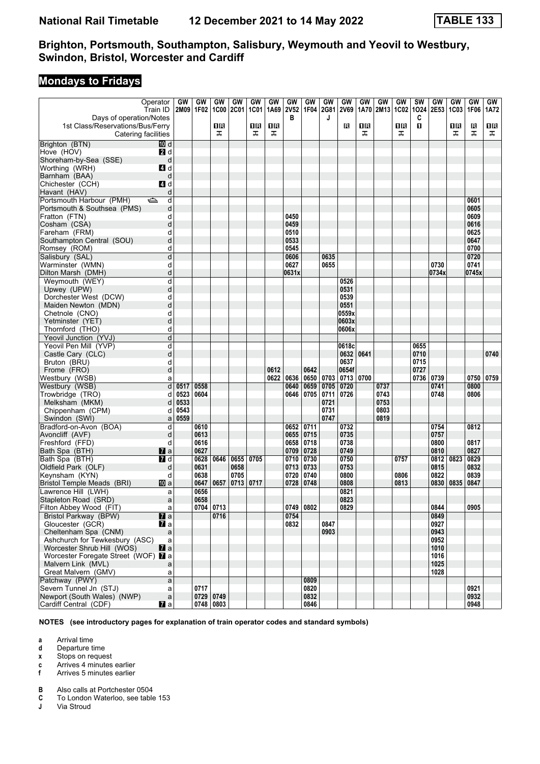## **Mondays to Fridays**

|                                                             | Operator            | GW   | GW           | GW                | GW   | GW          | GW           | GW           | GW           | GW   | GW                 | GW   | <b>GW</b> | GW          | <b>SW</b>    | <b>GW</b>    | <b>GW</b>   | <b>GW</b>    | GW   |
|-------------------------------------------------------------|---------------------|------|--------------|-------------------|------|-------------|--------------|--------------|--------------|------|--------------------|------|-----------|-------------|--------------|--------------|-------------|--------------|------|
|                                                             | Train ID            |      | 2M09 1F02    | <b>1C00</b>       | 2C01 | <b>1C01</b> | 1A69         | <b>2V52</b>  | 1F04         | 2G81 | <b>2V69</b>        | 1A70 | 2M13      | <b>1C02</b> | 1024         | 2E53         | <b>1C03</b> | 1F06         | 1A72 |
| Days of operation/Notes<br>1st Class/Reservations/Bus/Ferry |                     |      |              | 1R                |      | 1R          | 1R           | в            |              | J    | в                  | 1R   |           | 1R          | C<br>п       |              | 1R          | R            | 1R   |
| Catering facilities                                         |                     |      |              | ᠼ                 |      | ᠼ           | ᠼ            |              |              |      |                    | ᠼ    |           | ᠼ           |              |              | ᠼ           | ᠼ            | ᠼ    |
| Brighton (BTN)                                              | 而 d                 |      |              |                   |      |             |              |              |              |      |                    |      |           |             |              |              |             |              |      |
| Hove (HOV)                                                  | 2d                  |      |              |                   |      |             |              |              |              |      |                    |      |           |             |              |              |             |              |      |
| Shoreham-by-Sea (SSE)                                       | d                   |      |              |                   |      |             |              |              |              |      |                    |      |           |             |              |              |             |              |      |
| Worthing (WRH)<br>Barnham (BAA)                             | 4 d<br>d            |      |              |                   |      |             |              |              |              |      |                    |      |           |             |              |              |             |              |      |
| Chichester (CCH)                                            | <b>4</b> d          |      |              |                   |      |             |              |              |              |      |                    |      |           |             |              |              |             |              |      |
| Havant (HAV)                                                | d                   |      |              |                   |      |             |              |              |              |      |                    |      |           |             |              |              |             |              |      |
| Portsmouth Harbour (PMH)<br>ک                               | d                   |      |              |                   |      |             |              |              |              |      |                    |      |           |             |              |              |             | 0601         |      |
| Portsmouth & Southsea (PMS)                                 | d                   |      |              |                   |      |             |              |              |              |      |                    |      |           |             |              |              |             | 0605         |      |
| Fratton (FTN)                                               | d                   |      |              |                   |      |             |              | 0450         |              |      |                    |      |           |             |              |              |             | 0609         |      |
| Cosham (CSA)                                                | d                   |      |              |                   |      |             |              | 0459         |              |      |                    |      |           |             |              |              |             | 0616         |      |
| Fareham (FRM)<br>Southampton Central (SOU)                  | d<br>d              |      |              |                   |      |             |              | 0510<br>0533 |              |      |                    |      |           |             |              |              |             | 0625<br>0647 |      |
| Romsey (ROM)                                                | d                   |      |              |                   |      |             |              | 0545         |              |      |                    |      |           |             |              |              |             | 0700         |      |
| Salisbury (SAL)                                             | d                   |      |              |                   |      |             |              | 0606         |              | 0635 |                    |      |           |             |              |              |             | 0720         |      |
| Warminster (WMN)                                            | d                   |      |              |                   |      |             |              | 0627         |              | 0655 |                    |      |           |             |              | 0730         |             | 0741         |      |
| Dilton Marsh (DMH)                                          | d                   |      |              |                   |      |             |              | 0631x        |              |      |                    |      |           |             |              | 0734x        |             | 0745x        |      |
| Weymouth (WEY)                                              | d                   |      |              |                   |      |             |              |              |              |      | 0526               |      |           |             |              |              |             |              |      |
| Upwey (UPW)                                                 | d                   |      |              |                   |      |             |              |              |              |      | 0531               |      |           |             |              |              |             |              |      |
| Dorchester West (DCW)<br>Maiden Newton (MDN)                | d                   |      |              |                   |      |             |              |              |              |      | 0539<br>0551       |      |           |             |              |              |             |              |      |
| Chetnole (CNO)                                              | d<br>d              |      |              |                   |      |             |              |              |              |      | 0559x              |      |           |             |              |              |             |              |      |
| Yetminster (YET)                                            | d                   |      |              |                   |      |             |              |              |              |      | 0603x              |      |           |             |              |              |             |              |      |
| Thornford (THO)                                             | d                   |      |              |                   |      |             |              |              |              |      | 0606x              |      |           |             |              |              |             |              |      |
| Yeovil Junction (YVJ)                                       | d                   |      |              |                   |      |             |              |              |              |      |                    |      |           |             |              |              |             |              |      |
| Yeovil Pen Mill (YVP)                                       | d                   |      |              |                   |      |             |              |              |              |      | 0618c              |      |           |             | 0655         |              |             |              |      |
| Castle Cary (CLC)                                           | d                   |      |              |                   |      |             |              |              |              |      | 0632               | 0641 |           |             | 0710         |              |             |              | 0740 |
| Bruton (BRU)                                                | d                   |      |              |                   |      |             |              |              |              |      | 0637               |      |           |             | 0715         |              |             |              |      |
| Frome (FRO)<br>Westbury (WSB)                               | d                   |      |              |                   |      |             | 0612<br>0622 | 0636         | 0642<br>0650 | 0703 | 0654f<br>0713 0700 |      |           |             | 0727<br>0736 | 0739         |             | 0750 0759    |      |
| Westbury (WSB)                                              | a<br>d              | 0517 | 0558         |                   |      |             |              | 0640         | 0659         | 0705 | 0720               |      | 0737      |             |              | 0741         |             | 0800         |      |
| Trowbridge (TRO)                                            | d                   | 0523 | 0604         |                   |      |             |              | 0646         | 0705         | 0711 | 0726               |      | 0743      |             |              | 0748         |             | 0806         |      |
| Melksham (MKM)                                              | d                   | 0533 |              |                   |      |             |              |              |              | 0721 |                    |      | 0753      |             |              |              |             |              |      |
| Chippenham (CPM)                                            | d                   | 0543 |              |                   |      |             |              |              |              | 0731 |                    |      | 0803      |             |              |              |             |              |      |
| Swindon (SWI)                                               | a                   | 0559 |              |                   |      |             |              |              |              | 0747 |                    |      | 0819      |             |              |              |             |              |      |
| Bradford-on-Avon (BOA)                                      | d                   |      | 0610         |                   |      |             |              | 0652         | 0711         |      | 0732               |      |           |             |              | 0754         |             | 0812         |      |
| Avoncliff (AVF)                                             | d                   |      | 0613         |                   |      |             |              | 0655         | 0715         |      | 0735               |      |           |             |              | 0757         |             |              |      |
| Freshford (FFD)<br>Bath Spa (BTH)                           | d<br><b>M</b> a     |      | 0616<br>0627 |                   |      |             |              | 0658<br>0709 | 0718<br>0728 |      | 0738<br>0749       |      |           |             |              | 0800<br>0810 |             | 0817<br>0827 |      |
| Bath Spa (BTH)                                              | $I$ d               |      | 0628         | 0646 0655         |      | 0705        |              | 0710         | 0730         |      | 0750               |      |           | 0757        |              | 0812         | 0823        | 0829         |      |
| Oldfield Park (OLF)                                         | d                   |      | 0631         |                   | 0658 |             |              | 0713         | 0733         |      | 0753               |      |           |             |              | 0815         |             | 0832         |      |
| Keynsham (KYN)                                              | d                   |      | 0638         |                   | 0705 |             |              | 0720         | 0740         |      | 0800               |      |           | 0806        |              | 0822         |             | 0839         |      |
| Bristol Temple Meads (BRI)                                  | <b>ID</b> a         |      | 0647         | 0657              | 0713 | 0717        |              | 0728         | 0748         |      | 0808               |      |           | 0813        |              | 0830         | 0835        | 0847         |      |
| Lawrence Hill (LWH)                                         | a                   |      | 0656         |                   |      |             |              |              |              |      | 0821               |      |           |             |              |              |             |              |      |
| Stapleton Road (SRD)                                        | a                   |      | 0658         |                   |      |             |              |              | 0749 0802    |      | 0823<br>0829       |      |           |             |              | 0844         |             | 0905         |      |
| Filton Abbey Wood (FIT)<br>Bristol Parkway (BPW)            | a<br>$\mathbf{z}$ a |      |              | 0704 0713<br>0716 |      |             |              | 0754         |              |      |                    |      |           |             |              | 0849         |             |              |      |
| Gloucester (GCR)                                            | $\mathbf{z}$ a      |      |              |                   |      |             |              | 0832         |              | 0847 |                    |      |           |             |              | 0927         |             |              |      |
| Cheltenham Spa (CNM)                                        | a                   |      |              |                   |      |             |              |              |              | 0903 |                    |      |           |             |              | 0943         |             |              |      |
| Ashchurch for Tewkesbury (ASC)                              | a                   |      |              |                   |      |             |              |              |              |      |                    |      |           |             |              | 0952         |             |              |      |
| Worcester Shrub Hill (WOS)                                  | $\mathbf{z}$ a      |      |              |                   |      |             |              |              |              |      |                    |      |           |             |              | 1010         |             |              |      |
| Worcester Foregate Street (WOF) 7 a                         |                     |      |              |                   |      |             |              |              |              |      |                    |      |           |             |              | 1016         |             |              |      |
| Malvern Link (MVL)                                          | a                   |      |              |                   |      |             |              |              |              |      |                    |      |           |             |              | 1025         |             |              |      |
| Great Malvern (GMV)<br>Patchway (PWY)                       | a<br>a              |      |              |                   |      |             |              |              | 0809         |      |                    |      |           |             |              | 1028         |             |              |      |
| Severn Tunnel Jn (STJ)                                      | a                   |      | 0717         |                   |      |             |              |              | 0820         |      |                    |      |           |             |              |              |             | 0921         |      |
| Newport (South Wales) (NWP)                                 | $\mathsf{a}$        |      |              | 0729 0749         |      |             |              |              | 0832         |      |                    |      |           |             |              |              |             | 0932         |      |
| Cardiff Central (CDF)                                       | Иa                  |      |              | 0748 0803         |      |             |              |              | 0846         |      |                    |      |           |             |              |              |             | 0948         |      |

**NOTES (see introductory pages for explanation of train operator codes and standard symbols)**

**a** Arrival time<br>**d** Departure t

**d** Departure time

**x** Stops on request

**c** Arrives 4 minutes earlier<br>**f** Arrives 5 minutes earlier

**f** Arrives 5 minutes earlier

**B** Also calls at Portchester 0504<br>**C** To London Waterloo, see table

**C** To London Waterloo, see table 153<br>**J** Via Stroud

**-** 9ia Stroud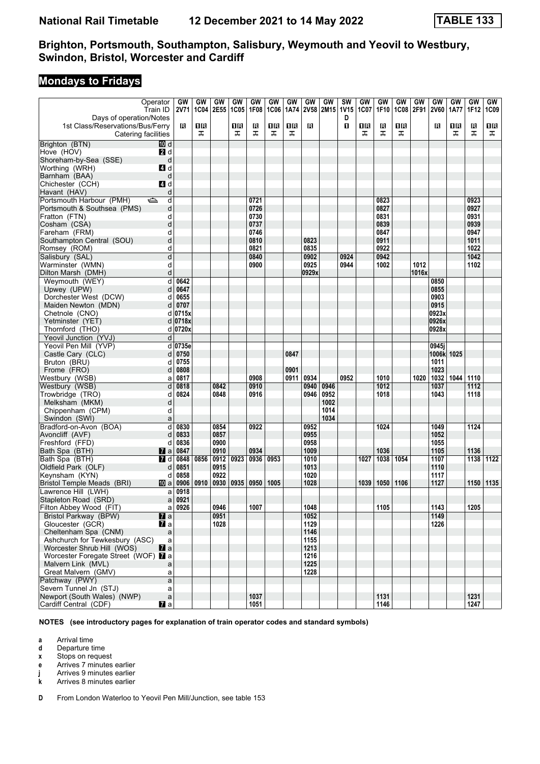## **Mondays to Fridays**

|                                                       | Operator                       | GW           | GW          | GW           | GW   | GW           | GW          | GW   | GW           | GW               | <b>SW</b>        | GW          | GW           | GW   | GW        | GW                  | GW   | GW           | GW   |
|-------------------------------------------------------|--------------------------------|--------------|-------------|--------------|------|--------------|-------------|------|--------------|------------------|------------------|-------------|--------------|------|-----------|---------------------|------|--------------|------|
| Days of operation/Notes                               | Train ID                       | 2V71         | <b>1C04</b> | <b>2E55</b>  | 1C05 | 1F08         | <b>1C06</b> | 1A74 | <b>2V58</b>  | 2M <sub>15</sub> | <b>1V15</b><br>D | <b>1C07</b> | 1F10         |      | 1C08 2F91 | <b>2V60</b>         | 1A77 | 1F12         | 1C09 |
| 1st Class/Reservations/Bus/Ferry                      |                                | в            | 1R          |              | 1R   | R            | 1R          | 1R   | в            |                  | п                | 0 B         | R            | 1R   |           | R                   | 16   | в            | ΠR   |
| Catering facilities                                   |                                |              | ᠼ           |              | ᠼ    | ᠼ            | ᠼ           | ᠼ    |              |                  |                  | ᠼ           | 工            | ᠼ    |           |                     | ᠼ    | ᠼ            | ᠼ    |
| Brighton (BTN)                                        | 而 d                            |              |             |              |      |              |             |      |              |                  |                  |             |              |      |           |                     |      |              |      |
| Hove (HOV)                                            | <b>2</b> d                     |              |             |              |      |              |             |      |              |                  |                  |             |              |      |           |                     |      |              |      |
| Shoreham-by-Sea (SSE)                                 | d                              |              |             |              |      |              |             |      |              |                  |                  |             |              |      |           |                     |      |              |      |
| Worthing (WRH)<br>Barnham (BAA)                       | 4d<br>d                        |              |             |              |      |              |             |      |              |                  |                  |             |              |      |           |                     |      |              |      |
| Chichester (CCH)                                      | <b>4</b> d                     |              |             |              |      |              |             |      |              |                  |                  |             |              |      |           |                     |      |              |      |
| Havant (HAV)                                          | d                              |              |             |              |      |              |             |      |              |                  |                  |             |              |      |           |                     |      |              |      |
| Portsmouth Harbour (PMH)                              | $\Rightarrow$<br>d             |              |             |              |      | 0721         |             |      |              |                  |                  |             | 0823         |      |           |                     |      | 0923         |      |
| Portsmouth & Southsea (PMS)                           | d                              |              |             |              |      | 0726         |             |      |              |                  |                  |             | 0827         |      |           |                     |      | 0927         |      |
| Fratton (FTN)                                         | d                              |              |             |              |      | 0730         |             |      |              |                  |                  |             | 0831         |      |           |                     |      | 0931         |      |
| Cosham (CSA)                                          | d                              |              |             |              |      | 0737         |             |      |              |                  |                  |             | 0839         |      |           |                     |      | 0939         |      |
| Fareham (FRM)                                         | d                              |              |             |              |      | 0746         |             |      |              |                  |                  |             | 0847         |      |           |                     |      | 0947         |      |
| Southampton Central (SOU)                             | d                              |              |             |              |      | 0810         |             |      | 0823         |                  |                  |             | 0911         |      |           |                     |      | 1011         |      |
| Romsey (ROM)                                          | d<br>d                         |              |             |              |      | 0821<br>0840 |             |      | 0835<br>0902 |                  | 0924             |             | 0922<br>0942 |      |           |                     |      | 1022<br>1042 |      |
| Salisbury (SAL)<br>Warminster (WMN)                   | d                              |              |             |              |      | 0900         |             |      | 0925         |                  | 0944             |             | 1002         |      | 1012      |                     |      | 1102         |      |
| Dilton Marsh (DMH)                                    | d                              |              |             |              |      |              |             |      | 0929x        |                  |                  |             |              |      | 1016x     |                     |      |              |      |
| Weymouth (WEY)                                        | d                              | 0642         |             |              |      |              |             |      |              |                  |                  |             |              |      |           | 0850                |      |              |      |
| Upwey (UPW)                                           | d                              | 0647         |             |              |      |              |             |      |              |                  |                  |             |              |      |           | 0855                |      |              |      |
| Dorchester West (DCW)                                 | d                              | 0655         |             |              |      |              |             |      |              |                  |                  |             |              |      |           | 0903                |      |              |      |
| Maiden Newton (MDN)                                   | d                              | 0707         |             |              |      |              |             |      |              |                  |                  |             |              |      |           | 0915                |      |              |      |
| Chetnole (CNO)                                        | d                              | 0715x        |             |              |      |              |             |      |              |                  |                  |             |              |      |           | 0923x               |      |              |      |
| Yetminster (YET)                                      |                                | d 0718x      |             |              |      |              |             |      |              |                  |                  |             |              |      |           | 0926x               |      |              |      |
| Thornford (THO)                                       |                                | d 0720x      |             |              |      |              |             |      |              |                  |                  |             |              |      |           | 0928x               |      |              |      |
| Yeovil Junction (YVJ)                                 | d                              |              |             |              |      |              |             |      |              |                  |                  |             |              |      |           |                     |      |              |      |
| Yeovil Pen Mill (YVP)<br>Castle Cary (CLC)            |                                | d 0735e      |             |              |      |              |             | 0847 |              |                  |                  |             |              |      |           | 0945i<br>1006k 1025 |      |              |      |
| Bruton (BRU)                                          | d<br>d                         | 0750<br>0755 |             |              |      |              |             |      |              |                  |                  |             |              |      |           | 1011                |      |              |      |
| Frome (FRO)                                           | d                              | 0808         |             |              |      |              |             | 0901 |              |                  |                  |             |              |      |           | 1023                |      |              |      |
| Westbury (WSB)                                        | a                              | 0817         |             |              |      | 0908         |             | 0911 | 0934         |                  | 0952             |             | 1010         |      | 1020      | 1032                | 1044 | 1110         |      |
| Westbury (WSB)                                        | d                              | 0818         |             | 0842         |      | 0910         |             |      | 0940         | 0946             |                  |             | 1012         |      |           | 1037                |      | 1112         |      |
| Trowbridge (TRO)                                      | d                              | 0824         |             | 0848         |      | 0916         |             |      | 0946         | 0952             |                  |             | 1018         |      |           | 1043                |      | 1118         |      |
| Melksham (MKM)                                        | d                              |              |             |              |      |              |             |      |              | 1002             |                  |             |              |      |           |                     |      |              |      |
| Chippenham (CPM)                                      | d                              |              |             |              |      |              |             |      |              | 1014             |                  |             |              |      |           |                     |      |              |      |
| Swindon (SWI)                                         | a                              |              |             |              |      |              |             |      |              | 1034             |                  |             |              |      |           |                     |      |              |      |
| Bradford-on-Avon (BOA)                                | d                              | 0830         |             | 0854         |      | 0922         |             |      | 0952         |                  |                  |             | 1024         |      |           | 1049                |      | 1124         |      |
| Avoncliff (AVF)<br>Freshford (FFD)                    | d<br>d                         | 0833<br>0836 |             | 0857<br>0900 |      |              |             |      | 0955<br>0958 |                  |                  |             |              |      |           | 1052<br>1055        |      |              |      |
| Bath Spa (BTH)                                        | <b>z</b> a                     | 0847         |             | 0910         |      | 0934         |             |      | 1009         |                  |                  |             | 1036         |      |           | 1105                |      | 1136         |      |
| Bath Spa (BTH)                                        | 7 d                            | 0848         | 0856        | $0912$ 0923  |      | 0936         | 0953        |      | 1010         |                  |                  | 1027        | 1038         | 1054 |           | 1107                |      | 1138         | 1122 |
| Oldfield Park (OLF)                                   | d                              | 0851         |             | 0915         |      |              |             |      | 1013         |                  |                  |             |              |      |           | 1110                |      |              |      |
| Keynsham (KYN)                                        | d                              | 0858         |             | 0922         |      |              |             |      | 1020         |                  |                  |             |              |      |           | 1117                |      |              |      |
| Bristol Temple Meads (BRI)                            | [10] a                         | 0906         | 0910        | 0930         | 0935 | 0950         | 1005        |      | 1028         |                  |                  | 1039        | 1050         | 1106 |           | 1127                |      | 1150         | 1135 |
| Lawrence Hill (LWH)                                   | a                              | 0918         |             |              |      |              |             |      |              |                  |                  |             |              |      |           |                     |      |              |      |
| Stapleton Road (SRD)                                  | a                              | 0921         |             |              |      |              |             |      |              |                  |                  |             |              |      |           |                     |      |              |      |
| Filton Abbey Wood (FIT)                               |                                | $a$ 0926     |             | 0946<br>0951 |      | 1007         |             |      | 1048<br>1052 |                  |                  |             | 1105         |      |           | 1143<br>1149        |      | 1205         |      |
| Bristol Parkway (BPW)<br>Gloucester (GCR)             | $\mathbf{z}$ a<br><b>7</b> a   |              |             | 1028         |      |              |             |      | 1129         |                  |                  |             |              |      |           | 1226                |      |              |      |
| Cheltenham Spa (CNM)                                  | a                              |              |             |              |      |              |             |      | 1146         |                  |                  |             |              |      |           |                     |      |              |      |
| Ashchurch for Tewkesbury (ASC)                        | a                              |              |             |              |      |              |             |      | 1155         |                  |                  |             |              |      |           |                     |      |              |      |
| Worcester Shrub Hill (WOS)                            | $\mathbf{z}$ a                 |              |             |              |      |              |             |      | 1213         |                  |                  |             |              |      |           |                     |      |              |      |
| Worcester Foregate Street (WOF) 7 a                   |                                |              |             |              |      |              |             |      | 1216         |                  |                  |             |              |      |           |                     |      |              |      |
| Malvern Link (MVL)                                    | a                              |              |             |              |      |              |             |      | 1225         |                  |                  |             |              |      |           |                     |      |              |      |
| Great Malvern (GMV)                                   | a                              |              |             |              |      |              |             |      | 1228         |                  |                  |             |              |      |           |                     |      |              |      |
| Patchway (PWY)                                        | a                              |              |             |              |      |              |             |      |              |                  |                  |             |              |      |           |                     |      |              |      |
| Severn Tunnel Jn (STJ)<br>Newport (South Wales) (NWP) | a                              |              |             |              |      | 1037         |             |      |              |                  |                  |             | 1131         |      |           |                     |      |              |      |
| Cardiff Central (CDF)                                 | $\mathsf{a}$<br>$\mathbf{z}$ a |              |             |              |      | 1051         |             |      |              |                  |                  |             | 1146         |      |           |                     |      | 1231<br>1247 |      |
|                                                       |                                |              |             |              |      |              |             |      |              |                  |                  |             |              |      |           |                     |      |              |      |

**NOTES (see introductory pages for explanation of train operator codes and standard symbols)**

**a** Arrival time<br>**d** Departure t

**d** Departure time

**x** Stops on request

**e** Arrives 7 minutes earlier

**i** Arrives 9 minutes earlier

**k** Arrives 8 minutes earlier

**D** From London Waterloo to Yeovil Pen Mill/Junction, see table 153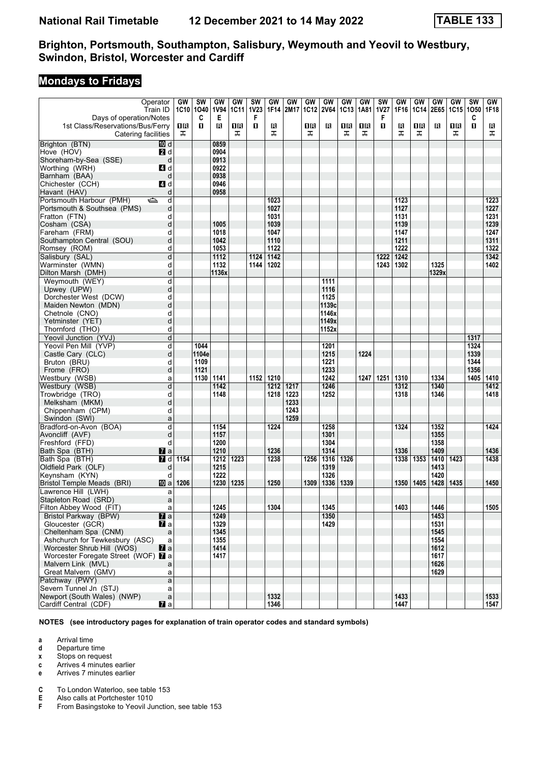## **Mondays to Fridays**

|                                                             | Operator                           | GW   | <b>SW</b>    | GW               | GW        | <b>SW</b>   | GW           | GW   | GW          | GW           | GW          | GW   | <b>SW</b> | GW           | GW          | <b>GW</b>    | <b>GW</b> | $\overline{\text{sw}}$ | GW           |
|-------------------------------------------------------------|------------------------------------|------|--------------|------------------|-----------|-------------|--------------|------|-------------|--------------|-------------|------|-----------|--------------|-------------|--------------|-----------|------------------------|--------------|
|                                                             | Train ID                           |      | 1C10 1O40    | <b>1V94</b>      | 1C11      | <b>1V23</b> | 1F14         | 2M17 | <b>1C12</b> | <b>2V64</b>  | <b>1C13</b> | 1A81 | 1V27      | 1F16         | <b>1C14</b> | 2E65         | 1C15 1O50 |                        | 1F18         |
| Days of operation/Notes<br>1st Class/Reservations/Bus/Ferry |                                    | 1R   | C<br>п       | Е<br>в           | 16        | F<br>п      |              |      | 0 B         | в            | 1R          | 1R   | F<br>п    |              | ΠR          | Β            | 1R        | C<br>O                 |              |
| Catering facilities                                         |                                    | ᠼ    |              |                  | ᅚ         |             | R<br>ᠼ       |      | ᠼ           |              | ᠼ           | ᠼ    |           | R<br>ᠼ       | ᠼ           |              | ᠼ         |                        | в<br>ᠼ       |
| Brighton (BTN)                                              | 10 d                               |      |              | 0859             |           |             |              |      |             |              |             |      |           |              |             |              |           |                        |              |
| Hove (HOV)                                                  | 2d                                 |      |              | 0904             |           |             |              |      |             |              |             |      |           |              |             |              |           |                        |              |
| Shoreham-by-Sea (SSE)                                       | d                                  |      |              | 0913             |           |             |              |      |             |              |             |      |           |              |             |              |           |                        |              |
| Worthing (WRH)                                              | 4d                                 |      |              | 0922             |           |             |              |      |             |              |             |      |           |              |             |              |           |                        |              |
| Barnham (BAA)                                               | d                                  |      |              | 0938             |           |             |              |      |             |              |             |      |           |              |             |              |           |                        |              |
| Chichester (CCH)                                            | ZI d                               |      |              | 0946             |           |             |              |      |             |              |             |      |           |              |             |              |           |                        |              |
| Havant (HAV)                                                | d                                  |      |              | 0958             |           |             |              |      |             |              |             |      |           |              |             |              |           |                        |              |
| Portsmouth Harbour (PMH)<br>Portsmouth & Southsea (PMS)     | d<br>⇔<br>d                        |      |              |                  |           |             | 1023<br>1027 |      |             |              |             |      |           | 1123<br>1127 |             |              |           |                        | 1223<br>1227 |
| Fratton (FTN)                                               | d                                  |      |              |                  |           |             | 1031         |      |             |              |             |      |           | 1131         |             |              |           |                        | 1231         |
| Cosham (CSA)                                                | d                                  |      |              | 1005             |           |             | 1039         |      |             |              |             |      |           | 1139         |             |              |           |                        | 1239         |
| Fareham (FRM)                                               | d                                  |      |              | 1018             |           |             | 1047         |      |             |              |             |      |           | 1147         |             |              |           |                        | 1247         |
| Southampton Central (SOU)                                   | d                                  |      |              | 1042             |           |             | 1110         |      |             |              |             |      |           | 1211         |             |              |           |                        | 1311         |
| Romsey (ROM)                                                | d                                  |      |              | 1053             |           |             | 1122         |      |             |              |             |      |           | 1222         |             |              |           |                        | 1322         |
| Salisbury (SAL)                                             | d                                  |      |              | $\frac{1112}{2}$ |           | 1124        | 1142         |      |             |              |             |      | 1222      | 1242         |             |              |           |                        | 1342         |
| Warminster (WMN)                                            | d                                  |      |              | 1132             |           | 1144        | 1202         |      |             |              |             |      | 1243      | 1302         |             | 1325         |           |                        | 1402         |
| Dilton Marsh (DMH)<br>Weymouth (WEY)                        | d<br>d                             |      |              | 1136x            |           |             |              |      |             | 1111         |             |      |           |              |             | 1329x        |           |                        |              |
| Upwey (UPW)                                                 | d                                  |      |              |                  |           |             |              |      |             | 1116         |             |      |           |              |             |              |           |                        |              |
| Dorchester West (DCW)                                       | d                                  |      |              |                  |           |             |              |      |             | 1125         |             |      |           |              |             |              |           |                        |              |
| Maiden Newton (MDN)                                         | d                                  |      |              |                  |           |             |              |      |             | 1139c        |             |      |           |              |             |              |           |                        |              |
| Chetnole (CNO)                                              | d                                  |      |              |                  |           |             |              |      |             | 1146x        |             |      |           |              |             |              |           |                        |              |
| Yetminster (YET)                                            | d                                  |      |              |                  |           |             |              |      |             | 1149x        |             |      |           |              |             |              |           |                        |              |
| Thornford (THO)                                             | d                                  |      |              |                  |           |             |              |      |             | 1152x        |             |      |           |              |             |              |           |                        |              |
| Yeovil Junction (YVJ)                                       | d                                  |      |              |                  |           |             |              |      |             |              |             |      |           |              |             |              |           | 1317                   |              |
| Yeovil Pen Mill (YVP)                                       | d                                  |      | 1044         |                  |           |             |              |      |             | 1201         |             |      |           |              |             |              |           | 1324                   |              |
| Castle Cary (CLC)                                           | d                                  |      | 1104e        |                  |           |             |              |      |             | 1215         |             | 1224 |           |              |             |              |           | 1339                   |              |
| Bruton (BRU)<br>Frome (FRO)                                 | d<br>d                             |      | 1109<br>1121 |                  |           |             |              |      |             | 1221<br>1233 |             |      |           |              |             |              |           | 1344<br>1356           |              |
| Westbury (WSB)                                              | a                                  |      | 1130         | 1141             |           |             | 1152 1210    |      |             | 1242         |             | 1247 | 1251      | 1310         |             | 1334         |           | 1405                   | 1410         |
| Westbury (WSB)                                              | d                                  |      |              | 1142             |           |             | 1212         | 1217 |             | 1246         |             |      |           | 1312         |             | 1340         |           |                        | 1412         |
| Trowbridge (TRO)                                            | d                                  |      |              | 1148             |           |             | 1218         | 1223 |             | 1252         |             |      |           | 1318         |             | 1346         |           |                        | 1418         |
| Melksham (MKM)                                              | d                                  |      |              |                  |           |             |              | 1233 |             |              |             |      |           |              |             |              |           |                        |              |
| Chippenham (CPM)                                            | d                                  |      |              |                  |           |             |              | 1243 |             |              |             |      |           |              |             |              |           |                        |              |
| Swindon (SWI)                                               | a                                  |      |              |                  |           |             |              | 1259 |             |              |             |      |           |              |             |              |           |                        |              |
| Bradford-on-Avon (BOA)                                      | d                                  |      |              | 1154             |           |             | 1224         |      |             | 1258         |             |      |           | 1324         |             | 1352         |           |                        | 1424         |
| Avoncliff (AVF)                                             | d                                  |      |              | 1157             |           |             |              |      |             | 1301         |             |      |           |              |             | 1355         |           |                        |              |
| Freshford (FFD)                                             | d                                  |      |              | 1200<br>1210     |           |             | 1236         |      |             | 1304<br>1314 |             |      |           |              |             | 1358<br>1409 |           |                        | 1436         |
| Bath Spa (BTH)<br>Bath Spa (BTH)                            | $\mathbf{z}$ a<br>$\overline{a}$ d | 1154 |              |                  | 1212 1223 |             | 1238         |      | 1256        | 1316         | 1326        |      |           | 1336<br>1338 | 1353        | 1410   1423  |           |                        | 1438         |
| Oldfield Park (OLF)                                         | d                                  |      |              | 1215             |           |             |              |      |             | 1319         |             |      |           |              |             | 1413         |           |                        |              |
| Keynsham (KYN)                                              | d                                  |      |              | 1222             |           |             |              |      |             | 1326         |             |      |           |              |             | 1420         |           |                        |              |
| Bristol Temple Meads (BRI)                                  | [10] a                             | 1206 |              | 1230             | 1235      |             | 1250         |      | 1309        | 1336         | 1339        |      |           | 1350         | 1405        | 1428         | 1435      |                        | 1450         |
| Lawrence Hill (LWH)                                         | a                                  |      |              |                  |           |             |              |      |             |              |             |      |           |              |             |              |           |                        |              |
| Stapleton Road (SRD)                                        | a                                  |      |              |                  |           |             |              |      |             |              |             |      |           |              |             |              |           |                        |              |
| Filton Abbey Wood (FIT)                                     | a                                  |      |              | 1245             |           |             | 1304         |      |             | 1345         |             |      |           | 1403         |             | 1446         |           |                        | 1505         |
| Bristol Parkway (BPW)                                       | $\mathbf{z}$ a                     |      |              | 1249             |           |             |              |      |             | 1350         |             |      |           |              |             | 1453         |           |                        |              |
| Gloucester (GCR)                                            | <b>7</b> a                         |      |              | 1329             |           |             |              |      |             | 1429         |             |      |           |              |             | 1531         |           |                        |              |
| Cheltenham Spa (CNM)<br>Ashchurch for Tewkesbury (ASC)      | a<br>a                             |      |              | 1345<br>1355     |           |             |              |      |             |              |             |      |           |              |             | 1545<br>1554 |           |                        |              |
| Worcester Shrub Hill (WOS)                                  | $\mathbf{z}$ a                     |      |              | 1414             |           |             |              |      |             |              |             |      |           |              |             | 1612         |           |                        |              |
| Worcester Foregate Street (WOF) 7 a                         |                                    |      |              | 1417             |           |             |              |      |             |              |             |      |           |              |             | 1617         |           |                        |              |
| Malvern Link (MVL)                                          | a                                  |      |              |                  |           |             |              |      |             |              |             |      |           |              |             | 1626         |           |                        |              |
| Great Malvern (GMV)                                         | a                                  |      |              |                  |           |             |              |      |             |              |             |      |           |              |             | 1629         |           |                        |              |
| Patchway (PWY)                                              | a                                  |      |              |                  |           |             |              |      |             |              |             |      |           |              |             |              |           |                        |              |
| Severn Tunnel Jn (STJ)                                      | a                                  |      |              |                  |           |             |              |      |             |              |             |      |           |              |             |              |           |                        |              |
| Newport (South Wales) (NWP)                                 | $\mathsf{a}$                       |      |              |                  |           |             | 1332         |      |             |              |             |      |           | 1433         |             |              |           |                        | 1533         |
| Cardiff Central (CDF)                                       | <b>Z</b> a                         |      |              |                  |           |             | 1346         |      |             |              |             |      |           | 1447         |             |              |           |                        | 1547         |

**NOTES (see introductory pages for explanation of train operator codes and standard symbols)**

**a** Arrival time<br>**d** Departure t

**d** Departure time

**x** Stops on request

**c** Arrives 4 minutes earlier

**e** Arrives 7 minutes earlier

**C** To London Waterloo, see table 153<br>**E** Also calls at Portchester 1010

**E** Also calls at Portchester 1010<br>**F** From Basingstoke to Yeovil Ju

From Basingstoke to Yeovil Junction, see table 153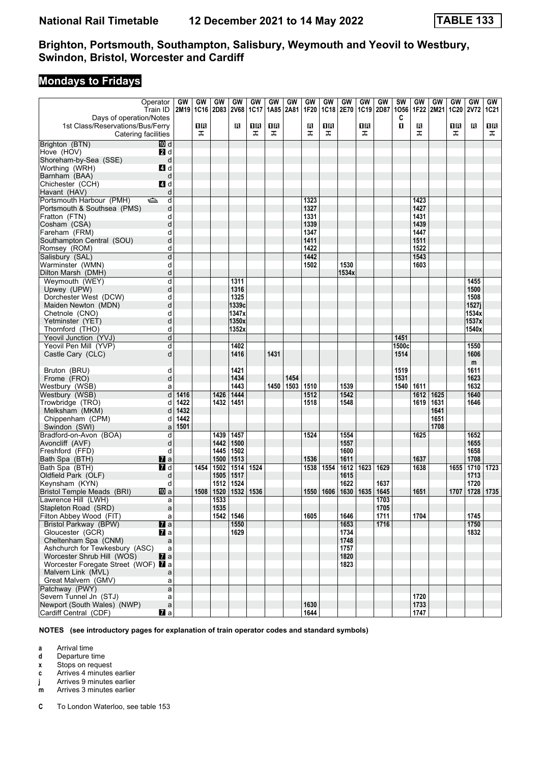## **Mondays to Fridays**

| 2M19 1C16 2D83<br>Days of operation/Notes<br>C<br>$\mathbf{u}$<br>1R<br>ΠR<br>1R<br>В<br>ΠR<br>1st Class/Reservations/Bus/Ferry<br>R<br>1 R<br>R<br>1R<br>R<br>16<br>Catering facilities<br>ᠼ<br>ᠼ<br>ᠼ<br>ᠼ<br>ᠼ<br>ᠼ<br>ᠼ<br>ᠼ<br>ᠼ<br>Brighton (BTN)<br>10 d<br>Hove (HOV)<br>2 d<br>Shoreham-by-Sea (SSE)<br>d<br>Worthing (WRH)<br>4d<br>Barnham (BAA)<br>d<br>4 d<br>Chichester (CCH)<br>Havant (HAV)<br>d<br>Portsmouth Harbour (PMH)<br>1323<br>1423<br>ک<br>d<br>1327<br>1427<br>Portsmouth & Southsea (PMS)<br>d<br>1431<br>Fratton (FTN)<br>1331<br>d<br>1339<br>1439<br>Cosham (CSA)<br>d<br>1447<br>Fareham (FRM)<br>1347<br>d<br>1511<br>Southampton Central (SOU)<br>d<br>1411<br>1522<br>1422<br>Romsey (ROM)<br>d<br>d<br>1543<br>1442<br>Salisbury (SAL)<br>1530<br>Warminster (WMN)<br>d<br>1502<br>1603<br>Dilton Marsh (DMH)<br>d<br>1534x<br>Weymouth (WEY)<br>d<br>1311<br>1455<br>1316<br>1500<br>Upwey (UPW)<br>d<br>1325<br>1508<br>Dorchester West (DCW)<br>d<br>1339c<br>1527j<br>d<br>Maiden Newton (MDN)<br>1347x<br>1534x<br>d<br>Chetnole (CNO)<br>1350x<br>1537x<br>d<br>Yetminster (YET)<br>1352x<br>1540x<br>Thornford (THO)<br>d<br>Yeovil Junction (YVJ)<br>d<br>1451<br>Yeovil Pen Mill (YVP)<br>d<br>1500c<br>1402<br>1550<br>d<br>1514<br>Castle Cary (CLC)<br>1416<br>1431<br>1606<br>m<br>Bruton (BRU)<br>1421<br>1519<br>1611<br>d<br>1434<br>1454<br>1531<br>1623<br>Frome (FRO)<br>d<br>1450<br>1539<br>1632<br>1443<br>1503<br>1510<br>1540<br>1611<br>Westbury (WSB)<br>a<br>1640<br>Westbury (WSB)<br>d<br>1444<br>1512<br>1542<br>1416<br>1426<br>1612<br>1625<br>Trowbridge (TRO)<br>1422<br>1432<br>1451<br>1518<br>1548<br>1619<br>1631<br>1646<br>d<br>1432<br>Melksham (MKM)<br>1641<br>d<br>1442<br>Chippenham (CPM)<br>1651<br>d<br>1708<br>1501<br>Swindon (SWI)<br>a<br>1554<br>Bradford-on-Avon (BOA)<br>1439<br> 1457<br>1652<br>d<br>1524<br>1625<br>1442<br> 1500<br>1557<br>1655<br>Avoncliff (AVF)<br>d<br>1658<br>d<br>1445<br>1502<br>1600<br>Freshford (FFD)<br>1500<br> 1513<br>1536<br>1637<br>1708<br>1611<br>$\mathbf{z}$ a<br>Bath Spa (BTH)<br>1710<br>7d<br>1502<br>1524<br>1538<br>1554<br>1612<br>1623<br>1629<br>1638<br>1655<br>1723<br>Bath Spa (BTH)<br>1454<br>1514<br>Oldfield Park (OLF)<br>1505<br>  1517<br>1615<br>1713<br>d<br>1622<br>1720<br>d<br>1512<br>1524<br>1637<br>Keynsham (KYN)<br>1508 1520<br>1532 1536<br>1550 1606 1630<br>1728<br>Bristol Temple Meads (BRI)<br>10 a<br>1635<br>1645<br>1651<br>1707<br>  1735<br>1533<br>1703<br>a<br>1535<br>1705<br>Stapleton Road (SRD)<br>$\mathsf{a}$<br>1542 1546<br>1605<br>1646<br>1711<br>1704<br>1745<br>Filton Abbey Wood (FIT)<br>a<br>Bristol Parkway (BPW)<br>$\overline{\mathbf{z}}$ a<br>1653<br>1716<br>1750<br>1550<br>$\mathbf{z}$ a<br>Gloucester (GCR)<br>1629<br>1734<br>1832<br>Cheltenham Spa (CNM)<br>1748<br>$\mathsf{a}$<br>Ashchurch for Tewkesbury (ASC)<br>1757<br>$\mathsf{a}$<br>$\mathbf{z}$ a<br>1820<br>Worcester Shrub Hill (WOS) | Operator                                | GW | GW | GW | GW   | GW   | GW   | GW   | GW   | GW          | GW   | GW   | GW   | <b>SW</b> | GW   | <b>GW</b> | GW          | GW          | GW          |
|---------------------------------------------------------------------------------------------------------------------------------------------------------------------------------------------------------------------------------------------------------------------------------------------------------------------------------------------------------------------------------------------------------------------------------------------------------------------------------------------------------------------------------------------------------------------------------------------------------------------------------------------------------------------------------------------------------------------------------------------------------------------------------------------------------------------------------------------------------------------------------------------------------------------------------------------------------------------------------------------------------------------------------------------------------------------------------------------------------------------------------------------------------------------------------------------------------------------------------------------------------------------------------------------------------------------------------------------------------------------------------------------------------------------------------------------------------------------------------------------------------------------------------------------------------------------------------------------------------------------------------------------------------------------------------------------------------------------------------------------------------------------------------------------------------------------------------------------------------------------------------------------------------------------------------------------------------------------------------------------------------------------------------------------------------------------------------------------------------------------------------------------------------------------------------------------------------------------------------------------------------------------------------------------------------------------------------------------------------------------------------------------------------------------------------------------------------------------------------------------------------------------------------------------------------------------------------------------------------------------------------------------------------------------------------------------------------------------------------------------------------------------------------------------------------------------------------------------------------------------------------------------------------------------------------------------------------------------------------------------------------------|-----------------------------------------|----|----|----|------|------|------|------|------|-------------|------|------|------|-----------|------|-----------|-------------|-------------|-------------|
|                                                                                                                                                                                                                                                                                                                                                                                                                                                                                                                                                                                                                                                                                                                                                                                                                                                                                                                                                                                                                                                                                                                                                                                                                                                                                                                                                                                                                                                                                                                                                                                                                                                                                                                                                                                                                                                                                                                                                                                                                                                                                                                                                                                                                                                                                                                                                                                                                                                                                                                                                                                                                                                                                                                                                                                                                                                                                                                                                                                                               | Train ID                                |    |    |    | 2V68 | 1C17 | 1A85 | 2A81 | 1F20 | <b>1C18</b> | 2E70 | 1C19 | 2D87 | 1056      | 1F22 | 2M21      | <b>1C20</b> | <b>2V72</b> | <b>1C21</b> |
|                                                                                                                                                                                                                                                                                                                                                                                                                                                                                                                                                                                                                                                                                                                                                                                                                                                                                                                                                                                                                                                                                                                                                                                                                                                                                                                                                                                                                                                                                                                                                                                                                                                                                                                                                                                                                                                                                                                                                                                                                                                                                                                                                                                                                                                                                                                                                                                                                                                                                                                                                                                                                                                                                                                                                                                                                                                                                                                                                                                                               |                                         |    |    |    |      |      |      |      |      |             |      |      |      |           |      |           |             |             |             |
|                                                                                                                                                                                                                                                                                                                                                                                                                                                                                                                                                                                                                                                                                                                                                                                                                                                                                                                                                                                                                                                                                                                                                                                                                                                                                                                                                                                                                                                                                                                                                                                                                                                                                                                                                                                                                                                                                                                                                                                                                                                                                                                                                                                                                                                                                                                                                                                                                                                                                                                                                                                                                                                                                                                                                                                                                                                                                                                                                                                                               |                                         |    |    |    |      |      |      |      |      |             |      |      |      |           |      |           |             |             |             |
|                                                                                                                                                                                                                                                                                                                                                                                                                                                                                                                                                                                                                                                                                                                                                                                                                                                                                                                                                                                                                                                                                                                                                                                                                                                                                                                                                                                                                                                                                                                                                                                                                                                                                                                                                                                                                                                                                                                                                                                                                                                                                                                                                                                                                                                                                                                                                                                                                                                                                                                                                                                                                                                                                                                                                                                                                                                                                                                                                                                                               |                                         |    |    |    |      |      |      |      |      |             |      |      |      |           |      |           |             |             |             |
|                                                                                                                                                                                                                                                                                                                                                                                                                                                                                                                                                                                                                                                                                                                                                                                                                                                                                                                                                                                                                                                                                                                                                                                                                                                                                                                                                                                                                                                                                                                                                                                                                                                                                                                                                                                                                                                                                                                                                                                                                                                                                                                                                                                                                                                                                                                                                                                                                                                                                                                                                                                                                                                                                                                                                                                                                                                                                                                                                                                                               |                                         |    |    |    |      |      |      |      |      |             |      |      |      |           |      |           |             |             |             |
|                                                                                                                                                                                                                                                                                                                                                                                                                                                                                                                                                                                                                                                                                                                                                                                                                                                                                                                                                                                                                                                                                                                                                                                                                                                                                                                                                                                                                                                                                                                                                                                                                                                                                                                                                                                                                                                                                                                                                                                                                                                                                                                                                                                                                                                                                                                                                                                                                                                                                                                                                                                                                                                                                                                                                                                                                                                                                                                                                                                                               |                                         |    |    |    |      |      |      |      |      |             |      |      |      |           |      |           |             |             |             |
|                                                                                                                                                                                                                                                                                                                                                                                                                                                                                                                                                                                                                                                                                                                                                                                                                                                                                                                                                                                                                                                                                                                                                                                                                                                                                                                                                                                                                                                                                                                                                                                                                                                                                                                                                                                                                                                                                                                                                                                                                                                                                                                                                                                                                                                                                                                                                                                                                                                                                                                                                                                                                                                                                                                                                                                                                                                                                                                                                                                                               |                                         |    |    |    |      |      |      |      |      |             |      |      |      |           |      |           |             |             |             |
|                                                                                                                                                                                                                                                                                                                                                                                                                                                                                                                                                                                                                                                                                                                                                                                                                                                                                                                                                                                                                                                                                                                                                                                                                                                                                                                                                                                                                                                                                                                                                                                                                                                                                                                                                                                                                                                                                                                                                                                                                                                                                                                                                                                                                                                                                                                                                                                                                                                                                                                                                                                                                                                                                                                                                                                                                                                                                                                                                                                                               |                                         |    |    |    |      |      |      |      |      |             |      |      |      |           |      |           |             |             |             |
|                                                                                                                                                                                                                                                                                                                                                                                                                                                                                                                                                                                                                                                                                                                                                                                                                                                                                                                                                                                                                                                                                                                                                                                                                                                                                                                                                                                                                                                                                                                                                                                                                                                                                                                                                                                                                                                                                                                                                                                                                                                                                                                                                                                                                                                                                                                                                                                                                                                                                                                                                                                                                                                                                                                                                                                                                                                                                                                                                                                                               |                                         |    |    |    |      |      |      |      |      |             |      |      |      |           |      |           |             |             |             |
|                                                                                                                                                                                                                                                                                                                                                                                                                                                                                                                                                                                                                                                                                                                                                                                                                                                                                                                                                                                                                                                                                                                                                                                                                                                                                                                                                                                                                                                                                                                                                                                                                                                                                                                                                                                                                                                                                                                                                                                                                                                                                                                                                                                                                                                                                                                                                                                                                                                                                                                                                                                                                                                                                                                                                                                                                                                                                                                                                                                                               |                                         |    |    |    |      |      |      |      |      |             |      |      |      |           |      |           |             |             |             |
|                                                                                                                                                                                                                                                                                                                                                                                                                                                                                                                                                                                                                                                                                                                                                                                                                                                                                                                                                                                                                                                                                                                                                                                                                                                                                                                                                                                                                                                                                                                                                                                                                                                                                                                                                                                                                                                                                                                                                                                                                                                                                                                                                                                                                                                                                                                                                                                                                                                                                                                                                                                                                                                                                                                                                                                                                                                                                                                                                                                                               |                                         |    |    |    |      |      |      |      |      |             |      |      |      |           |      |           |             |             |             |
|                                                                                                                                                                                                                                                                                                                                                                                                                                                                                                                                                                                                                                                                                                                                                                                                                                                                                                                                                                                                                                                                                                                                                                                                                                                                                                                                                                                                                                                                                                                                                                                                                                                                                                                                                                                                                                                                                                                                                                                                                                                                                                                                                                                                                                                                                                                                                                                                                                                                                                                                                                                                                                                                                                                                                                                                                                                                                                                                                                                                               |                                         |    |    |    |      |      |      |      |      |             |      |      |      |           |      |           |             |             |             |
|                                                                                                                                                                                                                                                                                                                                                                                                                                                                                                                                                                                                                                                                                                                                                                                                                                                                                                                                                                                                                                                                                                                                                                                                                                                                                                                                                                                                                                                                                                                                                                                                                                                                                                                                                                                                                                                                                                                                                                                                                                                                                                                                                                                                                                                                                                                                                                                                                                                                                                                                                                                                                                                                                                                                                                                                                                                                                                                                                                                                               |                                         |    |    |    |      |      |      |      |      |             |      |      |      |           |      |           |             |             |             |
|                                                                                                                                                                                                                                                                                                                                                                                                                                                                                                                                                                                                                                                                                                                                                                                                                                                                                                                                                                                                                                                                                                                                                                                                                                                                                                                                                                                                                                                                                                                                                                                                                                                                                                                                                                                                                                                                                                                                                                                                                                                                                                                                                                                                                                                                                                                                                                                                                                                                                                                                                                                                                                                                                                                                                                                                                                                                                                                                                                                                               |                                         |    |    |    |      |      |      |      |      |             |      |      |      |           |      |           |             |             |             |
|                                                                                                                                                                                                                                                                                                                                                                                                                                                                                                                                                                                                                                                                                                                                                                                                                                                                                                                                                                                                                                                                                                                                                                                                                                                                                                                                                                                                                                                                                                                                                                                                                                                                                                                                                                                                                                                                                                                                                                                                                                                                                                                                                                                                                                                                                                                                                                                                                                                                                                                                                                                                                                                                                                                                                                                                                                                                                                                                                                                                               |                                         |    |    |    |      |      |      |      |      |             |      |      |      |           |      |           |             |             |             |
|                                                                                                                                                                                                                                                                                                                                                                                                                                                                                                                                                                                                                                                                                                                                                                                                                                                                                                                                                                                                                                                                                                                                                                                                                                                                                                                                                                                                                                                                                                                                                                                                                                                                                                                                                                                                                                                                                                                                                                                                                                                                                                                                                                                                                                                                                                                                                                                                                                                                                                                                                                                                                                                                                                                                                                                                                                                                                                                                                                                                               |                                         |    |    |    |      |      |      |      |      |             |      |      |      |           |      |           |             |             |             |
|                                                                                                                                                                                                                                                                                                                                                                                                                                                                                                                                                                                                                                                                                                                                                                                                                                                                                                                                                                                                                                                                                                                                                                                                                                                                                                                                                                                                                                                                                                                                                                                                                                                                                                                                                                                                                                                                                                                                                                                                                                                                                                                                                                                                                                                                                                                                                                                                                                                                                                                                                                                                                                                                                                                                                                                                                                                                                                                                                                                                               |                                         |    |    |    |      |      |      |      |      |             |      |      |      |           |      |           |             |             |             |
|                                                                                                                                                                                                                                                                                                                                                                                                                                                                                                                                                                                                                                                                                                                                                                                                                                                                                                                                                                                                                                                                                                                                                                                                                                                                                                                                                                                                                                                                                                                                                                                                                                                                                                                                                                                                                                                                                                                                                                                                                                                                                                                                                                                                                                                                                                                                                                                                                                                                                                                                                                                                                                                                                                                                                                                                                                                                                                                                                                                                               |                                         |    |    |    |      |      |      |      |      |             |      |      |      |           |      |           |             |             |             |
|                                                                                                                                                                                                                                                                                                                                                                                                                                                                                                                                                                                                                                                                                                                                                                                                                                                                                                                                                                                                                                                                                                                                                                                                                                                                                                                                                                                                                                                                                                                                                                                                                                                                                                                                                                                                                                                                                                                                                                                                                                                                                                                                                                                                                                                                                                                                                                                                                                                                                                                                                                                                                                                                                                                                                                                                                                                                                                                                                                                                               |                                         |    |    |    |      |      |      |      |      |             |      |      |      |           |      |           |             |             |             |
|                                                                                                                                                                                                                                                                                                                                                                                                                                                                                                                                                                                                                                                                                                                                                                                                                                                                                                                                                                                                                                                                                                                                                                                                                                                                                                                                                                                                                                                                                                                                                                                                                                                                                                                                                                                                                                                                                                                                                                                                                                                                                                                                                                                                                                                                                                                                                                                                                                                                                                                                                                                                                                                                                                                                                                                                                                                                                                                                                                                                               |                                         |    |    |    |      |      |      |      |      |             |      |      |      |           |      |           |             |             |             |
|                                                                                                                                                                                                                                                                                                                                                                                                                                                                                                                                                                                                                                                                                                                                                                                                                                                                                                                                                                                                                                                                                                                                                                                                                                                                                                                                                                                                                                                                                                                                                                                                                                                                                                                                                                                                                                                                                                                                                                                                                                                                                                                                                                                                                                                                                                                                                                                                                                                                                                                                                                                                                                                                                                                                                                                                                                                                                                                                                                                                               |                                         |    |    |    |      |      |      |      |      |             |      |      |      |           |      |           |             |             |             |
|                                                                                                                                                                                                                                                                                                                                                                                                                                                                                                                                                                                                                                                                                                                                                                                                                                                                                                                                                                                                                                                                                                                                                                                                                                                                                                                                                                                                                                                                                                                                                                                                                                                                                                                                                                                                                                                                                                                                                                                                                                                                                                                                                                                                                                                                                                                                                                                                                                                                                                                                                                                                                                                                                                                                                                                                                                                                                                                                                                                                               |                                         |    |    |    |      |      |      |      |      |             |      |      |      |           |      |           |             |             |             |
|                                                                                                                                                                                                                                                                                                                                                                                                                                                                                                                                                                                                                                                                                                                                                                                                                                                                                                                                                                                                                                                                                                                                                                                                                                                                                                                                                                                                                                                                                                                                                                                                                                                                                                                                                                                                                                                                                                                                                                                                                                                                                                                                                                                                                                                                                                                                                                                                                                                                                                                                                                                                                                                                                                                                                                                                                                                                                                                                                                                                               |                                         |    |    |    |      |      |      |      |      |             |      |      |      |           |      |           |             |             |             |
|                                                                                                                                                                                                                                                                                                                                                                                                                                                                                                                                                                                                                                                                                                                                                                                                                                                                                                                                                                                                                                                                                                                                                                                                                                                                                                                                                                                                                                                                                                                                                                                                                                                                                                                                                                                                                                                                                                                                                                                                                                                                                                                                                                                                                                                                                                                                                                                                                                                                                                                                                                                                                                                                                                                                                                                                                                                                                                                                                                                                               |                                         |    |    |    |      |      |      |      |      |             |      |      |      |           |      |           |             |             |             |
|                                                                                                                                                                                                                                                                                                                                                                                                                                                                                                                                                                                                                                                                                                                                                                                                                                                                                                                                                                                                                                                                                                                                                                                                                                                                                                                                                                                                                                                                                                                                                                                                                                                                                                                                                                                                                                                                                                                                                                                                                                                                                                                                                                                                                                                                                                                                                                                                                                                                                                                                                                                                                                                                                                                                                                                                                                                                                                                                                                                                               |                                         |    |    |    |      |      |      |      |      |             |      |      |      |           |      |           |             |             |             |
|                                                                                                                                                                                                                                                                                                                                                                                                                                                                                                                                                                                                                                                                                                                                                                                                                                                                                                                                                                                                                                                                                                                                                                                                                                                                                                                                                                                                                                                                                                                                                                                                                                                                                                                                                                                                                                                                                                                                                                                                                                                                                                                                                                                                                                                                                                                                                                                                                                                                                                                                                                                                                                                                                                                                                                                                                                                                                                                                                                                                               |                                         |    |    |    |      |      |      |      |      |             |      |      |      |           |      |           |             |             |             |
|                                                                                                                                                                                                                                                                                                                                                                                                                                                                                                                                                                                                                                                                                                                                                                                                                                                                                                                                                                                                                                                                                                                                                                                                                                                                                                                                                                                                                                                                                                                                                                                                                                                                                                                                                                                                                                                                                                                                                                                                                                                                                                                                                                                                                                                                                                                                                                                                                                                                                                                                                                                                                                                                                                                                                                                                                                                                                                                                                                                                               |                                         |    |    |    |      |      |      |      |      |             |      |      |      |           |      |           |             |             |             |
|                                                                                                                                                                                                                                                                                                                                                                                                                                                                                                                                                                                                                                                                                                                                                                                                                                                                                                                                                                                                                                                                                                                                                                                                                                                                                                                                                                                                                                                                                                                                                                                                                                                                                                                                                                                                                                                                                                                                                                                                                                                                                                                                                                                                                                                                                                                                                                                                                                                                                                                                                                                                                                                                                                                                                                                                                                                                                                                                                                                                               |                                         |    |    |    |      |      |      |      |      |             |      |      |      |           |      |           |             |             |             |
|                                                                                                                                                                                                                                                                                                                                                                                                                                                                                                                                                                                                                                                                                                                                                                                                                                                                                                                                                                                                                                                                                                                                                                                                                                                                                                                                                                                                                                                                                                                                                                                                                                                                                                                                                                                                                                                                                                                                                                                                                                                                                                                                                                                                                                                                                                                                                                                                                                                                                                                                                                                                                                                                                                                                                                                                                                                                                                                                                                                                               |                                         |    |    |    |      |      |      |      |      |             |      |      |      |           |      |           |             |             |             |
|                                                                                                                                                                                                                                                                                                                                                                                                                                                                                                                                                                                                                                                                                                                                                                                                                                                                                                                                                                                                                                                                                                                                                                                                                                                                                                                                                                                                                                                                                                                                                                                                                                                                                                                                                                                                                                                                                                                                                                                                                                                                                                                                                                                                                                                                                                                                                                                                                                                                                                                                                                                                                                                                                                                                                                                                                                                                                                                                                                                                               |                                         |    |    |    |      |      |      |      |      |             |      |      |      |           |      |           |             |             |             |
|                                                                                                                                                                                                                                                                                                                                                                                                                                                                                                                                                                                                                                                                                                                                                                                                                                                                                                                                                                                                                                                                                                                                                                                                                                                                                                                                                                                                                                                                                                                                                                                                                                                                                                                                                                                                                                                                                                                                                                                                                                                                                                                                                                                                                                                                                                                                                                                                                                                                                                                                                                                                                                                                                                                                                                                                                                                                                                                                                                                                               |                                         |    |    |    |      |      |      |      |      |             |      |      |      |           |      |           |             |             |             |
|                                                                                                                                                                                                                                                                                                                                                                                                                                                                                                                                                                                                                                                                                                                                                                                                                                                                                                                                                                                                                                                                                                                                                                                                                                                                                                                                                                                                                                                                                                                                                                                                                                                                                                                                                                                                                                                                                                                                                                                                                                                                                                                                                                                                                                                                                                                                                                                                                                                                                                                                                                                                                                                                                                                                                                                                                                                                                                                                                                                                               |                                         |    |    |    |      |      |      |      |      |             |      |      |      |           |      |           |             |             |             |
|                                                                                                                                                                                                                                                                                                                                                                                                                                                                                                                                                                                                                                                                                                                                                                                                                                                                                                                                                                                                                                                                                                                                                                                                                                                                                                                                                                                                                                                                                                                                                                                                                                                                                                                                                                                                                                                                                                                                                                                                                                                                                                                                                                                                                                                                                                                                                                                                                                                                                                                                                                                                                                                                                                                                                                                                                                                                                                                                                                                                               |                                         |    |    |    |      |      |      |      |      |             |      |      |      |           |      |           |             |             |             |
|                                                                                                                                                                                                                                                                                                                                                                                                                                                                                                                                                                                                                                                                                                                                                                                                                                                                                                                                                                                                                                                                                                                                                                                                                                                                                                                                                                                                                                                                                                                                                                                                                                                                                                                                                                                                                                                                                                                                                                                                                                                                                                                                                                                                                                                                                                                                                                                                                                                                                                                                                                                                                                                                                                                                                                                                                                                                                                                                                                                                               |                                         |    |    |    |      |      |      |      |      |             |      |      |      |           |      |           |             |             |             |
|                                                                                                                                                                                                                                                                                                                                                                                                                                                                                                                                                                                                                                                                                                                                                                                                                                                                                                                                                                                                                                                                                                                                                                                                                                                                                                                                                                                                                                                                                                                                                                                                                                                                                                                                                                                                                                                                                                                                                                                                                                                                                                                                                                                                                                                                                                                                                                                                                                                                                                                                                                                                                                                                                                                                                                                                                                                                                                                                                                                                               |                                         |    |    |    |      |      |      |      |      |             |      |      |      |           |      |           |             |             |             |
|                                                                                                                                                                                                                                                                                                                                                                                                                                                                                                                                                                                                                                                                                                                                                                                                                                                                                                                                                                                                                                                                                                                                                                                                                                                                                                                                                                                                                                                                                                                                                                                                                                                                                                                                                                                                                                                                                                                                                                                                                                                                                                                                                                                                                                                                                                                                                                                                                                                                                                                                                                                                                                                                                                                                                                                                                                                                                                                                                                                                               |                                         |    |    |    |      |      |      |      |      |             |      |      |      |           |      |           |             |             |             |
|                                                                                                                                                                                                                                                                                                                                                                                                                                                                                                                                                                                                                                                                                                                                                                                                                                                                                                                                                                                                                                                                                                                                                                                                                                                                                                                                                                                                                                                                                                                                                                                                                                                                                                                                                                                                                                                                                                                                                                                                                                                                                                                                                                                                                                                                                                                                                                                                                                                                                                                                                                                                                                                                                                                                                                                                                                                                                                                                                                                                               |                                         |    |    |    |      |      |      |      |      |             |      |      |      |           |      |           |             |             |             |
|                                                                                                                                                                                                                                                                                                                                                                                                                                                                                                                                                                                                                                                                                                                                                                                                                                                                                                                                                                                                                                                                                                                                                                                                                                                                                                                                                                                                                                                                                                                                                                                                                                                                                                                                                                                                                                                                                                                                                                                                                                                                                                                                                                                                                                                                                                                                                                                                                                                                                                                                                                                                                                                                                                                                                                                                                                                                                                                                                                                                               |                                         |    |    |    |      |      |      |      |      |             |      |      |      |           |      |           |             |             |             |
|                                                                                                                                                                                                                                                                                                                                                                                                                                                                                                                                                                                                                                                                                                                                                                                                                                                                                                                                                                                                                                                                                                                                                                                                                                                                                                                                                                                                                                                                                                                                                                                                                                                                                                                                                                                                                                                                                                                                                                                                                                                                                                                                                                                                                                                                                                                                                                                                                                                                                                                                                                                                                                                                                                                                                                                                                                                                                                                                                                                                               |                                         |    |    |    |      |      |      |      |      |             |      |      |      |           |      |           |             |             |             |
|                                                                                                                                                                                                                                                                                                                                                                                                                                                                                                                                                                                                                                                                                                                                                                                                                                                                                                                                                                                                                                                                                                                                                                                                                                                                                                                                                                                                                                                                                                                                                                                                                                                                                                                                                                                                                                                                                                                                                                                                                                                                                                                                                                                                                                                                                                                                                                                                                                                                                                                                                                                                                                                                                                                                                                                                                                                                                                                                                                                                               |                                         |    |    |    |      |      |      |      |      |             |      |      |      |           |      |           |             |             |             |
|                                                                                                                                                                                                                                                                                                                                                                                                                                                                                                                                                                                                                                                                                                                                                                                                                                                                                                                                                                                                                                                                                                                                                                                                                                                                                                                                                                                                                                                                                                                                                                                                                                                                                                                                                                                                                                                                                                                                                                                                                                                                                                                                                                                                                                                                                                                                                                                                                                                                                                                                                                                                                                                                                                                                                                                                                                                                                                                                                                                                               |                                         |    |    |    |      |      |      |      |      |             |      |      |      |           |      |           |             |             |             |
|                                                                                                                                                                                                                                                                                                                                                                                                                                                                                                                                                                                                                                                                                                                                                                                                                                                                                                                                                                                                                                                                                                                                                                                                                                                                                                                                                                                                                                                                                                                                                                                                                                                                                                                                                                                                                                                                                                                                                                                                                                                                                                                                                                                                                                                                                                                                                                                                                                                                                                                                                                                                                                                                                                                                                                                                                                                                                                                                                                                                               |                                         |    |    |    |      |      |      |      |      |             |      |      |      |           |      |           |             |             |             |
|                                                                                                                                                                                                                                                                                                                                                                                                                                                                                                                                                                                                                                                                                                                                                                                                                                                                                                                                                                                                                                                                                                                                                                                                                                                                                                                                                                                                                                                                                                                                                                                                                                                                                                                                                                                                                                                                                                                                                                                                                                                                                                                                                                                                                                                                                                                                                                                                                                                                                                                                                                                                                                                                                                                                                                                                                                                                                                                                                                                                               |                                         |    |    |    |      |      |      |      |      |             |      |      |      |           |      |           |             |             |             |
|                                                                                                                                                                                                                                                                                                                                                                                                                                                                                                                                                                                                                                                                                                                                                                                                                                                                                                                                                                                                                                                                                                                                                                                                                                                                                                                                                                                                                                                                                                                                                                                                                                                                                                                                                                                                                                                                                                                                                                                                                                                                                                                                                                                                                                                                                                                                                                                                                                                                                                                                                                                                                                                                                                                                                                                                                                                                                                                                                                                                               |                                         |    |    |    |      |      |      |      |      |             |      |      |      |           |      |           |             |             |             |
|                                                                                                                                                                                                                                                                                                                                                                                                                                                                                                                                                                                                                                                                                                                                                                                                                                                                                                                                                                                                                                                                                                                                                                                                                                                                                                                                                                                                                                                                                                                                                                                                                                                                                                                                                                                                                                                                                                                                                                                                                                                                                                                                                                                                                                                                                                                                                                                                                                                                                                                                                                                                                                                                                                                                                                                                                                                                                                                                                                                                               |                                         |    |    |    |      |      |      |      |      |             |      |      |      |           |      |           |             |             |             |
|                                                                                                                                                                                                                                                                                                                                                                                                                                                                                                                                                                                                                                                                                                                                                                                                                                                                                                                                                                                                                                                                                                                                                                                                                                                                                                                                                                                                                                                                                                                                                                                                                                                                                                                                                                                                                                                                                                                                                                                                                                                                                                                                                                                                                                                                                                                                                                                                                                                                                                                                                                                                                                                                                                                                                                                                                                                                                                                                                                                                               | Lawrence Hill (LWH)                     |    |    |    |      |      |      |      |      |             |      |      |      |           |      |           |             |             |             |
|                                                                                                                                                                                                                                                                                                                                                                                                                                                                                                                                                                                                                                                                                                                                                                                                                                                                                                                                                                                                                                                                                                                                                                                                                                                                                                                                                                                                                                                                                                                                                                                                                                                                                                                                                                                                                                                                                                                                                                                                                                                                                                                                                                                                                                                                                                                                                                                                                                                                                                                                                                                                                                                                                                                                                                                                                                                                                                                                                                                                               |                                         |    |    |    |      |      |      |      |      |             |      |      |      |           |      |           |             |             |             |
|                                                                                                                                                                                                                                                                                                                                                                                                                                                                                                                                                                                                                                                                                                                                                                                                                                                                                                                                                                                                                                                                                                                                                                                                                                                                                                                                                                                                                                                                                                                                                                                                                                                                                                                                                                                                                                                                                                                                                                                                                                                                                                                                                                                                                                                                                                                                                                                                                                                                                                                                                                                                                                                                                                                                                                                                                                                                                                                                                                                                               |                                         |    |    |    |      |      |      |      |      |             |      |      |      |           |      |           |             |             |             |
|                                                                                                                                                                                                                                                                                                                                                                                                                                                                                                                                                                                                                                                                                                                                                                                                                                                                                                                                                                                                                                                                                                                                                                                                                                                                                                                                                                                                                                                                                                                                                                                                                                                                                                                                                                                                                                                                                                                                                                                                                                                                                                                                                                                                                                                                                                                                                                                                                                                                                                                                                                                                                                                                                                                                                                                                                                                                                                                                                                                                               |                                         |    |    |    |      |      |      |      |      |             |      |      |      |           |      |           |             |             |             |
|                                                                                                                                                                                                                                                                                                                                                                                                                                                                                                                                                                                                                                                                                                                                                                                                                                                                                                                                                                                                                                                                                                                                                                                                                                                                                                                                                                                                                                                                                                                                                                                                                                                                                                                                                                                                                                                                                                                                                                                                                                                                                                                                                                                                                                                                                                                                                                                                                                                                                                                                                                                                                                                                                                                                                                                                                                                                                                                                                                                                               |                                         |    |    |    |      |      |      |      |      |             |      |      |      |           |      |           |             |             |             |
|                                                                                                                                                                                                                                                                                                                                                                                                                                                                                                                                                                                                                                                                                                                                                                                                                                                                                                                                                                                                                                                                                                                                                                                                                                                                                                                                                                                                                                                                                                                                                                                                                                                                                                                                                                                                                                                                                                                                                                                                                                                                                                                                                                                                                                                                                                                                                                                                                                                                                                                                                                                                                                                                                                                                                                                                                                                                                                                                                                                                               |                                         |    |    |    |      |      |      |      |      |             |      |      |      |           |      |           |             |             |             |
|                                                                                                                                                                                                                                                                                                                                                                                                                                                                                                                                                                                                                                                                                                                                                                                                                                                                                                                                                                                                                                                                                                                                                                                                                                                                                                                                                                                                                                                                                                                                                                                                                                                                                                                                                                                                                                                                                                                                                                                                                                                                                                                                                                                                                                                                                                                                                                                                                                                                                                                                                                                                                                                                                                                                                                                                                                                                                                                                                                                                               |                                         |    |    |    |      |      |      |      |      |             |      |      |      |           |      |           |             |             |             |
|                                                                                                                                                                                                                                                                                                                                                                                                                                                                                                                                                                                                                                                                                                                                                                                                                                                                                                                                                                                                                                                                                                                                                                                                                                                                                                                                                                                                                                                                                                                                                                                                                                                                                                                                                                                                                                                                                                                                                                                                                                                                                                                                                                                                                                                                                                                                                                                                                                                                                                                                                                                                                                                                                                                                                                                                                                                                                                                                                                                                               |                                         |    |    |    |      |      |      |      |      |             |      |      |      |           |      |           |             |             |             |
| Malvern Link (MVL)                                                                                                                                                                                                                                                                                                                                                                                                                                                                                                                                                                                                                                                                                                                                                                                                                                                                                                                                                                                                                                                                                                                                                                                                                                                                                                                                                                                                                                                                                                                                                                                                                                                                                                                                                                                                                                                                                                                                                                                                                                                                                                                                                                                                                                                                                                                                                                                                                                                                                                                                                                                                                                                                                                                                                                                                                                                                                                                                                                                            | Worcester Foregate Street (WOF) 7 a     |    |    |    |      |      |      |      |      |             | 1823 |      |      |           |      |           |             |             |             |
| a<br>Great Malvern (GMV)                                                                                                                                                                                                                                                                                                                                                                                                                                                                                                                                                                                                                                                                                                                                                                                                                                                                                                                                                                                                                                                                                                                                                                                                                                                                                                                                                                                                                                                                                                                                                                                                                                                                                                                                                                                                                                                                                                                                                                                                                                                                                                                                                                                                                                                                                                                                                                                                                                                                                                                                                                                                                                                                                                                                                                                                                                                                                                                                                                                      |                                         |    |    |    |      |      |      |      |      |             |      |      |      |           |      |           |             |             |             |
| a<br>Patchway (PWY)<br>a                                                                                                                                                                                                                                                                                                                                                                                                                                                                                                                                                                                                                                                                                                                                                                                                                                                                                                                                                                                                                                                                                                                                                                                                                                                                                                                                                                                                                                                                                                                                                                                                                                                                                                                                                                                                                                                                                                                                                                                                                                                                                                                                                                                                                                                                                                                                                                                                                                                                                                                                                                                                                                                                                                                                                                                                                                                                                                                                                                                      |                                         |    |    |    |      |      |      |      |      |             |      |      |      |           |      |           |             |             |             |
| Severn Tunnel Jn (STJ)<br>1720<br>a                                                                                                                                                                                                                                                                                                                                                                                                                                                                                                                                                                                                                                                                                                                                                                                                                                                                                                                                                                                                                                                                                                                                                                                                                                                                                                                                                                                                                                                                                                                                                                                                                                                                                                                                                                                                                                                                                                                                                                                                                                                                                                                                                                                                                                                                                                                                                                                                                                                                                                                                                                                                                                                                                                                                                                                                                                                                                                                                                                           |                                         |    |    |    |      |      |      |      |      |             |      |      |      |           |      |           |             |             |             |
|                                                                                                                                                                                                                                                                                                                                                                                                                                                                                                                                                                                                                                                                                                                                                                                                                                                                                                                                                                                                                                                                                                                                                                                                                                                                                                                                                                                                                                                                                                                                                                                                                                                                                                                                                                                                                                                                                                                                                                                                                                                                                                                                                                                                                                                                                                                                                                                                                                                                                                                                                                                                                                                                                                                                                                                                                                                                                                                                                                                                               | Newport (South Wales) (NWP)             |    |    |    |      |      |      |      | 1630 |             |      |      |      |           | 1733 |           |             |             |             |
|                                                                                                                                                                                                                                                                                                                                                                                                                                                                                                                                                                                                                                                                                                                                                                                                                                                                                                                                                                                                                                                                                                                                                                                                                                                                                                                                                                                                                                                                                                                                                                                                                                                                                                                                                                                                                                                                                                                                                                                                                                                                                                                                                                                                                                                                                                                                                                                                                                                                                                                                                                                                                                                                                                                                                                                                                                                                                                                                                                                                               | Cardiff Central (CDF)<br>$\mathbf{z}$ a |    |    |    |      |      |      |      | 1644 |             |      |      |      |           | 1747 |           |             |             |             |
| $\mathsf{a}$                                                                                                                                                                                                                                                                                                                                                                                                                                                                                                                                                                                                                                                                                                                                                                                                                                                                                                                                                                                                                                                                                                                                                                                                                                                                                                                                                                                                                                                                                                                                                                                                                                                                                                                                                                                                                                                                                                                                                                                                                                                                                                                                                                                                                                                                                                                                                                                                                                                                                                                                                                                                                                                                                                                                                                                                                                                                                                                                                                                                  |                                         |    |    |    |      |      |      |      |      |             |      |      |      |           |      |           |             |             |             |

#### **NOTES (see introductory pages for explanation of train operator codes and standard symbols)**

**a** Arrival time

**d** Departure time

**x** Stops on request

**c** Arrives 4 minutes earlier

**j** Arrives 9 minutes earlier<br>**m** Arrives 3 minutes earlier

**P** Arrives 3 minutes earlier

**C** To London Waterloo, see table 153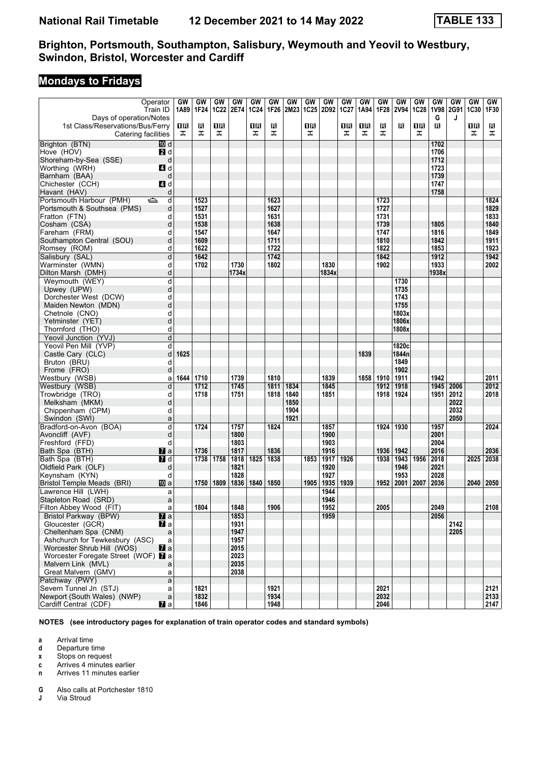## **Mondays to Fridays**

|                                     | Operator       | GW   | GW   | GW          | GW    | GW          | GW   | GW          | GW          | <b>GW</b> | GW          | GW   | GW   | GW          | GW          | GW    | GW        | <b>GW</b> | GW   |
|-------------------------------------|----------------|------|------|-------------|-------|-------------|------|-------------|-------------|-----------|-------------|------|------|-------------|-------------|-------|-----------|-----------|------|
|                                     | Train ID       | 1A89 | 1F24 | <b>1C22</b> | 2E74  | <b>1C24</b> | 1F26 | <b>2M23</b> | <b>1C25</b> | 2D92      | <b>1C27</b> | 1A94 | 1F28 | <b>2V94</b> | <b>1C28</b> |       | 1V98 2G91 | 1C30      | 1F30 |
| Days of operation/Notes             |                |      |      |             |       |             |      |             |             |           |             |      |      |             |             | G     | J         |           |      |
| 1st Class/Reservations/Bus/Ferry    |                | 1R   | в    | 1R          |       | ПB          | R    |             | 1R          |           | 1R          | 1R   | R    | R           | 1R          | в     |           | 1R        | В    |
| Catering facilities                 |                | ᠼ    | ᠼ    | ᠼ           |       | ᠼ           | ᠼ    |             | ᠼ           |           | ᠼ           | ᠼ    | ᠼ    |             | ᠼ           |       |           | ᠼ         | ᠼ    |
|                                     |                |      |      |             |       |             |      |             |             |           |             |      |      |             |             |       |           |           |      |
| Brighton (BTN)                      | 10 d           |      |      |             |       |             |      |             |             |           |             |      |      |             |             | 1702  |           |           |      |
| Hove (HOV)                          | <b>2</b> d     |      |      |             |       |             |      |             |             |           |             |      |      |             |             | 1706  |           |           |      |
| Shoreham-by-Sea (SSE)               | d              |      |      |             |       |             |      |             |             |           |             |      |      |             |             | 1712  |           |           |      |
| Worthing (WRH)                      | 4d             |      |      |             |       |             |      |             |             |           |             |      |      |             |             | 1723  |           |           |      |
| Barnham (BAA)                       | d              |      |      |             |       |             |      |             |             |           |             |      |      |             |             | 1739  |           |           |      |
| Chichester (CCH)                    | <b>4</b> d     |      |      |             |       |             |      |             |             |           |             |      |      |             |             | 1747  |           |           |      |
| Havant (HAV)                        | d              |      |      |             |       |             |      |             |             |           |             |      |      |             |             | 1758  |           |           |      |
| Portsmouth Harbour (PMH)            | ک<br>d         |      | 1523 |             |       |             | 1623 |             |             |           |             |      | 1723 |             |             |       |           |           | 1824 |
| Portsmouth & Southsea (PMS)         | d              |      | 1527 |             |       |             | 1627 |             |             |           |             |      | 1727 |             |             |       |           |           | 1829 |
| Fratton (FTN)                       | d              |      | 1531 |             |       |             | 1631 |             |             |           |             |      | 1731 |             |             |       |           |           | 1833 |
|                                     |                |      |      |             |       |             |      |             |             |           |             |      |      |             |             |       |           |           |      |
| Cosham (CSA)                        | d              |      | 1538 |             |       |             | 1638 |             |             |           |             |      | 1739 |             |             | 1805  |           |           | 1840 |
| Fareham (FRM)                       | d              |      | 1547 |             |       |             | 1647 |             |             |           |             |      | 1747 |             |             | 1816  |           |           | 1849 |
| Southampton Central (SOU)           | d              |      | 1609 |             |       |             | 1711 |             |             |           |             |      | 1810 |             |             | 1842  |           |           | 1911 |
| Romsey (ROM)                        | d              |      | 1622 |             |       |             | 1722 |             |             |           |             |      | 1822 |             |             | 1853  |           |           | 1923 |
| Salisbury (SAL)                     | d              |      | 1642 |             |       |             | 1742 |             |             |           |             |      | 1842 |             |             | 1912  |           |           | 1942 |
| Warminster (WMN)                    | d              |      | 1702 |             | 1730  |             | 1802 |             |             | 1830      |             |      | 1902 |             |             | 1933  |           |           | 2002 |
| Dilton Marsh (DMH)                  | d              |      |      |             | 1734x |             |      |             |             | 1834x     |             |      |      |             |             | 1938x |           |           |      |
| Weymouth (WEY)                      | d              |      |      |             |       |             |      |             |             |           |             |      |      | 1730        |             |       |           |           |      |
| Upwey (UPW)                         | d              |      |      |             |       |             |      |             |             |           |             |      |      | 1735        |             |       |           |           |      |
| Dorchester West (DCW)               | d              |      |      |             |       |             |      |             |             |           |             |      |      | 1743        |             |       |           |           |      |
|                                     |                |      |      |             |       |             |      |             |             |           |             |      |      | 1755        |             |       |           |           |      |
| Maiden Newton (MDN)                 | d              |      |      |             |       |             |      |             |             |           |             |      |      |             |             |       |           |           |      |
| Chetnole (CNO)                      | d              |      |      |             |       |             |      |             |             |           |             |      |      | 1803x       |             |       |           |           |      |
| Yetminster (YET)                    | d              |      |      |             |       |             |      |             |             |           |             |      |      | 1806x       |             |       |           |           |      |
| Thornford (THO)                     | d              |      |      |             |       |             |      |             |             |           |             |      |      | 1808x       |             |       |           |           |      |
| Yeovil Junction (YVJ)               | d              |      |      |             |       |             |      |             |             |           |             |      |      |             |             |       |           |           |      |
| Yeovil Pen Mill (YVP)               | d              |      |      |             |       |             |      |             |             |           |             |      |      | 1820c       |             |       |           |           |      |
| Castle Cary (CLC)                   | d              | 1625 |      |             |       |             |      |             |             |           |             | 1839 |      | 1844n       |             |       |           |           |      |
| Bruton (BRU)                        | d              |      |      |             |       |             |      |             |             |           |             |      |      | 1849        |             |       |           |           |      |
| Frome (FRO)                         | d              |      |      |             |       |             |      |             |             |           |             |      |      | 1902        |             |       |           |           |      |
| Westbury (WSB)                      | a              | 1644 | 1710 |             | 1739  |             | 1810 |             |             | 1839      |             | 1858 | 1910 | 1911        |             | 1942  |           |           | 2011 |
| Westbury (WSB)                      | d              |      | 1712 |             | 1745  |             | 1811 | 1834        |             | 1845      |             |      | 1912 | 1918        |             | 1945  | 2006      |           | 2012 |
| Trowbridge (TRO)                    | d              |      | 1718 |             | 1751  |             | 1818 | 1840        |             | 1851      |             |      | 1918 | 1924        |             | 1951  | 2012      |           | 2018 |
|                                     |                |      |      |             |       |             |      |             |             |           |             |      |      |             |             |       |           |           |      |
| Melksham (MKM)                      | d              |      |      |             |       |             |      | 1850        |             |           |             |      |      |             |             |       | 2022      |           |      |
| Chippenham (CPM)                    | d              |      |      |             |       |             |      | 1904        |             |           |             |      |      |             |             |       | 2032      |           |      |
| Swindon (SWI)                       | a              |      |      |             |       |             |      | 1921        |             |           |             |      |      |             |             |       | 2050      |           |      |
| Bradford-on-Avon (BOA)              | d              |      | 1724 |             | 1757  |             | 1824 |             |             | 1857      |             |      | 1924 | 1930        |             | 1957  |           |           | 2024 |
| Avoncliff (AVF)                     | d              |      |      |             | 1800  |             |      |             |             | 1900      |             |      |      |             |             | 2001  |           |           |      |
| Freshford (FFD)                     | d              |      |      |             | 1803  |             |      |             |             | 1903      |             |      |      |             |             | 2004  |           |           |      |
| Bath Spa (BTH)                      | <b>M</b> a     |      | 1736 |             | 1817  |             | 1836 |             |             | 1916      |             |      | 1936 | 1942        |             | 2016  |           |           | 2036 |
| Bath Spa (BTH)                      | <b>7</b> d     |      | 1738 | 1758        | 1818  | 1825        | 1838 |             | 1853        | 1917      | 1926        |      | 1938 | 1943        | 1956        | 2018  |           | 2025      | 2038 |
| Oldfield Park (OLF)                 | d              |      |      |             | 1821  |             |      |             |             | 1920      |             |      |      | 1946        |             | 2021  |           |           |      |
| Keynsham (KYN)                      | d              |      |      |             | 1828  |             |      |             |             | 1927      |             |      |      | 1953        |             | 2028  |           |           |      |
|                                     | [[] a          |      | 1750 | 1809        | 1836  | 1840        | 1850 |             | 1905        | 1935      | 1939        |      | 1952 | 2001        | 2007        | 2036  |           | 2040      | 2050 |
| Bristol Temple Meads (BRI)          |                |      |      |             |       |             |      |             |             |           |             |      |      |             |             |       |           |           |      |
| Lawrence Hill (LWH)                 | a              |      |      |             |       |             |      |             |             | 1944      |             |      |      |             |             |       |           |           |      |
| Stapleton Road (SRD)                | a              |      |      |             |       |             |      |             |             | 1946      |             |      |      |             |             |       |           |           |      |
| Filton Abbey Wood (FIT)             | a              |      | 1804 |             | 1848  |             | 1906 |             |             | 1952      |             |      | 2005 |             |             | 2049  |           |           | 2108 |
| <b>Bristol Parkway (BPW)</b>        | $\mathbf{z}$ a |      |      |             | 1853  |             |      |             |             | 1959      |             |      |      |             |             | 2056  |           |           |      |
| Gloucester (GCR)                    | $\mathbf{z}$ a |      |      |             | 1931  |             |      |             |             |           |             |      |      |             |             |       | 2142      |           |      |
| Cheltenham Spa (CNM)                | a              |      |      |             | 1947  |             |      |             |             |           |             |      |      |             |             |       | 2205      |           |      |
| Ashchurch for Tewkesbury (ASC)      | a              |      |      |             | 1957  |             |      |             |             |           |             |      |      |             |             |       |           |           |      |
| Worcester Shrub Hill (WOS)          | $\mathbf{z}$ a |      |      |             | 2015  |             |      |             |             |           |             |      |      |             |             |       |           |           |      |
| Worcester Foregate Street (WOF) 7 a |                |      |      |             | 2023  |             |      |             |             |           |             |      |      |             |             |       |           |           |      |
| Malvern Link (MVL)                  | a              |      |      |             | 2035  |             |      |             |             |           |             |      |      |             |             |       |           |           |      |
| Great Malvern (GMV)                 | a              |      |      |             | 2038  |             |      |             |             |           |             |      |      |             |             |       |           |           |      |
| Patchway (PWY)                      |                |      |      |             |       |             |      |             |             |           |             |      |      |             |             |       |           |           |      |
|                                     | a              |      |      |             |       |             |      |             |             |           |             |      |      |             |             |       |           |           |      |
| Severn Tunnel Jn (STJ)              | a              |      | 1821 |             |       |             | 1921 |             |             |           |             |      | 2021 |             |             |       |           |           | 2121 |
| Newport (South Wales) (NWP)         | $\mathsf{a}$   |      | 1832 |             |       |             | 1934 |             |             |           |             |      | 2032 |             |             |       |           |           | 2133 |
| Cardiff Central (CDF)               | $\mathbf{z}$ a |      | 1846 |             |       |             | 1948 |             |             |           |             |      | 2046 |             |             |       |           |           | 2147 |

**NOTES (see introductory pages for explanation of train operator codes and standard symbols)**

**a** Arrival time<br>**d** Departure t

**d** Departure time

**x** Stops on request

**c** Arrives 4 minutes earlier

**n** Arrives 11 minutes earlier

**6** Also calls at Portchester 1810<br>**J** Via Stroud

**Via Stroud**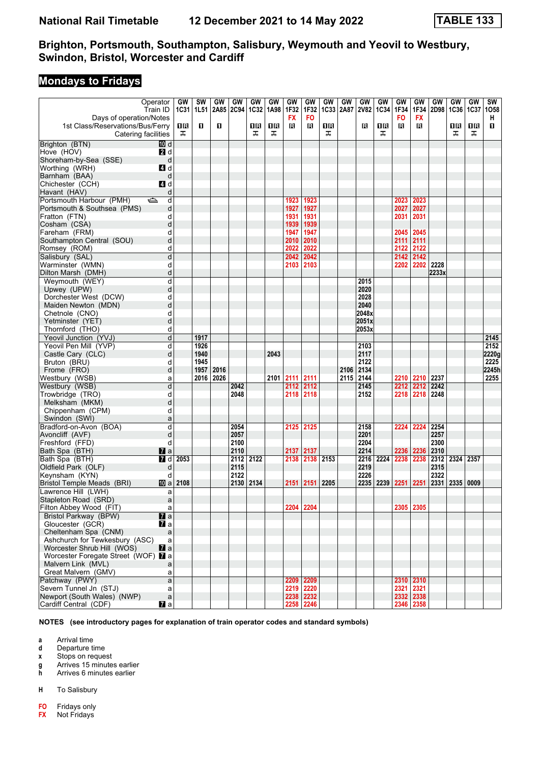## **Mondays to Fridays**

| Operator                            |                | GW   | <b>SW</b> | GW        | GW        | GW          | GW   | GW        | GW        | GW          | GW   | GW          | GW          | GW        | GW          | GW    | GW        | GW   | SW    |
|-------------------------------------|----------------|------|-----------|-----------|-----------|-------------|------|-----------|-----------|-------------|------|-------------|-------------|-----------|-------------|-------|-----------|------|-------|
|                                     | Train ID       | 1C31 | 1L51      |           | 2A85 2C94 | <b>1C32</b> | 1A98 | 1F32      | 1F32      | <b>1C33</b> | 2A87 | <b>2V82</b> | <b>1C34</b> | 1F34      | 1F34        |       | 2D98 1C36 | 1C37 | 1058  |
| Days of operation/Notes             |                |      |           |           |           |             |      | <b>FX</b> | <b>FO</b> |             |      |             |             | <b>FO</b> | <b>FX</b>   |       |           |      | н     |
| 1st Class/Reservations/Bus/Ferry    |                | 1R   | п         | O.        |           | 1 R         | 1R   | в         | В         | 1R          |      | в           | 1R          | в         | в           |       | 1R        | 1R   | п     |
| Catering facilities                 |                | ᠼ    |           |           |           | ᠼ           | ᠼ    |           |           | ᠼ           |      |             | ᠼ           |           |             |       | ᠼ         | ᠼ    |       |
| Brighton (BTN)                      | 而 d            |      |           |           |           |             |      |           |           |             |      |             |             |           |             |       |           |      |       |
| Hove (HOV)                          | 2 d            |      |           |           |           |             |      |           |           |             |      |             |             |           |             |       |           |      |       |
| Shoreham-by-Sea (SSE)               | d              |      |           |           |           |             |      |           |           |             |      |             |             |           |             |       |           |      |       |
| Worthing (WRH)                      | 4d             |      |           |           |           |             |      |           |           |             |      |             |             |           |             |       |           |      |       |
| Barnham (BAA)                       | d              |      |           |           |           |             |      |           |           |             |      |             |             |           |             |       |           |      |       |
| Chichester (CCH)                    | 4d             |      |           |           |           |             |      |           |           |             |      |             |             |           |             |       |           |      |       |
| Havant (HAV)                        | d              |      |           |           |           |             |      |           |           |             |      |             |             |           |             |       |           |      |       |
| Portsmouth Harbour (PMH)<br>ک       | d              |      |           |           |           |             |      | 1923      | 1923      |             |      |             |             | 2023      | 2023        |       |           |      |       |
| Portsmouth & Southsea (PMS)         | d              |      |           |           |           |             |      | 1927      | 1927      |             |      |             |             | 2027      | 2027        |       |           |      |       |
| Fratton (FTN)                       | d              |      |           |           |           |             |      | 1931      | 1931      |             |      |             |             | 2031      | 2031        |       |           |      |       |
| Cosham (CSA)                        | d              |      |           |           |           |             |      | 1939      | 1939      |             |      |             |             |           |             |       |           |      |       |
| Fareham (FRM)                       | d              |      |           |           |           |             |      | 1947      | 1947      |             |      |             |             | 2045      | 2045        |       |           |      |       |
| Southampton Central (SOU)           | d              |      |           |           |           |             |      | 2010      | 2010      |             |      |             |             | 2111      | 2111        |       |           |      |       |
| Romsey (ROM)                        | d              |      |           |           |           |             |      | 2022      | 2022      |             |      |             |             | 2122      | 2122        |       |           |      |       |
| Salisbury (SAL)                     | d              |      |           |           |           |             |      | 2042      | 2042      |             |      |             |             | 2142      | 2142        |       |           |      |       |
| Warminster (WMN)                    | d              |      |           |           |           |             |      | 2103      | 2103      |             |      |             |             | 2202      | 2202        | 2228  |           |      |       |
| Dilton Marsh (DMH)                  | d              |      |           |           |           |             |      |           |           |             |      |             |             |           |             | 2233x |           |      |       |
| Weymouth (WEY)                      | d              |      |           |           |           |             |      |           |           |             |      | 2015        |             |           |             |       |           |      |       |
| Upwey (UPW)                         | d              |      |           |           |           |             |      |           |           |             |      | 2020        |             |           |             |       |           |      |       |
| Dorchester West (DCW)               | d              |      |           |           |           |             |      |           |           |             |      | 2028        |             |           |             |       |           |      |       |
| Maiden Newton (MDN)                 | d              |      |           |           |           |             |      |           |           |             |      | 2040        |             |           |             |       |           |      |       |
| Chetnole (CNO)                      | d              |      |           |           |           |             |      |           |           |             |      | 2048x       |             |           |             |       |           |      |       |
| Yetminster (YET)                    | d              |      |           |           |           |             |      |           |           |             |      | 2051x       |             |           |             |       |           |      |       |
| Thornford (THO)                     | d              |      |           |           |           |             |      |           |           |             |      | 2053x       |             |           |             |       |           |      |       |
| Yeovil Junction (YVJ)               | d              |      | 1917      |           |           |             |      |           |           |             |      |             |             |           |             |       |           |      | 2145  |
| Yeovil Pen Mill (YVP)               | d              |      | 1926      |           |           |             |      |           |           |             |      | 2103        |             |           |             |       |           |      | 2152  |
| Castle Cary (CLC)                   | d              |      | 1940      |           |           |             | 2043 |           |           |             |      | 2117        |             |           |             |       |           |      | 2220g |
| Bruton (BRU)                        | d              |      | 1945      |           |           |             |      |           |           |             |      | 2122        |             |           |             |       |           |      | 2225  |
| Frome (FRO)                         | d              |      | 1957      | 2016      |           |             |      |           |           |             | 2106 | 2134        |             |           |             |       |           |      | 2245h |
| Westbury (WSB)                      | a              |      |           | 2016 2026 |           |             | 2101 | 2111      | 2111      |             | 2115 | 2144        |             | 2210      | 2210        | 2237  |           |      | 2255  |
| Westbury (WSB)                      | d              |      |           |           | 2042      |             |      | 2112      | 2112      |             |      | 2145        |             | 2212      | 2212        | 2242  |           |      |       |
| Trowbridge (TRO)                    | d              |      |           |           | 2048      |             |      | 2118      | 2118      |             |      | 2152        |             | 2218      | 2218        | 2248  |           |      |       |
| Melksham (MKM)                      | d              |      |           |           |           |             |      |           |           |             |      |             |             |           |             |       |           |      |       |
| Chippenham (CPM)                    | d              |      |           |           |           |             |      |           |           |             |      |             |             |           |             |       |           |      |       |
| Swindon (SWI)                       | a              |      |           |           |           |             |      |           |           |             |      |             |             |           |             |       |           |      |       |
| Bradford-on-Avon (BOA)              | d              |      |           |           | 2054      |             |      | 2125      | 2125      |             |      | 2158        |             | 2224      | 2224        | 2254  |           |      |       |
| Avoncliff (AVF)                     | d              |      |           |           | 2057      |             |      |           |           |             |      | 2201        |             |           |             | 2257  |           |      |       |
| Freshford (FFD)                     | d              |      |           |           | 2100      |             |      |           |           |             |      | 2204        |             |           |             | 2300  |           |      |       |
| Bath Spa (BTH)                      | $\mathbf{z}$ a |      |           |           | 2110      |             |      | 2137      | 2137      |             |      | 2214        |             | 2236      | 2236        | 2310  |           |      |       |
| Bath Spa (BTH)                      | 7 d            | 2053 |           |           | 2112 2122 |             |      | 2138      | 2138      | 2153        |      | 2216        | 2224        | 2238      | 2238        | 2312  | 2324 2357 |      |       |
| Oldfield Park (OLF)                 | d              |      |           |           | 2115      |             |      |           |           |             |      | 2219        |             |           |             | 2315  |           |      |       |
| Keynsham (KYN)                      | d              |      |           |           | 2122      |             |      |           |           |             |      | 2226        |             |           |             | 2322  |           |      |       |
| Bristol Temple Meads (BRI)          | <b>ID</b> a    | 2108 |           |           | 2130      | 2134        |      | 2151      | 2151      | 2205        |      | 2235        | 2239        | 2251      | 2251        | 2331  | 2335      | 0009 |       |
| Lawrence Hill (LWH)                 | a              |      |           |           |           |             |      |           |           |             |      |             |             |           |             |       |           |      |       |
| Stapleton Road (SRD)                | a              |      |           |           |           |             |      |           |           |             |      |             |             |           |             |       |           |      |       |
| Filton Abbey Wood (FIT)             | a              |      |           |           |           |             |      |           | 2204 2204 |             |      |             |             |           | 2305 2305   |       |           |      |       |
| Bristol Parkway (BPW)               | $\mathbf{z}$ a |      |           |           |           |             |      |           |           |             |      |             |             |           |             |       |           |      |       |
| Gloucester (GCR)                    | <b>7</b> a     |      |           |           |           |             |      |           |           |             |      |             |             |           |             |       |           |      |       |
| Cheltenham Spa (CNM)                | $\mathsf{a}$   |      |           |           |           |             |      |           |           |             |      |             |             |           |             |       |           |      |       |
| Ashchurch for Tewkesbury (ASC)      | a              |      |           |           |           |             |      |           |           |             |      |             |             |           |             |       |           |      |       |
| Worcester Shrub Hill (WOS)          | $\mathbf{z}$ a |      |           |           |           |             |      |           |           |             |      |             |             |           |             |       |           |      |       |
| Worcester Foregate Street (WOF) 7 a |                |      |           |           |           |             |      |           |           |             |      |             |             |           |             |       |           |      |       |
| Malvern Link (MVL)                  | a              |      |           |           |           |             |      |           |           |             |      |             |             |           |             |       |           |      |       |
| Great Malvern (GMV)                 | a              |      |           |           |           |             |      |           |           |             |      |             |             |           |             |       |           |      |       |
| Patchway (PWY)                      | a              |      |           |           |           |             |      |           | 2209 2209 |             |      |             |             |           | 2310   2310 |       |           |      |       |
| Severn Tunnel Jn (STJ)              | a              |      |           |           |           |             |      |           | 2219 2220 |             |      |             |             |           | 2321 2321   |       |           |      |       |
| Newport (South Wales) (NWP)         | $\mathsf{a}$   |      |           |           |           |             |      |           | 2238 2232 |             |      |             |             |           | 2332 2338   |       |           |      |       |
| Cardiff Central (CDF)               | <b>Z</b> a     |      |           |           |           |             |      |           | 2258 2246 |             |      |             |             |           | 2346 2358   |       |           |      |       |

**NOTES (see introductory pages for explanation of train operator codes and standard symbols)**

**a** Arrival time<br>**d** Departure t

**d** Departure time

**x** Stops on request

**g** Arrives 15 minutes earlier<br>**h** Arrives 6 minutes earlier

**K** Arrives 6 minutes earlier

**+** To Salisbury

**F0** Fridays only

**FX** Not Fridays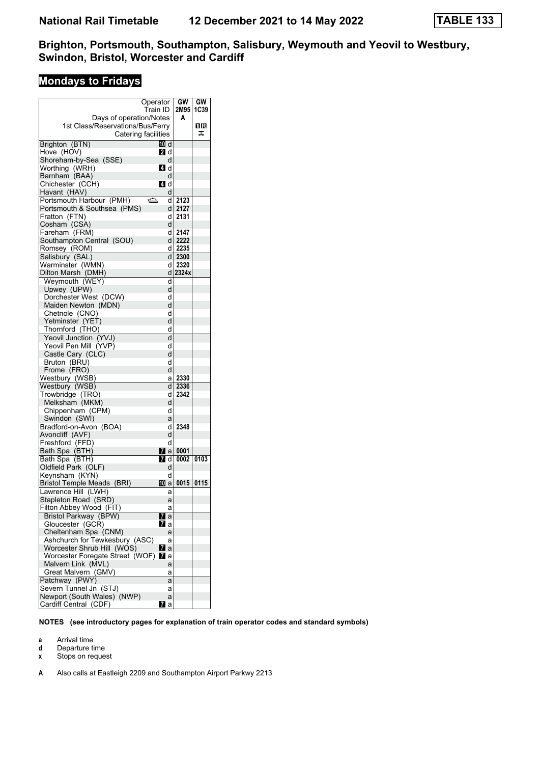# **Mondays to Fridays**

| 2M95<br>1C39<br>Train ID<br>Days of operation/Notes<br>А<br>16<br>1st Class/Reservations/Bus/Ferry<br>Catering facilities<br>ᠼ<br>Brighton (BTN)<br>TM d<br>Hove (HOV)<br>21 d<br>Shoreham-by-Sea (SSE)<br>d<br><b>4</b> d<br>Worthing (WRH)<br>Barnham (BAA)<br>d<br>ZI d<br>Chichester (CCH)<br>Havant (HAV)<br>d<br>Portsmouth Harbour (PMH)<br>ڪ<br>2123<br>d<br>Portsmouth & Southsea (PMS)<br>dl<br>2127<br>Fratton (FTN)<br>2131<br>d<br>Cosham (CSA)<br>d<br>Fareham (FRM)<br>2147<br>d<br>Southampton Central (SOU)<br>d l<br>2222<br>d<br>2235<br>Romsey (ROM)<br>2300<br>Salisbury (SAL)<br>dl<br>Warminster (WMN)<br>d<br>2320<br>2324x<br>Dilton Marsh (DMH)<br>d<br>Weymouth (WEY)<br>d<br>Upwey (UPW)<br>d<br>Dorchester West (DCW)<br>d<br>Maiden Newton (MDN)<br>d<br>Chetnole (CNO)<br>d<br>Yetminster (YET)<br>d<br>d<br>Thornford (THO)<br>Yeovil Junction (YVJ)<br>d<br>Yeovil Pen Mill (YVP)<br>d<br>Castle Cary (CLC)<br>d<br>d<br>Bruton (BRU)<br>Frome (FRO)<br>d<br>2330<br>Westbury (WSB)<br>а<br>Westbury (WSB)<br>d<br>2336<br>Trowbridge (TRO)<br>2342<br>d<br>Melksham (MKM)<br>d<br>d<br>Chippenham (CPM)<br>Swindon (SWI)<br>а<br>Bradford-on-Avon (BOA)<br>d<br>2348<br>Avoncliff (AVF)<br>d<br>Freshford (FFD)<br>d<br>Bath Spa (BTH)<br><b>7</b> al<br>0001<br>7 d<br>Bath Spa (BTH)<br>0002<br>0103<br>Oldfield Park (OLF)<br>d<br>Keynsham (KYN)<br>d<br>Bristol Temple Meads (BRI)<br>100 a<br>0015<br>0115<br>Lawrence Hill (LWH)<br>а<br>Stapleton Road (SRD)<br>a<br>Filton Abbey Wood (FIT)<br>а<br><b>Bristol Parkway (BPW)</b><br>71 a<br>Gloucester (GCR)<br>Mr a<br>Cheltenham Spa (CNM)<br>a<br>Ashchurch for Tewkesbury (ASC)<br>а<br>Worcester Shrub Hill (WOS)<br><b>7</b> a<br>Worcester Foregate Street (WOF) 2 a<br>Malvern Link (MVL)<br>a<br>Great Malvern (GMV)<br>а<br>Patchway (PWY)<br>a<br>Severn Tunnel Jn (STJ)<br>а<br>Newport (South Wales) (NWP)<br>a<br>Cardiff Central (CDF)<br>$\mathbf{z}$ a | Operator |  | GW | GW |
|--------------------------------------------------------------------------------------------------------------------------------------------------------------------------------------------------------------------------------------------------------------------------------------------------------------------------------------------------------------------------------------------------------------------------------------------------------------------------------------------------------------------------------------------------------------------------------------------------------------------------------------------------------------------------------------------------------------------------------------------------------------------------------------------------------------------------------------------------------------------------------------------------------------------------------------------------------------------------------------------------------------------------------------------------------------------------------------------------------------------------------------------------------------------------------------------------------------------------------------------------------------------------------------------------------------------------------------------------------------------------------------------------------------------------------------------------------------------------------------------------------------------------------------------------------------------------------------------------------------------------------------------------------------------------------------------------------------------------------------------------------------------------------------------------------------------------------------------------------------------------------------------------------------------------------------------------------------------|----------|--|----|----|
|                                                                                                                                                                                                                                                                                                                                                                                                                                                                                                                                                                                                                                                                                                                                                                                                                                                                                                                                                                                                                                                                                                                                                                                                                                                                                                                                                                                                                                                                                                                                                                                                                                                                                                                                                                                                                                                                                                                                                                    |          |  |    |    |
|                                                                                                                                                                                                                                                                                                                                                                                                                                                                                                                                                                                                                                                                                                                                                                                                                                                                                                                                                                                                                                                                                                                                                                                                                                                                                                                                                                                                                                                                                                                                                                                                                                                                                                                                                                                                                                                                                                                                                                    |          |  |    |    |
|                                                                                                                                                                                                                                                                                                                                                                                                                                                                                                                                                                                                                                                                                                                                                                                                                                                                                                                                                                                                                                                                                                                                                                                                                                                                                                                                                                                                                                                                                                                                                                                                                                                                                                                                                                                                                                                                                                                                                                    |          |  |    |    |
|                                                                                                                                                                                                                                                                                                                                                                                                                                                                                                                                                                                                                                                                                                                                                                                                                                                                                                                                                                                                                                                                                                                                                                                                                                                                                                                                                                                                                                                                                                                                                                                                                                                                                                                                                                                                                                                                                                                                                                    |          |  |    |    |
|                                                                                                                                                                                                                                                                                                                                                                                                                                                                                                                                                                                                                                                                                                                                                                                                                                                                                                                                                                                                                                                                                                                                                                                                                                                                                                                                                                                                                                                                                                                                                                                                                                                                                                                                                                                                                                                                                                                                                                    |          |  |    |    |
|                                                                                                                                                                                                                                                                                                                                                                                                                                                                                                                                                                                                                                                                                                                                                                                                                                                                                                                                                                                                                                                                                                                                                                                                                                                                                                                                                                                                                                                                                                                                                                                                                                                                                                                                                                                                                                                                                                                                                                    |          |  |    |    |
|                                                                                                                                                                                                                                                                                                                                                                                                                                                                                                                                                                                                                                                                                                                                                                                                                                                                                                                                                                                                                                                                                                                                                                                                                                                                                                                                                                                                                                                                                                                                                                                                                                                                                                                                                                                                                                                                                                                                                                    |          |  |    |    |
|                                                                                                                                                                                                                                                                                                                                                                                                                                                                                                                                                                                                                                                                                                                                                                                                                                                                                                                                                                                                                                                                                                                                                                                                                                                                                                                                                                                                                                                                                                                                                                                                                                                                                                                                                                                                                                                                                                                                                                    |          |  |    |    |
|                                                                                                                                                                                                                                                                                                                                                                                                                                                                                                                                                                                                                                                                                                                                                                                                                                                                                                                                                                                                                                                                                                                                                                                                                                                                                                                                                                                                                                                                                                                                                                                                                                                                                                                                                                                                                                                                                                                                                                    |          |  |    |    |
|                                                                                                                                                                                                                                                                                                                                                                                                                                                                                                                                                                                                                                                                                                                                                                                                                                                                                                                                                                                                                                                                                                                                                                                                                                                                                                                                                                                                                                                                                                                                                                                                                                                                                                                                                                                                                                                                                                                                                                    |          |  |    |    |
|                                                                                                                                                                                                                                                                                                                                                                                                                                                                                                                                                                                                                                                                                                                                                                                                                                                                                                                                                                                                                                                                                                                                                                                                                                                                                                                                                                                                                                                                                                                                                                                                                                                                                                                                                                                                                                                                                                                                                                    |          |  |    |    |
|                                                                                                                                                                                                                                                                                                                                                                                                                                                                                                                                                                                                                                                                                                                                                                                                                                                                                                                                                                                                                                                                                                                                                                                                                                                                                                                                                                                                                                                                                                                                                                                                                                                                                                                                                                                                                                                                                                                                                                    |          |  |    |    |
|                                                                                                                                                                                                                                                                                                                                                                                                                                                                                                                                                                                                                                                                                                                                                                                                                                                                                                                                                                                                                                                                                                                                                                                                                                                                                                                                                                                                                                                                                                                                                                                                                                                                                                                                                                                                                                                                                                                                                                    |          |  |    |    |
|                                                                                                                                                                                                                                                                                                                                                                                                                                                                                                                                                                                                                                                                                                                                                                                                                                                                                                                                                                                                                                                                                                                                                                                                                                                                                                                                                                                                                                                                                                                                                                                                                                                                                                                                                                                                                                                                                                                                                                    |          |  |    |    |
|                                                                                                                                                                                                                                                                                                                                                                                                                                                                                                                                                                                                                                                                                                                                                                                                                                                                                                                                                                                                                                                                                                                                                                                                                                                                                                                                                                                                                                                                                                                                                                                                                                                                                                                                                                                                                                                                                                                                                                    |          |  |    |    |
|                                                                                                                                                                                                                                                                                                                                                                                                                                                                                                                                                                                                                                                                                                                                                                                                                                                                                                                                                                                                                                                                                                                                                                                                                                                                                                                                                                                                                                                                                                                                                                                                                                                                                                                                                                                                                                                                                                                                                                    |          |  |    |    |
|                                                                                                                                                                                                                                                                                                                                                                                                                                                                                                                                                                                                                                                                                                                                                                                                                                                                                                                                                                                                                                                                                                                                                                                                                                                                                                                                                                                                                                                                                                                                                                                                                                                                                                                                                                                                                                                                                                                                                                    |          |  |    |    |
|                                                                                                                                                                                                                                                                                                                                                                                                                                                                                                                                                                                                                                                                                                                                                                                                                                                                                                                                                                                                                                                                                                                                                                                                                                                                                                                                                                                                                                                                                                                                                                                                                                                                                                                                                                                                                                                                                                                                                                    |          |  |    |    |
|                                                                                                                                                                                                                                                                                                                                                                                                                                                                                                                                                                                                                                                                                                                                                                                                                                                                                                                                                                                                                                                                                                                                                                                                                                                                                                                                                                                                                                                                                                                                                                                                                                                                                                                                                                                                                                                                                                                                                                    |          |  |    |    |
|                                                                                                                                                                                                                                                                                                                                                                                                                                                                                                                                                                                                                                                                                                                                                                                                                                                                                                                                                                                                                                                                                                                                                                                                                                                                                                                                                                                                                                                                                                                                                                                                                                                                                                                                                                                                                                                                                                                                                                    |          |  |    |    |
|                                                                                                                                                                                                                                                                                                                                                                                                                                                                                                                                                                                                                                                                                                                                                                                                                                                                                                                                                                                                                                                                                                                                                                                                                                                                                                                                                                                                                                                                                                                                                                                                                                                                                                                                                                                                                                                                                                                                                                    |          |  |    |    |
|                                                                                                                                                                                                                                                                                                                                                                                                                                                                                                                                                                                                                                                                                                                                                                                                                                                                                                                                                                                                                                                                                                                                                                                                                                                                                                                                                                                                                                                                                                                                                                                                                                                                                                                                                                                                                                                                                                                                                                    |          |  |    |    |
|                                                                                                                                                                                                                                                                                                                                                                                                                                                                                                                                                                                                                                                                                                                                                                                                                                                                                                                                                                                                                                                                                                                                                                                                                                                                                                                                                                                                                                                                                                                                                                                                                                                                                                                                                                                                                                                                                                                                                                    |          |  |    |    |
|                                                                                                                                                                                                                                                                                                                                                                                                                                                                                                                                                                                                                                                                                                                                                                                                                                                                                                                                                                                                                                                                                                                                                                                                                                                                                                                                                                                                                                                                                                                                                                                                                                                                                                                                                                                                                                                                                                                                                                    |          |  |    |    |
|                                                                                                                                                                                                                                                                                                                                                                                                                                                                                                                                                                                                                                                                                                                                                                                                                                                                                                                                                                                                                                                                                                                                                                                                                                                                                                                                                                                                                                                                                                                                                                                                                                                                                                                                                                                                                                                                                                                                                                    |          |  |    |    |
|                                                                                                                                                                                                                                                                                                                                                                                                                                                                                                                                                                                                                                                                                                                                                                                                                                                                                                                                                                                                                                                                                                                                                                                                                                                                                                                                                                                                                                                                                                                                                                                                                                                                                                                                                                                                                                                                                                                                                                    |          |  |    |    |
|                                                                                                                                                                                                                                                                                                                                                                                                                                                                                                                                                                                                                                                                                                                                                                                                                                                                                                                                                                                                                                                                                                                                                                                                                                                                                                                                                                                                                                                                                                                                                                                                                                                                                                                                                                                                                                                                                                                                                                    |          |  |    |    |
|                                                                                                                                                                                                                                                                                                                                                                                                                                                                                                                                                                                                                                                                                                                                                                                                                                                                                                                                                                                                                                                                                                                                                                                                                                                                                                                                                                                                                                                                                                                                                                                                                                                                                                                                                                                                                                                                                                                                                                    |          |  |    |    |
|                                                                                                                                                                                                                                                                                                                                                                                                                                                                                                                                                                                                                                                                                                                                                                                                                                                                                                                                                                                                                                                                                                                                                                                                                                                                                                                                                                                                                                                                                                                                                                                                                                                                                                                                                                                                                                                                                                                                                                    |          |  |    |    |
|                                                                                                                                                                                                                                                                                                                                                                                                                                                                                                                                                                                                                                                                                                                                                                                                                                                                                                                                                                                                                                                                                                                                                                                                                                                                                                                                                                                                                                                                                                                                                                                                                                                                                                                                                                                                                                                                                                                                                                    |          |  |    |    |
|                                                                                                                                                                                                                                                                                                                                                                                                                                                                                                                                                                                                                                                                                                                                                                                                                                                                                                                                                                                                                                                                                                                                                                                                                                                                                                                                                                                                                                                                                                                                                                                                                                                                                                                                                                                                                                                                                                                                                                    |          |  |    |    |
|                                                                                                                                                                                                                                                                                                                                                                                                                                                                                                                                                                                                                                                                                                                                                                                                                                                                                                                                                                                                                                                                                                                                                                                                                                                                                                                                                                                                                                                                                                                                                                                                                                                                                                                                                                                                                                                                                                                                                                    |          |  |    |    |
|                                                                                                                                                                                                                                                                                                                                                                                                                                                                                                                                                                                                                                                                                                                                                                                                                                                                                                                                                                                                                                                                                                                                                                                                                                                                                                                                                                                                                                                                                                                                                                                                                                                                                                                                                                                                                                                                                                                                                                    |          |  |    |    |
|                                                                                                                                                                                                                                                                                                                                                                                                                                                                                                                                                                                                                                                                                                                                                                                                                                                                                                                                                                                                                                                                                                                                                                                                                                                                                                                                                                                                                                                                                                                                                                                                                                                                                                                                                                                                                                                                                                                                                                    |          |  |    |    |
|                                                                                                                                                                                                                                                                                                                                                                                                                                                                                                                                                                                                                                                                                                                                                                                                                                                                                                                                                                                                                                                                                                                                                                                                                                                                                                                                                                                                                                                                                                                                                                                                                                                                                                                                                                                                                                                                                                                                                                    |          |  |    |    |
|                                                                                                                                                                                                                                                                                                                                                                                                                                                                                                                                                                                                                                                                                                                                                                                                                                                                                                                                                                                                                                                                                                                                                                                                                                                                                                                                                                                                                                                                                                                                                                                                                                                                                                                                                                                                                                                                                                                                                                    |          |  |    |    |
|                                                                                                                                                                                                                                                                                                                                                                                                                                                                                                                                                                                                                                                                                                                                                                                                                                                                                                                                                                                                                                                                                                                                                                                                                                                                                                                                                                                                                                                                                                                                                                                                                                                                                                                                                                                                                                                                                                                                                                    |          |  |    |    |
|                                                                                                                                                                                                                                                                                                                                                                                                                                                                                                                                                                                                                                                                                                                                                                                                                                                                                                                                                                                                                                                                                                                                                                                                                                                                                                                                                                                                                                                                                                                                                                                                                                                                                                                                                                                                                                                                                                                                                                    |          |  |    |    |
|                                                                                                                                                                                                                                                                                                                                                                                                                                                                                                                                                                                                                                                                                                                                                                                                                                                                                                                                                                                                                                                                                                                                                                                                                                                                                                                                                                                                                                                                                                                                                                                                                                                                                                                                                                                                                                                                                                                                                                    |          |  |    |    |
|                                                                                                                                                                                                                                                                                                                                                                                                                                                                                                                                                                                                                                                                                                                                                                                                                                                                                                                                                                                                                                                                                                                                                                                                                                                                                                                                                                                                                                                                                                                                                                                                                                                                                                                                                                                                                                                                                                                                                                    |          |  |    |    |
|                                                                                                                                                                                                                                                                                                                                                                                                                                                                                                                                                                                                                                                                                                                                                                                                                                                                                                                                                                                                                                                                                                                                                                                                                                                                                                                                                                                                                                                                                                                                                                                                                                                                                                                                                                                                                                                                                                                                                                    |          |  |    |    |
|                                                                                                                                                                                                                                                                                                                                                                                                                                                                                                                                                                                                                                                                                                                                                                                                                                                                                                                                                                                                                                                                                                                                                                                                                                                                                                                                                                                                                                                                                                                                                                                                                                                                                                                                                                                                                                                                                                                                                                    |          |  |    |    |
|                                                                                                                                                                                                                                                                                                                                                                                                                                                                                                                                                                                                                                                                                                                                                                                                                                                                                                                                                                                                                                                                                                                                                                                                                                                                                                                                                                                                                                                                                                                                                                                                                                                                                                                                                                                                                                                                                                                                                                    |          |  |    |    |
|                                                                                                                                                                                                                                                                                                                                                                                                                                                                                                                                                                                                                                                                                                                                                                                                                                                                                                                                                                                                                                                                                                                                                                                                                                                                                                                                                                                                                                                                                                                                                                                                                                                                                                                                                                                                                                                                                                                                                                    |          |  |    |    |
|                                                                                                                                                                                                                                                                                                                                                                                                                                                                                                                                                                                                                                                                                                                                                                                                                                                                                                                                                                                                                                                                                                                                                                                                                                                                                                                                                                                                                                                                                                                                                                                                                                                                                                                                                                                                                                                                                                                                                                    |          |  |    |    |
|                                                                                                                                                                                                                                                                                                                                                                                                                                                                                                                                                                                                                                                                                                                                                                                                                                                                                                                                                                                                                                                                                                                                                                                                                                                                                                                                                                                                                                                                                                                                                                                                                                                                                                                                                                                                                                                                                                                                                                    |          |  |    |    |
|                                                                                                                                                                                                                                                                                                                                                                                                                                                                                                                                                                                                                                                                                                                                                                                                                                                                                                                                                                                                                                                                                                                                                                                                                                                                                                                                                                                                                                                                                                                                                                                                                                                                                                                                                                                                                                                                                                                                                                    |          |  |    |    |
|                                                                                                                                                                                                                                                                                                                                                                                                                                                                                                                                                                                                                                                                                                                                                                                                                                                                                                                                                                                                                                                                                                                                                                                                                                                                                                                                                                                                                                                                                                                                                                                                                                                                                                                                                                                                                                                                                                                                                                    |          |  |    |    |
|                                                                                                                                                                                                                                                                                                                                                                                                                                                                                                                                                                                                                                                                                                                                                                                                                                                                                                                                                                                                                                                                                                                                                                                                                                                                                                                                                                                                                                                                                                                                                                                                                                                                                                                                                                                                                                                                                                                                                                    |          |  |    |    |
|                                                                                                                                                                                                                                                                                                                                                                                                                                                                                                                                                                                                                                                                                                                                                                                                                                                                                                                                                                                                                                                                                                                                                                                                                                                                                                                                                                                                                                                                                                                                                                                                                                                                                                                                                                                                                                                                                                                                                                    |          |  |    |    |
|                                                                                                                                                                                                                                                                                                                                                                                                                                                                                                                                                                                                                                                                                                                                                                                                                                                                                                                                                                                                                                                                                                                                                                                                                                                                                                                                                                                                                                                                                                                                                                                                                                                                                                                                                                                                                                                                                                                                                                    |          |  |    |    |
|                                                                                                                                                                                                                                                                                                                                                                                                                                                                                                                                                                                                                                                                                                                                                                                                                                                                                                                                                                                                                                                                                                                                                                                                                                                                                                                                                                                                                                                                                                                                                                                                                                                                                                                                                                                                                                                                                                                                                                    |          |  |    |    |
|                                                                                                                                                                                                                                                                                                                                                                                                                                                                                                                                                                                                                                                                                                                                                                                                                                                                                                                                                                                                                                                                                                                                                                                                                                                                                                                                                                                                                                                                                                                                                                                                                                                                                                                                                                                                                                                                                                                                                                    |          |  |    |    |
|                                                                                                                                                                                                                                                                                                                                                                                                                                                                                                                                                                                                                                                                                                                                                                                                                                                                                                                                                                                                                                                                                                                                                                                                                                                                                                                                                                                                                                                                                                                                                                                                                                                                                                                                                                                                                                                                                                                                                                    |          |  |    |    |
|                                                                                                                                                                                                                                                                                                                                                                                                                                                                                                                                                                                                                                                                                                                                                                                                                                                                                                                                                                                                                                                                                                                                                                                                                                                                                                                                                                                                                                                                                                                                                                                                                                                                                                                                                                                                                                                                                                                                                                    |          |  |    |    |
|                                                                                                                                                                                                                                                                                                                                                                                                                                                                                                                                                                                                                                                                                                                                                                                                                                                                                                                                                                                                                                                                                                                                                                                                                                                                                                                                                                                                                                                                                                                                                                                                                                                                                                                                                                                                                                                                                                                                                                    |          |  |    |    |
|                                                                                                                                                                                                                                                                                                                                                                                                                                                                                                                                                                                                                                                                                                                                                                                                                                                                                                                                                                                                                                                                                                                                                                                                                                                                                                                                                                                                                                                                                                                                                                                                                                                                                                                                                                                                                                                                                                                                                                    |          |  |    |    |
|                                                                                                                                                                                                                                                                                                                                                                                                                                                                                                                                                                                                                                                                                                                                                                                                                                                                                                                                                                                                                                                                                                                                                                                                                                                                                                                                                                                                                                                                                                                                                                                                                                                                                                                                                                                                                                                                                                                                                                    |          |  |    |    |
|                                                                                                                                                                                                                                                                                                                                                                                                                                                                                                                                                                                                                                                                                                                                                                                                                                                                                                                                                                                                                                                                                                                                                                                                                                                                                                                                                                                                                                                                                                                                                                                                                                                                                                                                                                                                                                                                                                                                                                    |          |  |    |    |
|                                                                                                                                                                                                                                                                                                                                                                                                                                                                                                                                                                                                                                                                                                                                                                                                                                                                                                                                                                                                                                                                                                                                                                                                                                                                                                                                                                                                                                                                                                                                                                                                                                                                                                                                                                                                                                                                                                                                                                    |          |  |    |    |
|                                                                                                                                                                                                                                                                                                                                                                                                                                                                                                                                                                                                                                                                                                                                                                                                                                                                                                                                                                                                                                                                                                                                                                                                                                                                                                                                                                                                                                                                                                                                                                                                                                                                                                                                                                                                                                                                                                                                                                    |          |  |    |    |
|                                                                                                                                                                                                                                                                                                                                                                                                                                                                                                                                                                                                                                                                                                                                                                                                                                                                                                                                                                                                                                                                                                                                                                                                                                                                                                                                                                                                                                                                                                                                                                                                                                                                                                                                                                                                                                                                                                                                                                    |          |  |    |    |
|                                                                                                                                                                                                                                                                                                                                                                                                                                                                                                                                                                                                                                                                                                                                                                                                                                                                                                                                                                                                                                                                                                                                                                                                                                                                                                                                                                                                                                                                                                                                                                                                                                                                                                                                                                                                                                                                                                                                                                    |          |  |    |    |
|                                                                                                                                                                                                                                                                                                                                                                                                                                                                                                                                                                                                                                                                                                                                                                                                                                                                                                                                                                                                                                                                                                                                                                                                                                                                                                                                                                                                                                                                                                                                                                                                                                                                                                                                                                                                                                                                                                                                                                    |          |  |    |    |
|                                                                                                                                                                                                                                                                                                                                                                                                                                                                                                                                                                                                                                                                                                                                                                                                                                                                                                                                                                                                                                                                                                                                                                                                                                                                                                                                                                                                                                                                                                                                                                                                                                                                                                                                                                                                                                                                                                                                                                    |          |  |    |    |
|                                                                                                                                                                                                                                                                                                                                                                                                                                                                                                                                                                                                                                                                                                                                                                                                                                                                                                                                                                                                                                                                                                                                                                                                                                                                                                                                                                                                                                                                                                                                                                                                                                                                                                                                                                                                                                                                                                                                                                    |          |  |    |    |

**NOTES (see introductory pages for explanation of train operator codes and standard symbols)**

**a** Arrival time<br>**d** Departure t

- **d** Departure time
- **x** Stops on request

A Also calls at Eastleigh 2209 and Southampton Airport Parkwy 2213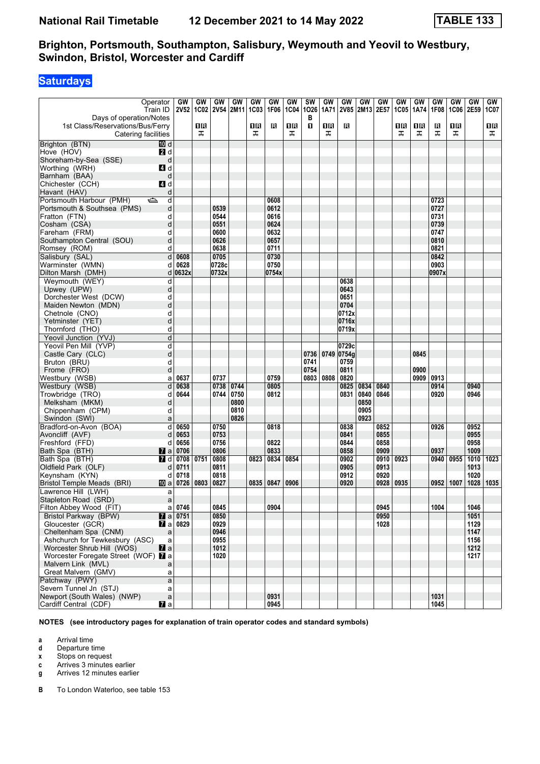## **Saturdays**

|                                     | Operator       | GW                | GW   | GW                        | GW   | GW          | GW    | GW          | <b>SW</b>    | GW   | GW          | GW        | GW   | GW          | GW   | GW    | GW          | <b>GW</b> | GW   |
|-------------------------------------|----------------|-------------------|------|---------------------------|------|-------------|-------|-------------|--------------|------|-------------|-----------|------|-------------|------|-------|-------------|-----------|------|
|                                     | Train ID       |                   |      | 2V52   1C02   2V54   2M11 |      | <b>1C03</b> | 1F06  | <b>1C04</b> | 1026         | 1A71 | <b>2V85</b> | 2M13 2E57 |      | <b>1C05</b> | 1A74 | 1F08  | <b>1C06</b> | 2E59      | 1C07 |
| Days of operation/Notes             |                |                   |      |                           |      |             |       |             | в            |      |             |           |      |             |      |       |             |           |      |
| 1st Class/Reservations/Bus/Ferry    |                |                   | 1R   |                           |      | 1 R         | в     | 1R          | $\mathbf{u}$ | 1R   | в           |           |      | 1 R         | 0 B  | R     | 1R          |           | 16   |
| Catering facilities                 |                |                   | ᠼ    |                           |      | ᠼ           |       | ᠼ           |              | ᠼ    |             |           |      | ᠼ           | ᠼ    | ᠼ     | ᠼ           |           | ᠼ    |
|                                     |                |                   |      |                           |      |             |       |             |              |      |             |           |      |             |      |       |             |           |      |
| Brighton (BTN)                      | III d          |                   |      |                           |      |             |       |             |              |      |             |           |      |             |      |       |             |           |      |
| Hove (HOV)                          | 2d             |                   |      |                           |      |             |       |             |              |      |             |           |      |             |      |       |             |           |      |
| Shoreham-by-Sea (SSE)               | d              |                   |      |                           |      |             |       |             |              |      |             |           |      |             |      |       |             |           |      |
| Worthing (WRH)                      | 4 d            |                   |      |                           |      |             |       |             |              |      |             |           |      |             |      |       |             |           |      |
| Barnham (BAA)                       | d              |                   |      |                           |      |             |       |             |              |      |             |           |      |             |      |       |             |           |      |
|                                     |                |                   |      |                           |      |             |       |             |              |      |             |           |      |             |      |       |             |           |      |
| Chichester (CCH)                    | <b>4</b> d     |                   |      |                           |      |             |       |             |              |      |             |           |      |             |      |       |             |           |      |
| Havant (HAV)                        | d              |                   |      |                           |      |             |       |             |              |      |             |           |      |             |      |       |             |           |      |
| Portsmouth Harbour (PMH)            | ک<br>d         |                   |      |                           |      |             | 0608  |             |              |      |             |           |      |             |      | 0723  |             |           |      |
| Portsmouth & Southsea (PMS)         | d              |                   |      | 0539                      |      |             | 0612  |             |              |      |             |           |      |             |      | 0727  |             |           |      |
| Fratton (FTN)                       | d              |                   |      | 0544                      |      |             | 0616  |             |              |      |             |           |      |             |      | 0731  |             |           |      |
| Cosham (CSA)                        | d              |                   |      | 0551                      |      |             | 0624  |             |              |      |             |           |      |             |      | 0739  |             |           |      |
| Fareham (FRM)                       | d              |                   |      | 0600                      |      |             | 0632  |             |              |      |             |           |      |             |      | 0747  |             |           |      |
| Southampton Central (SOU)           | d              |                   |      | 0626                      |      |             | 0657  |             |              |      |             |           |      |             |      | 0810  |             |           |      |
|                                     |                |                   |      |                           |      |             |       |             |              |      |             |           |      |             |      |       |             |           |      |
| Romsey (ROM)                        | d              |                   |      | 0638                      |      |             | 0711  |             |              |      |             |           |      |             |      | 0821  |             |           |      |
| Salisbury (SAL)                     | d              | 0608              |      | 0705                      |      |             | 0730  |             |              |      |             |           |      |             |      | 0842  |             |           |      |
| Warminster (WMN)                    | d              | 0628              |      | 0728c                     |      |             | 0750  |             |              |      |             |           |      |             |      | 0903  |             |           |      |
| Dilton Marsh (DMH)                  | d              | 0632x             |      | 0732x                     |      |             | 0754x |             |              |      |             |           |      |             |      | 0907x |             |           |      |
| Weymouth (WEY)                      | d              |                   |      |                           |      |             |       |             |              |      | 0638        |           |      |             |      |       |             |           |      |
| Upwey (UPW)                         | d              |                   |      |                           |      |             |       |             |              |      | 0643        |           |      |             |      |       |             |           |      |
| Dorchester West (DCW)               | d              |                   |      |                           |      |             |       |             |              |      | 0651        |           |      |             |      |       |             |           |      |
|                                     |                |                   |      |                           |      |             |       |             |              |      | 0704        |           |      |             |      |       |             |           |      |
| Maiden Newton (MDN)                 | d              |                   |      |                           |      |             |       |             |              |      |             |           |      |             |      |       |             |           |      |
| Chetnole (CNO)                      | d              |                   |      |                           |      |             |       |             |              |      | 0712x       |           |      |             |      |       |             |           |      |
| Yetminster (YET)                    | d              |                   |      |                           |      |             |       |             |              |      | 0716x       |           |      |             |      |       |             |           |      |
| Thornford (THO)                     | d              |                   |      |                           |      |             |       |             |              |      | 0719x       |           |      |             |      |       |             |           |      |
| Yeovil Junction (YVJ)               | d              |                   |      |                           |      |             |       |             |              |      |             |           |      |             |      |       |             |           |      |
| Yeovil Pen Mill (YVP)               | d              |                   |      |                           |      |             |       |             |              |      | 0729c       |           |      |             |      |       |             |           |      |
| Castle Cary (CLC)                   | d              |                   |      |                           |      |             |       |             | 0736         | 0749 | 0754g       |           |      |             | 0845 |       |             |           |      |
| Bruton (BRU)                        | d              |                   |      |                           |      |             |       |             | 0741         |      | 0759        |           |      |             |      |       |             |           |      |
|                                     |                |                   |      |                           |      |             |       |             |              |      |             |           |      |             |      |       |             |           |      |
| Frome (FRO)                         | d              |                   |      |                           |      |             |       |             | 0754         |      | 0811        |           |      |             | 0900 |       |             |           |      |
| Westbury (WSB)                      | a              | 0637              |      | 0737                      |      |             | 0759  |             | 0803         | 0808 | 0820        |           |      |             | 0909 | 0913  |             |           |      |
| Westbury (WSB)                      | d              | 0638              |      | 0738                      | 0744 |             | 0805  |             |              |      | 0825        | 0834      | 0840 |             |      | 0914  |             | 0940      |      |
| Trowbridge (TRO)                    | d              | 0644              |      | 0744                      | 0750 |             | 0812  |             |              |      | 0831        | 0840      | 0846 |             |      | 0920  |             | 0946      |      |
| Melksham (MKM)                      | d              |                   |      |                           | 0800 |             |       |             |              |      |             | 0850      |      |             |      |       |             |           |      |
| Chippenham (CPM)                    | d              |                   |      |                           | 0810 |             |       |             |              |      |             | 0905      |      |             |      |       |             |           |      |
| Swindon (SWI)                       | a              |                   |      |                           | 0826 |             |       |             |              |      |             | 0923      |      |             |      |       |             |           |      |
| Bradford-on-Avon (BOA)              | d              | 0650              |      | 0750                      |      |             | 0818  |             |              |      | 0838        |           | 0852 |             |      | 0926  |             | 0952      |      |
|                                     |                | 0653              |      | 0753                      |      |             |       |             |              |      | 0841        |           | 0855 |             |      |       |             | 0955      |      |
| Avoncliff (AVF)                     | d              |                   |      |                           |      |             |       |             |              |      |             |           |      |             |      |       |             |           |      |
| Freshford (FFD)                     | d              | 0656              |      | 0756                      |      |             | 0822  |             |              |      | 0844        |           | 0858 |             |      |       |             | 0958      |      |
| Bath Spa (BTH)                      | <b>M</b> a     | 0706              |      | 0806                      |      |             | 0833  |             |              |      | 0858        |           | 0909 |             |      | 0937  |             | 1009      |      |
| Bath Spa (BTH)                      | 7 d            | 0708              | 0751 | 0808                      |      | 0823        | 0834  | 0854        |              |      | 0902        |           | 0910 | 0923        |      | 0940  | 0955        | 1010      | 1023 |
| Oldfield Park (OLF)                 | d              | 0711              |      | 0811                      |      |             |       |             |              |      | 0905        |           | 0913 |             |      |       |             | 1013      |      |
| Keynsham (KYN)                      | d              | 0718              |      | 0818                      |      |             |       |             |              |      | 0912        |           | 0920 |             |      |       |             | 1020      |      |
| Bristol Temple Meads (BRI)          | 100 al         | 0726              | 0803 | 0827                      |      | 0835        | 0847  | 0906        |              |      | 0920        |           | 0928 | 0935        |      | 0952  | 1007        | 1028      | 1035 |
| Lawrence Hill (LWH)                 | a              |                   |      |                           |      |             |       |             |              |      |             |           |      |             |      |       |             |           |      |
| Stapleton Road (SRD)                | a              |                   |      |                           |      |             |       |             |              |      |             |           |      |             |      |       |             |           |      |
|                                     |                | $a$ 0746          |      | 0845                      |      |             | 0904  |             |              |      |             |           | 0945 |             |      | 1004  |             | 1046      |      |
| Filton Abbey Wood (FIT)             |                |                   |      |                           |      |             |       |             |              |      |             |           |      |             |      |       |             |           |      |
| Bristol Parkway (BPW)               |                | <b>7</b> a 0751   |      | 0850                      |      |             |       |             |              |      |             |           | 0950 |             |      |       |             | 1051      |      |
| Gloucester (GCR)                    |                | $\sqrt{2}$ a 0829 |      | 0929                      |      |             |       |             |              |      |             |           | 1028 |             |      |       |             | 1129      |      |
| Cheltenham Spa (CNM)                | a              |                   |      | 0946                      |      |             |       |             |              |      |             |           |      |             |      |       |             | 1147      |      |
| Ashchurch for Tewkesbury (ASC)      | a              |                   |      | 0955                      |      |             |       |             |              |      |             |           |      |             |      |       |             | 1156      |      |
| Worcester Shrub Hill (WOS)          | $\mathbf{z}$ a |                   |      | 1012                      |      |             |       |             |              |      |             |           |      |             |      |       |             | 1212      |      |
| Worcester Foregate Street (WOF) 2 a |                |                   |      | 1020                      |      |             |       |             |              |      |             |           |      |             |      |       |             | 1217      |      |
| Malvern Link (MVL)                  | a              |                   |      |                           |      |             |       |             |              |      |             |           |      |             |      |       |             |           |      |
| Great Malvern (GMV)                 | a              |                   |      |                           |      |             |       |             |              |      |             |           |      |             |      |       |             |           |      |
| Patchway (PWY)                      | a              |                   |      |                           |      |             |       |             |              |      |             |           |      |             |      |       |             |           |      |
|                                     |                |                   |      |                           |      |             |       |             |              |      |             |           |      |             |      |       |             |           |      |
| Severn Tunnel Jn (STJ)              | a              |                   |      |                           |      |             |       |             |              |      |             |           |      |             |      |       |             |           |      |
| Newport (South Wales) (NWP)         | $\mathsf{a}$   |                   |      |                           |      |             | 0931  |             |              |      |             |           |      |             |      | 1031  |             |           |      |
| Cardiff Central (CDF)               | <b>Z</b> a     |                   |      |                           |      |             | 0945  |             |              |      |             |           |      |             |      | 1045  |             |           |      |

**NOTES (see introductory pages for explanation of train operator codes and standard symbols)**

**a** Arrival time<br>**d** Departure t

**d** Departure time

**x** Stops on request

**c** Arrives 3 minutes earlier

**g** Arrives 12 minutes earlier

**B** To London Waterloo, see table 153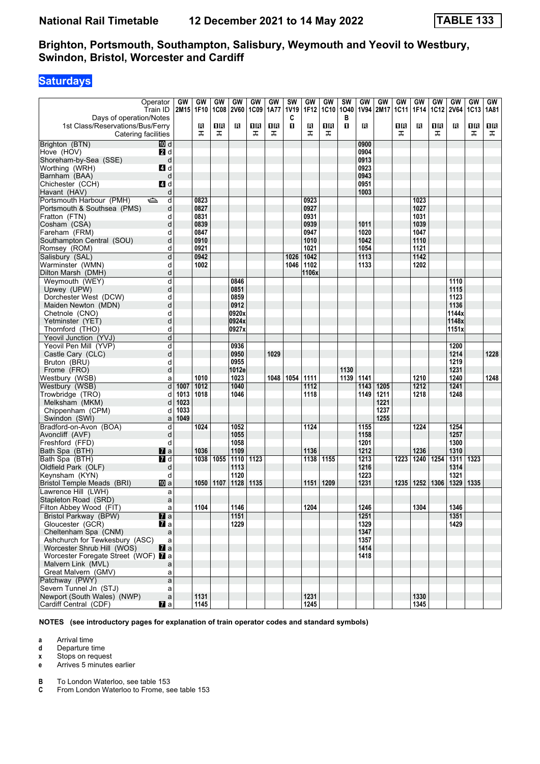## **Saturdays**

|                                     | Operator            | GW        | GW   | GW   | GW        | GW          | GW   | <b>SW</b>   | GW    | GW          | <b>SW</b> | GW   | <b>GW</b> | GW   | GW   | <b>GW</b> | GW               | <b>GW</b> | GW   |
|-------------------------------------|---------------------|-----------|------|------|-----------|-------------|------|-------------|-------|-------------|-----------|------|-----------|------|------|-----------|------------------|-----------|------|
|                                     | Train ID            | 2M15 1F10 |      |      | 1C08 2V60 | <b>1C09</b> | 1A77 | <b>1V19</b> | 1F12  | <b>1C10</b> | 1040      | 1V94 | 2M17      | 1C11 | 1F14 | 1C12      | <b>2V64</b>      | 1C13 1A81 |      |
| Days of operation/Notes             |                     |           |      |      |           |             |      | C           |       |             | в         |      |           |      |      |           |                  |           |      |
| 1st Class/Reservations/Bus/Ferry    |                     |           | В    | 1R   | ß         | 1 R         | 1 R  | 0           | в     | 1R          | п         | R    |           | 1 R  | в    | 0 B       | в                | ΠR        | 16   |
|                                     |                     |           |      |      |           |             |      |             |       |             |           |      |           |      |      |           |                  |           |      |
|                                     | Catering facilities |           | ᠼ    | ᠼ    |           | ᠼ           | ᠼ    |             | ᠼ     | ᠼ           |           |      |           | ᠼ    |      | ᠼ         |                  | ᠼ         | ᠼ    |
| Brighton (BTN)                      | [10] d              |           |      |      |           |             |      |             |       |             |           | 0900 |           |      |      |           |                  |           |      |
| Hove (HOV)                          | 2d                  |           |      |      |           |             |      |             |       |             |           | 0904 |           |      |      |           |                  |           |      |
| Shoreham-by-Sea (SSE)               | d                   |           |      |      |           |             |      |             |       |             |           | 0913 |           |      |      |           |                  |           |      |
| Worthing (WRH)                      | 4 d                 |           |      |      |           |             |      |             |       |             |           | 0923 |           |      |      |           |                  |           |      |
|                                     |                     |           |      |      |           |             |      |             |       |             |           |      |           |      |      |           |                  |           |      |
| Barnham (BAA)                       | d                   |           |      |      |           |             |      |             |       |             |           | 0943 |           |      |      |           |                  |           |      |
| Chichester (CCH)                    | L4 d                |           |      |      |           |             |      |             |       |             |           | 0951 |           |      |      |           |                  |           |      |
| Havant (HAV)                        | d                   |           |      |      |           |             |      |             |       |             |           | 1003 |           |      |      |           |                  |           |      |
| Portsmouth Harbour (PMH)            | $\Rightarrow$<br>d  |           | 0823 |      |           |             |      |             | 0923  |             |           |      |           |      | 1023 |           |                  |           |      |
| Portsmouth & Southsea (PMS)         | d                   |           | 0827 |      |           |             |      |             | 0927  |             |           |      |           |      | 1027 |           |                  |           |      |
| Fratton (FTN)                       | d                   |           | 0831 |      |           |             |      |             | 0931  |             |           |      |           |      | 1031 |           |                  |           |      |
|                                     |                     |           |      |      |           |             |      |             |       |             |           |      |           |      |      |           |                  |           |      |
| Cosham (CSA)                        | d                   |           | 0839 |      |           |             |      |             | 0939  |             |           | 1011 |           |      | 1039 |           |                  |           |      |
| Fareham (FRM)                       | d                   |           | 0847 |      |           |             |      |             | 0947  |             |           | 1020 |           |      | 1047 |           |                  |           |      |
| Southampton Central (SOU)           | d                   |           | 0910 |      |           |             |      |             | 1010  |             |           | 1042 |           |      | 1110 |           |                  |           |      |
| Romsey (ROM)                        | d                   |           | 0921 |      |           |             |      |             | 1021  |             |           | 1054 |           |      | 1121 |           |                  |           |      |
| Salisbury (SAL)                     | d                   |           | 0942 |      |           |             |      | 1026        | 1042  |             |           | 1113 |           |      | 1142 |           |                  |           |      |
| Warminster (WMN)                    | d                   |           | 1002 |      |           |             |      | 1046        | 1102  |             |           | 1133 |           |      | 1202 |           |                  |           |      |
|                                     | d                   |           |      |      |           |             |      |             | 1106x |             |           |      |           |      |      |           |                  |           |      |
| Dilton Marsh (DMH)                  |                     |           |      |      |           |             |      |             |       |             |           |      |           |      |      |           |                  |           |      |
| Weymouth (WEY)                      | d                   |           |      |      | 0846      |             |      |             |       |             |           |      |           |      |      |           | 1110             |           |      |
| Upwey (UPW)                         | d                   |           |      |      | 0851      |             |      |             |       |             |           |      |           |      |      |           | 1115             |           |      |
| Dorchester West (DCW)               | d                   |           |      |      | 0859      |             |      |             |       |             |           |      |           |      |      |           | 1123             |           |      |
| Maiden Newton (MDN)                 | d                   |           |      |      | 0912      |             |      |             |       |             |           |      |           |      |      |           | 1136             |           |      |
| Chetnole (CNO)                      | d                   |           |      |      | 0920x     |             |      |             |       |             |           |      |           |      |      |           | 1144x            |           |      |
| Yetminster (YET)                    | d                   |           |      |      | 0924x     |             |      |             |       |             |           |      |           |      |      |           | 1148x            |           |      |
| Thornford (THO)                     | d                   |           |      |      | 0927x     |             |      |             |       |             |           |      |           |      |      |           | 1151x            |           |      |
|                                     |                     |           |      |      |           |             |      |             |       |             |           |      |           |      |      |           |                  |           |      |
| Yeovil Junction (YVJ)               | d                   |           |      |      |           |             |      |             |       |             |           |      |           |      |      |           |                  |           |      |
| Yeovil Pen Mill (YVP)               | d                   |           |      |      | 0936      |             |      |             |       |             |           |      |           |      |      |           | 1200             |           |      |
| Castle Cary (CLC)                   | d                   |           |      |      | 0950      |             | 1029 |             |       |             |           |      |           |      |      |           | 1214             |           | 1228 |
| Bruton (BRU)                        | d                   |           |      |      | 0955      |             |      |             |       |             |           |      |           |      |      |           | 1219             |           |      |
| Frome (FRO)                         | d                   |           |      |      | 1012e     |             |      |             |       |             | 1130      |      |           |      |      |           | 1231             |           |      |
| Westbury (WSB)                      | a                   |           | 1010 |      | 1023      |             |      | 1048 1054   | 1111  |             | 1139      | 1141 |           |      | 1210 |           | 1240             |           | 1248 |
| Westbury (WSB)                      | d                   | 1007      | 1012 |      | 1040      |             |      |             | 1112  |             |           | 1143 | 1205      |      | 1212 |           | 1241             |           |      |
| Trowbridge (TRO)                    | d                   | 1013      | 1018 |      | 1046      |             |      |             | 1118  |             |           | 1149 | 1211      |      | 1218 |           | 1248             |           |      |
|                                     |                     | 1023      |      |      |           |             |      |             |       |             |           |      | 1221      |      |      |           |                  |           |      |
| Melksham (MKM)                      | d                   |           |      |      |           |             |      |             |       |             |           |      |           |      |      |           |                  |           |      |
| Chippenham (CPM)                    | d                   | 1033      |      |      |           |             |      |             |       |             |           |      | 1237      |      |      |           |                  |           |      |
| Swindon (SWI)                       | a                   | 1049      |      |      |           |             |      |             |       |             |           |      | 1255      |      |      |           |                  |           |      |
| Bradford-on-Avon (BOA)              | d                   |           | 1024 |      | 1052      |             |      |             | 1124  |             |           | 1155 |           |      | 1224 |           | 1254             |           |      |
| Avoncliff (AVF)                     | d                   |           |      |      | 1055      |             |      |             |       |             |           | 1158 |           |      |      |           | 1257             |           |      |
| Freshford (FFD)                     | d                   |           |      |      | 1058      |             |      |             |       |             |           | 1201 |           |      |      |           | 1300             |           |      |
| Bath Spa (BTH)                      | $\mathbf{z}$ a      |           | 1036 |      | 1109      |             |      |             | 1136  |             |           | 1212 |           |      | 1236 |           | 1310             |           |      |
| Bath Spa (BTH)                      | $I$ d               |           | 1038 | 1055 | 1110      | 1123        |      |             | 1138  | 1155        |           | 1213 |           | 1223 | 1240 | 1254      | 1311             | 1323      |      |
|                                     |                     |           |      |      |           |             |      |             |       |             |           |      |           |      |      |           |                  |           |      |
| Oldfield Park (OLF)                 | d                   |           |      |      | 1113      |             |      |             |       |             |           | 1216 |           |      |      |           | 1314             |           |      |
| Keynsham (KYN)                      | d                   |           |      |      | 1120      |             |      |             |       |             |           | 1223 |           |      |      |           | 1321             |           |      |
| Bristol Temple Meads (BRI)          | <b>ID</b> a         |           | 1050 | 1107 | 1128      | 1135        |      |             | 1151  | 1209        |           | 1231 |           | 1235 | 1252 | 1306      | 1329             | 1335      |      |
| Lawrence Hill (LWH)                 | a                   |           |      |      |           |             |      |             |       |             |           |      |           |      |      |           |                  |           |      |
| Stapleton Road (SRD)                | a                   |           |      |      |           |             |      |             |       |             |           |      |           |      |      |           |                  |           |      |
| Filton Abbey Wood (FIT)             | a                   |           | 1104 |      | 1146      |             |      |             | 1204  |             |           | 1246 |           |      | 1304 |           | 1346             |           |      |
| Bristol Parkway (BPW)               | $\mathbf{z}$        |           |      |      | 1151      |             |      |             |       |             |           | 1251 |           |      |      |           | $\frac{1351}{2}$ |           |      |
| Gloucester (GCR)                    | <b>7</b> a          |           |      |      | 1229      |             |      |             |       |             |           | 1329 |           |      |      |           | 1429             |           |      |
|                                     |                     |           |      |      |           |             |      |             |       |             |           |      |           |      |      |           |                  |           |      |
| Cheltenham Spa (CNM)                | $\mathsf{a}$        |           |      |      |           |             |      |             |       |             |           | 1347 |           |      |      |           |                  |           |      |
| Ashchurch for Tewkesbury (ASC)      | a                   |           |      |      |           |             |      |             |       |             |           | 1357 |           |      |      |           |                  |           |      |
| Worcester Shrub Hill (WOS)          | $\mathbf{z}$ a      |           |      |      |           |             |      |             |       |             |           | 1414 |           |      |      |           |                  |           |      |
| Worcester Foregate Street (WOF) 2 a |                     |           |      |      |           |             |      |             |       |             |           | 1418 |           |      |      |           |                  |           |      |
| Malvern Link (MVL)                  | a                   |           |      |      |           |             |      |             |       |             |           |      |           |      |      |           |                  |           |      |
| Great Malvern (GMV)                 | a                   |           |      |      |           |             |      |             |       |             |           |      |           |      |      |           |                  |           |      |
| Patchway (PWY)                      | a                   |           |      |      |           |             |      |             |       |             |           |      |           |      |      |           |                  |           |      |
| Severn Tunnel Jn (STJ)              | a                   |           |      |      |           |             |      |             |       |             |           |      |           |      |      |           |                  |           |      |
| Newport (South Wales) (NWP)         |                     |           |      |      |           |             |      |             | 1231  |             |           |      |           |      | 1330 |           |                  |           |      |
|                                     | $\mathsf{a}$        |           | 1131 |      |           |             |      |             |       |             |           |      |           |      |      |           |                  |           |      |
| Cardiff Central (CDF)               | $\mathbf{z}$ a      |           | 1145 |      |           |             |      |             | 1245  |             |           |      |           |      | 1345 |           |                  |           |      |

**NOTES (see introductory pages for explanation of train operator codes and standard symbols)**

**a** Arrival time<br>**d** Departure t

**d** Departure time

**x** Stops on request

**e** Arrives 5 minutes earlier

**B** To London Waterloo, see table 153<br>**C** From London Waterloo to Frome, se

From London Waterloo to Frome, see table 153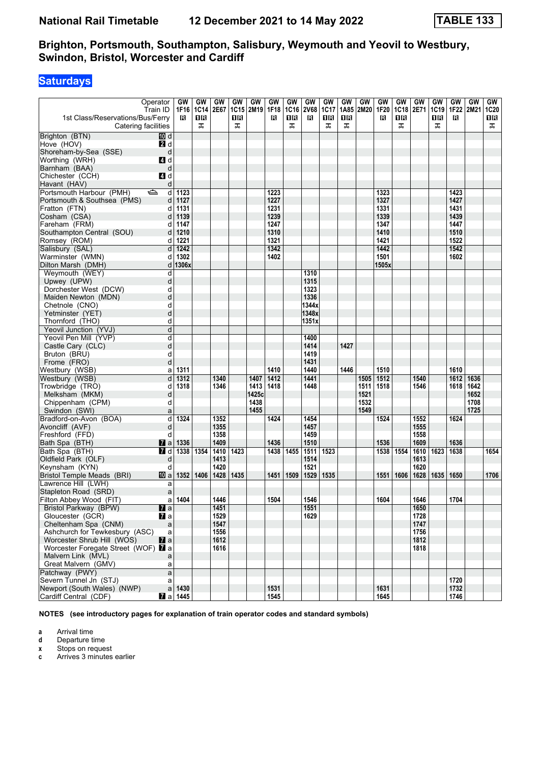## **Saturdays**

| 1st Class/Reservations/Bus/Ferry<br>Catering facilities | Operator<br>Train ID             | GW<br>1F16<br>R | GW<br><b>1C14</b><br>1R<br>ᠼ | GW<br>2E67 | GW<br><b>1C15</b><br>16<br>ᠼ | GW<br>2M <sub>19</sub> | GW<br>1F18<br>в | GW<br>1C16<br>0 B<br>ᠼ | GW<br><b>2V68</b><br>R | GW<br>1C17<br>0 B<br>ᠼ | GW<br>1A85<br>ΠR<br>ᠼ | GW<br>2M20 | GW<br>1F20<br>R | GW<br><b>1C18</b><br>1 R<br>ᠼ | GW<br>2E71   | GW<br>1C19<br>1 R<br>ᠼ | GW<br>1F22<br>в | GW<br>2M21 | GW<br>1C20<br>Oß<br>ᠼ |
|---------------------------------------------------------|----------------------------------|-----------------|------------------------------|------------|------------------------------|------------------------|-----------------|------------------------|------------------------|------------------------|-----------------------|------------|-----------------|-------------------------------|--------------|------------------------|-----------------|------------|-----------------------|
| Brighton (BTN)                                          | III d                            |                 |                              |            |                              |                        |                 |                        |                        |                        |                       |            |                 |                               |              |                        |                 |            |                       |
| Hove (HOV)                                              | 2d                               |                 |                              |            |                              |                        |                 |                        |                        |                        |                       |            |                 |                               |              |                        |                 |            |                       |
| Shoreham-by-Sea (SSE)                                   | d                                |                 |                              |            |                              |                        |                 |                        |                        |                        |                       |            |                 |                               |              |                        |                 |            |                       |
| Worthing (WRH)                                          | ZI d                             |                 |                              |            |                              |                        |                 |                        |                        |                        |                       |            |                 |                               |              |                        |                 |            |                       |
| Barnham (BAA)                                           | d                                |                 |                              |            |                              |                        |                 |                        |                        |                        |                       |            |                 |                               |              |                        |                 |            |                       |
| Chichester (CCH)                                        | 4d                               |                 |                              |            |                              |                        |                 |                        |                        |                        |                       |            |                 |                               |              |                        |                 |            |                       |
| Havant (HAV)                                            | d                                |                 |                              |            |                              |                        |                 |                        |                        |                        |                       |            |                 |                               |              |                        |                 |            |                       |
| Portsmouth Harbour (PMH)                                | ఆ<br>d                           | 1123            |                              |            |                              |                        | 1223            |                        |                        |                        |                       |            | 1323            |                               |              |                        | 1423            |            |                       |
| Portsmouth & Southsea (PMS)                             | d                                | 1127            |                              |            |                              |                        | 1227            |                        |                        |                        |                       |            | 1327            |                               |              |                        | 1427            |            |                       |
| Fratton (FTN)                                           | d                                | 1131            |                              |            |                              |                        | 1231            |                        |                        |                        |                       |            | 1331            |                               |              |                        | 1431            |            |                       |
| Cosham (CSA)                                            |                                  | 1139            |                              |            |                              |                        | 1239            |                        |                        |                        |                       |            | 1339            |                               |              |                        | 1439            |            |                       |
| Fareham (FRM)                                           | d                                | 1147            |                              |            |                              |                        | 1247            |                        |                        |                        |                       |            | 1347            |                               |              |                        | 1447            |            |                       |
| Southampton Central (SOU)                               | d                                | 1210            |                              |            |                              |                        | 1310            |                        |                        |                        |                       |            | 1410            |                               |              |                        | 1510            |            |                       |
| Romsey (ROM)                                            | d                                | 1221            |                              |            |                              |                        | 1321            |                        |                        |                        |                       |            | 1421            |                               |              |                        | 1522            |            |                       |
| Salisbury (SAL)                                         | d                                | 1242            |                              |            |                              |                        | 1342            |                        |                        |                        |                       |            | 1442            |                               |              |                        | 1542            |            |                       |
| Warminster (WMN)                                        | d                                | 1302            |                              |            |                              |                        | 1402            |                        |                        |                        |                       |            | 1501            |                               |              |                        | 1602            |            |                       |
| Dilton Marsh (DMH)                                      | d                                | 1306x           |                              |            |                              |                        |                 |                        |                        |                        |                       |            | 1505x           |                               |              |                        |                 |            |                       |
| Weymouth (WEY)                                          | d                                |                 |                              |            |                              |                        |                 |                        | 1310                   |                        |                       |            |                 |                               |              |                        |                 |            |                       |
| Upwey (UPW)                                             | d                                |                 |                              |            |                              |                        |                 |                        | 1315                   |                        |                       |            |                 |                               |              |                        |                 |            |                       |
| Dorchester West (DCW)                                   | d                                |                 |                              |            |                              |                        |                 |                        | 1323                   |                        |                       |            |                 |                               |              |                        |                 |            |                       |
| Maiden Newton (MDN)                                     | d                                |                 |                              |            |                              |                        |                 |                        | 1336                   |                        |                       |            |                 |                               |              |                        |                 |            |                       |
| Chetnole (CNO)                                          | d                                |                 |                              |            |                              |                        |                 |                        | 1344x                  |                        |                       |            |                 |                               |              |                        |                 |            |                       |
| Yetminster (YET)                                        | d                                |                 |                              |            |                              |                        |                 |                        | 1348x                  |                        |                       |            |                 |                               |              |                        |                 |            |                       |
| Thornford (THO)                                         | d                                |                 |                              |            |                              |                        |                 |                        | 1351x                  |                        |                       |            |                 |                               |              |                        |                 |            |                       |
| Yeovil Junction (YVJ)                                   | d                                |                 |                              |            |                              |                        |                 |                        |                        |                        |                       |            |                 |                               |              |                        |                 |            |                       |
| Yeovil Pen Mill (YVP)                                   | d                                |                 |                              |            |                              |                        |                 |                        | 1400                   |                        |                       |            |                 |                               |              |                        |                 |            |                       |
| Castle Cary (CLC)                                       | d                                |                 |                              |            |                              |                        |                 |                        | 1414                   |                        | 1427                  |            |                 |                               |              |                        |                 |            |                       |
| Bruton (BRU)                                            | d                                |                 |                              |            |                              |                        |                 |                        | 1419                   |                        |                       |            |                 |                               |              |                        |                 |            |                       |
| Frome (FRO)                                             | d                                |                 |                              |            |                              |                        |                 |                        | 1431                   |                        |                       |            |                 |                               |              |                        |                 |            |                       |
| Westbury (WSB)                                          | a                                | 1311            |                              |            |                              |                        | 1410            |                        | 1440                   |                        | 1446                  |            | 1510            |                               |              |                        | 1610            |            |                       |
| Westbury (WSB)                                          | d                                | 1312            |                              | 1340       |                              | 1407                   | 1412            |                        | 1441                   |                        |                       | 1505       | 1512            |                               | 1540         |                        | 1612            | 1636       |                       |
| Trowbridge (TRO)                                        | d                                | 1318            |                              | 1346       |                              | 1413                   | 1418            |                        | 1448                   |                        |                       | 1511       | 1518            |                               | 1546         |                        | 1618            | 1642       |                       |
| Melksham (MKM)                                          | d                                |                 |                              |            |                              | 1425c                  |                 |                        |                        |                        |                       | 1521       |                 |                               |              |                        |                 | 1652       |                       |
| Chippenham (CPM)                                        | d                                |                 |                              |            |                              | 1438                   |                 |                        |                        |                        |                       | 1532       |                 |                               |              |                        |                 | 1708       |                       |
| Swindon (SWI)                                           | a                                |                 |                              |            |                              | 1455                   |                 |                        |                        |                        |                       | 1549       |                 |                               |              |                        |                 | 1725       |                       |
| Bradford-on-Avon (BOA)                                  | d                                | 1324            |                              | 1352       |                              |                        | 1424            |                        | 1454                   |                        |                       |            | 1524            |                               | 1552         |                        | 1624            |            |                       |
| Avoncliff (AVF)                                         | d                                |                 |                              | 1355       |                              |                        |                 |                        | 1457                   |                        |                       |            |                 |                               | 1555         |                        |                 |            |                       |
| Freshford (FFD)                                         | d                                |                 |                              | 1358       |                              |                        |                 |                        | 1459                   |                        |                       |            |                 |                               | 1558         |                        |                 |            |                       |
| Bath Spa (BTH)                                          | <b>M</b> al                      | 1336            |                              | 1409       |                              |                        | 1436            |                        | 1510                   |                        |                       |            | 1536            |                               | 1609         |                        | 1636            |            |                       |
| Bath Spa (BTH)                                          | 7 d                              | 1338            | 1354                         | 1410       | 1423                         |                        | 1438            | 1455                   | 1511                   | 1523                   |                       |            | 1538            | 1554                          | 1610         | 1623                   | 1638            |            | 1654                  |
| Oldfield Park (OLF)                                     | d                                |                 |                              | 1413       |                              |                        |                 |                        | 1514                   |                        |                       |            |                 |                               | 1613         |                        |                 |            |                       |
| Keynsham (KYN)                                          | d                                |                 |                              | 1420       |                              |                        |                 |                        | 1521                   |                        |                       |            |                 |                               | 1620         |                        |                 |            |                       |
| Bristol Temple Meads (BRI)                              | 凹 al                             |                 | 1352   1406                  |            | 1428   1435                  |                        |                 | 1451 1509              | 1529                   | 1535                   |                       |            | 1551            | 1606                          | 1628         | 1635                   | 1650            |            | 1706                  |
| Lawrence Hill (LWH)                                     | a                                |                 |                              |            |                              |                        |                 |                        |                        |                        |                       |            |                 |                               |              |                        |                 |            |                       |
| Stapleton Road (SRD)<br>Filton Abbey Wood (FIT)         | a                                |                 |                              | 1446       |                              |                        | 1504            |                        |                        |                        |                       |            |                 |                               |              |                        | 1704            |            |                       |
| Bristol Parkway (BPW)                                   | a                                | 1404            |                              | 1451       |                              |                        |                 |                        | 1546<br>1551           |                        |                       |            | 1604            |                               | 1646         |                        |                 |            |                       |
| Gloucester (GCR)                                        | $\overline{a}$<br>$\mathbf{z}$ a |                 |                              | 1529       |                              |                        |                 |                        | 1629                   |                        |                       |            |                 |                               | 1650<br>1728 |                        |                 |            |                       |
| Cheltenham Spa (CNM)                                    | $\mathsf{a}$                     |                 |                              | 1547       |                              |                        |                 |                        |                        |                        |                       |            |                 |                               | 1747         |                        |                 |            |                       |
| Ashchurch for Tewkesbury (ASC)                          | a                                |                 |                              | 1556       |                              |                        |                 |                        |                        |                        |                       |            |                 |                               | 1756         |                        |                 |            |                       |
| Worcester Shrub Hill (WOS)                              | $\mathbf{z}$ a                   |                 |                              | 1612       |                              |                        |                 |                        |                        |                        |                       |            |                 |                               | 1812         |                        |                 |            |                       |
| Worcester Foregate Street (WOF) <b>7</b> a              |                                  |                 |                              | 1616       |                              |                        |                 |                        |                        |                        |                       |            |                 |                               | 1818         |                        |                 |            |                       |
| Malvern Link (MVL)                                      | a                                |                 |                              |            |                              |                        |                 |                        |                        |                        |                       |            |                 |                               |              |                        |                 |            |                       |
| Great Malvern (GMV)                                     | a                                |                 |                              |            |                              |                        |                 |                        |                        |                        |                       |            |                 |                               |              |                        |                 |            |                       |
| Patchway (PWY)                                          | $\mathsf{a}$                     |                 |                              |            |                              |                        |                 |                        |                        |                        |                       |            |                 |                               |              |                        |                 |            |                       |
| Severn Tunnel Jn (STJ)                                  | a                                |                 |                              |            |                              |                        |                 |                        |                        |                        |                       |            |                 |                               |              |                        | 1720            |            |                       |
| Newport (South Wales) (NWP)                             |                                  | $a$ 1430        |                              |            |                              |                        | 1531            |                        |                        |                        |                       |            | 1631            |                               |              |                        | 1732            |            |                       |
| Cardiff Central (CDF)                                   |                                  | 7∎ a 1445       |                              |            |                              |                        | 1545            |                        |                        |                        |                       |            | 1645            |                               |              |                        | 1746            |            |                       |

**NOTES (see introductory pages for explanation of train operator codes and standard symbols)**

**a** Arrival time

**d** Departure time<br>**x** Stops on reque

**x** Stops on request<br>**c** Arrives 3 minutes

**c** Arrives 3 minutes earlier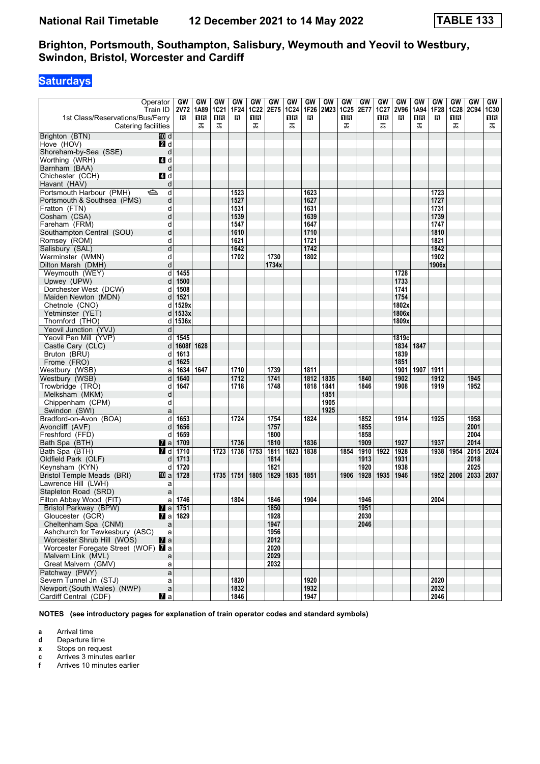## **Saturdays**

| Operator<br>Train ID<br>1st Class/Reservations/Bus/Ferry<br>Catering facilities |                | GW<br>2V72<br>R         | GW<br>1A89<br>1R<br>ᠼ | GW<br><b>1C21</b><br>0 B<br>ᠼ | GW<br>1F24<br>В | GW<br><b>1C22</b><br>1 R<br>ᠼ | GW<br>2E75   | GW<br><b>1C24</b><br>0 R<br>ᠼ | GW<br>1F26<br>в | GW<br>2M23 | GW<br><b>1C25</b><br>16<br>ᠼ | GW<br>2E77 | <b>GW</b><br><b>1C27</b><br>1R<br>ᠼ | GW<br><b>2V96</b><br>B | GW<br>1A94<br>1R<br>ᠼ | <b>GW</b><br>1F28<br>в | <b>GW</b><br><b>1C28</b><br>1R<br>ᠼ | GW<br>2C94 1C30 | GW<br>1R<br>ᠼ |
|---------------------------------------------------------------------------------|----------------|-------------------------|-----------------------|-------------------------------|-----------------|-------------------------------|--------------|-------------------------------|-----------------|------------|------------------------------|------------|-------------------------------------|------------------------|-----------------------|------------------------|-------------------------------------|-----------------|---------------|
| Brighton (BTN)                                                                  | 10 d           |                         |                       |                               |                 |                               |              |                               |                 |            |                              |            |                                     |                        |                       |                        |                                     |                 |               |
| Hove (HOV)                                                                      | 2d             |                         |                       |                               |                 |                               |              |                               |                 |            |                              |            |                                     |                        |                       |                        |                                     |                 |               |
| Shoreham-by-Sea (SSE)                                                           | d              |                         |                       |                               |                 |                               |              |                               |                 |            |                              |            |                                     |                        |                       |                        |                                     |                 |               |
| Worthing (WRH)                                                                  | 4 d            |                         |                       |                               |                 |                               |              |                               |                 |            |                              |            |                                     |                        |                       |                        |                                     |                 |               |
| Barnham (BAA)                                                                   | d              |                         |                       |                               |                 |                               |              |                               |                 |            |                              |            |                                     |                        |                       |                        |                                     |                 |               |
| Chichester (CCH)                                                                | 4d             |                         |                       |                               |                 |                               |              |                               |                 |            |                              |            |                                     |                        |                       |                        |                                     |                 |               |
| Havant (HAV)                                                                    | d              |                         |                       |                               |                 |                               |              |                               |                 |            |                              |            |                                     |                        |                       |                        |                                     |                 |               |
| Portsmouth Harbour (PMH)<br>⇔                                                   | d              |                         |                       |                               | 1523            |                               |              |                               | 1623            |            |                              |            |                                     |                        |                       | 1723                   |                                     |                 |               |
| Portsmouth & Southsea (PMS)                                                     | d              |                         |                       |                               | 1527            |                               |              |                               | 1627            |            |                              |            |                                     |                        |                       | 1727                   |                                     |                 |               |
| Fratton (FTN)                                                                   | d              |                         |                       |                               | 1531            |                               |              |                               | 1631            |            |                              |            |                                     |                        |                       | 1731                   |                                     |                 |               |
| Cosham (CSA)                                                                    | d              |                         |                       |                               | 1539            |                               |              |                               | 1639            |            |                              |            |                                     |                        |                       | 1739                   |                                     |                 |               |
| Fareham (FRM)                                                                   | d              |                         |                       |                               | 1547            |                               |              |                               | 1647            |            |                              |            |                                     |                        |                       | 1747                   |                                     |                 |               |
| Southampton Central (SOU)                                                       | d              |                         |                       |                               | 1610            |                               |              |                               | 1710            |            |                              |            |                                     |                        |                       | 1810                   |                                     |                 |               |
| Romsey (ROM)                                                                    | d              |                         |                       |                               | 1621            |                               |              |                               | 1721            |            |                              |            |                                     |                        |                       | 1821                   |                                     |                 |               |
| Salisbury (SAL)                                                                 | d              |                         |                       |                               | 1642            |                               |              |                               | 1742            |            |                              |            |                                     |                        |                       | 1842                   |                                     |                 |               |
| Warminster (WMN)                                                                | d              |                         |                       |                               | 1702            |                               | 1730         |                               | 1802            |            |                              |            |                                     |                        |                       | 1902                   |                                     |                 |               |
| Dilton Marsh (DMH)                                                              | d              |                         |                       |                               |                 |                               | 1734x        |                               |                 |            |                              |            |                                     |                        |                       | 1906x                  |                                     |                 |               |
| Weymouth (WEY)                                                                  | d              | 1455                    |                       |                               |                 |                               |              |                               |                 |            |                              |            |                                     | 1728                   |                       |                        |                                     |                 |               |
| Upwey (UPW)                                                                     | d              | 1500                    |                       |                               |                 |                               |              |                               |                 |            |                              |            |                                     | 1733                   |                       |                        |                                     |                 |               |
| Dorchester West (DCW)                                                           | d              | 1508                    |                       |                               |                 |                               |              |                               |                 |            |                              |            |                                     | 1741                   |                       |                        |                                     |                 |               |
| Maiden Newton (MDN)                                                             | d              | 1521                    |                       |                               |                 |                               |              |                               |                 |            |                              |            |                                     | 1754                   |                       |                        |                                     |                 |               |
| Chetnole (CNO)                                                                  | d              | 1529x                   |                       |                               |                 |                               |              |                               |                 |            |                              |            |                                     | 1802x                  |                       |                        |                                     |                 |               |
| Yetminster (YET)                                                                | d              | 1533x                   |                       |                               |                 |                               |              |                               |                 |            |                              |            |                                     | 1806x                  |                       |                        |                                     |                 |               |
| Thornford (THO)                                                                 | d              | 1536x                   |                       |                               |                 |                               |              |                               |                 |            |                              |            |                                     | 1809x                  |                       |                        |                                     |                 |               |
| Yeovil Junction (YVJ)                                                           | d              |                         |                       |                               |                 |                               |              |                               |                 |            |                              |            |                                     |                        |                       |                        |                                     |                 |               |
| Yeovil Pen Mill (YVP)                                                           | d              | 1545                    |                       |                               |                 |                               |              |                               |                 |            |                              |            |                                     | 1819c                  |                       |                        |                                     |                 |               |
| Castle Cary (CLC)                                                               | d              | 1608f 1628              |                       |                               |                 |                               |              |                               |                 |            |                              |            |                                     | 1834                   | 1847                  |                        |                                     |                 |               |
| Bruton (BRU)                                                                    | d              | 1613                    |                       |                               |                 |                               |              |                               |                 |            |                              |            |                                     | 1839                   |                       |                        |                                     |                 |               |
| Frome (FRO)<br>Westbury (WSB)                                                   | d              | 1625<br>1634            | 1647                  |                               | 1710            |                               | 1739         |                               | 1811            |            |                              |            |                                     | 1851<br>1901           | 1907                  | 1911                   |                                     |                 |               |
| Westbury (WSB)                                                                  | a<br>d         | 1640                    |                       |                               | 1712            |                               | 1741         |                               | 1812            | 1835       |                              | 1840       |                                     | 1902                   |                       | 1912                   |                                     | 1945            |               |
| Trowbridge (TRO)                                                                | d              | 1647                    |                       |                               | 1718            |                               | 1748         |                               | 1818            | 1841       |                              | 1846       |                                     | 1908                   |                       | 1919                   |                                     | 1952            |               |
| Melksham (MKM)                                                                  | d              |                         |                       |                               |                 |                               |              |                               |                 | 1851       |                              |            |                                     |                        |                       |                        |                                     |                 |               |
| Chippenham (CPM)                                                                | d              |                         |                       |                               |                 |                               |              |                               |                 | 1905       |                              |            |                                     |                        |                       |                        |                                     |                 |               |
| Swindon (SWI)                                                                   | a              |                         |                       |                               |                 |                               |              |                               |                 | 1925       |                              |            |                                     |                        |                       |                        |                                     |                 |               |
| Bradford-on-Avon (BOA)                                                          | d              | 1653                    |                       |                               | 1724            |                               | 1754         |                               | 1824            |            |                              | 1852       |                                     | 1914                   |                       | 1925                   |                                     | 1958            |               |
| Avoncliff (AVF)                                                                 | d              | 1656                    |                       |                               |                 |                               | 1757         |                               |                 |            |                              | 1855       |                                     |                        |                       |                        |                                     | 2001            |               |
| Freshford (FFD)                                                                 | d              | 1659                    |                       |                               |                 |                               | 1800         |                               |                 |            |                              | 1858       |                                     |                        |                       |                        |                                     | 2004            |               |
| Bath Spa (BTH)                                                                  | 7 a l          | 1709                    |                       |                               | 1736            |                               | 1810         |                               | 1836            |            |                              | 1909       |                                     | 1927                   |                       | 1937                   |                                     | 2014            |               |
| Bath Spa (BTH)                                                                  | <b>7</b> d     | 1710                    |                       | 1723                          | 1738            | 1753                          | 1811         | 1823                          | 1838            |            | 1854                         | 1910       | 1922                                | 1928                   |                       | 1938                   | 1954                                | 2015 2024       |               |
| Oldfield Park (OLF)                                                             | d              | 1713                    |                       |                               |                 |                               | 1814         |                               |                 |            |                              | 1913       |                                     | 1931                   |                       |                        |                                     | 2018            |               |
| Keynsham (KYN)                                                                  | d              | 1720                    |                       |                               |                 |                               | 1821         |                               |                 |            |                              | 1920       |                                     | 1938                   |                       |                        |                                     | 2025            |               |
| <b>Bristol Temple Meads (BRI)</b>                                               | 凹 al           | 1728                    |                       | 1735                          | 1751            | 1805                          | 1829         | 1835                          | 1851            |            | 1906                         | 1928       | 1935                                | 1946                   |                       | 1952                   | 2006                                | 2033   2037     |               |
| Lawrence Hill (LWH)                                                             | a              |                         |                       |                               |                 |                               |              |                               |                 |            |                              |            |                                     |                        |                       |                        |                                     |                 |               |
| Stapleton Road (SRD)                                                            | a              |                         |                       |                               |                 |                               |              |                               |                 |            |                              |            |                                     |                        |                       |                        |                                     |                 |               |
| Filton Abbey Wood (FIT)                                                         | a              | 1746                    |                       |                               | 1804            |                               | 1846         |                               | 1904            |            |                              | 1946       |                                     |                        |                       | 2004                   |                                     |                 |               |
| Bristol Parkway (BPW)                                                           |                | $\blacksquare$ a   1751 |                       |                               |                 |                               | 1850         |                               |                 |            |                              | 1951       |                                     |                        |                       |                        |                                     |                 |               |
| Gloucester (GCR)                                                                |                | 7 a 1829                |                       |                               |                 |                               | 1928         |                               |                 |            |                              | 2030       |                                     |                        |                       |                        |                                     |                 |               |
| Cheltenham Spa (CNM)                                                            | $\mathsf{a}$   |                         |                       |                               |                 |                               | 1947         |                               |                 |            |                              | 2046       |                                     |                        |                       |                        |                                     |                 |               |
| Ashchurch for Tewkesbury (ASC)                                                  | a              |                         |                       |                               |                 |                               | 1956         |                               |                 |            |                              |            |                                     |                        |                       |                        |                                     |                 |               |
| Worcester Shrub Hill (WOS)                                                      | $\mathbf{a}$   |                         |                       |                               |                 |                               | 2012         |                               |                 |            |                              |            |                                     |                        |                       |                        |                                     |                 |               |
| Worcester Foregate Street (WOF) <b>7</b> a<br>Malvern Link (MVL)                |                |                         |                       |                               |                 |                               | 2020<br>2029 |                               |                 |            |                              |            |                                     |                        |                       |                        |                                     |                 |               |
| Great Malvern (GMV)                                                             | a<br>a         |                         |                       |                               |                 |                               | 2032         |                               |                 |            |                              |            |                                     |                        |                       |                        |                                     |                 |               |
| Patchway (PWY)                                                                  | $\mathsf{a}$   |                         |                       |                               |                 |                               |              |                               |                 |            |                              |            |                                     |                        |                       |                        |                                     |                 |               |
| Severn Tunnel Jn (STJ)                                                          | a              |                         |                       |                               | 1820            |                               |              |                               | 1920            |            |                              |            |                                     |                        |                       | 2020                   |                                     |                 |               |
| Newport (South Wales) (NWP)                                                     | $\mathsf{a}$   |                         |                       |                               | 1832            |                               |              |                               | 1932            |            |                              |            |                                     |                        |                       | 2032                   |                                     |                 |               |
| Cardiff Central (CDF)                                                           | $\mathbf{z}$ a |                         |                       |                               | 1846            |                               |              |                               | 1947            |            |                              |            |                                     |                        |                       | 2046                   |                                     |                 |               |

**NOTES (see introductory pages for explanation of train operator codes and standard symbols)**

**a** Arrival time

**d** Departure time<br>**x** Stops on reque

**x** Stops on request<br>**c** Arrives 3 minutes

**c** Arrives 3 minutes earlier

**f** Arrives 10 minutes earlier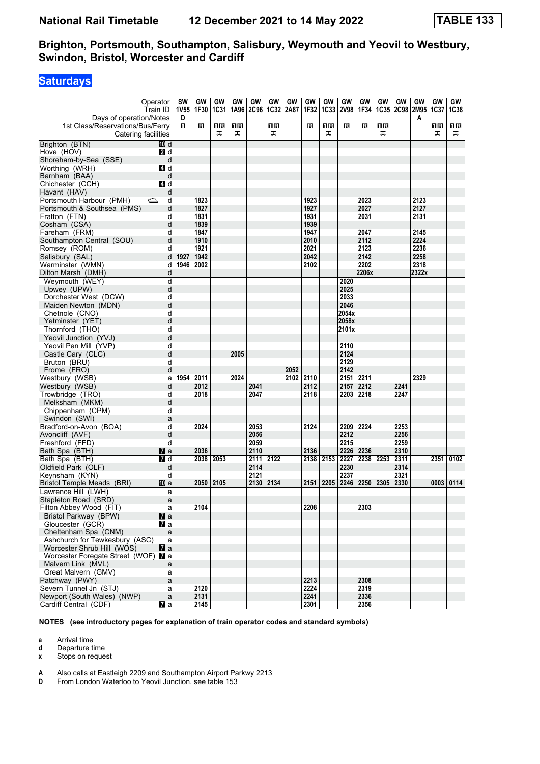## **Saturdays**

| Days of operation/Notes                                 | Operator<br>Train ID | <b>SW</b><br>1V55<br>D | GW<br>1F30   | GW<br><b>1C31</b> | GW<br>1A96 | GW<br><b>2C96</b> | GW<br>1C32 | GW<br>2A87 | GW<br>1F32   | GW<br><b>1C33</b> | GW<br><b>2V98</b> | GW<br>1F34 | GW        | GW<br>1C35 2C98 2M95 | GW<br>A | GW<br>1C37 | GW<br><b>1C38</b> |
|---------------------------------------------------------|----------------------|------------------------|--------------|-------------------|------------|-------------------|------------|------------|--------------|-------------------|-------------------|------------|-----------|----------------------|---------|------------|-------------------|
| 1st Class/Reservations/Bus/Ferry<br>Catering facilities |                      | п                      | в            | 18<br>ᠼ           | 0B<br>ᠼ    |                   | 0B<br>ᠼ    |            | В            | 0 B<br>ᠼ          | в                 | R          | 1R<br>ᠼ   |                      |         | 1R<br>ᠼ    | 1R<br>ᠼ           |
| Brighton (BTN)                                          | 10 d                 |                        |              |                   |            |                   |            |            |              |                   |                   |            |           |                      |         |            |                   |
| Hove (HOV)                                              | 21 d                 |                        |              |                   |            |                   |            |            |              |                   |                   |            |           |                      |         |            |                   |
| Shoreham-by-Sea (SSE)                                   | d                    |                        |              |                   |            |                   |            |            |              |                   |                   |            |           |                      |         |            |                   |
| Worthing (WRH)                                          | 4d                   |                        |              |                   |            |                   |            |            |              |                   |                   |            |           |                      |         |            |                   |
| Barnham (BAA)                                           | d                    |                        |              |                   |            |                   |            |            |              |                   |                   |            |           |                      |         |            |                   |
| Chichester (CCH)                                        | 4 d                  |                        |              |                   |            |                   |            |            |              |                   |                   |            |           |                      |         |            |                   |
| Havant (HAV)                                            | d                    |                        |              |                   |            |                   |            |            |              |                   |                   |            |           |                      |         |            |                   |
| Portsmouth Harbour (PMH)                                | ک<br>d               |                        | 1823         |                   |            |                   |            |            | 1923         |                   |                   | 2023       |           |                      | 2123    |            |                   |
| Portsmouth & Southsea (PMS)                             | d                    |                        | 1827         |                   |            |                   |            |            | 1927         |                   |                   | 2027       |           |                      | 2127    |            |                   |
| Fratton (FTN)                                           | d                    |                        | 1831         |                   |            |                   |            |            | 1931         |                   |                   | 2031       |           |                      | 2131    |            |                   |
| Cosham (CSA)                                            | d                    |                        | 1839<br>1847 |                   |            |                   |            |            | 1939         |                   |                   | 2047       |           |                      | 2145    |            |                   |
| Fareham (FRM)<br>Southampton Central (SOU)              | d<br>d               |                        | 1910         |                   |            |                   |            |            | 1947<br>2010 |                   |                   | 2112       |           |                      | 2224    |            |                   |
| Romsey (ROM)                                            | d                    |                        | 1921         |                   |            |                   |            |            | 2021         |                   |                   | 2123       |           |                      | 2236    |            |                   |
| Salisbury (SAL)                                         | d                    | 1927                   | 1942         |                   |            |                   |            |            | 2042         |                   |                   | 2142       |           |                      | 2258    |            |                   |
| Warminster (WMN)                                        | d                    |                        | 1946   2002  |                   |            |                   |            |            | 2102         |                   |                   | 2202       |           |                      | 2318    |            |                   |
| Dilton Marsh (DMH)                                      | d                    |                        |              |                   |            |                   |            |            |              |                   |                   | 2206x      |           |                      | 2322x   |            |                   |
| Weymouth (WEY)                                          | d                    |                        |              |                   |            |                   |            |            |              |                   | 2020              |            |           |                      |         |            |                   |
| Upwey (UPW)                                             | d                    |                        |              |                   |            |                   |            |            |              |                   | 2025              |            |           |                      |         |            |                   |
| Dorchester West (DCW)                                   | d                    |                        |              |                   |            |                   |            |            |              |                   | 2033              |            |           |                      |         |            |                   |
| Maiden Newton (MDN)                                     | d                    |                        |              |                   |            |                   |            |            |              |                   | 2046              |            |           |                      |         |            |                   |
| Chetnole (CNO)                                          | d                    |                        |              |                   |            |                   |            |            |              |                   | 2054x             |            |           |                      |         |            |                   |
| Yetminster (YET)                                        | d                    |                        |              |                   |            |                   |            |            |              |                   | 2058x             |            |           |                      |         |            |                   |
| Thornford (THO)                                         | d                    |                        |              |                   |            |                   |            |            |              |                   | 2101x             |            |           |                      |         |            |                   |
| Yeovil Junction (YVJ)                                   | d                    |                        |              |                   |            |                   |            |            |              |                   |                   |            |           |                      |         |            |                   |
| Yeovil Pen Mill (YVP)                                   | d                    |                        |              |                   |            |                   |            |            |              |                   | 2110              |            |           |                      |         |            |                   |
| Castle Cary (CLC)                                       | d                    |                        |              |                   | 2005       |                   |            |            |              |                   | 2124              |            |           |                      |         |            |                   |
| Bruton (BRU)                                            | d                    |                        |              |                   |            |                   |            |            |              |                   | 2129              |            |           |                      |         |            |                   |
| Frome (FRO)                                             | d                    |                        |              |                   |            |                   |            | 2052       |              |                   | 2142              |            |           |                      |         |            |                   |
| Westbury (WSB)                                          | a                    | 1954                   | 2011         |                   | 2024       |                   |            | 2102       | 2110         |                   | 2151              | 2211       |           |                      | 2329    |            |                   |
| Westbury (WSB)                                          | d                    |                        | 2012         |                   |            | 2041              |            |            | 2112         |                   | 2157              | 2212       |           | 2241                 |         |            |                   |
| Trowbridge (TRO)                                        | d                    |                        | 2018         |                   |            | 2047              |            |            | 2118         |                   | 2203              | 2218       |           | 2247                 |         |            |                   |
| Melksham (MKM)                                          | d                    |                        |              |                   |            |                   |            |            |              |                   |                   |            |           |                      |         |            |                   |
| Chippenham (CPM)                                        | d                    |                        |              |                   |            |                   |            |            |              |                   |                   |            |           |                      |         |            |                   |
| Swindon (SWI)                                           | a                    |                        |              |                   |            |                   |            |            |              |                   |                   |            |           |                      |         |            |                   |
| Bradford-on-Avon (BOA)                                  | d                    |                        | 2024         |                   |            | 2053              |            |            | 2124         |                   | 2209              | 2224       |           | 2253                 |         |            |                   |
| Avoncliff (AVF)                                         | d                    |                        |              |                   |            | 2056              |            |            |              |                   | 2212              |            |           | 2256                 |         |            |                   |
| Freshford (FFD)                                         | d                    |                        |              |                   |            | 2059              |            |            |              |                   | 2215              |            |           | 2259                 |         |            |                   |
| Bath Spa (BTH)                                          | <b>7</b> a           |                        | 2036         |                   |            | 2110              |            |            | 2136         |                   | 2226              | 2236       |           | 2310                 |         |            |                   |
| Bath Spa (BTH)                                          | $I$ d                |                        | 2038         | 2053              |            | 2111              | 2122       |            | 2138         | 2153              | 2227              |            | 2238 2253 | 2311                 |         | 2351       | 0102              |
| Oldfield Park (OLF)                                     | d                    |                        |              |                   |            | 2114              |            |            |              |                   | 2230              |            |           | 2314                 |         |            |                   |
| Keynsham (KYN)                                          | d                    |                        |              |                   |            | 2121              |            |            |              |                   | 2237              |            |           | 2321                 |         |            |                   |
| Bristol Temple Meads (BRI)                              | 100 a                |                        | 2050         | 2105              |            | 2130              | 2134       |            | 2151         | 2205              | 2246              | 2250       | 2305      | 2330                 |         | 0003       | 0114              |
| Lawrence Hill (LWH)                                     | a                    |                        |              |                   |            |                   |            |            |              |                   |                   |            |           |                      |         |            |                   |
| Stapleton Road (SRD)<br>Filton Abbey Wood (FIT)         | a                    |                        | 2104         |                   |            |                   |            |            | 2208         |                   |                   | 2303       |           |                      |         |            |                   |
| Bristol Parkway (BPW)                                   | a<br>$\mathbf{z}$ a  |                        |              |                   |            |                   |            |            |              |                   |                   |            |           |                      |         |            |                   |
| Gloucester (GCR)                                        | Zа                   |                        |              |                   |            |                   |            |            |              |                   |                   |            |           |                      |         |            |                   |
| Cheltenham Spa (CNM)                                    | a                    |                        |              |                   |            |                   |            |            |              |                   |                   |            |           |                      |         |            |                   |
| Ashchurch for Tewkesbury (ASC)                          | a                    |                        |              |                   |            |                   |            |            |              |                   |                   |            |           |                      |         |            |                   |
| Worcester Shrub Hill (WOS)                              | $\mathbf{z}$ a       |                        |              |                   |            |                   |            |            |              |                   |                   |            |           |                      |         |            |                   |
| Worcester Foregate Street (WOF) 7 a                     |                      |                        |              |                   |            |                   |            |            |              |                   |                   |            |           |                      |         |            |                   |
| Malvern Link (MVL)                                      | a                    |                        |              |                   |            |                   |            |            |              |                   |                   |            |           |                      |         |            |                   |
| Great Malvern (GMV)                                     | a                    |                        |              |                   |            |                   |            |            |              |                   |                   |            |           |                      |         |            |                   |
| Patchway (PWY)                                          | $\mathsf{a}$         |                        |              |                   |            |                   |            |            | 2213         |                   |                   | 2308       |           |                      |         |            |                   |
| Severn Tunnel Jn (STJ)                                  | a                    |                        | 2120         |                   |            |                   |            |            | 2224         |                   |                   | 2319       |           |                      |         |            |                   |
| Newport (South Wales) (NWP)                             | $\mathsf{a}$         |                        | 2131         |                   |            |                   |            |            | 2241         |                   |                   | 2336       |           |                      |         |            |                   |
| Cardiff Central (CDF)                                   | $\mathbf{z}$ a       |                        | 2145         |                   |            |                   |            |            | 2301         |                   |                   | 2356       |           |                      |         |            |                   |

**NOTES (see introductory pages for explanation of train operator codes and standard symbols)**

**a** Arrival time<br>**d** Departure t

**d** Departure time

**x** Stops on request

**A** Also calls at Eastleigh 2209 and Southampton Airport Parkwy 2213<br>**D** From London Waterloo to Yeovil Junction, see table 153

From London Waterloo to Yeovil Junction, see table 153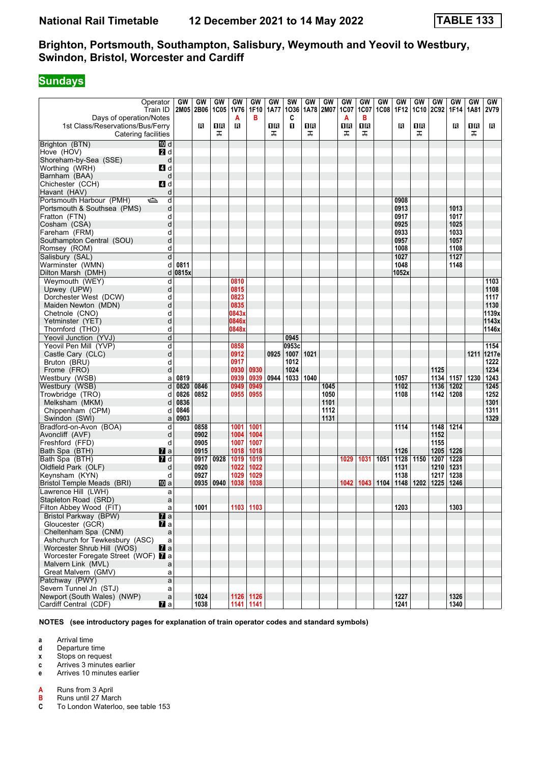# **Sundays**

|                                     | Operator            | GW      | GW        | GW   | GW        | GW        | GW   | <b>SW</b>    | GW          | GW          | GW   | GW   | GW          | GW    | GW   | <b>GW</b>   | GW          | <b>GW</b> | GW    |
|-------------------------------------|---------------------|---------|-----------|------|-----------|-----------|------|--------------|-------------|-------------|------|------|-------------|-------|------|-------------|-------------|-----------|-------|
|                                     | Train ID            |         | 2M05 2B06 |      | 1C05 1V76 | 1F10      | 1A77 | 1036         | 1A78        | <b>2M07</b> | 1C07 | 1C07 | <b>1C08</b> | 1F12  | 1C10 | <b>2C92</b> | 1F14        | 1A81      | 2V79  |
| Days of operation/Notes             |                     |         |           |      | A         | в         |      | C            |             |             | A    | в    |             |       |      |             |             |           |       |
| 1st Class/Reservations/Bus/Ferry    |                     |         | в         | 1R   | B         |           | 1 R  | $\mathbf{u}$ | 16          |             | 1R   | 1R   |             | R     | 1R   |             | R           | ΠR        | в     |
|                                     |                     |         |           |      |           |           |      |              |             |             |      |      |             |       |      |             |             |           |       |
| Catering facilities                 |                     |         |           | ᠼ    |           |           | ᠼ    |              | ᠼ           |             | ᠼ    | ᠼ    |             |       | ᠼ    |             |             | ᠼ         |       |
| Brighton (BTN)                      | [10] d              |         |           |      |           |           |      |              |             |             |      |      |             |       |      |             |             |           |       |
| Hove (HOV)                          | 2d                  |         |           |      |           |           |      |              |             |             |      |      |             |       |      |             |             |           |       |
| Shoreham-by-Sea (SSE)               | d                   |         |           |      |           |           |      |              |             |             |      |      |             |       |      |             |             |           |       |
| Worthing (WRH)                      | 4 d                 |         |           |      |           |           |      |              |             |             |      |      |             |       |      |             |             |           |       |
|                                     |                     |         |           |      |           |           |      |              |             |             |      |      |             |       |      |             |             |           |       |
| Barnham (BAA)                       | d                   |         |           |      |           |           |      |              |             |             |      |      |             |       |      |             |             |           |       |
| Chichester (CCH)                    | <b>4</b> d          |         |           |      |           |           |      |              |             |             |      |      |             |       |      |             |             |           |       |
| Havant (HAV)                        | d                   |         |           |      |           |           |      |              |             |             |      |      |             |       |      |             |             |           |       |
| Portsmouth Harbour (PMH)            | ک<br>d              |         |           |      |           |           |      |              |             |             |      |      |             | 0908  |      |             |             |           |       |
| Portsmouth & Southsea (PMS)         | d                   |         |           |      |           |           |      |              |             |             |      |      |             | 0913  |      |             | 1013        |           |       |
| Fratton (FTN)                       | d                   |         |           |      |           |           |      |              |             |             |      |      |             | 0917  |      |             | 1017        |           |       |
|                                     |                     |         |           |      |           |           |      |              |             |             |      |      |             |       |      |             |             |           |       |
| Cosham (CSA)                        | d                   |         |           |      |           |           |      |              |             |             |      |      |             | 0925  |      |             | 1025        |           |       |
| Fareham (FRM)                       | d                   |         |           |      |           |           |      |              |             |             |      |      |             | 0933  |      |             | 1033        |           |       |
| Southampton Central (SOU)           | d                   |         |           |      |           |           |      |              |             |             |      |      |             | 0957  |      |             | 1057        |           |       |
| Romsey (ROM)                        | d                   |         |           |      |           |           |      |              |             |             |      |      |             | 1008  |      |             | 1108        |           |       |
| Salisbury (SAL)                     | d                   |         |           |      |           |           |      |              |             |             |      |      |             | 1027  |      |             | 1127        |           |       |
| Warminster (WMN)                    | d                   | 0811    |           |      |           |           |      |              |             |             |      |      |             | 1048  |      |             | 1148        |           |       |
| Dilton Marsh (DMH)                  |                     | d 0815x |           |      |           |           |      |              |             |             |      |      |             | 1052x |      |             |             |           |       |
|                                     |                     |         |           |      |           |           |      |              |             |             |      |      |             |       |      |             |             |           |       |
| Weymouth (WEY)                      | d                   |         |           |      | 0810      |           |      |              |             |             |      |      |             |       |      |             |             |           | 1103  |
| Upwey (UPW)                         | d                   |         |           |      | 0815      |           |      |              |             |             |      |      |             |       |      |             |             |           | 1108  |
| Dorchester West (DCW)               | d                   |         |           |      | 0823      |           |      |              |             |             |      |      |             |       |      |             |             |           | 1117  |
| Maiden Newton (MDN)                 | d                   |         |           |      | 0835      |           |      |              |             |             |      |      |             |       |      |             |             |           | 1130  |
| Chetnole (CNO)                      | d                   |         |           |      | 0843x     |           |      |              |             |             |      |      |             |       |      |             |             |           | 1139x |
| Yetminster (YET)                    | d                   |         |           |      | 0846x     |           |      |              |             |             |      |      |             |       |      |             |             |           | 1143x |
| Thornford (THO)                     | d                   |         |           |      | 0848x     |           |      |              |             |             |      |      |             |       |      |             |             |           | 1146x |
|                                     |                     |         |           |      |           |           |      |              |             |             |      |      |             |       |      |             |             |           |       |
| Yeovil Junction (YVJ)               | d                   |         |           |      |           |           |      | 0945         |             |             |      |      |             |       |      |             |             |           |       |
| Yeovil Pen Mill (YVP)               | d                   |         |           |      | 0858      |           |      | 0953c        |             |             |      |      |             |       |      |             |             |           | 1154  |
| Castle Cary (CLC)                   | d                   |         |           |      | 0912      |           | 0925 | $1007$ 1021  |             |             |      |      |             |       |      |             |             | 1211      | 1217e |
| Bruton (BRU)                        | d                   |         |           |      | 0917      |           |      | 1012         |             |             |      |      |             |       |      |             |             |           | 1222  |
| Frome (FRO)                         | d                   |         |           |      | 0930      | 0930      |      | 1024         |             |             |      |      |             |       |      | 1125        |             |           | 1234  |
| Westbury (WSB)                      | a                   | 0819    |           |      | 0939      | 0939      | 0944 |              | 1033   1040 |             |      |      |             | 1057  |      |             | 1134   1157 | 1230      | 1243  |
| Westbury (WSB)                      | d                   | 0820    | 0846      |      | 0949      | 0949      |      |              |             | 1045        |      |      |             | 1102  |      | 1136        | 1202        |           | 1245  |
| Trowbridge (TRO)                    | d                   | 0826    | 0852      |      | 0955      | 0955      |      |              |             | 1050        |      |      |             | 1108  |      | 1142        | 1208        |           | 1252  |
|                                     |                     |         |           |      |           |           |      |              |             |             |      |      |             |       |      |             |             |           |       |
| Melksham (MKM)                      | d                   | 0836    |           |      |           |           |      |              |             | 1101        |      |      |             |       |      |             |             |           | 1301  |
| Chippenham (CPM)                    | d                   | 0846    |           |      |           |           |      |              |             | 1112        |      |      |             |       |      |             |             |           | 1311  |
| Swindon (SWI)                       | a                   | 0903    |           |      |           |           |      |              |             | 1131        |      |      |             |       |      |             |             |           | 1329  |
| Bradford-on-Avon (BOA)              | d                   |         | 0858      |      | 1001      | 1001      |      |              |             |             |      |      |             | 1114  |      | 1148        | 1214        |           |       |
| Avoncliff (AVF)                     | d                   |         | 0902      |      | 1004      | 1004      |      |              |             |             |      |      |             |       |      | 1152        |             |           |       |
| Freshford (FFD)                     | d                   |         | 0905      |      | 1007      | 1007      |      |              |             |             |      |      |             |       |      | 1155        |             |           |       |
| Bath Spa (BTH)                      |                     |         | 0915      |      | 1018      | 1018      |      |              |             |             |      |      |             | 1126  |      | 1205   1226 |             |           |       |
| Bath Spa (BTH)                      | <b>M</b> a<br>$I$ d |         |           |      |           | 1019      |      |              |             |             | 1029 |      | 1051        | 1128  |      |             | 1228        |           |       |
|                                     |                     |         | 0917      | 0928 | 1019      |           |      |              |             |             |      | 1031 |             |       | 1150 | 1207        |             |           |       |
| Oldfield Park (OLF)                 | d                   |         | 0920      |      | 1022      | 1022      |      |              |             |             |      |      |             | 1131  |      | 1210        | 1231        |           |       |
| Keynsham (KYN)                      | d                   |         | 0927      |      | 1029      | 1029      |      |              |             |             |      |      |             | 1138  |      | 1217        | 1238        |           |       |
| Bristol Temple Meads (BRI)          | [10] a              |         | 0935      | 0940 | 1038      | 1038      |      |              |             |             | 1042 | 1043 | 1104        | 1148  | 1202 | 1225        | 1246        |           |       |
| Lawrence Hill (LWH)                 | a                   |         |           |      |           |           |      |              |             |             |      |      |             |       |      |             |             |           |       |
| Stapleton Road (SRD)                | a                   |         |           |      |           |           |      |              |             |             |      |      |             |       |      |             |             |           |       |
| Filton Abbey Wood (FIT)             | a                   |         | 1001      |      |           | 1103 1103 |      |              |             |             |      |      |             | 1203  |      |             | 1303        |           |       |
| Bristol Parkway (BPW)               | $\mathbf{z}$        |         |           |      |           |           |      |              |             |             |      |      |             |       |      |             |             |           |       |
| Gloucester (GCR)                    | <b>7</b> a          |         |           |      |           |           |      |              |             |             |      |      |             |       |      |             |             |           |       |
|                                     |                     |         |           |      |           |           |      |              |             |             |      |      |             |       |      |             |             |           |       |
| Cheltenham Spa (CNM)                | $\mathsf{a}$        |         |           |      |           |           |      |              |             |             |      |      |             |       |      |             |             |           |       |
| Ashchurch for Tewkesbury (ASC)      | a                   |         |           |      |           |           |      |              |             |             |      |      |             |       |      |             |             |           |       |
| Worcester Shrub Hill (WOS)          | $\mathbf{z}$ a      |         |           |      |           |           |      |              |             |             |      |      |             |       |      |             |             |           |       |
| Worcester Foregate Street (WOF) 2 a |                     |         |           |      |           |           |      |              |             |             |      |      |             |       |      |             |             |           |       |
| Malvern Link (MVL)                  | a                   |         |           |      |           |           |      |              |             |             |      |      |             |       |      |             |             |           |       |
| Great Malvern (GMV)                 | a                   |         |           |      |           |           |      |              |             |             |      |      |             |       |      |             |             |           |       |
| Patchway (PWY)                      | a                   |         |           |      |           |           |      |              |             |             |      |      |             |       |      |             |             |           |       |
|                                     |                     |         |           |      |           |           |      |              |             |             |      |      |             |       |      |             |             |           |       |
| Severn Tunnel Jn (STJ)              | a                   |         |           |      |           |           |      |              |             |             |      |      |             |       |      |             |             |           |       |
| Newport (South Wales) (NWP)         | $\mathsf{a}$        |         | 1024      |      |           | 1126 1126 |      |              |             |             |      |      |             | 1227  |      |             | 1326        |           |       |
| Cardiff Central (CDF)               | $\mathbf{z}$ a      |         | 1038      |      |           | 1141 1141 |      |              |             |             |      |      |             | 1241  |      |             | 1340        |           |       |

**NOTES (see introductory pages for explanation of train operator codes and standard symbols)**

**a** Arrival time<br>**d** Departure t

**d** Departure time

**x** Stops on request

**c** Arrives 3 minutes earlier

**e** Arrives 10 minutes earlier

**\$** Runs from 3 April

**B** Runs until 27 March<br>**C** To London Waterloo

To London Waterloo, see table 153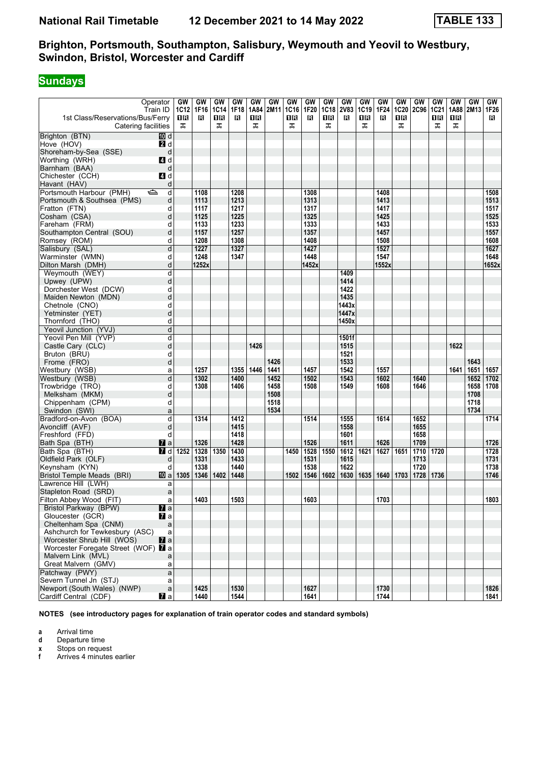# **Sundays**

|                                                         | Operator<br>Train ID | GW<br>1C12 | GW<br>1F16 | GW<br><b>1C14</b> | GW<br>1F18 | GW<br>1A84 | GW<br>2M11 | GW<br>1C16 | GW<br>1F20 | GW<br><b>1C18</b> | GW<br><b>2V83</b> | GW<br>1C19 | GW<br>1F24 | GW<br>1C20 | GW<br><b>2C96</b> | <b>GW</b><br><b>1C21</b> | <b>GW</b><br>1A88 | GW<br>2M13 | GW<br>1F26 |
|---------------------------------------------------------|----------------------|------------|------------|-------------------|------------|------------|------------|------------|------------|-------------------|-------------------|------------|------------|------------|-------------------|--------------------------|-------------------|------------|------------|
| 1st Class/Reservations/Bus/Ferry<br>Catering facilities |                      | 1 R<br>ᠼ   | в          | ΠR<br>ᠼ           | в          | 16<br>ᠼ    |            | 18<br>ᠼ    | в          | 18<br>ᠼ           | в                 | 18<br>ᠼ    | в          | 16<br>ᠼ    |                   | 1 R<br>ᠼ                 | 0 B<br>ᠼ          |            | B          |
| Brighton (BTN)                                          | 而 d                  |            |            |                   |            |            |            |            |            |                   |                   |            |            |            |                   |                          |                   |            |            |
| Hove (HOV)                                              | <b>2</b> d           |            |            |                   |            |            |            |            |            |                   |                   |            |            |            |                   |                          |                   |            |            |
| Shoreham-by-Sea (SSE)                                   | d                    |            |            |                   |            |            |            |            |            |                   |                   |            |            |            |                   |                          |                   |            |            |
| Worthing (WRH)                                          | ZI d                 |            |            |                   |            |            |            |            |            |                   |                   |            |            |            |                   |                          |                   |            |            |
| Barnham (BAA)                                           | d                    |            |            |                   |            |            |            |            |            |                   |                   |            |            |            |                   |                          |                   |            |            |
| Chichester (CCH)                                        | ZI d                 |            |            |                   |            |            |            |            |            |                   |                   |            |            |            |                   |                          |                   |            |            |
| Havant (HAV)                                            | d                    |            |            |                   |            |            |            |            |            |                   |                   |            |            |            |                   |                          |                   |            |            |
| Portsmouth Harbour (PMH)                                | ⇔<br>d               |            | 1108       |                   | 1208       |            |            |            | 1308       |                   |                   |            | 1408       |            |                   |                          |                   |            | 1508       |
| Portsmouth & Southsea (PMS)                             | d                    |            | 1113       |                   | 1213       |            |            |            | 1313       |                   |                   |            | 1413       |            |                   |                          |                   |            | 1513       |
| Fratton (FTN)                                           | d                    |            | 1117       |                   | 1217       |            |            |            | 1317       |                   |                   |            | 1417       |            |                   |                          |                   |            | 1517       |
| Cosham (CSA)                                            | d                    |            | 1125       |                   | 1225       |            |            |            | 1325       |                   |                   |            | 1425       |            |                   |                          |                   |            | 1525       |
| Fareham (FRM)                                           |                      |            | 1133       |                   | 1233       |            |            |            | 1333       |                   |                   |            | 1433       |            |                   |                          |                   |            | 1533       |
| Southampton Central (SOU)                               | d<br>d               |            | 1157       |                   | 1257       |            |            |            | 1357       |                   |                   |            | 1457       |            |                   |                          |                   |            | 1557       |
|                                                         |                      |            | 1208       |                   | 1308       |            |            |            | 1408       |                   |                   |            | 1508       |            |                   |                          |                   |            | 1608       |
| Romsey (ROM)                                            | d                    |            |            |                   |            |            |            |            |            |                   |                   |            |            |            |                   |                          |                   |            |            |
| Salisbury (SAL)                                         | d                    |            | 1227       |                   | 1327       |            |            |            | 1427       |                   |                   |            | 1527       |            |                   |                          |                   |            | 1627       |
| Warminster (WMN)                                        | d                    |            | 1248       |                   | 1347       |            |            |            | 1448       |                   |                   |            | 1547       |            |                   |                          |                   |            | 1648       |
| Dilton Marsh (DMH)                                      | d                    |            | 1252x      |                   |            |            |            |            | 1452x      |                   |                   |            | 1552x      |            |                   |                          |                   |            | 1652x      |
| Weymouth (WEY)                                          | d                    |            |            |                   |            |            |            |            |            |                   | 1409              |            |            |            |                   |                          |                   |            |            |
| Upwey (UPW)                                             | d                    |            |            |                   |            |            |            |            |            |                   | 1414              |            |            |            |                   |                          |                   |            |            |
| Dorchester West (DCW)                                   | d                    |            |            |                   |            |            |            |            |            |                   | 1422              |            |            |            |                   |                          |                   |            |            |
| Maiden Newton (MDN)                                     | d                    |            |            |                   |            |            |            |            |            |                   | 1435              |            |            |            |                   |                          |                   |            |            |
| Chetnole (CNO)                                          | d                    |            |            |                   |            |            |            |            |            |                   | 1443x             |            |            |            |                   |                          |                   |            |            |
| Yetminster (YET)                                        | d                    |            |            |                   |            |            |            |            |            |                   | 1447x             |            |            |            |                   |                          |                   |            |            |
| Thornford (THO)                                         | d                    |            |            |                   |            |            |            |            |            |                   | 1450x             |            |            |            |                   |                          |                   |            |            |
| Yeovil Junction (YVJ)                                   | d                    |            |            |                   |            |            |            |            |            |                   |                   |            |            |            |                   |                          |                   |            |            |
| Yeovil Pen Mill (YVP)                                   | d                    |            |            |                   |            |            |            |            |            |                   | 1501f             |            |            |            |                   |                          |                   |            |            |
| Castle Cary (CLC)                                       | d                    |            |            |                   |            | 1426       |            |            |            |                   | 1515              |            |            |            |                   |                          | 1622              |            |            |
| Bruton (BRU)                                            | d                    |            |            |                   |            |            |            |            |            |                   | 1521              |            |            |            |                   |                          |                   |            |            |
| Frome (FRO)                                             | d                    |            |            |                   |            |            | 1426       |            |            |                   | 1533              |            |            |            |                   |                          |                   | 1643       |            |
| Westbury (WSB)                                          | a                    |            | 1257       |                   | 1355       | 1446       | 1441       |            | 1457       |                   | 1542              |            | 1557       |            |                   |                          | 1641              | 1651       | 1657       |
| Westbury (WSB)                                          | d                    |            | 1302       |                   | 1400       |            | 1452       |            | 1502       |                   | 1543              |            | 1602       |            | 1640              |                          |                   | 1652       | 1702       |
| Trowbridge (TRO)                                        | d                    |            | 1308       |                   | 1406       |            | 1458       |            | 1508       |                   | 1549              |            | 1608       |            | 1646              |                          |                   | 1658       | 1708       |
| Melksham (MKM)                                          | d                    |            |            |                   |            |            | 1508       |            |            |                   |                   |            |            |            |                   |                          |                   | 1708       |            |
| Chippenham (CPM)                                        | d                    |            |            |                   |            |            | 1518       |            |            |                   |                   |            |            |            |                   |                          |                   | 1718       |            |
| Swindon (SWI)                                           | a                    |            |            |                   |            |            | 1534       |            |            |                   |                   |            |            |            |                   |                          |                   | 1734       |            |
| Bradford-on-Avon (BOA)                                  | d                    |            | 1314       |                   | 1412       |            |            |            | 1514       |                   | 1555              |            | 1614       |            | 1652              |                          |                   |            | 1714       |
| Avoncliff (AVF)                                         | d                    |            |            |                   | 1415       |            |            |            |            |                   | 1558              |            |            |            | 1655              |                          |                   |            |            |
| Freshford (FFD)                                         | d                    |            |            |                   | 1418       |            |            |            |            |                   | 1601              |            |            |            | 1658              |                          |                   |            |            |
| Bath Spa (BTH)                                          | $\mathbf{z}$ a       |            | 1326       |                   | 1428       |            |            |            | 1526       |                   | 1611              |            | 1626       |            | 1709              |                          |                   |            | 1726       |
| Bath Spa (BTH)                                          | 7 d                  | 1252       | 1328       | 1350              | 1430       |            |            | 1450       | 1528       | 1550              | 1612              | 1621       | 1627       | 1651       | 1710              | 1720                     |                   |            | 1728       |
| Oldfield Park (OLF)                                     | d                    |            | 1331       |                   | 1433       |            |            |            | 1531       |                   | 1615              |            |            |            | 1713              |                          |                   |            | 1731       |
| Keynsham (KYN)                                          | d                    |            | 1338       |                   | 1440       |            |            |            | 1538       |                   | 1622              |            |            |            | 1720              |                          |                   |            | 1738       |
| <b>Bristol Temple Meads (BRI)</b>                       | 凹 al                 | 1305       | 1346       | 1402              | 1448       |            |            | 1502       | 1546       | 1602              | 1630              | 1635       | 1640       | 1703       | 1728              | 1736                     |                   |            | 1746       |
| Lawrence Hill (LWH)                                     | a                    |            |            |                   |            |            |            |            |            |                   |                   |            |            |            |                   |                          |                   |            |            |
| Stapleton Road (SRD)                                    | a                    |            |            |                   |            |            |            |            |            |                   |                   |            |            |            |                   |                          |                   |            |            |
| Filton Abbey Wood (FIT)                                 | a                    |            | 1403       |                   | 1503       |            |            |            | 1603       |                   |                   |            | 1703       |            |                   |                          |                   |            | 1803       |
| Bristol Parkway (BPW)                                   | $\mathbf{z}$ a       |            |            |                   |            |            |            |            |            |                   |                   |            |            |            |                   |                          |                   |            |            |
| Gloucester (GCR)                                        | $\mathbf{z}$ a       |            |            |                   |            |            |            |            |            |                   |                   |            |            |            |                   |                          |                   |            |            |
| Cheltenham Spa (CNM)                                    | $\mathsf{a}$         |            |            |                   |            |            |            |            |            |                   |                   |            |            |            |                   |                          |                   |            |            |
| Ashchurch for Tewkesbury (ASC)                          | a                    |            |            |                   |            |            |            |            |            |                   |                   |            |            |            |                   |                          |                   |            |            |
| Worcester Shrub Hill (WOS)                              | $\mathbf{z}$ a       |            |            |                   |            |            |            |            |            |                   |                   |            |            |            |                   |                          |                   |            |            |
| Worcester Foregate Street (WOF) 2 a                     |                      |            |            |                   |            |            |            |            |            |                   |                   |            |            |            |                   |                          |                   |            |            |
| Malvern Link (MVL)                                      | a                    |            |            |                   |            |            |            |            |            |                   |                   |            |            |            |                   |                          |                   |            |            |
| Great Malvern (GMV)                                     | a                    |            |            |                   |            |            |            |            |            |                   |                   |            |            |            |                   |                          |                   |            |            |
| Patchway (PWY)                                          | $\mathsf{a}$         |            |            |                   |            |            |            |            |            |                   |                   |            |            |            |                   |                          |                   |            |            |
| Severn Tunnel Jn (STJ)                                  | a                    |            |            |                   |            |            |            |            |            |                   |                   |            |            |            |                   |                          |                   |            |            |
| Newport (South Wales) (NWP)                             | $\mathsf a$          |            | 1425       |                   | 1530       |            |            |            | 1627       |                   |                   |            | 1730       |            |                   |                          |                   |            | 1826       |
| Cardiff Central (CDF)                                   | $\mathbf{z}$ a       |            | 1440       |                   | 1544       |            |            |            | 1641       |                   |                   |            | 1744       |            |                   |                          |                   |            | 1841       |
|                                                         |                      |            |            |                   |            |            |            |            |            |                   |                   |            |            |            |                   |                          |                   |            |            |

**NOTES (see introductory pages for explanation of train operator codes and standard symbols)**

**a** Arrival time

**d** Departure time<br>**x** Stops on reque

**x** Stops on request<br>**f** Arrives 4 minutes

**f** Arrives 4 minutes earlier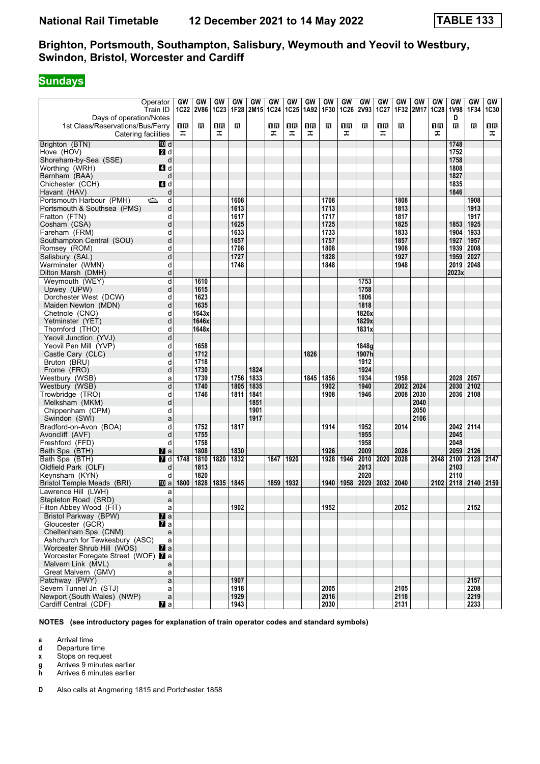#### **Sundays**

|                                     | Operator                  | GW   | GW           | GW   | GW          | GW   | GW   | GW          | GW   | GW   | GW   | GW           | GW   | GW   | GW        | <b>GW</b>   | GW          | GW             | GW   |
|-------------------------------------|---------------------------|------|--------------|------|-------------|------|------|-------------|------|------|------|--------------|------|------|-----------|-------------|-------------|----------------|------|
|                                     | Train ID                  |      | 1C22 2V86    |      | $1C23$ 1F28 | 2M15 | 1C24 | <b>1C25</b> | 1A92 | 1F30 | 1C26 | <b>2V93</b>  | 1C27 |      | 1F32 2M17 | <b>1C28</b> | <b>1V98</b> | 1F34           | 1C30 |
| Days of operation/Notes             |                           |      |              |      |             |      |      |             |      |      |      |              |      |      |           |             | D           |                |      |
| 1st Class/Reservations/Bus/Ferry    |                           | 1 R  | в            | 18   | в           |      | 1 R  | 16          | 1R   | в    | 1R   | в            | 1R   | в    |           | 1R          | в           | в              | ΠR   |
| Catering facilities                 |                           | ᠼ    |              | ᠼ    |             |      | ᠼ    | ᠼ           | ᠼ    |      | ᠼ    |              | ᠼ    |      |           | ᠼ           |             |                | ᠼ    |
|                                     |                           |      |              |      |             |      |      |             |      |      |      |              |      |      |           |             |             |                |      |
| Brighton (BTN)                      | III d                     |      |              |      |             |      |      |             |      |      |      |              |      |      |           |             | 1748        |                |      |
| Hove (HOV)                          | <b>2</b> d                |      |              |      |             |      |      |             |      |      |      |              |      |      |           |             | 1752        |                |      |
| Shoreham-by-Sea (SSE)               | d                         |      |              |      |             |      |      |             |      |      |      |              |      |      |           |             | 1758        |                |      |
| Worthing (WRH)                      | 4d                        |      |              |      |             |      |      |             |      |      |      |              |      |      |           |             | 1808        |                |      |
| Barnham (BAA)                       | d                         |      |              |      |             |      |      |             |      |      |      |              |      |      |           |             | 1827        |                |      |
| Chichester (CCH)                    | <b>4</b> d                |      |              |      |             |      |      |             |      |      |      |              |      |      |           |             | 1835        |                |      |
| Havant (HAV)                        | d                         |      |              |      |             |      |      |             |      |      |      |              |      |      |           |             | 1846        |                |      |
| Portsmouth Harbour (PMH)            | d<br>$\Rightarrow$        |      |              |      | 1608        |      |      |             |      | 1708 |      |              |      | 1808 |           |             |             | 1908           |      |
| Portsmouth & Southsea (PMS)         | d                         |      |              |      | 1613        |      |      |             |      | 1713 |      |              |      | 1813 |           |             |             | 1913           |      |
| Fratton (FTN)                       | d                         |      |              |      | 1617        |      |      |             |      | 1717 |      |              |      | 1817 |           |             |             | 1917           |      |
| Cosham (CSA)                        | d                         |      |              |      | 1625        |      |      |             |      | 1725 |      |              |      | 1825 |           |             | 1853        | 1925           |      |
| Fareham (FRM)                       | d                         |      |              |      | 1633        |      |      |             |      | 1733 |      |              |      | 1833 |           |             | 1904        | 1933           |      |
| Southampton Central (SOU)           | d                         |      |              |      | 1657        |      |      |             |      | 1757 |      |              |      | 1857 |           |             | 1927        | 1957           |      |
| Romsey (ROM)                        | d                         |      |              |      | 1708        |      |      |             |      | 1808 |      |              |      | 1908 |           |             | 1939        | 2008           |      |
|                                     |                           |      |              |      |             |      |      |             |      |      |      |              |      |      |           |             |             |                |      |
| Salisbury (SAL)                     | d                         |      |              |      | 1727        |      |      |             |      | 1828 |      |              |      | 1927 |           |             | 1959        | 2027           |      |
| Warminster (WMN)                    | d                         |      |              |      | 1748        |      |      |             |      | 1848 |      |              |      | 1948 |           |             | 2019        | 2048           |      |
| Dilton Marsh (DMH)                  | d                         |      |              |      |             |      |      |             |      |      |      |              |      |      |           |             | 2023x       |                |      |
| Weymouth (WEY)                      | d                         |      | 1610         |      |             |      |      |             |      |      |      | 1753         |      |      |           |             |             |                |      |
| Upwey (UPW)                         | d                         |      | 1615         |      |             |      |      |             |      |      |      | 1758         |      |      |           |             |             |                |      |
| Dorchester West (DCW)               | d                         |      | 1623         |      |             |      |      |             |      |      |      | 1806         |      |      |           |             |             |                |      |
| Maiden Newton (MDN)                 | d                         |      | 1635         |      |             |      |      |             |      |      |      | 1818         |      |      |           |             |             |                |      |
| Chetnole (CNO)                      | d                         |      | 1643x        |      |             |      |      |             |      |      |      | 1826x        |      |      |           |             |             |                |      |
| Yetminster (YET)                    | d                         |      | 1646x        |      |             |      |      |             |      |      |      | 1829x        |      |      |           |             |             |                |      |
| Thornford (THO)                     | d                         |      | 1648x        |      |             |      |      |             |      |      |      | 1831x        |      |      |           |             |             |                |      |
| Yeovil Junction (YVJ)               | d                         |      |              |      |             |      |      |             |      |      |      |              |      |      |           |             |             |                |      |
| Yeovil Pen Mill (YVP)               | d                         |      | 1658         |      |             |      |      |             |      |      |      | 1848g        |      |      |           |             |             |                |      |
| Castle Cary (CLC)                   | d                         |      | 1712         |      |             |      |      |             | 1826 |      |      | 1907h        |      |      |           |             |             |                |      |
| Bruton (BRU)                        | d                         |      | 1718         |      |             |      |      |             |      |      |      | 1912         |      |      |           |             |             |                |      |
| Frome (FRO)                         | d                         |      | 1730         |      |             | 1824 |      |             |      |      |      | 1924         |      |      |           |             |             |                |      |
| Westbury (WSB)                      | a                         |      | 1739         |      | 1756        | 1833 |      |             | 1845 | 1856 |      | 1934         |      | 1958 |           |             | 2028 2057   |                |      |
| Westbury (WSB)                      | d                         |      | 1740         |      | 1805        | 1835 |      |             |      | 1902 |      | 1940         |      | 2002 | 2024      |             | 2030        | 2102           |      |
| Trowbridge (TRO)                    | d                         |      | 1746         |      | 1811        | 1841 |      |             |      | 1908 |      | 1946         |      | 2008 | 2030      |             | 2036 2108   |                |      |
| Melksham (MKM)                      | d                         |      |              |      |             | 1851 |      |             |      |      |      |              |      |      | 2040      |             |             |                |      |
| Chippenham (CPM)                    | d                         |      |              |      |             | 1901 |      |             |      |      |      |              |      |      | 2050      |             |             |                |      |
| Swindon (SWI)                       | a                         |      |              |      |             | 1917 |      |             |      |      |      |              |      |      | 2106      |             |             |                |      |
| Bradford-on-Avon (BOA)              | d                         |      | 1752         |      | 1817        |      |      |             |      | 1914 |      | 1952         |      | 2014 |           |             | 2042 2114   |                |      |
|                                     |                           |      |              |      |             |      |      |             |      |      |      | 1955         |      |      |           |             | 2045        |                |      |
| Avoncliff (AVF)                     | d                         |      | 1755<br>1758 |      |             |      |      |             |      |      |      |              |      |      |           |             | 2048        |                |      |
| Freshford (FFD)                     | d                         |      | 1808         |      |             |      |      |             |      |      |      | 1958<br>2009 |      |      |           |             | 2059        |                |      |
| Bath Spa (BTH)                      | $\mathbf{z}$ a            |      |              |      | 1830        |      |      |             |      | 1926 |      |              |      | 2026 |           |             |             | 2126           |      |
| Bath Spa (BTH)                      | 7 d                       | 1748 | 1810         | 1820 | 1832        |      | 1847 | 1920        |      | 1928 | 1946 | 2010         | 2020 | 2028 |           | 2048        | 2100        | 2128 2147      |      |
| Oldfield Park (OLF)                 | d                         |      | 1813         |      |             |      |      |             |      |      |      | 2013         |      |      |           |             | 2103        |                |      |
| Keynsham (KYN)                      | d                         |      | 1820         |      |             |      |      |             |      |      |      | 2020         |      |      |           |             | 2110        |                |      |
| <b>Bristol Temple Meads (BRI)</b>   | 10 a                      | 1800 | 1828         | 1835 | 1845        |      | 1859 | 1932        |      | 1940 | 1958 | 2029         | 2032 | 2040 |           | 2102        |             | 2118 2140 2159 |      |
| Lawrence Hill (LWH)                 | a                         |      |              |      |             |      |      |             |      |      |      |              |      |      |           |             |             |                |      |
| Stapleton Road (SRD)                | a                         |      |              |      |             |      |      |             |      |      |      |              |      |      |           |             |             |                |      |
| Filton Abbey Wood (FIT)             | a                         |      |              |      | 1902        |      |      |             |      | 1952 |      |              |      | 2052 |           |             |             | 2152           |      |
| Bristol Parkway (BPW)               | $\overline{\mathbf{a}}$ a |      |              |      |             |      |      |             |      |      |      |              |      |      |           |             |             |                |      |
| Gloucester (GCR)                    | <b>7</b> a                |      |              |      |             |      |      |             |      |      |      |              |      |      |           |             |             |                |      |
| Cheltenham Spa (CNM)                | $\mathsf{a}$              |      |              |      |             |      |      |             |      |      |      |              |      |      |           |             |             |                |      |
| Ashchurch for Tewkesbury (ASC)      | a                         |      |              |      |             |      |      |             |      |      |      |              |      |      |           |             |             |                |      |
| Worcester Shrub Hill (WOS)          | $\mathbf{z}$ a            |      |              |      |             |      |      |             |      |      |      |              |      |      |           |             |             |                |      |
| Worcester Foregate Street (WOF) 2 a |                           |      |              |      |             |      |      |             |      |      |      |              |      |      |           |             |             |                |      |
| Malvern Link (MVL)                  | a                         |      |              |      |             |      |      |             |      |      |      |              |      |      |           |             |             |                |      |
| Great Malvern (GMV)                 | a                         |      |              |      |             |      |      |             |      |      |      |              |      |      |           |             |             |                |      |
| Patchway (PWY)                      | a                         |      |              |      | 1907        |      |      |             |      |      |      |              |      |      |           |             |             | 2157           |      |
| Severn Tunnel Jn (STJ)              | a                         |      |              |      | 1918        |      |      |             |      | 2005 |      |              |      | 2105 |           |             |             | 2208           |      |
| Newport (South Wales) (NWP)         | a                         |      |              |      | 1929        |      |      |             |      | 2016 |      |              |      | 2118 |           |             |             | 2219           |      |
| Cardiff Central (CDF)               | $\mathbf{z}$ a            |      |              |      | 1943        |      |      |             |      | 2030 |      |              |      | 2131 |           |             |             | 2233           |      |

**NOTES (see introductory pages for explanation of train operator codes and standard symbols)**

**a** Arrival time<br>**d** Departure t

- **d** Departure time
- **x** Stops on request
- **g** Arrives 9 minutes earlier<br>**h** Arrives 6 minutes earlier

**K** Arrives 6 minutes earlier

**D** Also calls at Angmering 1815 and Portchester 1858